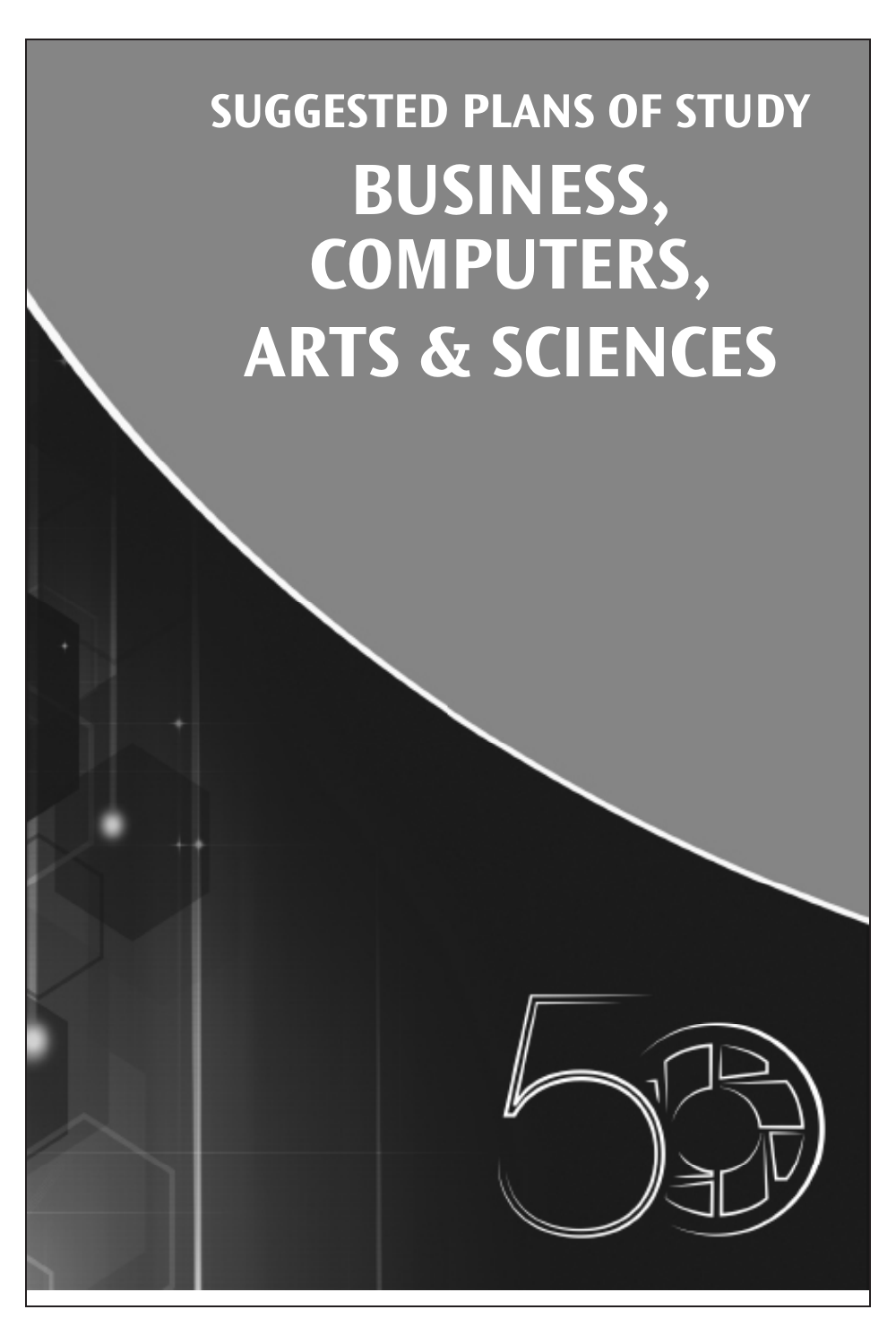## **SUGGESTED PLANS OF STUDY BUSINESS, COMPUTERS, ARTS & SCIENCES**

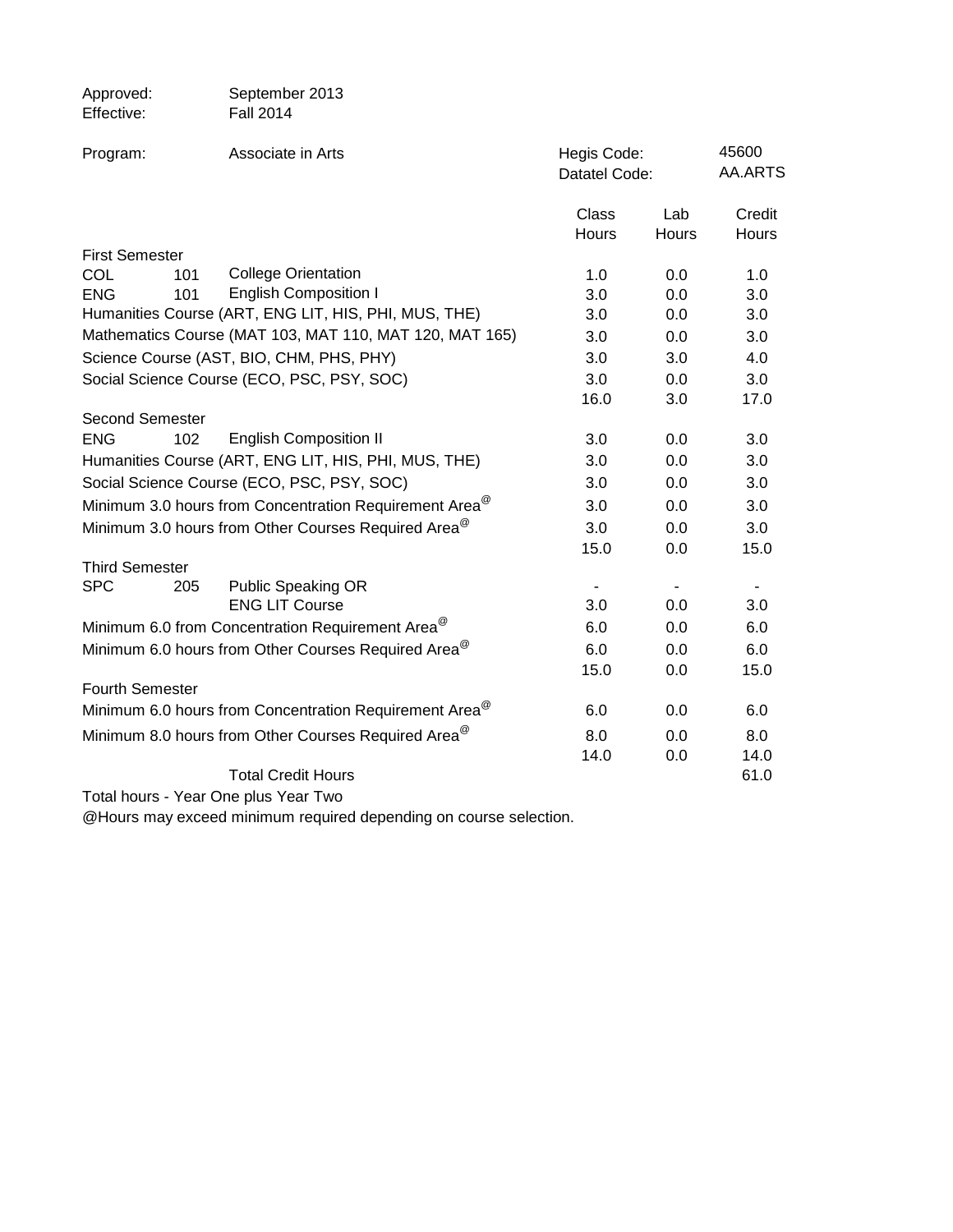| Approved:<br>Effective: | September 2013<br><b>Fall 2014</b>                                 |                              |              |                  |
|-------------------------|--------------------------------------------------------------------|------------------------------|--------------|------------------|
| Program:                | Associate in Arts                                                  | Hegis Code:<br>Datatel Code: |              | 45600<br>AA.ARTS |
|                         |                                                                    | Class<br>Hours               | Lab<br>Hours | Credit<br>Hours  |
| <b>First Semester</b>   |                                                                    |                              |              |                  |
| COL<br>101              | <b>College Orientation</b>                                         | 1.0                          | 0.0          | 1.0              |
| <b>ENG</b><br>101       | <b>English Composition I</b>                                       | 3.0                          | 0.0          | 3.0              |
|                         | Humanities Course (ART, ENG LIT, HIS, PHI, MUS, THE)               | 3.0                          | 0.0          | 3.0              |
|                         | Mathematics Course (MAT 103, MAT 110, MAT 120, MAT 165)            | 3.0                          | 0.0          | 3.0              |
|                         | Science Course (AST, BIO, CHM, PHS, PHY)                           | 3.0                          | 3.0          | 4.0              |
|                         | Social Science Course (ECO, PSC, PSY, SOC)                         | 3.0                          | 0.0          | 3.0              |
|                         |                                                                    | 16.0                         | 3.0          | 17.0             |
| Second Semester         |                                                                    |                              |              |                  |
| <b>ENG</b><br>102       | <b>English Composition II</b>                                      | 3.0                          | 0.0          | 3.0              |
|                         | Humanities Course (ART, ENG LIT, HIS, PHI, MUS, THE)               | 3.0                          | 0.0          | 3.0              |
|                         | Social Science Course (ECO, PSC, PSY, SOC)                         | 3.0                          | 0.0          | 3.0              |
|                         | Minimum 3.0 hours from Concentration Requirement Area <sup>@</sup> | 3.0                          | 0.0          | 3.0              |
|                         | Minimum 3.0 hours from Other Courses Required Area <sup>@</sup>    | 3.0                          | 0.0          | 3.0              |
|                         |                                                                    | 15.0                         | 0.0          | 15.0             |
| <b>Third Semester</b>   |                                                                    |                              |              |                  |
| <b>SPC</b><br>205       | <b>Public Speaking OR</b><br><b>ENG LIT Course</b>                 | 3.0                          | 0.0          | 3.0              |
|                         | Minimum 6.0 from Concentration Requirement Area <sup>@</sup>       | 6.0                          | 0.0          | 6.0              |
|                         | Minimum 6.0 hours from Other Courses Required Area <sup>@</sup>    | 6.0                          | 0.0          | 6.0              |
|                         |                                                                    | 15.0                         | 0.0          | 15.0             |
| <b>Fourth Semester</b>  |                                                                    |                              |              |                  |
|                         | Minimum 6.0 hours from Concentration Requirement Area <sup>@</sup> | 6.0                          | 0.0          | 6.0              |
|                         | Minimum 8.0 hours from Other Courses Required Area <sup>@</sup>    | 8.0                          | 0.0          | 8.0              |
|                         |                                                                    | 14.0                         | 0.0          | 14.0             |
|                         | <b>Total Credit Hours</b>                                          |                              |              | 61.0             |
|                         |                                                                    |                              |              |                  |

Total hours - Year One plus Year Two

@Hours may exceed minimum required depending on course selection.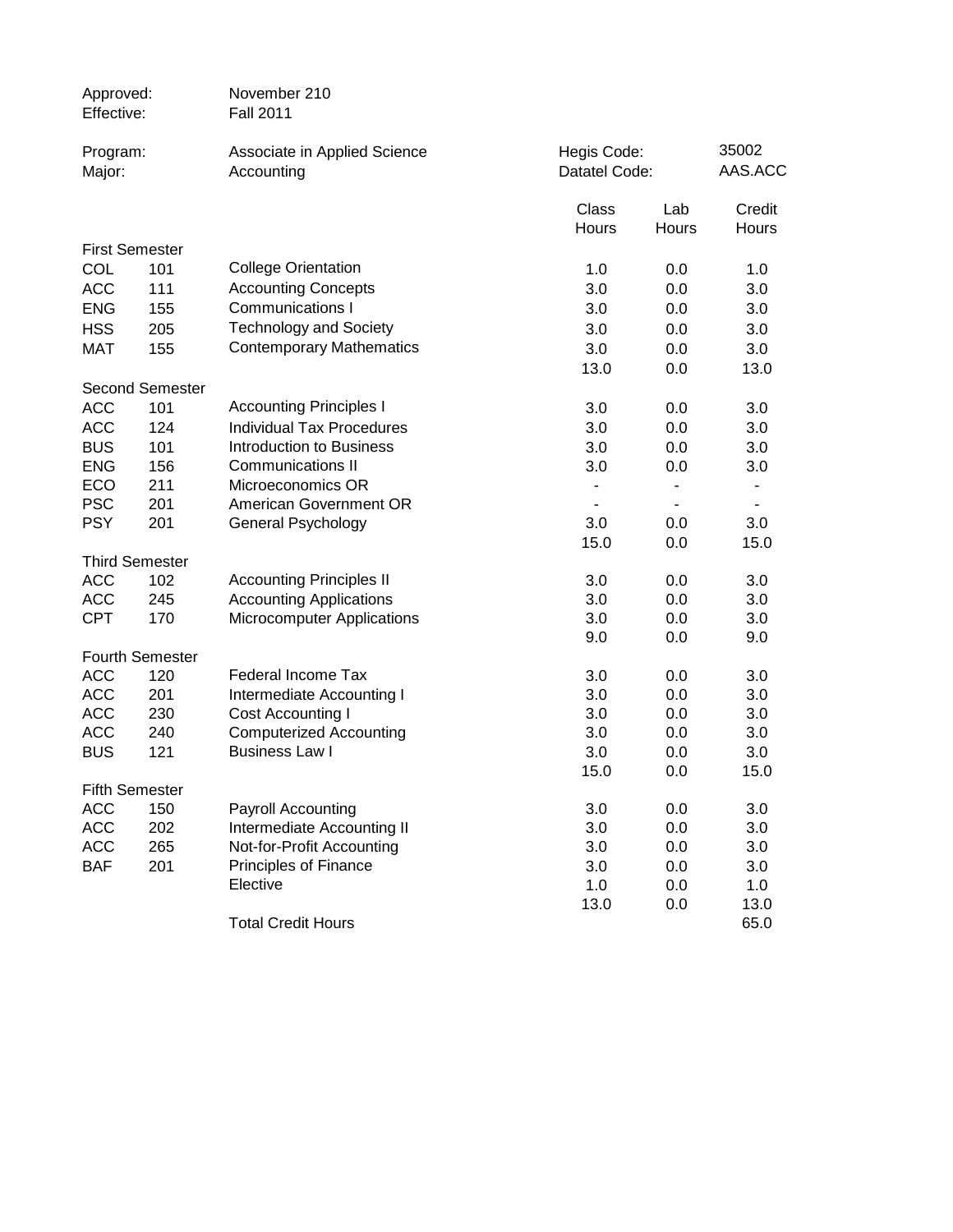| Approved:<br>Effective:  |                        | November 210<br><b>Fall 2011</b>                        |                              |                |                  |
|--------------------------|------------------------|---------------------------------------------------------|------------------------------|----------------|------------------|
| Program:<br>Major:       |                        | Associate in Applied Science<br>Accounting              | Hegis Code:<br>Datatel Code: |                | 35002<br>AAS.ACC |
|                          |                        |                                                         | Class<br>Hours               | Lab<br>Hours   | Credit<br>Hours  |
|                          | <b>First Semester</b>  |                                                         |                              |                |                  |
| COL                      | 101                    | <b>College Orientation</b>                              | 1.0                          | 0.0            | 1.0              |
| <b>ACC</b>               | 111                    | <b>Accounting Concepts</b>                              | 3.0                          | 0.0            | 3.0              |
| <b>ENG</b>               | 155                    | Communications I                                        | 3.0                          | 0.0            | 3.0              |
| <b>HSS</b>               | 205                    | <b>Technology and Society</b>                           | 3.0                          | 0.0            | 3.0              |
| <b>MAT</b>               | 155                    | <b>Contemporary Mathematics</b>                         | 3.0                          | 0.0            | 3.0              |
|                          |                        |                                                         | 13.0                         | 0.0            | 13.0             |
|                          | <b>Second Semester</b> |                                                         |                              |                |                  |
| <b>ACC</b>               | 101                    | <b>Accounting Principles I</b>                          | 3.0                          | 0.0            | 3.0              |
| <b>ACC</b>               | 124                    | <b>Individual Tax Procedures</b>                        | 3.0                          | 0.0            | 3.0              |
| <b>BUS</b>               | 101                    | <b>Introduction to Business</b>                         | 3.0                          | 0.0            | 3.0              |
| <b>ENG</b>               | 156                    | <b>Communications II</b>                                | 3.0                          | 0.0            | 3.0              |
| <b>ECO</b>               | 211                    | Microeconomics OR                                       | $\blacksquare$               | $\blacksquare$ | $\blacksquare$   |
| <b>PSC</b>               | 201                    | American Government OR                                  | $\blacksquare$               | $\sim$         | $\blacksquare$   |
| <b>PSY</b>               | 201                    | General Psychology                                      | 3.0                          | 0.0            | 3.0              |
|                          |                        |                                                         | 15.0                         | 0.0            | 15.0             |
|                          | <b>Third Semester</b>  |                                                         |                              |                |                  |
| <b>ACC</b>               | 102                    | <b>Accounting Principles II</b>                         | 3.0                          | 0.0            | 3.0              |
| <b>ACC</b>               | 245                    | <b>Accounting Applications</b>                          | 3.0                          | 0.0            | 3.0              |
| <b>CPT</b>               | 170                    | <b>Microcomputer Applications</b>                       | 3.0                          | 0.0            | 3.0              |
|                          |                        |                                                         | 9.0                          | 0.0            | 9.0              |
|                          | <b>Fourth Semester</b> |                                                         |                              |                |                  |
| <b>ACC</b>               | 120                    | <b>Federal Income Tax</b>                               | 3.0                          | 0.0            | 3.0              |
| <b>ACC</b>               | 201                    | Intermediate Accounting I                               | 3.0                          | 0.0            | 3.0              |
| <b>ACC</b>               | 230                    | Cost Accounting I                                       | 3.0                          | 0.0            | 3.0              |
| <b>ACC</b><br><b>BUS</b> | 240<br>121             | <b>Computerized Accounting</b><br><b>Business Law I</b> | 3.0<br>3.0                   | 0.0<br>0.0     | 3.0<br>3.0       |
|                          |                        |                                                         | 15.0                         | 0.0            | 15.0             |
|                          | <b>Fifth Semester</b>  |                                                         |                              |                |                  |
| <b>ACC</b>               | 150                    | Payroll Accounting                                      | 3.0                          | 0.0            | 3.0              |
| <b>ACC</b>               | 202                    | Intermediate Accounting II                              | 3.0                          | 0.0            | 3.0              |
| <b>ACC</b>               | 265                    | Not-for-Profit Accounting                               | 3.0                          | 0.0            | 3.0              |
| <b>BAF</b>               | 201                    | Principles of Finance                                   | 3.0                          | 0.0            | 3.0              |
|                          |                        | Elective                                                | 1.0                          | 0.0            | 1.0              |
|                          |                        |                                                         | 13.0                         | 0.0            | 13.0             |
|                          |                        | <b>Total Credit Hours</b>                               |                              |                | 65.0             |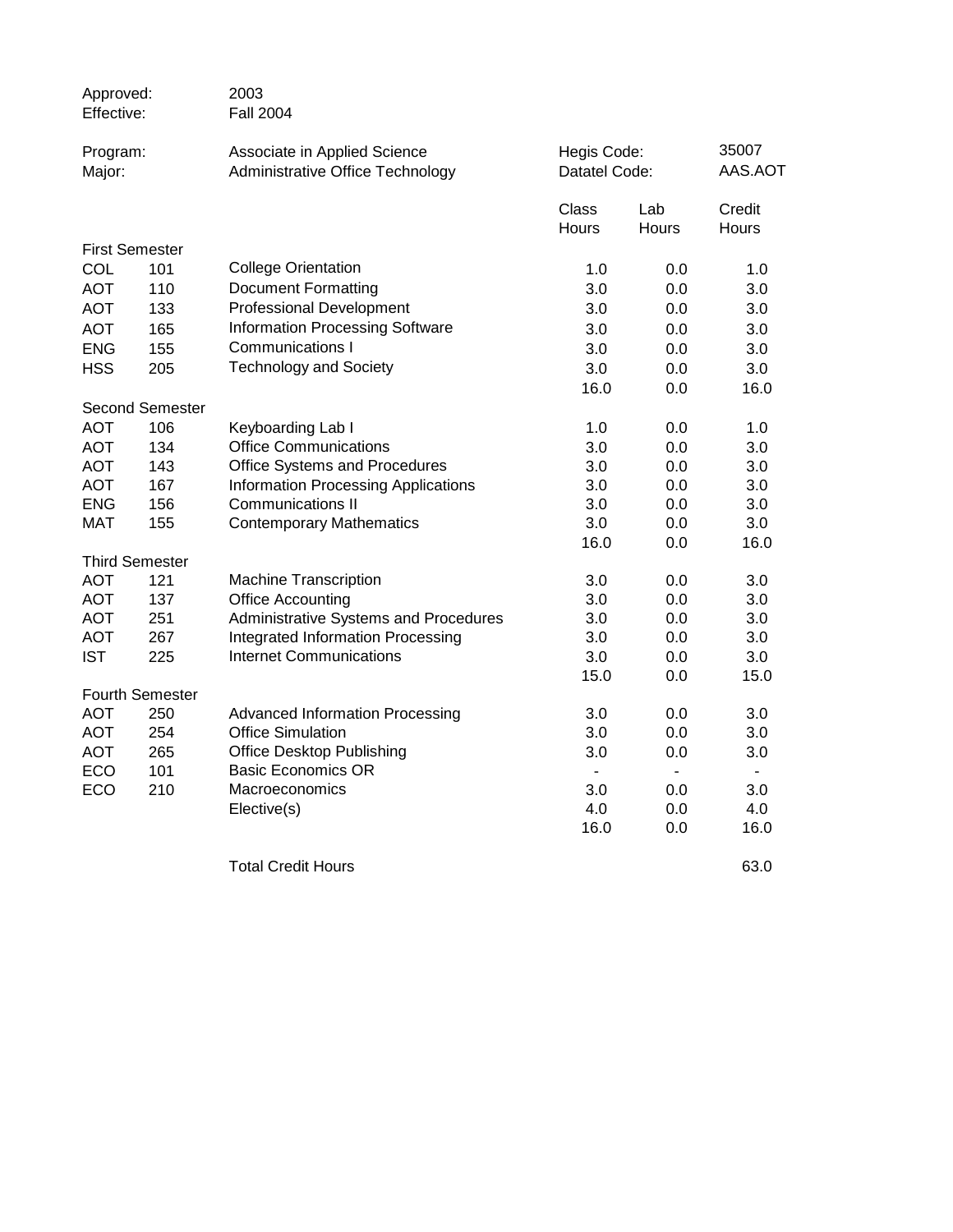| Approved:<br>Effective: |                        | 2003<br><b>Fall 2004</b>                                         |                                 |                              |                |  |
|-------------------------|------------------------|------------------------------------------------------------------|---------------------------------|------------------------------|----------------|--|
| Program:<br>Major:      |                        | Associate in Applied Science<br>Administrative Office Technology |                                 | Hegis Code:<br>Datatel Code: |                |  |
|                         |                        |                                                                  | Class                           | Lab                          | Credit         |  |
|                         |                        |                                                                  | Hours                           | <b>Hours</b>                 | Hours          |  |
|                         | <b>First Semester</b>  |                                                                  |                                 |                              |                |  |
| COL                     | 101                    | <b>College Orientation</b>                                       | 1.0                             | 0.0                          | 1.0            |  |
| <b>AOT</b>              | 110                    | <b>Document Formatting</b>                                       | 3.0                             | 0.0                          | 3.0            |  |
| <b>AOT</b>              | 133                    | <b>Professional Development</b>                                  | 3.0                             | 0.0                          | 3.0            |  |
| <b>AOT</b>              | 165                    | <b>Information Processing Software</b>                           | 3.0                             | 0.0                          | 3.0            |  |
| <b>ENG</b>              | 155                    | Communications I                                                 | 3.0                             | 0.0                          | 3.0            |  |
| <b>HSS</b>              | 205                    | <b>Technology and Society</b>                                    | 3.0                             | 0.0                          | 3.0            |  |
|                         |                        |                                                                  | 16.0                            | 0.0                          | 16.0           |  |
|                         | <b>Second Semester</b> |                                                                  |                                 |                              |                |  |
| <b>AOT</b>              | 106                    | Keyboarding Lab I                                                | 1.0                             | 0.0                          | 1.0            |  |
| <b>AOT</b>              | 134                    | <b>Office Communications</b>                                     | 3.0                             | 0.0                          | 3.0            |  |
| <b>AOT</b>              | 143                    | Office Systems and Procedures                                    | 3.0                             | 0.0                          | 3.0            |  |
| <b>AOT</b>              | 167                    | <b>Information Processing Applications</b>                       | 3.0                             | 0.0                          | 3.0            |  |
| <b>ENG</b>              | 156                    | Communications II                                                | 3.0                             | 0.0                          | 3.0            |  |
| <b>MAT</b>              | 155                    | <b>Contemporary Mathematics</b>                                  | 3.0                             | 0.0                          | 3.0            |  |
|                         |                        |                                                                  | 16.0                            | 0.0                          | 16.0           |  |
|                         | <b>Third Semester</b>  |                                                                  |                                 |                              |                |  |
| <b>AOT</b>              | 121                    | <b>Machine Transcription</b>                                     | 3.0                             | 0.0                          | 3.0            |  |
| <b>AOT</b>              | 137                    | <b>Office Accounting</b>                                         | 3.0                             | 0.0                          | 3.0            |  |
| <b>AOT</b>              | 251                    | Administrative Systems and Procedures                            | 3.0                             | 0.0                          | 3.0            |  |
| <b>AOT</b>              | 267                    | Integrated Information Processing                                | 3.0                             | 0.0                          | 3.0            |  |
| <b>IST</b>              | 225                    | <b>Internet Communications</b>                                   | 3.0                             | 0.0                          | 3.0            |  |
|                         |                        |                                                                  | 15.0                            | 0.0                          | 15.0           |  |
|                         | <b>Fourth Semester</b> |                                                                  |                                 |                              |                |  |
| <b>AOT</b>              | 250                    | <b>Advanced Information Processing</b>                           | 3.0                             | 0.0                          | 3.0            |  |
| <b>AOT</b>              | 254                    | <b>Office Simulation</b>                                         | 3.0                             | 0.0                          | 3.0            |  |
| <b>AOT</b>              | 265                    | Office Desktop Publishing                                        | 3.0                             | 0.0                          | 3.0            |  |
| ECO<br>ECO              | 101                    | <b>Basic Economics OR</b><br>Macroeconomics                      | $\overline{\phantom{a}}$<br>3.0 | $\overline{\phantom{0}}$     | $\blacksquare$ |  |
|                         | 210                    |                                                                  | 4.0                             | 0.0<br>0.0                   | 3.0<br>4.0     |  |
|                         |                        | Elective(s)                                                      | 16.0                            | 0.0                          | 16.0           |  |
|                         |                        |                                                                  |                                 |                              |                |  |
|                         |                        | <b>Total Credit Hours</b>                                        |                                 |                              | 63.0           |  |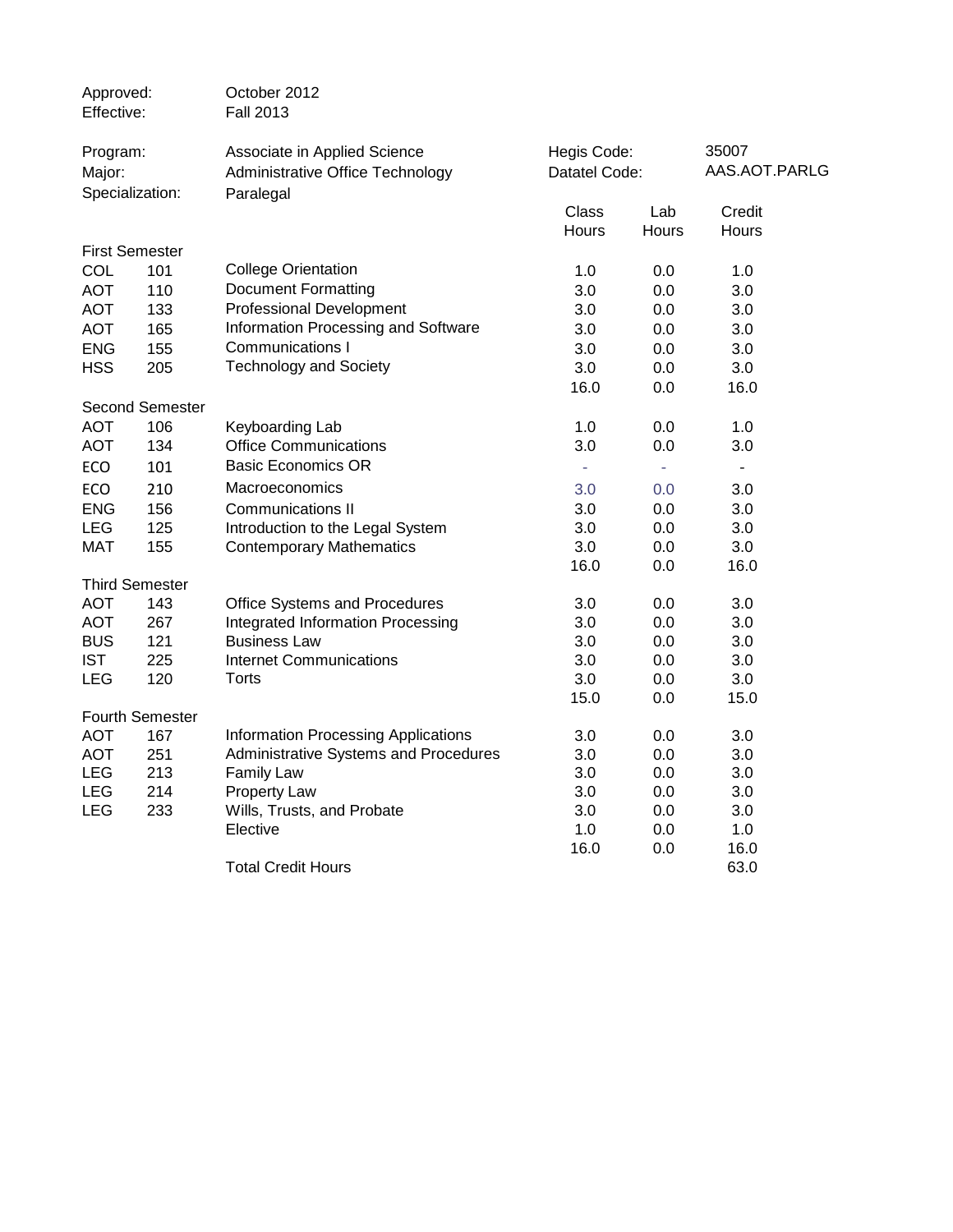| Approved:<br>Effective: |                        | October 2012<br><b>Fall 2013</b>           |                          |                          |                          |  |
|-------------------------|------------------------|--------------------------------------------|--------------------------|--------------------------|--------------------------|--|
| Program:                |                        | Associate in Applied Science               | Hegis Code:              |                          | 35007                    |  |
| Major:                  |                        | Administrative Office Technology           | Datatel Code:            |                          | AAS.AOT.PARLG            |  |
|                         | Specialization:        | Paralegal                                  | Class                    | Lab                      | Credit                   |  |
|                         |                        |                                            | <b>Hours</b>             | Hours                    | Hours                    |  |
|                         | <b>First Semester</b>  |                                            |                          |                          |                          |  |
| COL                     | 101                    | <b>College Orientation</b>                 | 1.0                      | 0.0                      | 1.0                      |  |
| <b>AOT</b>              | 110                    | <b>Document Formatting</b>                 | 3.0                      | 0.0                      | 3.0                      |  |
| <b>AOT</b>              | 133                    | <b>Professional Development</b>            | 3.0                      | 0.0                      | 3.0                      |  |
| AOT                     | 165                    | Information Processing and Software        | 3.0                      | 0.0                      | 3.0                      |  |
| <b>ENG</b>              | 155                    | <b>Communications I</b>                    | 3.0                      | 0.0                      | 3.0                      |  |
| <b>HSS</b>              | 205                    | <b>Technology and Society</b>              | 3.0                      | 0.0                      | 3.0                      |  |
|                         |                        |                                            | 16.0                     | 0.0                      | 16.0                     |  |
|                         | <b>Second Semester</b> |                                            |                          |                          |                          |  |
| <b>AOT</b>              | 106                    | Keyboarding Lab                            | 1.0                      | 0.0                      | 1.0                      |  |
| <b>AOT</b>              | 134                    | <b>Office Communications</b>               | 3.0                      | 0.0                      | 3.0                      |  |
| ECO                     | 101                    | <b>Basic Economics OR</b>                  | $\overline{\phantom{a}}$ | $\overline{\phantom{a}}$ | $\overline{\phantom{a}}$ |  |
| ECO                     | 210                    | Macroeconomics                             | 3.0                      | 0.0                      | 3.0                      |  |
| <b>ENG</b>              | 156                    | Communications II                          | 3.0                      | 0.0                      | 3.0                      |  |
| <b>LEG</b>              | 125                    | Introduction to the Legal System           | 3.0                      | 0.0                      | 3.0                      |  |
| <b>MAT</b>              | 155                    | <b>Contemporary Mathematics</b>            | 3.0                      | 0.0                      | 3.0                      |  |
|                         |                        |                                            | 16.0                     | 0.0                      | 16.0                     |  |
|                         | <b>Third Semester</b>  |                                            |                          |                          |                          |  |
| <b>AOT</b>              | 143                    | Office Systems and Procedures              | 3.0                      | 0.0                      | 3.0                      |  |
| <b>AOT</b>              | 267                    | Integrated Information Processing          | 3.0                      | 0.0                      | 3.0                      |  |
| <b>BUS</b>              | 121                    | <b>Business Law</b>                        | 3.0                      | 0.0                      | 3.0                      |  |
| <b>IST</b>              | 225                    | Internet Communications                    | 3.0                      | 0.0                      | 3.0                      |  |
| <b>LEG</b>              | 120                    | <b>Torts</b>                               | 3.0                      | 0.0                      | 3.0                      |  |
|                         |                        |                                            | 15.0                     | 0.0                      | 15.0                     |  |
|                         | <b>Fourth Semester</b> |                                            |                          |                          |                          |  |
| <b>AOT</b>              | 167                    | <b>Information Processing Applications</b> | 3.0                      | 0.0                      | 3.0                      |  |
| <b>AOT</b>              | 251                    | Administrative Systems and Procedures      | 3.0                      | 0.0                      | 3.0                      |  |
| <b>LEG</b>              | 213                    | <b>Family Law</b>                          | 3.0                      | 0.0                      | 3.0                      |  |
| <b>LEG</b>              | 214                    | <b>Property Law</b>                        | 3.0                      | 0.0                      | 3.0                      |  |
| <b>LEG</b>              | 233                    | Wills, Trusts, and Probate                 | 3.0                      | 0.0                      | 3.0                      |  |
|                         |                        | Elective                                   | 1.0<br>16.0              | 0.0<br>0.0               | 1.0<br>16.0              |  |
|                         |                        | <b>Total Credit Hours</b>                  |                          |                          | 63.0                     |  |
|                         |                        |                                            |                          |                          |                          |  |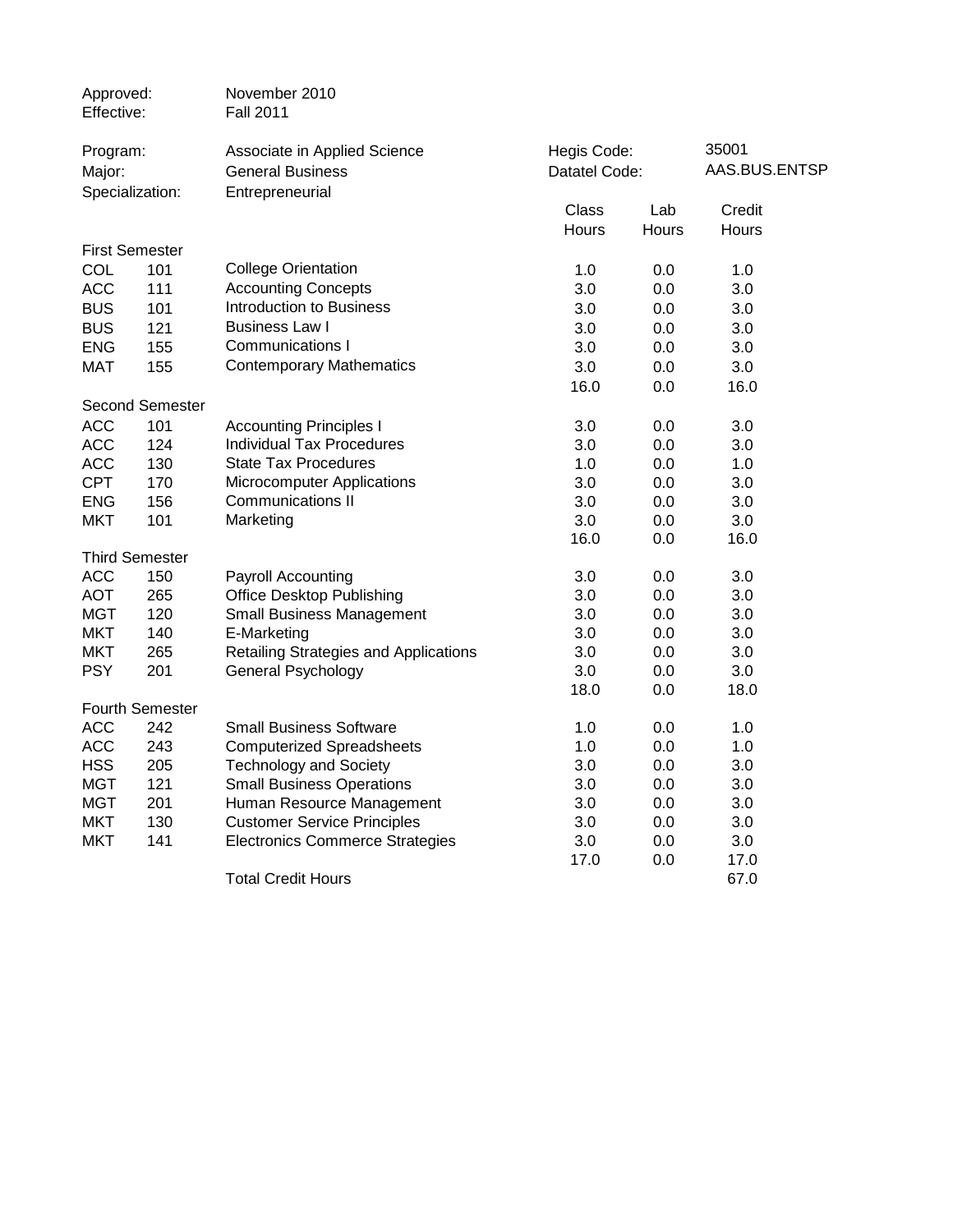| Approved:<br>Effective:  |                        | November 2010<br><b>Fall 2011</b>      |               |              |               |
|--------------------------|------------------------|----------------------------------------|---------------|--------------|---------------|
| Program:                 |                        | Associate in Applied Science           | Hegis Code:   |              | 35001         |
| Major:                   |                        | <b>General Business</b>                | Datatel Code: |              | AAS.BUS.ENTSP |
|                          | Specialization:        | Entrepreneurial                        |               |              |               |
|                          |                        |                                        | Class         | Lab          | Credit        |
|                          |                        |                                        | Hours         | <b>Hours</b> | Hours         |
|                          | <b>First Semester</b>  |                                        |               |              |               |
| COL                      | 101                    | <b>College Orientation</b>             | 1.0           | 0.0          | 1.0           |
| <b>ACC</b>               | 111                    | <b>Accounting Concepts</b>             | 3.0           | 0.0          | 3.0           |
| <b>BUS</b>               | 101                    | <b>Introduction to Business</b>        | 3.0           | 0.0          | 3.0           |
| <b>BUS</b>               | 121                    | <b>Business Law I</b>                  | 3.0           | 0.0          | 3.0           |
| <b>ENG</b>               | 155                    | Communications I                       | 3.0           | 0.0          | 3.0           |
| <b>MAT</b>               | 155                    | <b>Contemporary Mathematics</b>        | 3.0           | 0.0          | 3.0           |
|                          |                        |                                        | 16.0          | 0.0          | 16.0          |
|                          | <b>Second Semester</b> |                                        |               |              |               |
| <b>ACC</b>               | 101                    | <b>Accounting Principles I</b>         | 3.0           | 0.0          | 3.0           |
| <b>ACC</b>               | 124                    | <b>Individual Tax Procedures</b>       | 3.0           | 0.0          | 3.0           |
| <b>ACC</b>               | 130                    | <b>State Tax Procedures</b>            | 1.0           | 0.0          | 1.0           |
| <b>CPT</b>               | 170                    | Microcomputer Applications             | 3.0           | 0.0          | 3.0           |
| <b>ENG</b>               | 156                    | Communications II                      | 3.0           | 0.0          | 3.0           |
| <b>MKT</b>               | 101                    | Marketing                              | 3.0           | 0.0          | 3.0           |
|                          |                        |                                        | 16.0          | 0.0          | 16.0          |
|                          | <b>Third Semester</b>  |                                        |               |              |               |
| <b>ACC</b>               | 150                    | Payroll Accounting                     | 3.0           | 0.0          | 3.0           |
| <b>AOT</b>               | 265                    | <b>Office Desktop Publishing</b>       | 3.0           | 0.0          | 3.0           |
| <b>MGT</b>               | 120                    | <b>Small Business Management</b>       | 3.0           | 0.0          | 3.0           |
| <b>MKT</b>               | 140                    | E-Marketing                            | 3.0           | 0.0          | 3.0           |
| <b>MKT</b>               | 265                    | Retailing Strategies and Applications  | 3.0           | 0.0          | 3.0           |
| <b>PSY</b>               | 201                    | <b>General Psychology</b>              | 3.0           | 0.0          | 3.0           |
|                          |                        |                                        | 18.0          | 0.0          | 18.0          |
|                          | <b>Fourth Semester</b> |                                        |               |              |               |
| <b>ACC</b>               | 242                    | <b>Small Business Software</b>         | 1.0           | 0.0          | 1.0           |
| <b>ACC</b>               | 243                    | <b>Computerized Spreadsheets</b>       | 1.0           | 0.0          | 1.0           |
| <b>HSS</b>               | 205                    | <b>Technology and Society</b>          | 3.0           | 0.0          | 3.0           |
| <b>MGT</b>               | 121                    | <b>Small Business Operations</b>       | 3.0           | 0.0          | 3.0           |
| <b>MGT</b>               | 201                    | Human Resource Management              | 3.0           | 0.0          | 3.0           |
| <b>MKT</b><br><b>MKT</b> | 130                    | <b>Customer Service Principles</b>     | 3.0           | 0.0<br>0.0   | 3.0           |
|                          | 141                    | <b>Electronics Commerce Strategies</b> | 3.0<br>17.0   | 0.0          | 3.0<br>17.0   |
|                          |                        | <b>Total Credit Hours</b>              |               |              | 67.0          |
|                          |                        |                                        |               |              |               |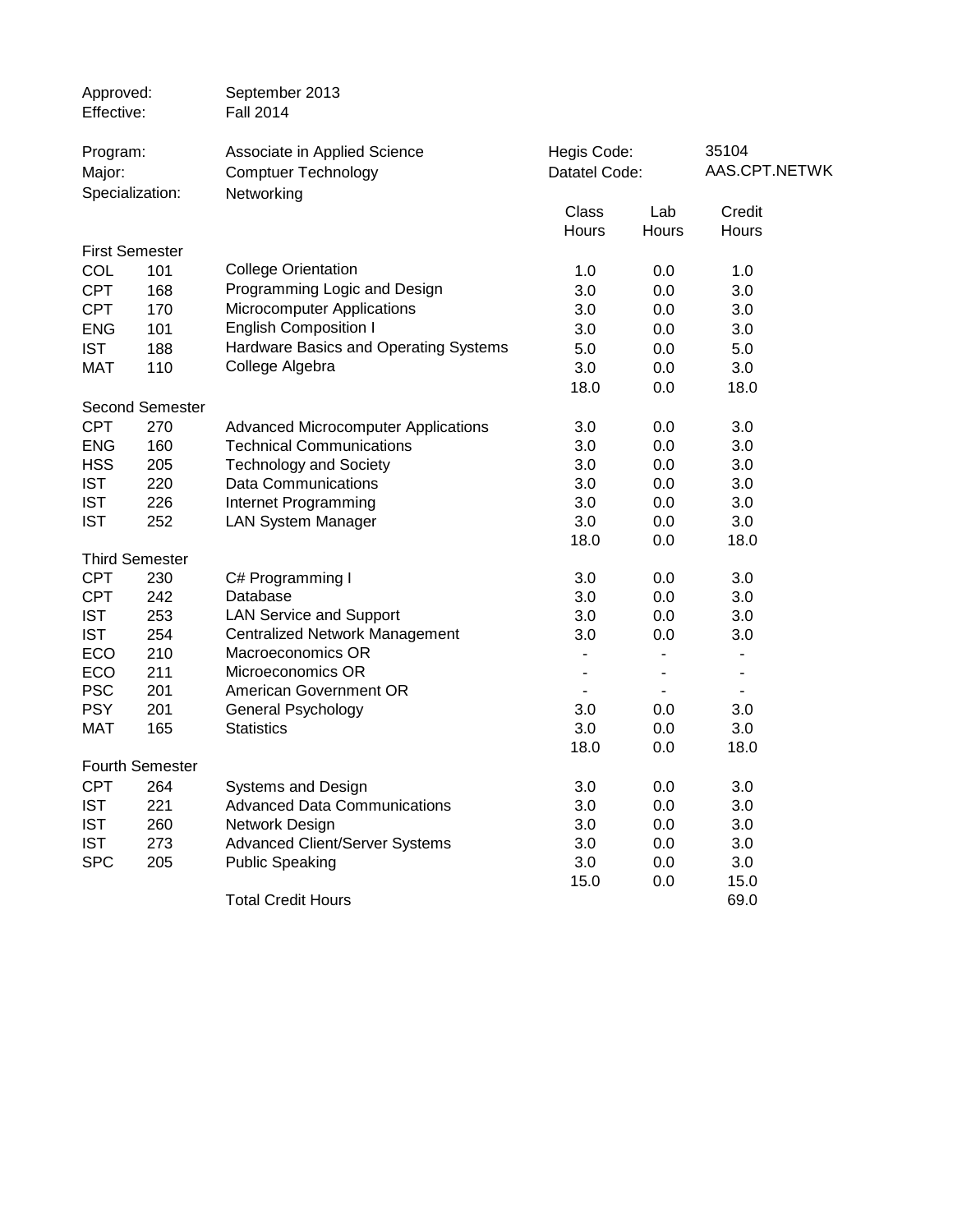| Approved:<br>Effective:  |                        | September 2013<br><b>Fall 2014</b>                         |                |              |                 |
|--------------------------|------------------------|------------------------------------------------------------|----------------|--------------|-----------------|
| Program:                 |                        | Associate in Applied Science                               | Hegis Code:    |              | 35104           |
| Major:                   |                        | <b>Comptuer Technology</b>                                 | Datatel Code:  |              | AAS.CPT.NETWK   |
|                          | Specialization:        | Networking                                                 |                |              |                 |
|                          |                        |                                                            | Class<br>Hours | Lab<br>Hours | Credit<br>Hours |
|                          | <b>First Semester</b>  |                                                            |                |              |                 |
| <b>COL</b>               | 101                    | <b>College Orientation</b>                                 | 1.0            | 0.0          | 1.0             |
| <b>CPT</b>               | 168                    | Programming Logic and Design                               | 3.0            | 0.0          | 3.0             |
| <b>CPT</b>               | 170                    | Microcomputer Applications                                 | 3.0            | 0.0          | 3.0             |
| <b>ENG</b>               | 101                    | <b>English Composition I</b>                               | 3.0            | 0.0          | 3.0             |
| <b>IST</b>               | 188                    | Hardware Basics and Operating Systems                      | 5.0            | 0.0          | 5.0             |
| <b>MAT</b>               | 110                    | College Algebra                                            | 3.0            | 0.0          | 3.0             |
|                          |                        |                                                            | 18.0           | 0.0          | 18.0            |
|                          | <b>Second Semester</b> |                                                            |                |              |                 |
| <b>CPT</b>               | 270                    | <b>Advanced Microcomputer Applications</b>                 | 3.0            | 0.0          | 3.0             |
| <b>ENG</b>               | 160                    | <b>Technical Communications</b>                            | 3.0            | 0.0          | 3.0             |
| <b>HSS</b>               | 205                    | <b>Technology and Society</b>                              | 3.0            | 0.0          | 3.0             |
| <b>IST</b>               | 220                    | Data Communications                                        | 3.0            | 0.0          | 3.0             |
| <b>IST</b>               | 226                    | Internet Programming                                       | 3.0            | 0.0          | 3.0             |
| <b>IST</b>               | 252                    | <b>LAN System Manager</b>                                  | 3.0            | 0.0          | 3.0             |
|                          |                        |                                                            | 18.0           | 0.0          | 18.0            |
|                          | <b>Third Semester</b>  |                                                            |                |              |                 |
| <b>CPT</b>               | 230                    | C# Programming I                                           | 3.0            | 0.0          | 3.0             |
| <b>CPT</b>               | 242                    | Database                                                   | 3.0            | 0.0          | 3.0             |
| <b>IST</b><br><b>IST</b> | 253<br>254             | <b>LAN Service and Support</b>                             | 3.0<br>3.0     | 0.0<br>0.0   | 3.0<br>3.0      |
| ECO                      | 210                    | <b>Centralized Network Management</b><br>Macroeconomics OR |                | -            | ٠               |
| ECO                      | 211                    | Microeconomics OR                                          |                | -            | ۰               |
| <b>PSC</b>               | 201                    | American Government OR                                     |                | ۰            |                 |
| <b>PSY</b>               | 201                    | General Psychology                                         | 3.0            | 0.0          | 3.0             |
| <b>MAT</b>               | 165                    | <b>Statistics</b>                                          | 3.0            | 0.0          | 3.0             |
|                          |                        |                                                            | 18.0           | 0.0          | 18.0            |
|                          | <b>Fourth Semester</b> |                                                            |                |              |                 |
| <b>CPT</b>               | 264                    | Systems and Design                                         | 3.0            | 0.0          | 3.0             |
| <b>IST</b>               | 221                    | <b>Advanced Data Communications</b>                        | 3.0            | 0.0          | 3.0             |
| <b>IST</b>               | 260                    | Network Design                                             | 3.0            | 0.0          | 3.0             |
| <b>IST</b>               | 273                    | <b>Advanced Client/Server Systems</b>                      | 3.0            | 0.0          | 3.0             |
| <b>SPC</b>               | 205                    | <b>Public Speaking</b>                                     | 3.0            | 0.0          | 3.0             |
|                          |                        |                                                            | 15.0           | 0.0          | 15.0            |
|                          |                        | <b>Total Credit Hours</b>                                  |                |              | 69.0            |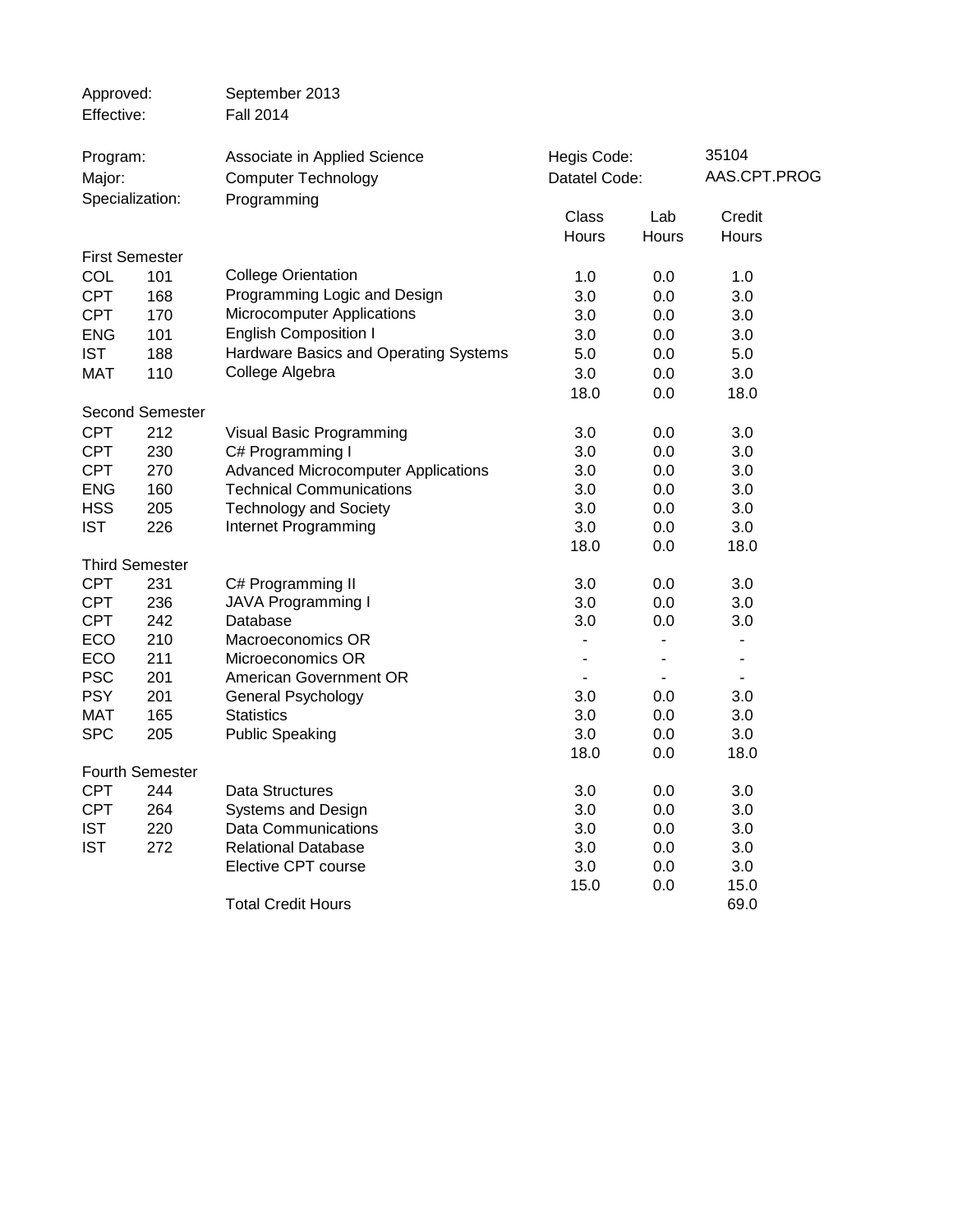| Approved:<br>Effective: |                        | September 2013<br><b>Fall 2014</b>                         |                |                              |                          |              |
|-------------------------|------------------------|------------------------------------------------------------|----------------|------------------------------|--------------------------|--------------|
| Program:<br>Major:      |                        | Associate in Applied Science<br><b>Computer Technology</b> |                | Hegis Code:<br>Datatel Code: |                          | AAS.CPT.PROG |
|                         | Specialization:        | Programming                                                | Class          | Lab                          | Credit                   |              |
|                         |                        |                                                            | Hours          | Hours                        | Hours                    |              |
|                         | <b>First Semester</b>  |                                                            |                |                              |                          |              |
| COL                     | 101                    | <b>College Orientation</b>                                 | 1.0            | 0.0                          | 1.0                      |              |
| <b>CPT</b>              | 168                    | Programming Logic and Design                               | 3.0            | 0.0                          | 3.0                      |              |
| <b>CPT</b>              | 170                    | Microcomputer Applications                                 | 3.0            | 0.0                          | 3.0                      |              |
| <b>ENG</b>              | 101                    | <b>English Composition I</b>                               | 3.0            | 0.0                          | 3.0                      |              |
| <b>IST</b>              | 188                    | Hardware Basics and Operating Systems                      | 5.0            | 0.0                          | 5.0                      |              |
| <b>MAT</b>              | 110                    | College Algebra                                            | 3.0            | 0.0                          | 3.0                      |              |
|                         |                        |                                                            | 18.0           | 0.0                          | 18.0                     |              |
|                         | <b>Second Semester</b> |                                                            |                |                              |                          |              |
| <b>CPT</b>              | 212                    | Visual Basic Programming                                   | 3.0            | 0.0                          | 3.0                      |              |
| <b>CPT</b>              | 230                    | C# Programming I                                           | 3.0            | 0.0                          | 3.0                      |              |
| <b>CPT</b>              | 270                    | <b>Advanced Microcomputer Applications</b>                 | 3.0            | 0.0                          | 3.0                      |              |
| <b>ENG</b>              | 160                    | <b>Technical Communications</b>                            | 3.0            | 0.0                          | 3.0                      |              |
| <b>HSS</b>              | 205                    | <b>Technology and Society</b>                              | 3.0            | 0.0                          | 3.0                      |              |
| <b>IST</b>              | 226                    | Internet Programming                                       | 3.0            | 0.0                          | 3.0                      |              |
|                         |                        |                                                            | 18.0           | 0.0                          | 18.0                     |              |
|                         | <b>Third Semester</b>  |                                                            |                |                              |                          |              |
| <b>CPT</b>              | 231                    | C# Programming II                                          | 3.0            | 0.0                          | 3.0                      |              |
| <b>CPT</b>              | 236                    | <b>JAVA Programming I</b>                                  | 3.0            | 0.0                          | 3.0                      |              |
| <b>CPT</b>              | 242                    | Database                                                   | 3.0            | 0.0                          | 3.0                      |              |
| ECO                     | 210                    | Macroeconomics OR                                          | -              | ۰                            | $\overline{\phantom{a}}$ |              |
| ECO                     | 211                    | Microeconomics OR                                          | $\overline{a}$ | $\overline{\phantom{0}}$     | $\overline{\phantom{a}}$ |              |
| <b>PSC</b>              | 201                    | American Government OR                                     | -              | ۰                            | ٠                        |              |
| <b>PSY</b>              | 201                    | General Psychology                                         | 3.0            | 0.0                          | 3.0                      |              |
| <b>MAT</b>              | 165                    | <b>Statistics</b>                                          | 3.0            | 0.0                          | 3.0                      |              |
| <b>SPC</b>              | 205                    | <b>Public Speaking</b>                                     | 3.0            | 0.0                          | 3.0                      |              |
|                         |                        |                                                            | 18.0           | 0.0                          | 18.0                     |              |
|                         | <b>Fourth Semester</b> |                                                            |                |                              |                          |              |
| <b>CPT</b>              | 244                    | Data Structures                                            | 3.0            | 0.0                          | 3.0                      |              |
| <b>CPT</b>              | 264                    | <b>Systems and Design</b>                                  | 3.0            | 0.0                          | 3.0                      |              |
| <b>IST</b>              | 220                    | <b>Data Communications</b>                                 | 3.0            | 0.0                          | 3.0                      |              |
| <b>IST</b>              | 272                    | <b>Relational Database</b>                                 | 3.0            | 0.0                          | 3.0                      |              |
|                         |                        | Elective CPT course                                        | 3.0            | 0.0                          | 3.0                      |              |
|                         |                        |                                                            | 15.0           | 0.0                          | 15.0                     |              |
|                         |                        | <b>Total Credit Hours</b>                                  |                |                              | 69.0                     |              |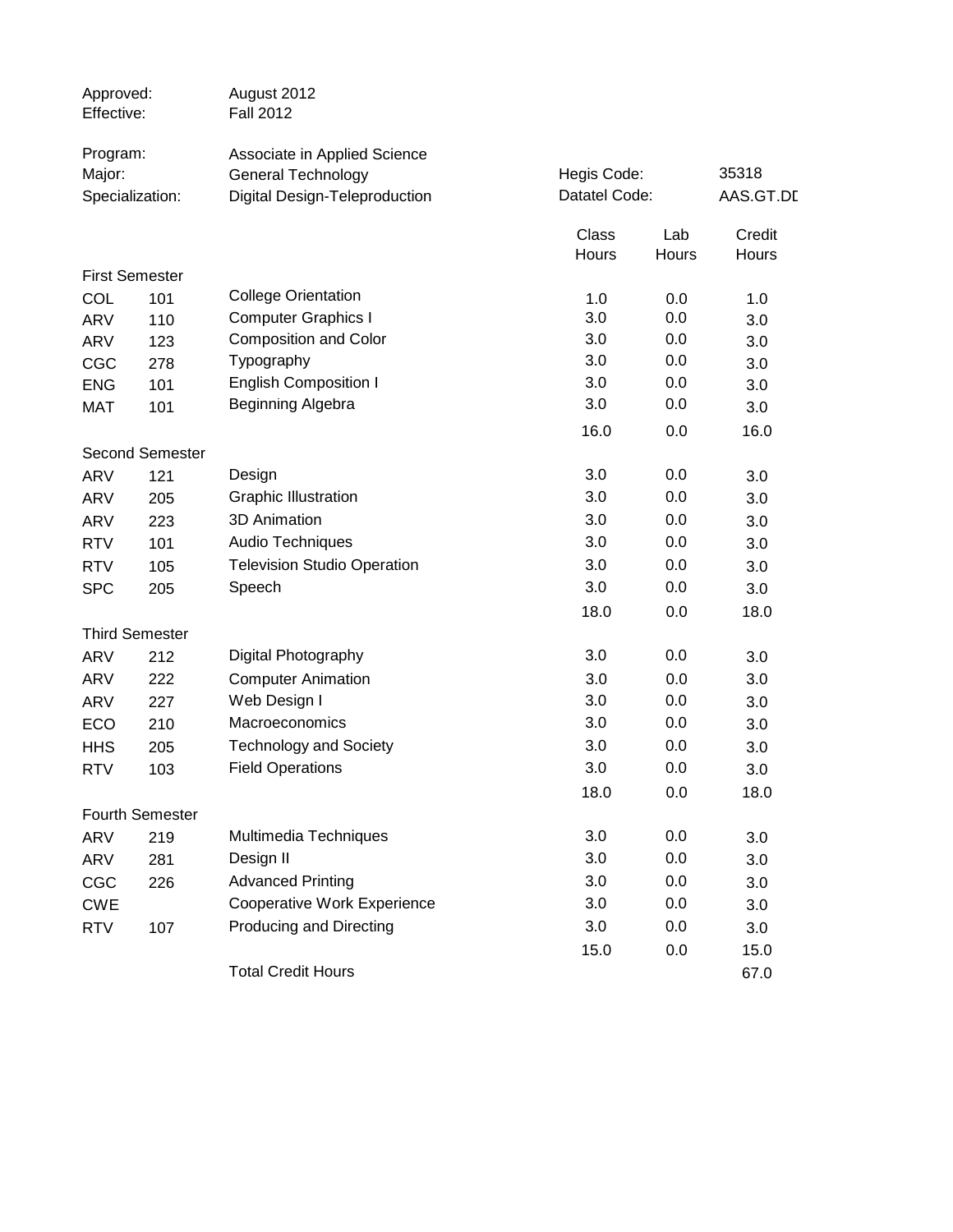| Approved:<br>Effective: |                        | August 2012<br><b>Fall 2012</b>    |               |            |            |
|-------------------------|------------------------|------------------------------------|---------------|------------|------------|
| Program:                |                        | Associate in Applied Science       |               |            |            |
| Major:                  |                        | <b>General Technology</b>          | Hegis Code:   |            | 35318      |
|                         | Specialization:        | Digital Design-Teleproduction      | Datatel Code: |            | AAS.GT.DL  |
|                         |                        |                                    | Class         | Lab        | Credit     |
|                         |                        |                                    | Hours         | Hours      | Hours      |
|                         | <b>First Semester</b>  | <b>College Orientation</b>         |               |            |            |
| COL                     | 101                    | <b>Computer Graphics I</b>         | 1.0<br>3.0    | 0.0<br>0.0 | 1.0        |
| <b>ARV</b>              | 110                    | <b>Composition and Color</b>       | 3.0           | 0.0        | 3.0        |
| <b>ARV</b><br>CGC       | 123<br>278             | Typography                         | 3.0           | 0.0        | 3.0<br>3.0 |
| <b>ENG</b>              | 101                    | <b>English Composition I</b>       | 3.0           | 0.0        | 3.0        |
| <b>MAT</b>              | 101                    | Beginning Algebra                  | 3.0           | 0.0        | 3.0        |
|                         |                        |                                    | 16.0          | 0.0        | 16.0       |
|                         | <b>Second Semester</b> |                                    |               |            |            |
| <b>ARV</b>              | 121                    | Design                             | 3.0           | 0.0        | 3.0        |
| ARV                     | 205                    | <b>Graphic Illustration</b>        | 3.0           | 0.0        | 3.0        |
| <b>ARV</b>              | 223                    | <b>3D Animation</b>                | 3.0           | 0.0        | 3.0        |
| <b>RTV</b>              | 101                    | Audio Techniques                   | 3.0           | 0.0        | 3.0        |
| <b>RTV</b>              | 105                    | <b>Television Studio Operation</b> | 3.0           | 0.0        | 3.0        |
| <b>SPC</b>              | 205                    | Speech                             | 3.0           | 0.0        | 3.0        |
|                         |                        |                                    | 18.0          | 0.0        | 18.0       |
|                         | <b>Third Semester</b>  |                                    |               |            |            |
| <b>ARV</b>              | 212                    | Digital Photography                | 3.0           | 0.0        | 3.0        |
| ARV                     | 222                    | <b>Computer Animation</b>          | 3.0           | 0.0        | 3.0        |
| ARV                     | 227                    | Web Design I                       | 3.0           | 0.0        | 3.0        |
| ECO                     | 210                    | Macroeconomics                     | 3.0           | 0.0        | 3.0        |
| <b>HHS</b>              | 205                    | <b>Technology and Society</b>      | 3.0           | 0.0        | 3.0        |
| <b>RTV</b>              | 103                    | <b>Field Operations</b>            | 3.0           | 0.0        | 3.0        |
|                         |                        |                                    | 18.0          | 0.0        | 18.0       |
|                         | <b>Fourth Semester</b> |                                    |               |            |            |
| <b>ARV</b>              | 219                    | Multimedia Techniques              | 3.0           | 0.0        | 3.0        |
| <b>ARV</b>              | 281                    | Design II                          | 3.0           | 0.0        | 3.0        |
| CGC                     | 226                    | <b>Advanced Printing</b>           | 3.0           | 0.0        | 3.0        |
| <b>CWE</b>              |                        | <b>Cooperative Work Experience</b> | 3.0           | 0.0        | 3.0        |
| <b>RTV</b>              | 107                    | Producing and Directing            | 3.0           | 0.0        | 3.0        |
|                         |                        |                                    | 15.0          | 0.0        | 15.0       |
|                         |                        | <b>Total Credit Hours</b>          |               |            | 67.0       |
|                         |                        |                                    |               |            |            |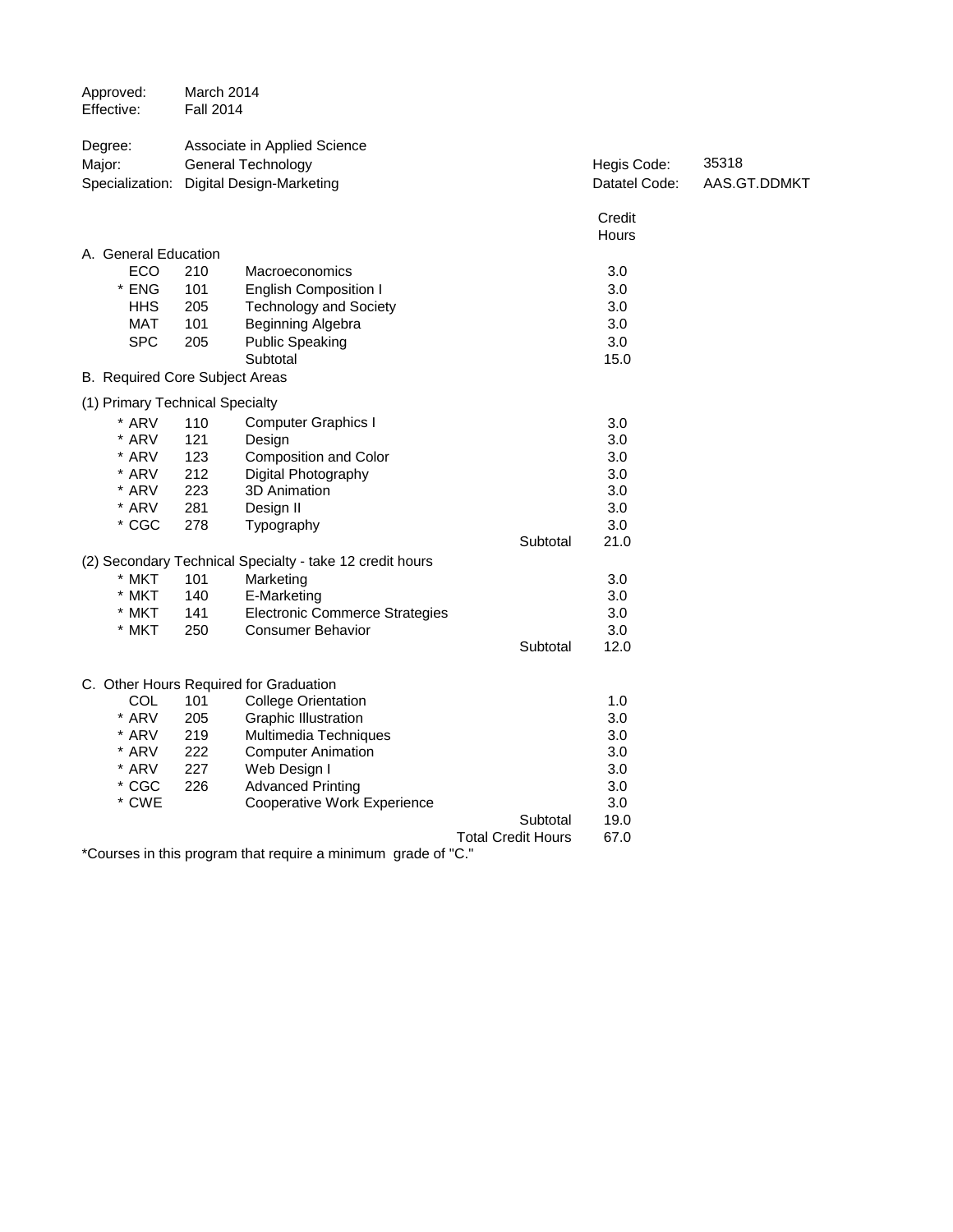| Approved:<br>Effective:         | March 2014<br><b>Fall 2014</b> |                                                          |                           |               |              |
|---------------------------------|--------------------------------|----------------------------------------------------------|---------------------------|---------------|--------------|
| Degree:                         |                                | Associate in Applied Science                             |                           |               |              |
| Major:                          |                                | <b>General Technology</b>                                |                           | Hegis Code:   | 35318        |
|                                 |                                | Specialization: Digital Design-Marketing                 |                           | Datatel Code: | AAS.GT.DDMKT |
|                                 |                                |                                                          |                           | Credit        |              |
|                                 |                                |                                                          |                           | Hours         |              |
| A. General Education            |                                |                                                          |                           |               |              |
| ECO                             | 210                            | Macroeconomics                                           |                           | 3.0           |              |
| * ENG                           | 101                            | <b>English Composition I</b>                             |                           | 3.0           |              |
| <b>HHS</b>                      | 205                            | <b>Technology and Society</b>                            |                           | 3.0           |              |
| <b>MAT</b>                      | 101                            | Beginning Algebra                                        |                           | 3.0           |              |
| <b>SPC</b>                      | 205                            | <b>Public Speaking</b>                                   |                           | 3.0           |              |
|                                 |                                | Subtotal                                                 |                           | 15.0          |              |
| B. Required Core Subject Areas  |                                |                                                          |                           |               |              |
| (1) Primary Technical Specialty |                                |                                                          |                           |               |              |
| * ARV                           | 110                            | <b>Computer Graphics I</b>                               |                           | 3.0           |              |
| * ARV                           | 121                            | Design                                                   |                           | 3.0           |              |
| * ARV                           | 123                            | <b>Composition and Color</b>                             |                           | 3.0           |              |
| * ARV                           | 212                            | Digital Photography                                      |                           | 3.0           |              |
| * ARV                           | 223                            | 3D Animation                                             |                           | 3.0           |              |
| * ARV                           | 281                            | Design II                                                |                           | 3.0           |              |
| $*$ CGC                         | 278                            | Typography                                               |                           | 3.0           |              |
|                                 |                                |                                                          | Subtotal                  | 21.0          |              |
|                                 |                                | (2) Secondary Technical Specialty - take 12 credit hours |                           |               |              |
| * MKT                           | 101                            | Marketing                                                |                           | 3.0           |              |
| * MKT                           | 140                            | E-Marketing                                              |                           | 3.0           |              |
| * MKT                           | 141                            | <b>Electronic Commerce Strategies</b>                    |                           | 3.0           |              |
| * MKT                           | 250                            | <b>Consumer Behavior</b>                                 |                           | 3.0           |              |
|                                 |                                |                                                          | Subtotal                  | 12.0          |              |
|                                 |                                | C. Other Hours Required for Graduation                   |                           |               |              |
| COL                             | 101                            | <b>College Orientation</b>                               |                           | 1.0           |              |
| * ARV                           | 205                            | <b>Graphic Illustration</b>                              |                           | 3.0           |              |
| * ARV                           | 219                            | Multimedia Techniques                                    |                           | 3.0           |              |
| * ARV                           | 222                            | <b>Computer Animation</b>                                |                           | 3.0           |              |
| * ARV                           | 227                            | Web Design I                                             |                           | 3.0           |              |
| $*$ CGC                         | 226                            | <b>Advanced Printing</b>                                 |                           | 3.0           |              |
| * CWE                           |                                | Cooperative Work Experience                              |                           | 3.0           |              |
|                                 |                                |                                                          | Subtotal                  | 19.0          |              |
|                                 |                                |                                                          | <b>Total Credit Hours</b> | 67.0          |              |
|                                 |                                |                                                          |                           |               |              |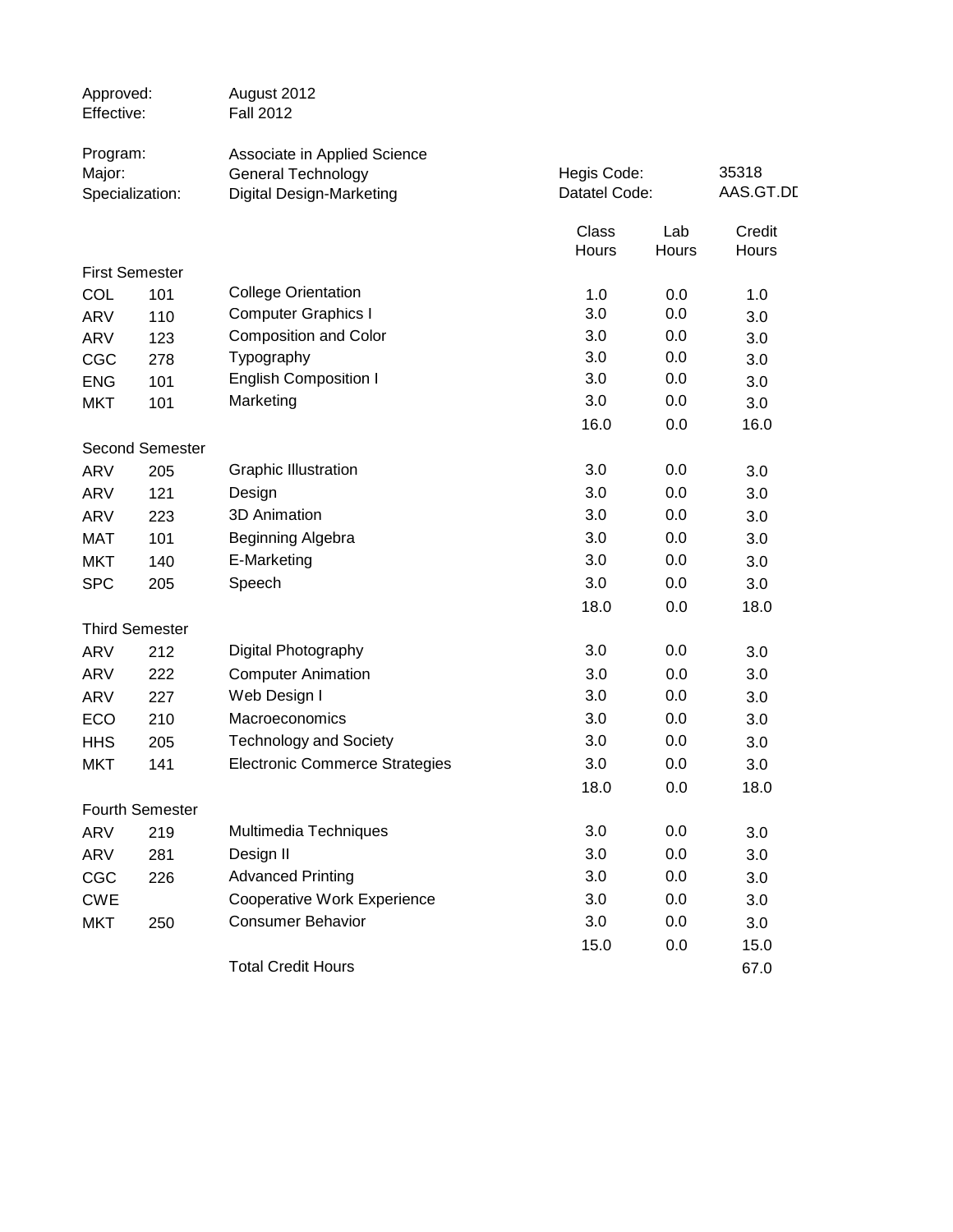| Approved:<br>Effective: |                        | August 2012<br><b>Fall 2012</b>                                                              |                |                              |                 |
|-------------------------|------------------------|----------------------------------------------------------------------------------------------|----------------|------------------------------|-----------------|
| Program:<br>Major:      | Specialization:        | Associate in Applied Science<br><b>General Technology</b><br><b>Digital Design-Marketing</b> |                | Hegis Code:<br>Datatel Code: |                 |
|                         |                        |                                                                                              | Class<br>Hours | Lab<br>Hours                 | Credit<br>Hours |
|                         | <b>First Semester</b>  |                                                                                              |                |                              |                 |
| <b>COL</b>              | 101                    | <b>College Orientation</b>                                                                   | 1.0            | 0.0                          | 1.0             |
| <b>ARV</b>              | 110                    | <b>Computer Graphics I</b>                                                                   | 3.0            | 0.0                          | 3.0             |
| <b>ARV</b>              | 123                    | <b>Composition and Color</b>                                                                 | 3.0            | 0.0                          | 3.0             |
| CGC                     | 278                    | Typography                                                                                   | 3.0            | 0.0                          | 3.0             |
| <b>ENG</b>              | 101                    | <b>English Composition I</b>                                                                 | 3.0            | 0.0                          | 3.0             |
| <b>MKT</b>              | 101                    | Marketing                                                                                    | 3.0            | 0.0                          | 3.0             |
|                         |                        |                                                                                              | 16.0           | 0.0                          | 16.0            |
|                         | <b>Second Semester</b> |                                                                                              |                |                              |                 |
| <b>ARV</b>              | 205                    | <b>Graphic Illustration</b>                                                                  | 3.0            | 0.0                          | 3.0             |
| <b>ARV</b>              | 121                    | Design                                                                                       | 3.0            | 0.0                          | 3.0             |
| <b>ARV</b>              | 223                    | 3D Animation                                                                                 | 3.0            | 0.0                          | 3.0             |
| <b>MAT</b>              | 101                    | Beginning Algebra                                                                            | 3.0            | 0.0                          | 3.0             |
| <b>MKT</b>              | 140                    | E-Marketing                                                                                  | 3.0            | 0.0                          | 3.0             |
| <b>SPC</b>              | 205                    | Speech                                                                                       | 3.0            | 0.0                          | 3.0             |
|                         |                        |                                                                                              | 18.0           | 0.0                          | 18.0            |
|                         | <b>Third Semester</b>  |                                                                                              |                |                              |                 |
| <b>ARV</b>              | 212                    | Digital Photography                                                                          | 3.0            | 0.0                          | 3.0             |
| ARV                     | 222                    | <b>Computer Animation</b>                                                                    | 3.0            | 0.0                          | 3.0             |
| <b>ARV</b>              | 227                    | Web Design I                                                                                 | 3.0            | 0.0                          | 3.0             |
| ECO                     | 210                    | Macroeconomics                                                                               | 3.0            | 0.0                          | 3.0             |
| <b>HHS</b>              | 205                    | <b>Technology and Society</b>                                                                | 3.0            | 0.0                          | 3.0             |
| <b>MKT</b>              | 141                    | <b>Electronic Commerce Strategies</b>                                                        | 3.0            | 0.0                          | 3.0             |
|                         |                        |                                                                                              | 18.0           | 0.0                          | 18.0            |
|                         | <b>Fourth Semester</b> |                                                                                              |                |                              |                 |
| <b>ARV</b>              | 219                    | Multimedia Techniques                                                                        | 3.0            | 0.0                          | 3.0             |
| <b>ARV</b>              | 281                    | Design II                                                                                    | 3.0            | 0.0                          | 3.0             |
| CGC                     | 226                    | <b>Advanced Printing</b>                                                                     | 3.0            | 0.0                          | 3.0             |
| <b>CWE</b>              |                        | <b>Cooperative Work Experience</b>                                                           | 3.0            | 0.0                          | 3.0             |
| <b>MKT</b>              | 250                    | <b>Consumer Behavior</b>                                                                     | 3.0            | 0.0                          | 3.0             |
|                         |                        |                                                                                              | 15.0           | 0.0                          | 15.0            |
|                         |                        | <b>Total Credit Hours</b>                                                                    |                |                              | 67.0            |
|                         |                        |                                                                                              |                |                              |                 |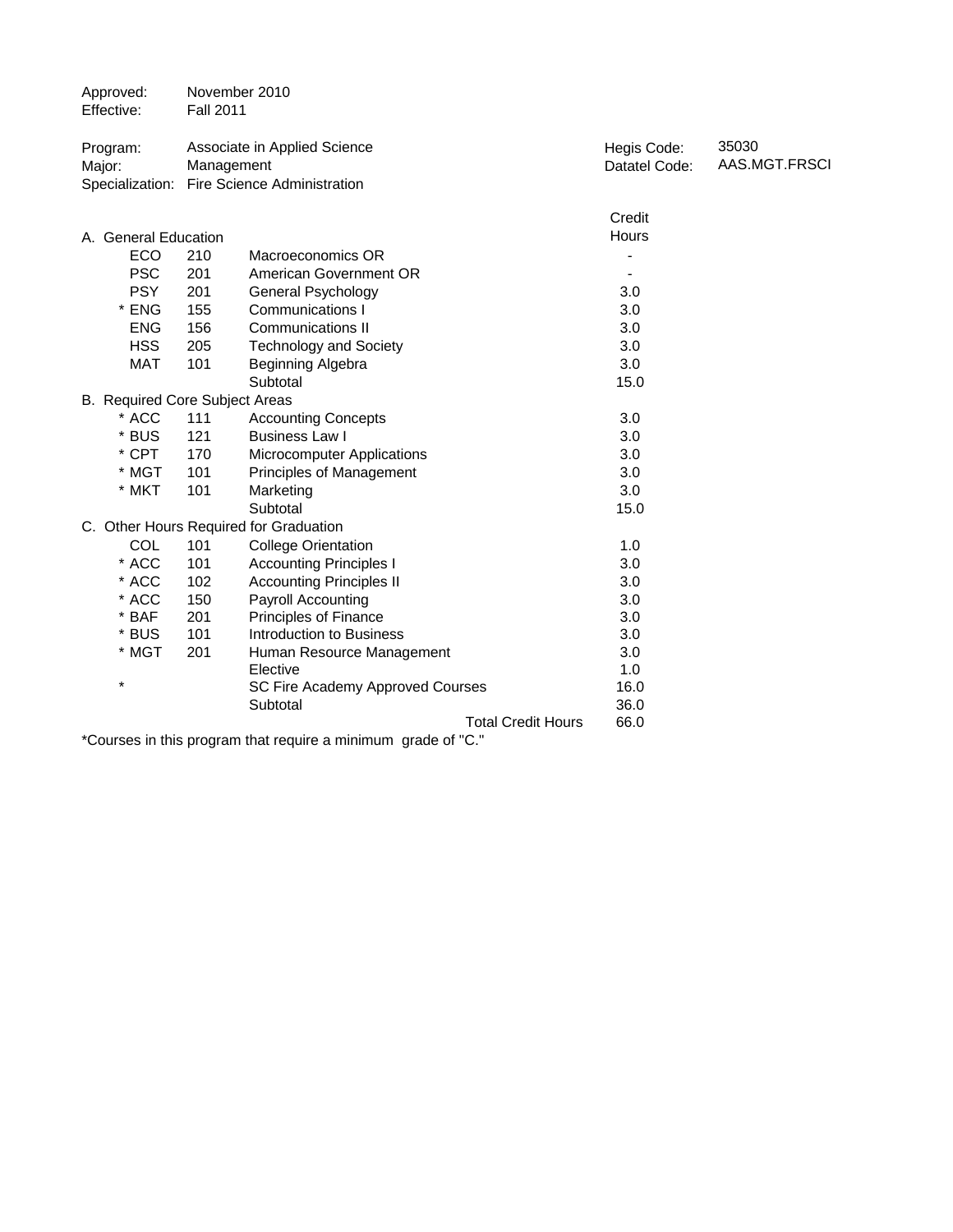| Approved:<br>Effective:                                                                                    | November 2010<br><b>Fall 2011</b> |                                                                    |                              |                        |  |  |
|------------------------------------------------------------------------------------------------------------|-----------------------------------|--------------------------------------------------------------------|------------------------------|------------------------|--|--|
| Program:<br>Major:<br>Specialization:                                                                      | Management                        | Associate in Applied Science<br><b>Fire Science Administration</b> | Hegis Code:<br>Datatel Code: | 35030<br>AAS.MGT.FRSCI |  |  |
|                                                                                                            |                                   |                                                                    | Credit                       |                        |  |  |
| A. General Education                                                                                       |                                   |                                                                    | Hours                        |                        |  |  |
| <b>ECO</b>                                                                                                 | 210                               | Macroeconomics OR                                                  |                              |                        |  |  |
| <b>PSC</b>                                                                                                 | 201                               | American Government OR                                             |                              |                        |  |  |
| <b>PSY</b>                                                                                                 | 201                               | General Psychology                                                 | 3.0                          |                        |  |  |
| * ENG                                                                                                      | 155                               | <b>Communications I</b>                                            | 3.0                          |                        |  |  |
| <b>ENG</b>                                                                                                 | 156                               | <b>Communications II</b>                                           | 3.0                          |                        |  |  |
| <b>HSS</b>                                                                                                 | 205                               | <b>Technology and Society</b>                                      | 3.0                          |                        |  |  |
| <b>MAT</b>                                                                                                 | 101                               | Beginning Algebra                                                  | 3.0                          |                        |  |  |
|                                                                                                            |                                   | Subtotal                                                           | 15.0                         |                        |  |  |
| B. Required Core Subject Areas                                                                             |                                   |                                                                    |                              |                        |  |  |
| * ACC                                                                                                      | 111                               | <b>Accounting Concepts</b>                                         | 3.0                          |                        |  |  |
| * BUS                                                                                                      | 121                               | <b>Business Law I</b>                                              | 3.0                          |                        |  |  |
| * CPT                                                                                                      | 170                               | <b>Microcomputer Applications</b>                                  | 3.0                          |                        |  |  |
| * MGT                                                                                                      | 101                               | Principles of Management                                           | 3.0                          |                        |  |  |
| * MKT                                                                                                      | 101                               | Marketing                                                          | 3.0                          |                        |  |  |
|                                                                                                            |                                   | Subtotal                                                           | 15.0                         |                        |  |  |
|                                                                                                            |                                   | C. Other Hours Required for Graduation                             |                              |                        |  |  |
| <b>COL</b>                                                                                                 | 101                               | <b>College Orientation</b>                                         | 1.0                          |                        |  |  |
| * ACC                                                                                                      | 101                               | <b>Accounting Principles I</b>                                     | 3.0                          |                        |  |  |
| * ACC                                                                                                      | 102                               | <b>Accounting Principles II</b>                                    | 3.0                          |                        |  |  |
| * ACC                                                                                                      | 150                               | <b>Payroll Accounting</b>                                          | 3.0                          |                        |  |  |
| $*$ BAF                                                                                                    | 201                               | <b>Principles of Finance</b>                                       | 3.0                          |                        |  |  |
| * BUS                                                                                                      | 101                               | Introduction to Business                                           | 3.0                          |                        |  |  |
| * MGT                                                                                                      | 201                               | Human Resource Management                                          | 3.0                          |                        |  |  |
|                                                                                                            |                                   | Elective                                                           | 1.0                          |                        |  |  |
| $\star$                                                                                                    |                                   | SC Fire Academy Approved Courses                                   | 16.0                         |                        |  |  |
|                                                                                                            |                                   | Subtotal                                                           | 36.0                         |                        |  |  |
| 66.0<br><b>Total Credit Hours</b><br>*Courses in this program that require a minimum arade of $\mathbb{P}$ |                                   |                                                                    |                              |                        |  |  |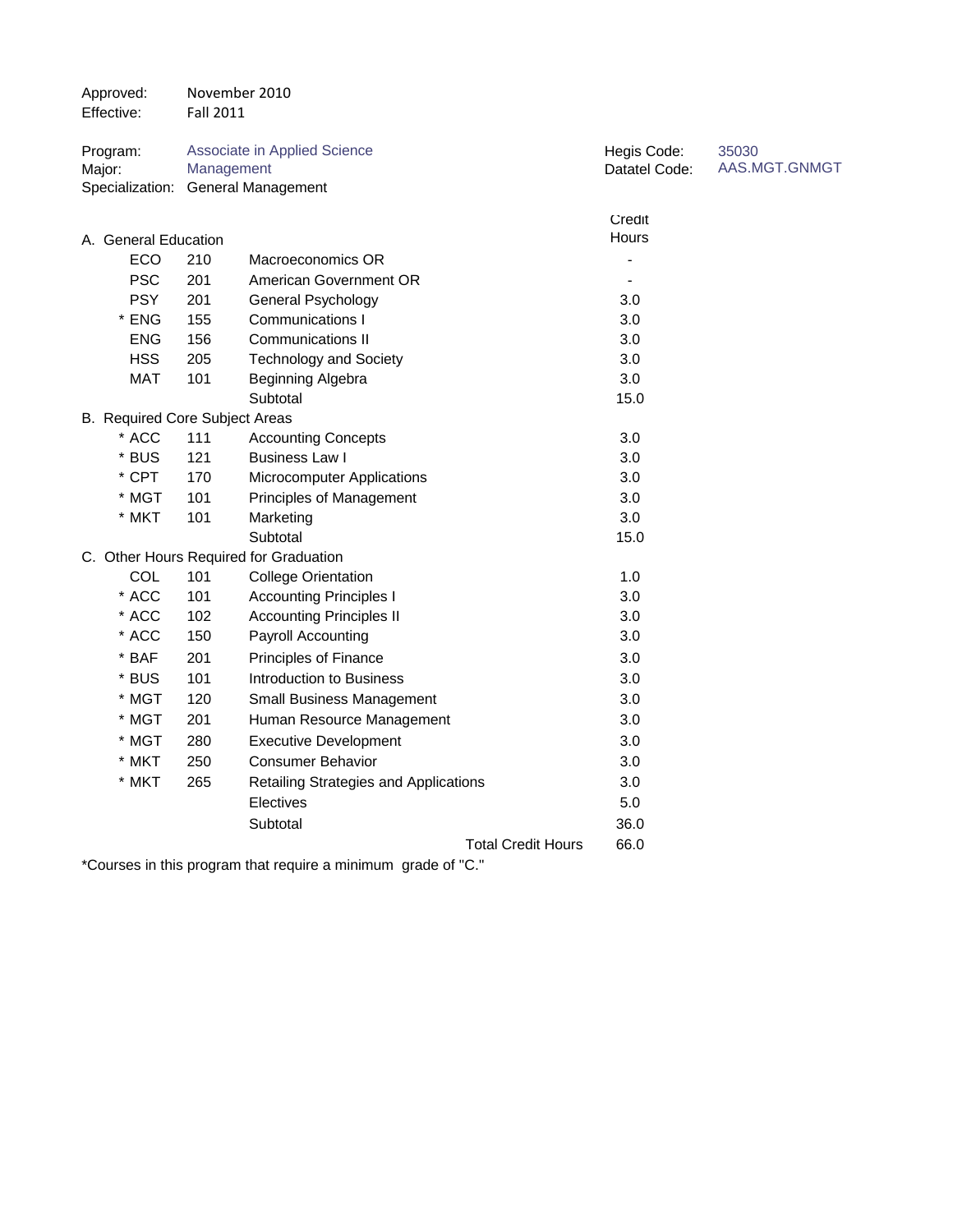| Approved:<br>Effective: |                                         | November 2010<br><b>Fall 2011</b> |                                                           |                              |                        |
|-------------------------|-----------------------------------------|-----------------------------------|-----------------------------------------------------------|------------------------------|------------------------|
| Program:<br>Major:      | Specialization:                         | Management                        | Associate in Applied Science<br><b>General Management</b> | Hegis Code:<br>Datatel Code: | 35030<br>AAS.MGT.GNMGT |
|                         |                                         |                                   |                                                           |                              |                        |
|                         |                                         |                                   |                                                           | Credit                       |                        |
|                         | A. General Education                    |                                   |                                                           | Hours                        |                        |
|                         | ECO                                     | 210                               | Macroeconomics OR                                         |                              |                        |
|                         | <b>PSC</b>                              | 201                               | American Government OR                                    |                              |                        |
|                         | <b>PSY</b>                              | 201                               | <b>General Psychology</b>                                 | 3.0                          |                        |
|                         | * ENG                                   | 155                               | <b>Communications I</b>                                   | 3.0                          |                        |
|                         | <b>ENG</b>                              | 156                               | <b>Communications II</b>                                  | 3.0                          |                        |
|                         | <b>HSS</b>                              | 205                               | <b>Technology and Society</b>                             | 3.0                          |                        |
|                         | <b>MAT</b>                              | 101                               | Beginning Algebra<br>Subtotal                             | 3.0                          |                        |
|                         |                                         |                                   |                                                           | 15.0                         |                        |
|                         | B. Required Core Subject Areas<br>* ACC | 111                               |                                                           | 3.0                          |                        |
|                         | * BUS                                   | 121                               | <b>Accounting Concepts</b><br><b>Business Law I</b>       | 3.0                          |                        |
|                         | * CPT                                   | 170                               | Microcomputer Applications                                | 3.0                          |                        |
|                         | * MGT                                   | 101                               |                                                           | 3.0                          |                        |
|                         | * MKT                                   | 101                               | Principles of Management<br>Marketing                     | 3.0                          |                        |
|                         |                                         |                                   | Subtotal                                                  | 15.0                         |                        |
|                         |                                         |                                   | C. Other Hours Required for Graduation                    |                              |                        |
|                         | COL                                     | 101                               | <b>College Orientation</b>                                | 1.0                          |                        |
|                         | * ACC                                   | 101                               | <b>Accounting Principles I</b>                            | 3.0                          |                        |
|                         | * ACC                                   | 102                               | <b>Accounting Principles II</b>                           | 3.0                          |                        |
|                         | * ACC                                   | 150                               | Payroll Accounting                                        | 3.0                          |                        |
|                         | * BAF                                   | 201                               | Principles of Finance                                     | 3.0                          |                        |
|                         | * BUS                                   | 101                               | Introduction to Business                                  | 3.0                          |                        |
|                         | * MGT                                   | 120                               |                                                           | 3.0                          |                        |
|                         |                                         |                                   | Small Business Management                                 |                              |                        |
|                         | * MGT                                   | 201                               | Human Resource Management                                 | 3.0                          |                        |
|                         | * MGT                                   | 280                               | <b>Executive Development</b>                              | 3.0                          |                        |
|                         | * MKT                                   | 250                               | <b>Consumer Behavior</b>                                  | 3.0                          |                        |
|                         | * MKT                                   | 265                               | Retailing Strategies and Applications                     | 3.0                          |                        |
|                         |                                         |                                   | Electives                                                 | 5.0                          |                        |
|                         |                                         |                                   | Subtotal                                                  | 36.0                         |                        |
|                         |                                         |                                   | <b>Total Credit Hours</b>                                 | 66.0                         |                        |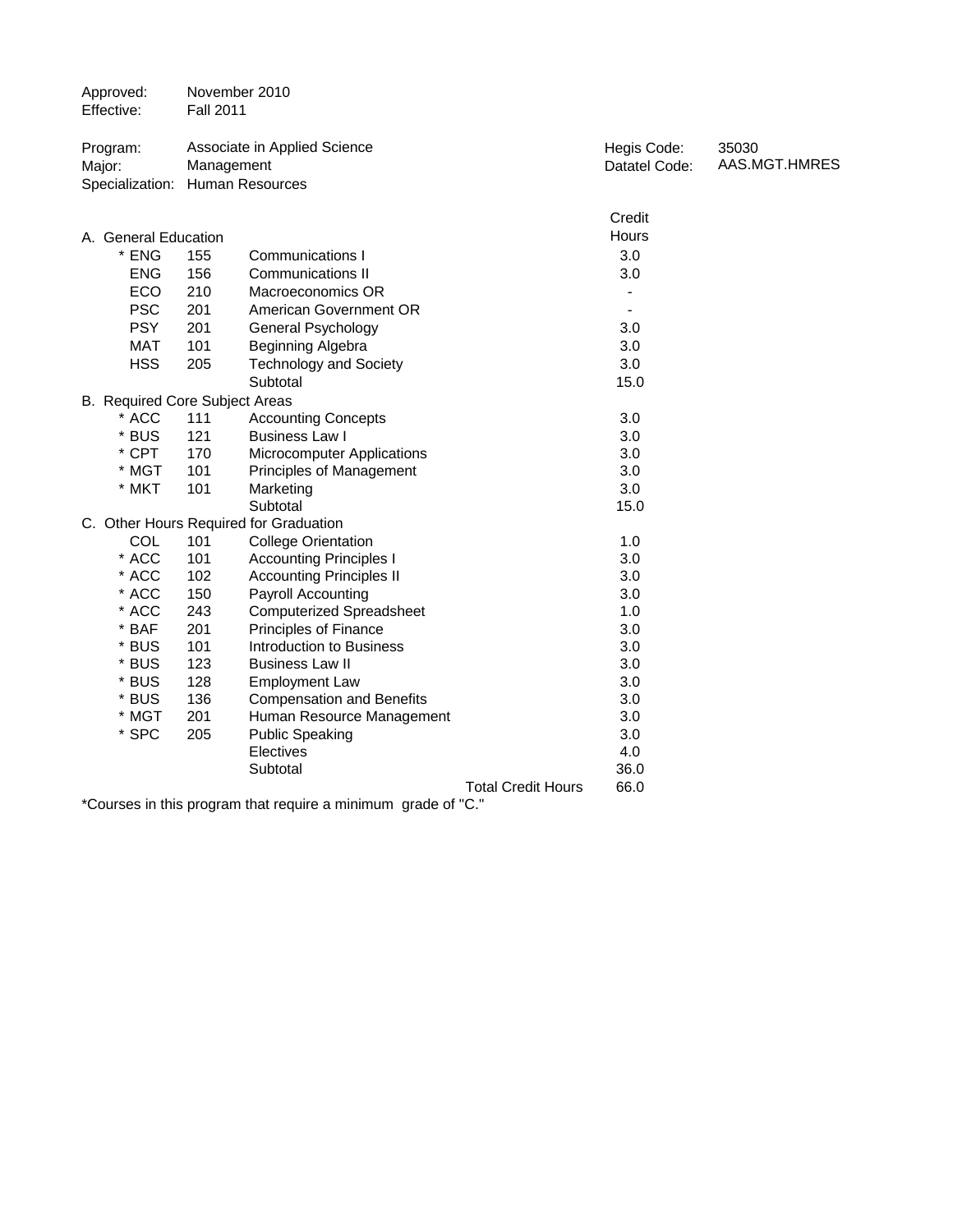| Approved:<br>Effective:                               | November 2010<br><b>Fall 2011</b> |                                        |                           |                              |                        |
|-------------------------------------------------------|-----------------------------------|----------------------------------------|---------------------------|------------------------------|------------------------|
| Program:<br>Major:<br>Specialization: Human Resources | Management                        | Associate in Applied Science           |                           | Hegis Code:<br>Datatel Code: | 35030<br>AAS.MGT.HMRES |
|                                                       |                                   |                                        |                           | Credit                       |                        |
| A. General Education                                  |                                   |                                        |                           | Hours                        |                        |
| $*$ ENG                                               | 155                               | <b>Communications I</b>                |                           | 3.0                          |                        |
| <b>ENG</b>                                            | 156                               | <b>Communications II</b>               |                           | 3.0                          |                        |
| <b>ECO</b>                                            | 210                               | Macroeconomics OR                      |                           | $\blacksquare$               |                        |
| <b>PSC</b>                                            | 201                               | American Government OR                 |                           |                              |                        |
| <b>PSY</b>                                            | 201                               | <b>General Psychology</b>              |                           | 3.0                          |                        |
| <b>MAT</b>                                            | 101                               | Beginning Algebra                      |                           | 3.0                          |                        |
| <b>HSS</b>                                            | 205                               | <b>Technology and Society</b>          |                           | 3.0                          |                        |
|                                                       |                                   | Subtotal                               |                           | 15.0                         |                        |
| B. Required Core Subject Areas                        |                                   |                                        |                           |                              |                        |
| * ACC                                                 | 111                               | <b>Accounting Concepts</b>             |                           | 3.0                          |                        |
| * BUS                                                 | 121                               | <b>Business Law I</b>                  |                           | 3.0                          |                        |
| * CPT                                                 | 170                               | <b>Microcomputer Applications</b>      |                           | 3.0                          |                        |
| * MGT                                                 | 101                               | Principles of Management               |                           | 3.0                          |                        |
| * MKT                                                 | 101                               | Marketing                              |                           | 3.0                          |                        |
|                                                       |                                   | Subtotal                               |                           | 15.0                         |                        |
|                                                       |                                   | C. Other Hours Required for Graduation |                           |                              |                        |
| <b>COL</b>                                            | 101                               | <b>College Orientation</b>             |                           | 1.0                          |                        |
| * ACC                                                 | 101                               | <b>Accounting Principles I</b>         |                           | 3.0                          |                        |
| * ACC                                                 | 102                               | <b>Accounting Principles II</b>        |                           | 3.0                          |                        |
| * ACC                                                 | 150                               | Payroll Accounting                     |                           | 3.0                          |                        |
| * ACC                                                 | 243                               | <b>Computerized Spreadsheet</b>        |                           | 1.0                          |                        |
| $*$ BAF                                               | 201                               | Principles of Finance                  |                           | 3.0                          |                        |
| * BUS                                                 | 101                               | Introduction to Business               |                           | 3.0                          |                        |
| * BUS                                                 | 123                               | <b>Business Law II</b>                 |                           | 3.0                          |                        |
| * BUS                                                 | 128                               | <b>Employment Law</b>                  |                           | 3.0                          |                        |
| * BUS                                                 | 136                               | <b>Compensation and Benefits</b>       |                           | 3.0                          |                        |
| * MGT                                                 | 201                               | Human Resource Management              |                           | 3.0                          |                        |
| * SPC                                                 | 205                               | <b>Public Speaking</b>                 |                           | 3.0                          |                        |
|                                                       |                                   | Electives                              |                           | 4.0                          |                        |
|                                                       |                                   | Subtotal                               |                           | 36.0                         |                        |
|                                                       |                                   |                                        | <b>Total Credit Hours</b> | 66.0                         |                        |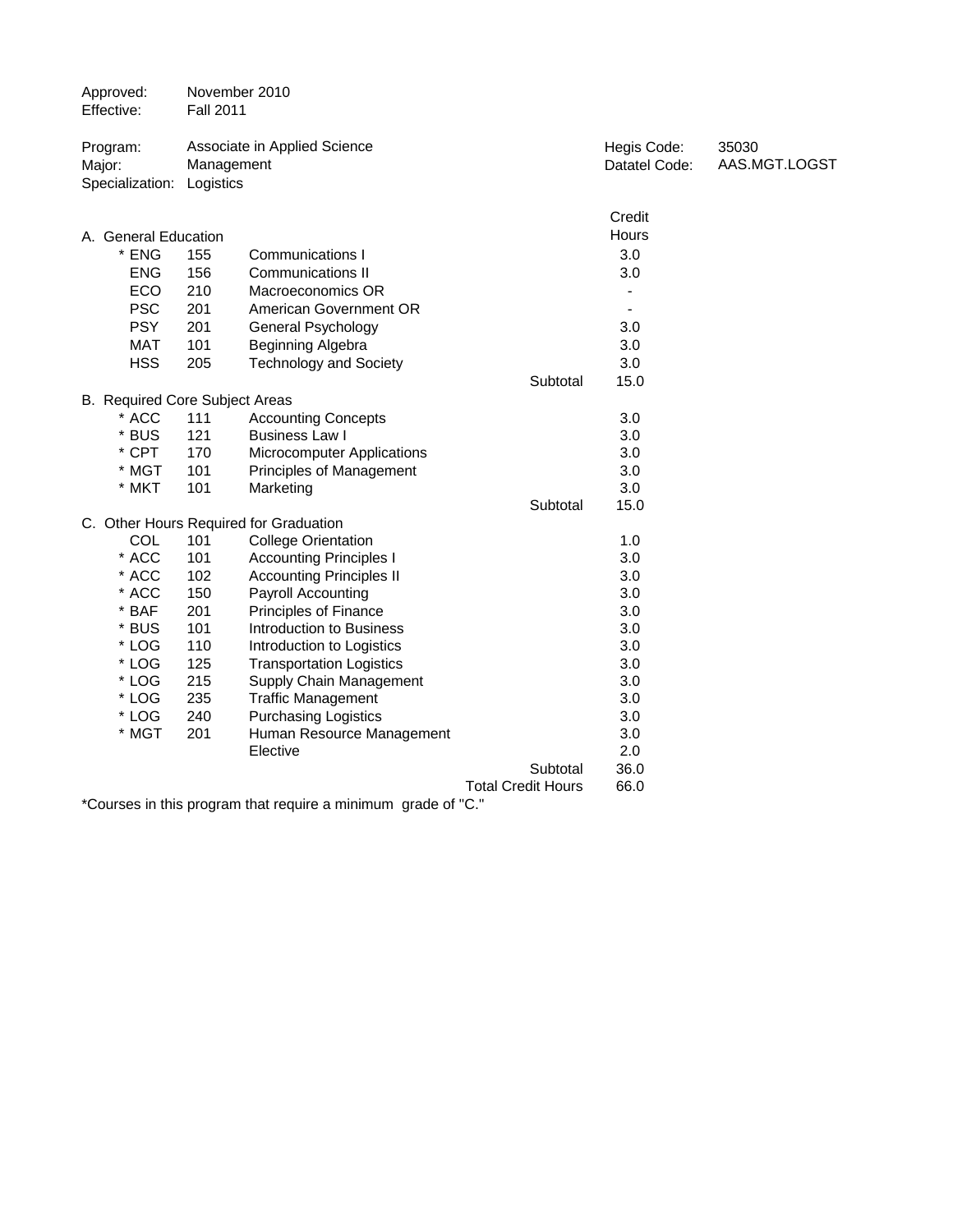| Approved:<br>Effective:                         | November 2010<br><b>Fall 2011</b> |                                        |                           |                              |                        |
|-------------------------------------------------|-----------------------------------|----------------------------------------|---------------------------|------------------------------|------------------------|
| Program:<br>Major:<br>Specialization: Logistics | Management                        | Associate in Applied Science           |                           | Hegis Code:<br>Datatel Code: | 35030<br>AAS.MGT.LOGST |
|                                                 |                                   |                                        |                           |                              |                        |
|                                                 |                                   |                                        |                           | Credit                       |                        |
| A. General Education                            |                                   |                                        |                           | Hours                        |                        |
| * ENG                                           | 155                               | <b>Communications I</b>                |                           | 3.0                          |                        |
| <b>ENG</b>                                      | 156                               | <b>Communications II</b>               |                           | 3.0                          |                        |
| ECO                                             | 210                               | Macroeconomics OR                      |                           | ÷                            |                        |
| <b>PSC</b>                                      | 201                               | American Government OR                 |                           | $\overline{\phantom{a}}$     |                        |
| <b>PSY</b>                                      | 201                               | General Psychology                     |                           | 3.0                          |                        |
| <b>MAT</b>                                      | 101                               | Beginning Algebra                      |                           | 3.0                          |                        |
| <b>HSS</b>                                      | 205                               | <b>Technology and Society</b>          |                           | 3.0                          |                        |
|                                                 |                                   |                                        | Subtotal                  | 15.0                         |                        |
| B. Required Core Subject Areas                  |                                   |                                        |                           |                              |                        |
| * ACC                                           | 111                               | <b>Accounting Concepts</b>             |                           | 3.0                          |                        |
| $\star$<br><b>BUS</b>                           | 121                               | <b>Business Law I</b>                  |                           | 3.0                          |                        |
| * CPT                                           | 170                               | Microcomputer Applications             |                           | 3.0                          |                        |
| * MGT                                           | 101                               | Principles of Management               |                           | 3.0                          |                        |
| * MKT                                           | 101                               | Marketing                              |                           | 3.0                          |                        |
|                                                 |                                   |                                        | Subtotal                  | 15.0                         |                        |
|                                                 |                                   | C. Other Hours Required for Graduation |                           |                              |                        |
| COL                                             | 101                               | <b>College Orientation</b>             |                           | 1.0                          |                        |
| * ACC                                           | 101                               | <b>Accounting Principles I</b>         |                           | 3.0                          |                        |
| * ACC                                           | 102                               | <b>Accounting Principles II</b>        |                           | 3.0                          |                        |
| * ACC                                           | 150                               | <b>Payroll Accounting</b>              |                           | 3.0                          |                        |
| * BAF                                           | 201                               | <b>Principles of Finance</b>           |                           | 3.0                          |                        |
| * BUS                                           | 101                               | Introduction to Business               |                           | 3.0                          |                        |
| * LOG                                           | 110                               | Introduction to Logistics              |                           | 3.0                          |                        |
| * LOG                                           | 125                               | <b>Transportation Logistics</b>        |                           | 3.0                          |                        |
| * LOG                                           | 215                               | Supply Chain Management                |                           | 3.0                          |                        |
| * LOG                                           | 235                               | <b>Traffic Management</b>              |                           | 3.0                          |                        |
| * LOG                                           | 240                               | <b>Purchasing Logistics</b>            |                           | 3.0                          |                        |
| * MGT                                           | 201                               | Human Resource Management              |                           | 3.0                          |                        |
|                                                 |                                   | Elective                               |                           | 2.0                          |                        |
|                                                 |                                   |                                        | Subtotal                  | 36.0                         |                        |
|                                                 |                                   |                                        | <b>Total Credit Hours</b> | 66.0                         |                        |
|                                                 |                                   |                                        | $\sim$ $\sim$             |                              |                        |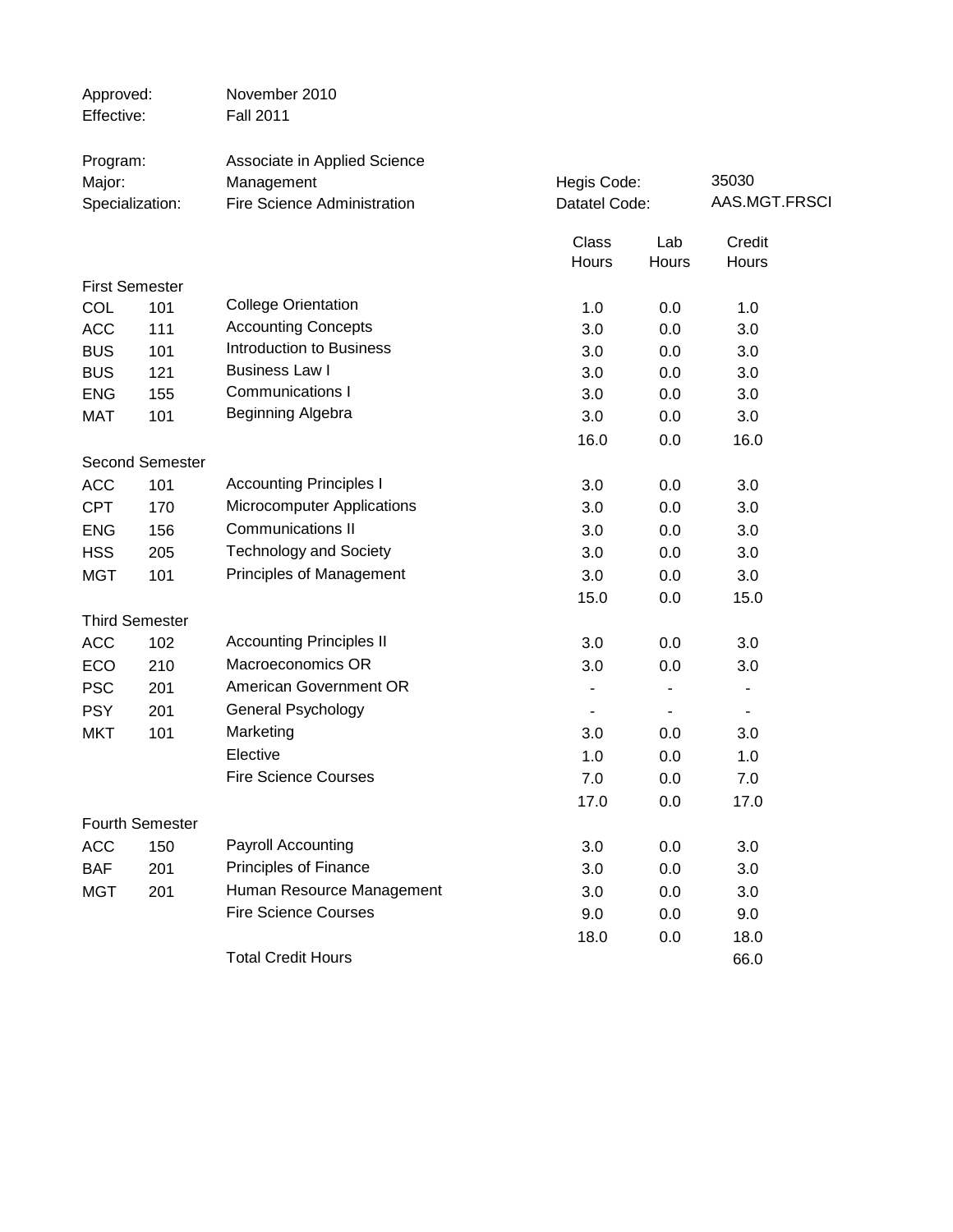| Approved:<br>Effective:               |                        | November 2010<br><b>Fall 2011</b>                                         |                          |                              |                 |  |
|---------------------------------------|------------------------|---------------------------------------------------------------------------|--------------------------|------------------------------|-----------------|--|
| Program:<br>Major:<br>Specialization: |                        | Associate in Applied Science<br>Management<br>Fire Science Administration |                          | Hegis Code:<br>Datatel Code: |                 |  |
|                                       |                        |                                                                           | <b>Class</b><br>Hours    | Lab<br>Hours                 | Credit<br>Hours |  |
|                                       | <b>First Semester</b>  |                                                                           |                          |                              |                 |  |
| COL                                   | 101                    | <b>College Orientation</b>                                                | 1.0                      | 0.0                          | 1.0             |  |
| <b>ACC</b>                            | 111                    | <b>Accounting Concepts</b>                                                | 3.0                      | 0.0                          | 3.0             |  |
| <b>BUS</b>                            | 101                    | Introduction to Business                                                  | 3.0                      | 0.0                          | 3.0             |  |
| <b>BUS</b>                            | 121                    | <b>Business Law I</b>                                                     | 3.0                      | 0.0                          | 3.0             |  |
| <b>ENG</b>                            | 155                    | <b>Communications I</b>                                                   | 3.0                      | 0.0                          | 3.0             |  |
| <b>MAT</b>                            | 101                    | Beginning Algebra                                                         | 3.0                      | 0.0                          | 3.0             |  |
|                                       |                        |                                                                           | 16.0                     | 0.0                          | 16.0            |  |
|                                       | <b>Second Semester</b> |                                                                           |                          |                              |                 |  |
| <b>ACC</b>                            | 101                    | <b>Accounting Principles I</b>                                            | 3.0                      | 0.0                          | 3.0             |  |
| <b>CPT</b>                            | 170                    | <b>Microcomputer Applications</b>                                         | 3.0                      | 0.0                          | 3.0             |  |
| <b>ENG</b>                            | 156                    | <b>Communications II</b>                                                  | 3.0                      | 0.0                          | 3.0             |  |
| <b>HSS</b>                            | 205                    | <b>Technology and Society</b>                                             | 3.0                      | 0.0                          | 3.0             |  |
| <b>MGT</b>                            | 101                    | Principles of Management                                                  | 3.0                      | 0.0                          | 3.0             |  |
|                                       |                        |                                                                           | 15.0                     | 0.0                          | 15.0            |  |
|                                       | <b>Third Semester</b>  |                                                                           |                          |                              |                 |  |
| <b>ACC</b>                            | 102                    | <b>Accounting Principles II</b>                                           | 3.0                      | 0.0                          | 3.0             |  |
| ECO                                   | 210                    | Macroeconomics OR                                                         | 3.0                      | 0.0                          | 3.0             |  |
| <b>PSC</b>                            | 201                    | American Government OR                                                    | $\overline{\phantom{a}}$ |                              | ۰               |  |
| <b>PSY</b>                            | 201                    | General Psychology                                                        | $\blacksquare$           | $\blacksquare$               | $\blacksquare$  |  |
| <b>MKT</b>                            | 101                    | Marketing                                                                 | 3.0                      | 0.0                          | 3.0             |  |
|                                       |                        | Elective                                                                  | 1.0                      | 0.0                          | 1.0             |  |
|                                       |                        | <b>Fire Science Courses</b>                                               | 7.0                      | 0.0                          | 7.0             |  |
|                                       |                        |                                                                           | 17.0                     | 0.0                          | 17.0            |  |
|                                       | <b>Fourth Semester</b> |                                                                           |                          |                              |                 |  |
| <b>ACC</b>                            | 150                    | Payroll Accounting                                                        | 3.0                      | 0.0                          | 3.0             |  |
| <b>BAF</b>                            | 201                    | Principles of Finance                                                     | 3.0                      | 0.0                          | 3.0             |  |
| <b>MGT</b>                            | 201                    | Human Resource Management                                                 | 3.0                      | 0.0                          | 3.0             |  |
|                                       |                        | <b>Fire Science Courses</b>                                               | 9.0                      | 0.0                          | 9.0             |  |
|                                       |                        |                                                                           | 18.0                     | 0.0                          | 18.0            |  |
|                                       |                        | <b>Total Credit Hours</b>                                                 |                          |                              | 66.0            |  |
|                                       |                        |                                                                           |                          |                              |                 |  |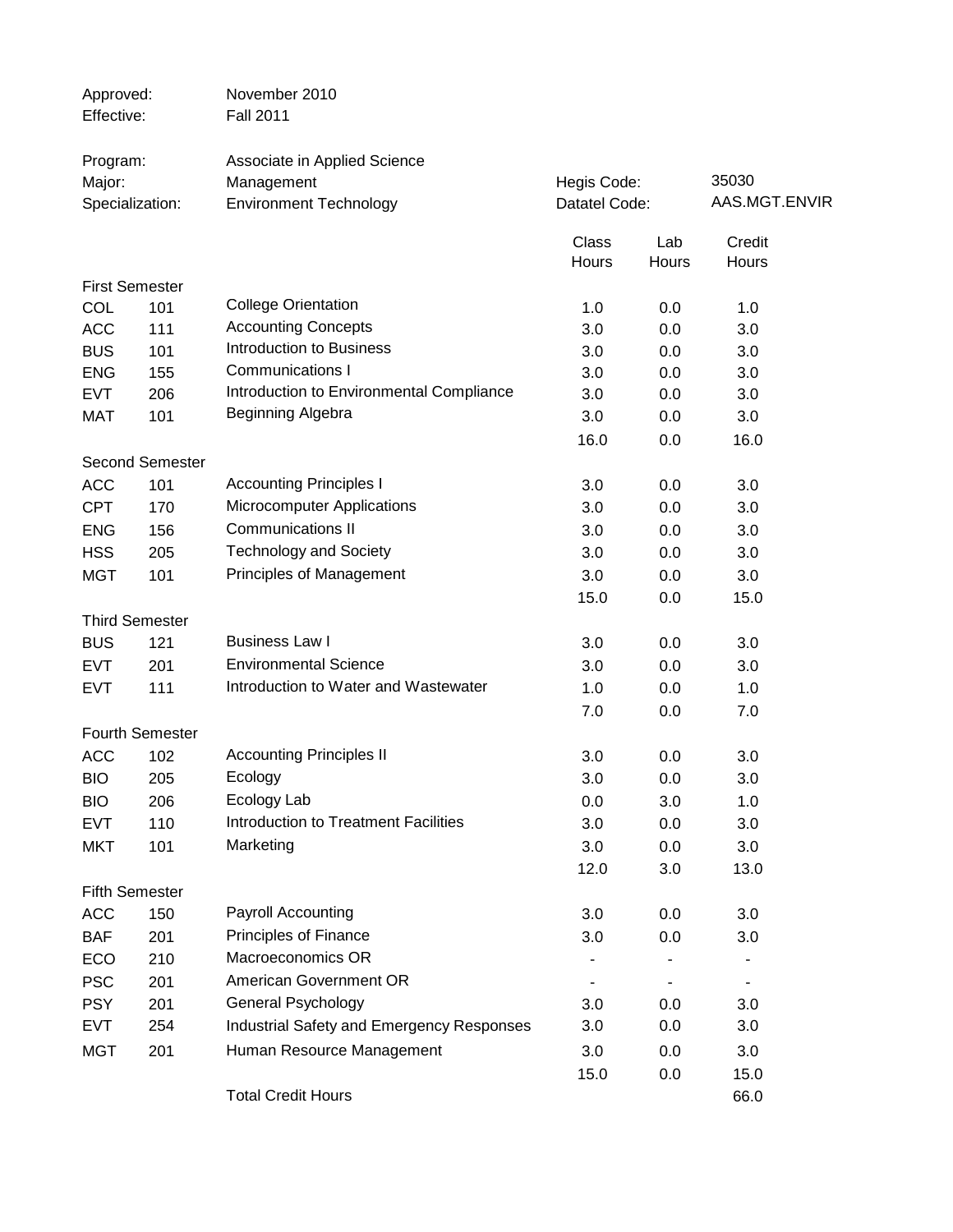| Approved:<br>Effective: |                        | November 2010<br><b>Fall 2011</b>         |               |       |               |  |
|-------------------------|------------------------|-------------------------------------------|---------------|-------|---------------|--|
|                         |                        |                                           |               |       |               |  |
| Program:                |                        | Associate in Applied Science              |               |       |               |  |
| Major:                  |                        | Management                                | Hegis Code:   |       | 35030         |  |
| Specialization:         |                        | <b>Environment Technology</b>             | Datatel Code: |       | AAS.MGT.ENVIR |  |
|                         |                        |                                           | Class         | Lab   | Credit        |  |
|                         |                        |                                           | Hours         | Hours | Hours         |  |
| <b>First Semester</b>   |                        |                                           |               |       |               |  |
| COL                     | 101                    | <b>College Orientation</b>                | 1.0           | 0.0   | 1.0           |  |
| <b>ACC</b>              | 111                    | <b>Accounting Concepts</b>                | 3.0           | 0.0   | 3.0           |  |
| <b>BUS</b>              | 101                    | <b>Introduction to Business</b>           | 3.0           | 0.0   | 3.0           |  |
| <b>ENG</b>              | 155                    | <b>Communications I</b>                   | 3.0           | 0.0   | 3.0           |  |
| <b>EVT</b>              | 206                    | Introduction to Environmental Compliance  | 3.0           | 0.0   | 3.0           |  |
| <b>MAT</b>              | 101                    | Beginning Algebra                         | 3.0           | 0.0   | 3.0           |  |
|                         |                        |                                           | 16.0          | 0.0   | 16.0          |  |
|                         | <b>Second Semester</b> |                                           |               |       |               |  |
| <b>ACC</b>              | 101                    | <b>Accounting Principles I</b>            | 3.0           | 0.0   | 3.0           |  |
| <b>CPT</b>              | 170                    | <b>Microcomputer Applications</b>         | 3.0           | 0.0   | 3.0           |  |
| <b>ENG</b>              | 156                    | <b>Communications II</b>                  | 3.0           | 0.0   | 3.0           |  |
| <b>HSS</b>              | 205                    | <b>Technology and Society</b>             | 3.0           | 0.0   | 3.0           |  |
| <b>MGT</b>              | 101                    | Principles of Management                  | 3.0           | 0.0   | 3.0           |  |
|                         |                        |                                           | 15.0          | 0.0   | 15.0          |  |
| <b>Third Semester</b>   |                        |                                           |               |       |               |  |
| <b>BUS</b>              | 121                    | <b>Business Law I</b>                     | 3.0           | 0.0   | 3.0           |  |
| <b>EVT</b>              | 201                    | <b>Environmental Science</b>              | 3.0           | 0.0   | 3.0           |  |
| <b>EVT</b>              | 111                    | Introduction to Water and Wastewater      | 1.0           | 0.0   | 1.0           |  |
|                         |                        |                                           | 7.0           | 0.0   | 7.0           |  |
|                         | <b>Fourth Semester</b> |                                           |               |       |               |  |
| <b>ACC</b>              | 102                    | <b>Accounting Principles II</b>           | 3.0           | 0.0   | 3.0           |  |
| <b>BIO</b>              | 205                    | Ecology                                   | 3.0           | 0.0   | 3.0           |  |
| <b>BIO</b>              | 206                    | Ecology Lab                               | 0.0           | 3.0   | 1.0           |  |
| <b>EVT</b>              | 110                    | Introduction to Treatment Facilities      | 3.0           | 0.0   | 3.0           |  |
| <b>MKT</b>              | 101                    | Marketing                                 | 3.0           | 0.0   | 3.0           |  |
|                         |                        |                                           | 12.0          | 3.0   | 13.0          |  |
| <b>Fifth Semester</b>   |                        |                                           |               |       |               |  |
| <b>ACC</b>              | 150                    | Payroll Accounting                        | 3.0           | 0.0   | 3.0           |  |
| <b>BAF</b>              | 201                    | Principles of Finance                     | 3.0           | 0.0   | 3.0           |  |
| ECO                     | 210                    | Macroeconomics OR                         |               |       |               |  |
| <b>PSC</b>              | 201                    | American Government OR                    |               |       |               |  |
| <b>PSY</b>              | 201                    | <b>General Psychology</b>                 | 3.0           | 0.0   | 3.0           |  |
| <b>EVT</b>              | 254                    | Industrial Safety and Emergency Responses | 3.0           | 0.0   | 3.0           |  |
| <b>MGT</b>              | 201                    | Human Resource Management                 | 3.0           | 0.0   | 3.0           |  |
|                         |                        |                                           | 15.0          | 0.0   | 15.0          |  |
|                         |                        | <b>Total Credit Hours</b>                 |               |       | 66.0          |  |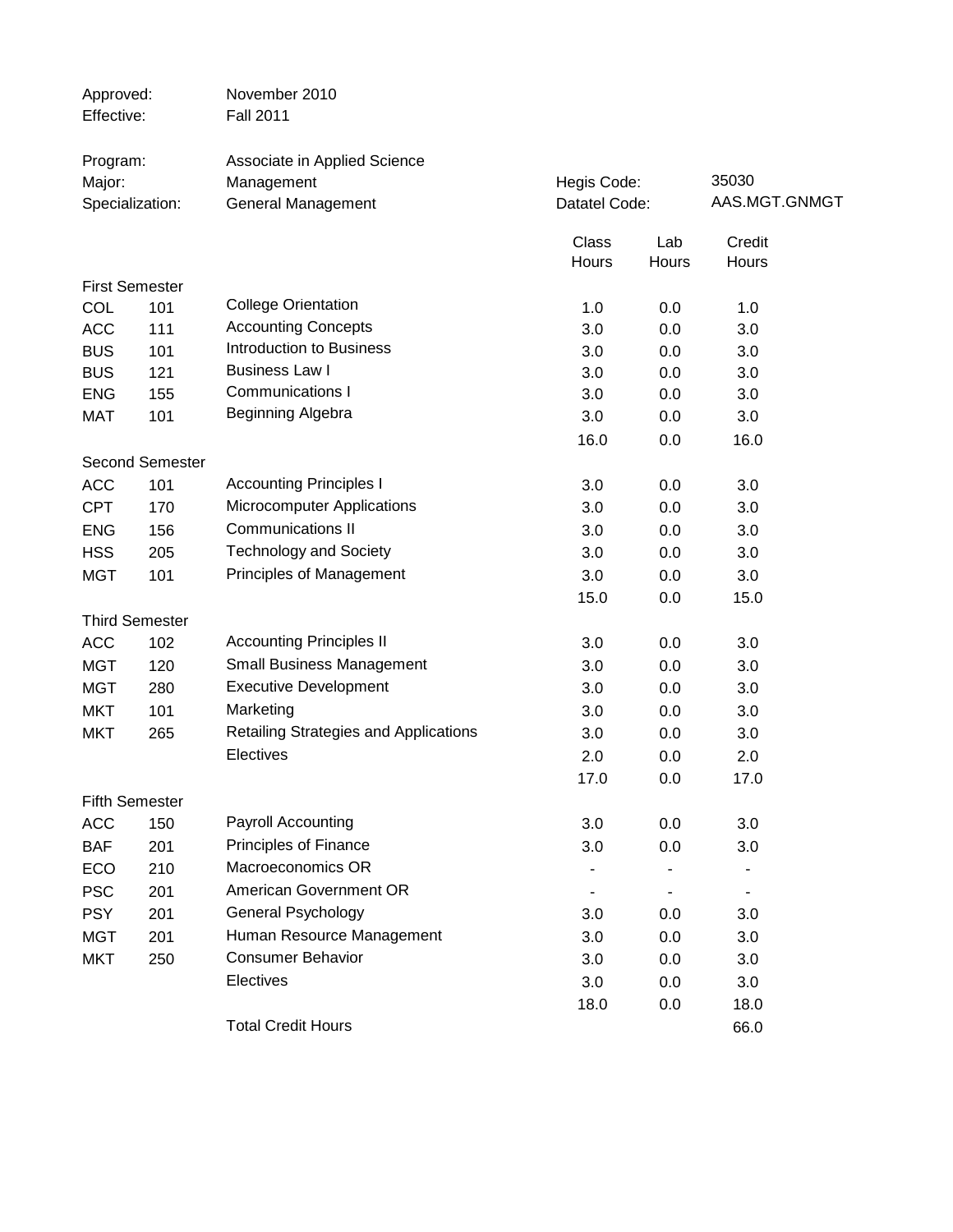| Approved:<br>Effective: |                        | November 2010<br><b>Fall 2011</b>     |               |       |               |
|-------------------------|------------------------|---------------------------------------|---------------|-------|---------------|
| Program:                |                        | Associate in Applied Science          |               |       |               |
| Major:                  |                        | Management                            | Hegis Code:   |       | 35030         |
|                         | Specialization:        | General Management                    | Datatel Code: |       | AAS.MGT.GNMGT |
|                         |                        |                                       | Class         | Lab   | Credit        |
|                         |                        |                                       | Hours         | Hours | Hours         |
|                         | <b>First Semester</b>  |                                       |               |       |               |
| COL                     | 101                    | <b>College Orientation</b>            | 1.0           | 0.0   | 1.0           |
| <b>ACC</b>              | 111                    | <b>Accounting Concepts</b>            | 3.0           | 0.0   | 3.0           |
| <b>BUS</b>              | 101                    | Introduction to Business              | 3.0           | 0.0   | 3.0           |
| <b>BUS</b>              | 121                    | <b>Business Law I</b>                 | 3.0           | 0.0   | 3.0           |
| <b>ENG</b>              | 155                    | <b>Communications I</b>               | 3.0           | 0.0   | 3.0           |
| MAT                     | 101                    | Beginning Algebra                     | 3.0           | 0.0   | 3.0           |
|                         |                        |                                       | 16.0          | 0.0   | 16.0          |
|                         | <b>Second Semester</b> |                                       |               |       |               |
| <b>ACC</b>              | 101                    | <b>Accounting Principles I</b>        | 3.0           | 0.0   | 3.0           |
| <b>CPT</b>              | 170                    | Microcomputer Applications            | 3.0           | 0.0   | 3.0           |
| <b>ENG</b>              | 156                    | <b>Communications II</b>              | 3.0           | 0.0   | 3.0           |
| <b>HSS</b>              | 205                    | <b>Technology and Society</b>         | 3.0           | 0.0   | 3.0           |
| <b>MGT</b>              | 101                    | Principles of Management              | 3.0           | 0.0   | 3.0           |
|                         |                        |                                       | 15.0          | 0.0   | 15.0          |
|                         | <b>Third Semester</b>  |                                       |               |       |               |
| <b>ACC</b>              | 102                    | <b>Accounting Principles II</b>       | 3.0           | 0.0   | 3.0           |
| <b>MGT</b>              | 120                    | <b>Small Business Management</b>      | 3.0           | 0.0   | 3.0           |
| <b>MGT</b>              | 280                    | <b>Executive Development</b>          | 3.0           | 0.0   | 3.0           |
| <b>MKT</b>              | 101                    | Marketing                             | 3.0           | 0.0   | 3.0           |
| <b>MKT</b>              | 265                    | Retailing Strategies and Applications | 3.0           | 0.0   | 3.0           |
|                         |                        | Electives                             | 2.0           | 0.0   | 2.0           |
|                         |                        |                                       | 17.0          | 0.0   | 17.0          |
|                         | <b>Fifth Semester</b>  |                                       |               |       |               |
| <b>ACC</b>              | 150                    | Payroll Accounting                    | 3.0           | 0.0   | 3.0           |
| <b>BAF</b>              | 201                    | Principles of Finance                 | 3.0           | 0.0   | 3.0           |
| ECO                     | 210                    | Macroeconomics OR                     |               |       |               |
| <b>PSC</b>              | 201                    | American Government OR                |               |       |               |
| <b>PSY</b>              | 201                    | <b>General Psychology</b>             | 3.0           | 0.0   | 3.0           |
| <b>MGT</b>              | 201                    | Human Resource Management             | 3.0           | 0.0   | 3.0           |
| <b>MKT</b>              | 250                    | <b>Consumer Behavior</b>              | 3.0           | 0.0   | 3.0           |
|                         |                        | Electives                             | 3.0           | 0.0   | 3.0           |
|                         |                        |                                       | 18.0          | 0.0   | 18.0          |
|                         |                        | <b>Total Credit Hours</b>             |               |       | 66.0          |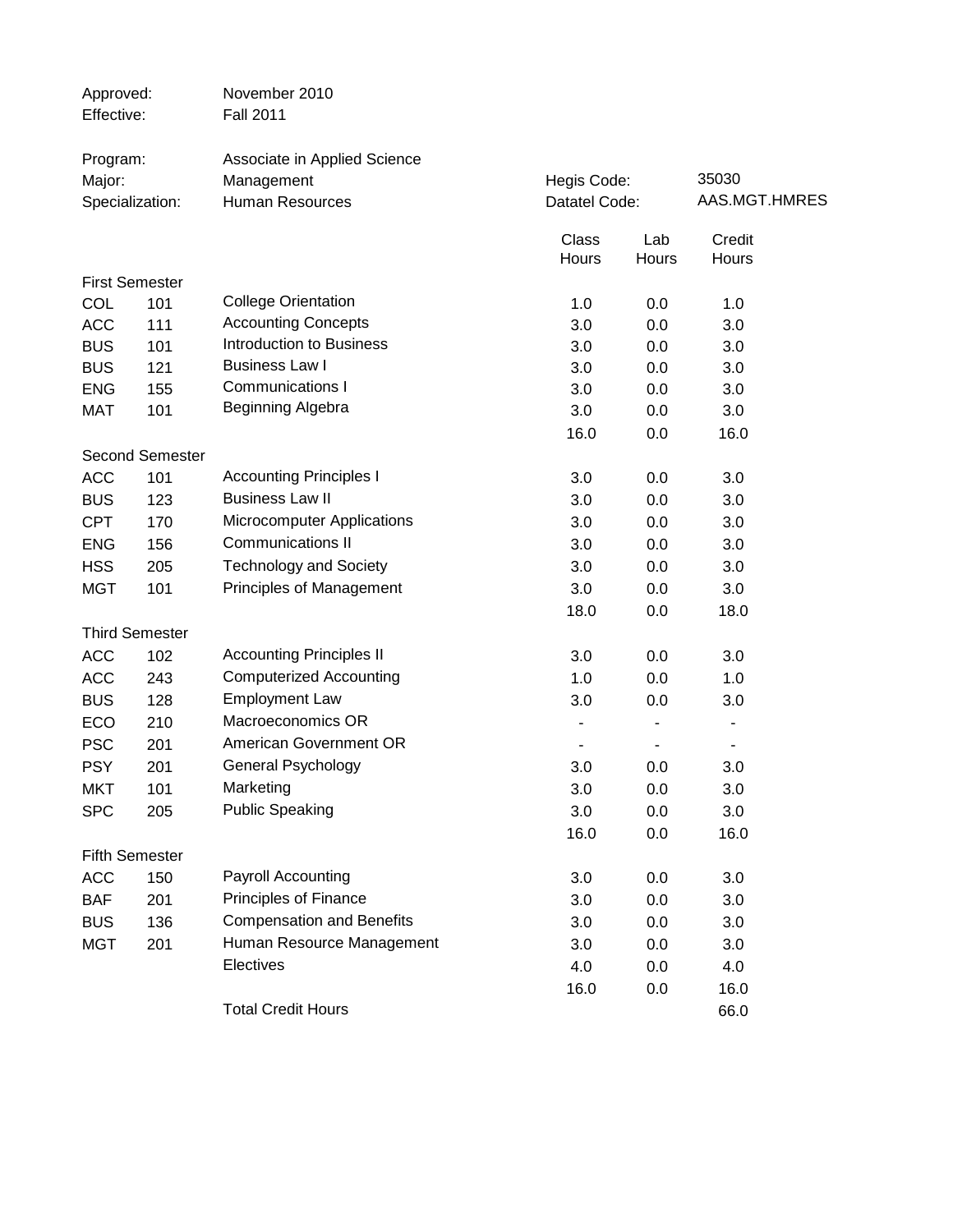| Approved:<br>Effective: |                        | November 2010<br><b>Fall 2011</b> |               |       |               |  |
|-------------------------|------------------------|-----------------------------------|---------------|-------|---------------|--|
| Program:                |                        | Associate in Applied Science      |               |       |               |  |
| Major:                  |                        | Management                        | Hegis Code:   |       | 35030         |  |
|                         | Specialization:        | <b>Human Resources</b>            | Datatel Code: |       | AAS.MGT.HMRES |  |
|                         |                        |                                   | Class         | Lab   | Credit        |  |
|                         |                        |                                   | Hours         | Hours | Hours         |  |
|                         | <b>First Semester</b>  |                                   |               |       |               |  |
| COL                     | 101                    | <b>College Orientation</b>        | 1.0           | 0.0   | 1.0           |  |
| <b>ACC</b>              | 111                    | <b>Accounting Concepts</b>        | 3.0           | 0.0   | 3.0           |  |
| <b>BUS</b>              | 101                    | Introduction to Business          | 3.0           | 0.0   | 3.0           |  |
| <b>BUS</b>              | 121                    | <b>Business Law I</b>             | 3.0           | 0.0   | 3.0           |  |
| <b>ENG</b>              | 155                    | <b>Communications I</b>           | 3.0           | 0.0   | 3.0           |  |
| <b>MAT</b>              | 101                    | Beginning Algebra                 | 3.0           | 0.0   | 3.0           |  |
|                         |                        |                                   | 16.0          | 0.0   | 16.0          |  |
|                         | <b>Second Semester</b> |                                   |               |       |               |  |
| <b>ACC</b>              | 101                    | <b>Accounting Principles I</b>    | 3.0           | 0.0   | 3.0           |  |
| <b>BUS</b>              | 123                    | <b>Business Law II</b>            | 3.0           | 0.0   | 3.0           |  |
| <b>CPT</b>              | 170                    | <b>Microcomputer Applications</b> | 3.0           | 0.0   | 3.0           |  |
| <b>ENG</b>              | 156                    | <b>Communications II</b>          | 3.0           | 0.0   | 3.0           |  |
| <b>HSS</b>              | 205                    | <b>Technology and Society</b>     | 3.0           | 0.0   | 3.0           |  |
| <b>MGT</b>              | 101                    | Principles of Management          | 3.0           | 0.0   | 3.0           |  |
|                         |                        |                                   | 18.0          | 0.0   | 18.0          |  |
|                         | <b>Third Semester</b>  |                                   |               |       |               |  |
| <b>ACC</b>              | 102                    | <b>Accounting Principles II</b>   | 3.0           | 0.0   | 3.0           |  |
| <b>ACC</b>              | 243                    | <b>Computerized Accounting</b>    | 1.0           | 0.0   | 1.0           |  |
| <b>BUS</b>              | 128                    | <b>Employment Law</b>             | 3.0           | 0.0   | 3.0           |  |
| ECO                     | 210                    | Macroeconomics OR                 |               |       |               |  |
| <b>PSC</b>              | 201                    | American Government OR            |               |       |               |  |
| <b>PSY</b>              | 201                    | General Psychology                | 3.0           | 0.0   | 3.0           |  |
| <b>MKT</b>              | 101                    | Marketing                         | 3.0           | 0.0   | 3.0           |  |
| <b>SPC</b>              | 205                    | <b>Public Speaking</b>            | 3.0           | 0.0   | 3.0           |  |
|                         |                        |                                   | 16.0          | 0.0   | 16.0          |  |
|                         | <b>Fifth Semester</b>  |                                   |               |       |               |  |
| <b>ACC</b>              | 150                    | Payroll Accounting                | 3.0           | 0.0   | 3.0           |  |
| <b>BAF</b>              | 201                    | Principles of Finance             | 3.0           | 0.0   | 3.0           |  |
| <b>BUS</b>              | 136                    | <b>Compensation and Benefits</b>  | 3.0           | 0.0   | 3.0           |  |
| <b>MGT</b>              | 201                    | Human Resource Management         | 3.0           | 0.0   | 3.0           |  |
|                         |                        | Electives                         | 4.0           | 0.0   | 4.0           |  |
|                         |                        |                                   | 16.0          | 0.0   | 16.0          |  |
|                         |                        | <b>Total Credit Hours</b>         |               |       | 66.0          |  |
|                         |                        |                                   |               |       |               |  |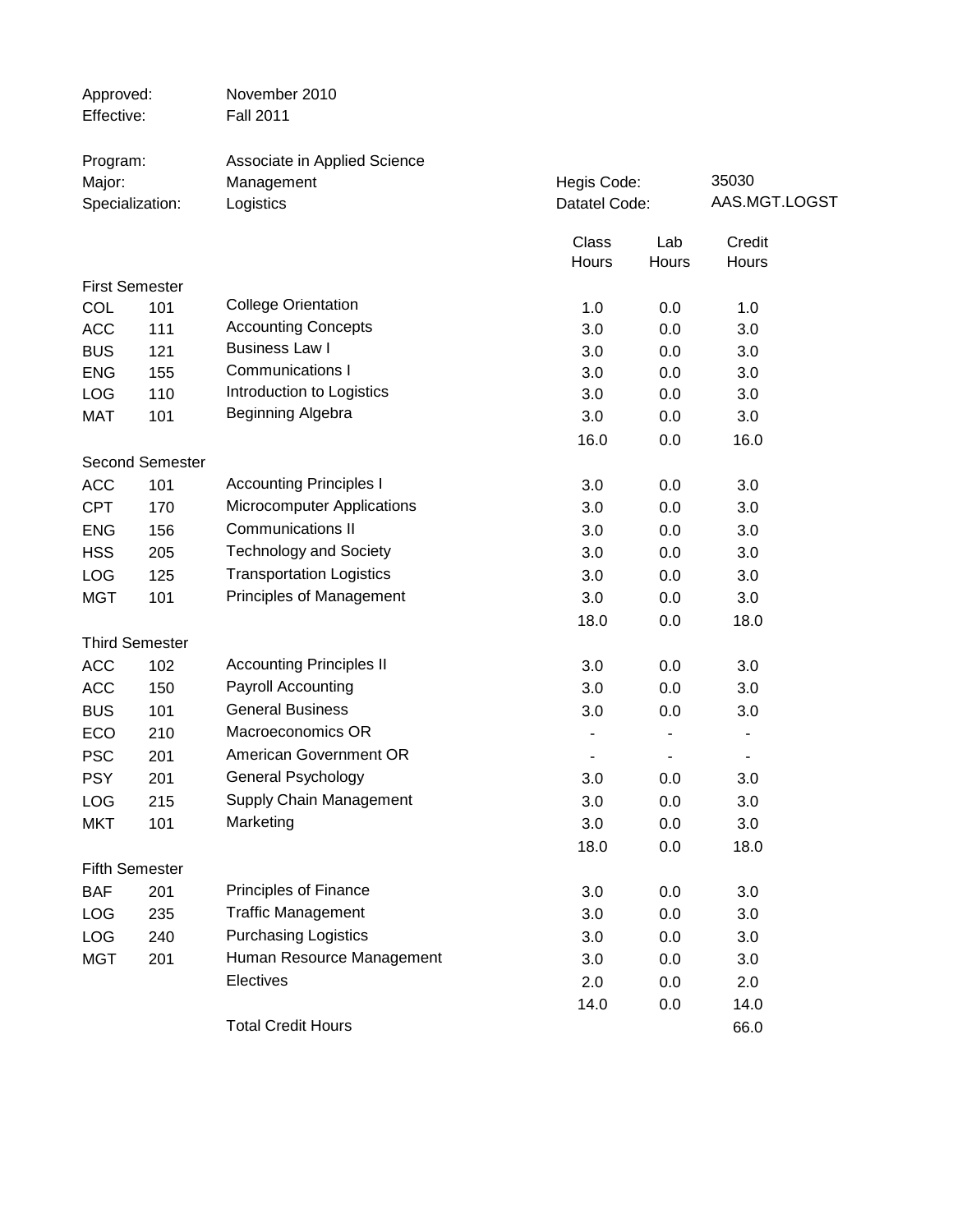| Associate in Applied Science<br>Program:<br>35030<br>Hegis Code:<br>Major:<br>Management<br>AAS.MGT.LOGST<br>Datatel Code:<br>Specialization:<br>Logistics<br>Class<br>Lab<br>Credit<br>Hours<br>Hours<br>Hours<br><b>First Semester</b><br><b>College Orientation</b><br>COL<br>101<br>1.0<br>0.0<br>1.0<br><b>Accounting Concepts</b><br><b>ACC</b><br>111<br>3.0<br>0.0<br>3.0<br><b>Business Law I</b><br><b>BUS</b><br>121<br>3.0<br>0.0<br>3.0<br><b>Communications I</b><br><b>ENG</b><br>155<br>3.0<br>3.0<br>0.0<br>Introduction to Logistics<br>LOG<br>110<br>3.0<br>0.0<br>3.0<br>Beginning Algebra<br><b>MAT</b><br>101<br>3.0<br>0.0<br>3.0<br>16.0<br>0.0<br>16.0 |
|---------------------------------------------------------------------------------------------------------------------------------------------------------------------------------------------------------------------------------------------------------------------------------------------------------------------------------------------------------------------------------------------------------------------------------------------------------------------------------------------------------------------------------------------------------------------------------------------------------------------------------------------------------------------------------|
|                                                                                                                                                                                                                                                                                                                                                                                                                                                                                                                                                                                                                                                                                 |
|                                                                                                                                                                                                                                                                                                                                                                                                                                                                                                                                                                                                                                                                                 |
|                                                                                                                                                                                                                                                                                                                                                                                                                                                                                                                                                                                                                                                                                 |
|                                                                                                                                                                                                                                                                                                                                                                                                                                                                                                                                                                                                                                                                                 |
|                                                                                                                                                                                                                                                                                                                                                                                                                                                                                                                                                                                                                                                                                 |
|                                                                                                                                                                                                                                                                                                                                                                                                                                                                                                                                                                                                                                                                                 |
|                                                                                                                                                                                                                                                                                                                                                                                                                                                                                                                                                                                                                                                                                 |
|                                                                                                                                                                                                                                                                                                                                                                                                                                                                                                                                                                                                                                                                                 |
|                                                                                                                                                                                                                                                                                                                                                                                                                                                                                                                                                                                                                                                                                 |
|                                                                                                                                                                                                                                                                                                                                                                                                                                                                                                                                                                                                                                                                                 |
|                                                                                                                                                                                                                                                                                                                                                                                                                                                                                                                                                                                                                                                                                 |
|                                                                                                                                                                                                                                                                                                                                                                                                                                                                                                                                                                                                                                                                                 |
|                                                                                                                                                                                                                                                                                                                                                                                                                                                                                                                                                                                                                                                                                 |
| <b>Second Semester</b>                                                                                                                                                                                                                                                                                                                                                                                                                                                                                                                                                                                                                                                          |
| <b>Accounting Principles I</b><br><b>ACC</b><br>101<br>3.0<br>3.0<br>0.0                                                                                                                                                                                                                                                                                                                                                                                                                                                                                                                                                                                                        |
| Microcomputer Applications<br><b>CPT</b><br>3.0<br>0.0<br>3.0<br>170                                                                                                                                                                                                                                                                                                                                                                                                                                                                                                                                                                                                            |
| <b>Communications II</b><br><b>ENG</b><br>156<br>3.0<br>0.0<br>3.0                                                                                                                                                                                                                                                                                                                                                                                                                                                                                                                                                                                                              |
| <b>Technology and Society</b><br><b>HSS</b><br>205<br>3.0<br>3.0<br>0.0                                                                                                                                                                                                                                                                                                                                                                                                                                                                                                                                                                                                         |
| <b>Transportation Logistics</b><br>LOG<br>125<br>3.0<br>3.0<br>0.0                                                                                                                                                                                                                                                                                                                                                                                                                                                                                                                                                                                                              |
| Principles of Management<br><b>MGT</b><br>101<br>3.0<br>0.0<br>3.0                                                                                                                                                                                                                                                                                                                                                                                                                                                                                                                                                                                                              |
| 18.0<br>18.0<br>0.0                                                                                                                                                                                                                                                                                                                                                                                                                                                                                                                                                                                                                                                             |
| <b>Third Semester</b>                                                                                                                                                                                                                                                                                                                                                                                                                                                                                                                                                                                                                                                           |
| <b>Accounting Principles II</b><br><b>ACC</b><br>102<br>3.0<br>3.0<br>0.0                                                                                                                                                                                                                                                                                                                                                                                                                                                                                                                                                                                                       |
| Payroll Accounting<br><b>ACC</b><br>0.0<br>3.0<br>150<br>3.0                                                                                                                                                                                                                                                                                                                                                                                                                                                                                                                                                                                                                    |
| <b>General Business</b><br><b>BUS</b><br>101<br>3.0<br>0.0<br>3.0                                                                                                                                                                                                                                                                                                                                                                                                                                                                                                                                                                                                               |
| Macroeconomics OR<br>ECO<br>210                                                                                                                                                                                                                                                                                                                                                                                                                                                                                                                                                                                                                                                 |
| American Government OR<br><b>PSC</b><br>201<br>٠                                                                                                                                                                                                                                                                                                                                                                                                                                                                                                                                                                                                                                |
| General Psychology<br><b>PSY</b><br>201<br>3.0<br>0.0<br>3.0                                                                                                                                                                                                                                                                                                                                                                                                                                                                                                                                                                                                                    |
| Supply Chain Management<br>0.0<br><b>LOG</b><br>215<br>3.0<br>3.0                                                                                                                                                                                                                                                                                                                                                                                                                                                                                                                                                                                                               |
| Marketing<br><b>MKT</b><br>101<br>0.0<br>3.0<br>3.0                                                                                                                                                                                                                                                                                                                                                                                                                                                                                                                                                                                                                             |
| 18.0<br>0.0<br>18.0                                                                                                                                                                                                                                                                                                                                                                                                                                                                                                                                                                                                                                                             |
| <b>Fifth Semester</b>                                                                                                                                                                                                                                                                                                                                                                                                                                                                                                                                                                                                                                                           |
| Principles of Finance<br><b>BAF</b><br>201<br>3.0<br>0.0<br>3.0                                                                                                                                                                                                                                                                                                                                                                                                                                                                                                                                                                                                                 |
| <b>Traffic Management</b><br>LOG<br>235<br>3.0<br>0.0<br>3.0                                                                                                                                                                                                                                                                                                                                                                                                                                                                                                                                                                                                                    |
| <b>Purchasing Logistics</b><br>LOG<br>240<br>3.0<br>3.0<br>0.0                                                                                                                                                                                                                                                                                                                                                                                                                                                                                                                                                                                                                  |
| Human Resource Management<br><b>MGT</b><br>201<br>0.0<br>3.0<br>3.0                                                                                                                                                                                                                                                                                                                                                                                                                                                                                                                                                                                                             |
| Electives<br>2.0<br>0.0<br>2.0                                                                                                                                                                                                                                                                                                                                                                                                                                                                                                                                                                                                                                                  |
| 14.0<br>0.0<br>14.0                                                                                                                                                                                                                                                                                                                                                                                                                                                                                                                                                                                                                                                             |
| <b>Total Credit Hours</b><br>66.0                                                                                                                                                                                                                                                                                                                                                                                                                                                                                                                                                                                                                                               |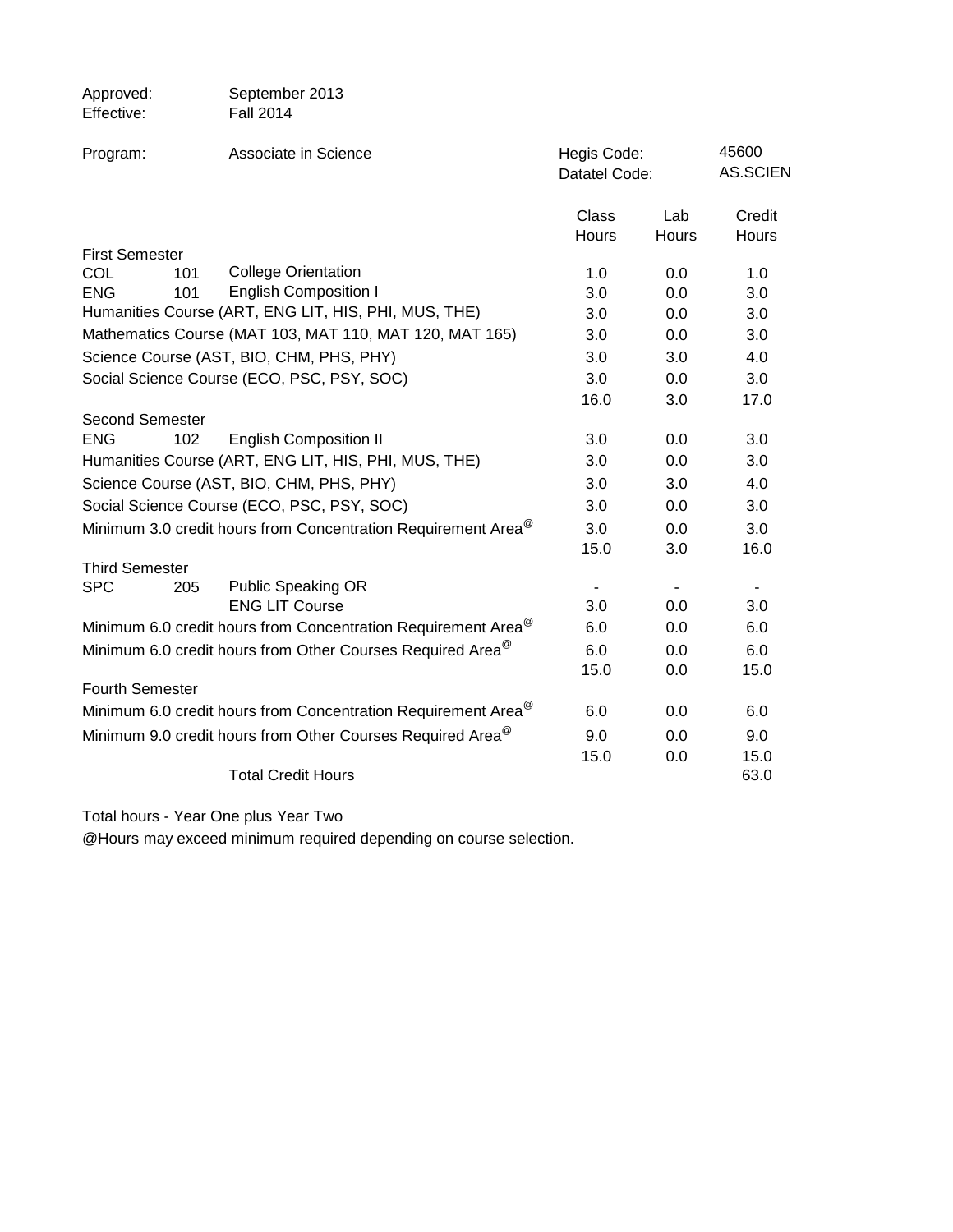| Approved:              | September 2013                                                            |                              |                     |                          |
|------------------------|---------------------------------------------------------------------------|------------------------------|---------------------|--------------------------|
| Effective:             | <b>Fall 2014</b>                                                          |                              |                     |                          |
| Program:               | Associate in Science                                                      | Hegis Code:<br>Datatel Code: |                     | 45600<br><b>AS.SCIEN</b> |
|                        |                                                                           | Class<br>Hours               | Lab<br><b>Hours</b> | Credit<br>Hours          |
| <b>First Semester</b>  |                                                                           |                              |                     |                          |
| COL<br>101             | <b>College Orientation</b>                                                | 1.0                          | 0.0                 | 1.0                      |
| <b>ENG</b><br>101      | <b>English Composition I</b>                                              | 3.0                          | 0.0                 | 3.0                      |
|                        | Humanities Course (ART, ENG LIT, HIS, PHI, MUS, THE)                      | 3.0                          | 0.0                 | 3.0                      |
|                        | Mathematics Course (MAT 103, MAT 110, MAT 120, MAT 165)                   | 3.0                          | 0.0                 | 3.0                      |
|                        | Science Course (AST, BIO, CHM, PHS, PHY)                                  | 3.0                          | 3.0                 | 4.0                      |
|                        | Social Science Course (ECO, PSC, PSY, SOC)                                | 3.0                          | 0.0                 | 3.0                      |
|                        |                                                                           | 16.0                         | 3.0                 | 17.0                     |
| <b>Second Semester</b> |                                                                           |                              |                     |                          |
| <b>ENG</b>             | <b>English Composition II</b><br>102                                      | 3.0                          | 0.0                 | 3.0                      |
|                        | Humanities Course (ART, ENG LIT, HIS, PHI, MUS, THE)                      | 3.0                          | 0.0                 | 3.0                      |
|                        | Science Course (AST, BIO, CHM, PHS, PHY)                                  | 3.0                          | 3.0                 | 4.0                      |
|                        | Social Science Course (ECO, PSC, PSY, SOC)                                | 3.0                          | 0.0                 | 3.0                      |
|                        | Minimum 3.0 credit hours from Concentration Requirement Area <sup>@</sup> | 3.0                          | 0.0                 | 3.0                      |
|                        |                                                                           | 15.0                         | 3.0                 | 16.0                     |
| <b>Third Semester</b>  |                                                                           |                              |                     |                          |
| <b>SPC</b><br>205      | <b>Public Speaking OR</b>                                                 |                              |                     |                          |
|                        | <b>ENG LIT Course</b>                                                     | 3.0                          | 0.0                 | 3.0                      |
|                        | Minimum 6.0 credit hours from Concentration Requirement Area <sup>@</sup> | 6.0                          | 0.0                 | 6.0                      |
|                        | Minimum 6.0 credit hours from Other Courses Required Area <sup>@</sup>    | 6.0                          | 0.0                 | 6.0                      |
|                        |                                                                           | 15.0                         | 0.0                 | 15.0                     |
| Fourth Semester        |                                                                           |                              |                     |                          |
|                        | Minimum 6.0 credit hours from Concentration Requirement Area <sup>@</sup> | 6.0                          | 0.0                 | 6.0                      |
|                        | Minimum 9.0 credit hours from Other Courses Required Area <sup>@</sup>    | 9.0                          | 0.0                 | 9.0                      |
|                        |                                                                           | 15.0                         | 0.0                 | 15.0                     |
|                        | <b>Total Credit Hours</b>                                                 |                              |                     | 63.0                     |

Total hours - Year One plus Year Two

@Hours may exceed minimum required depending on course selection.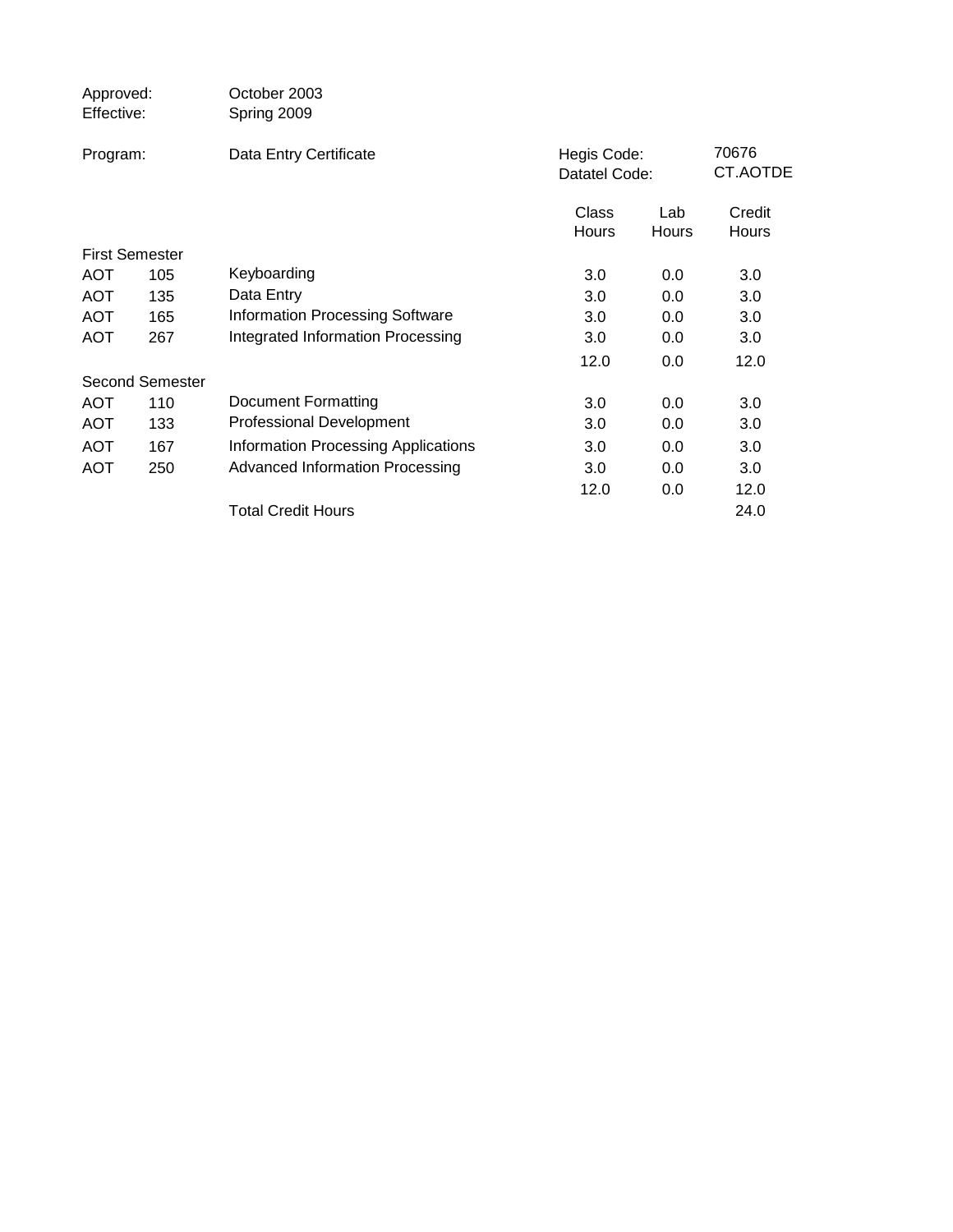| Approved:<br>Effective: |                        | October 2003<br>Spring 2009                |                       |                              |                        |
|-------------------------|------------------------|--------------------------------------------|-----------------------|------------------------------|------------------------|
| Program:                |                        | Data Entry Certificate                     |                       | Hegis Code:<br>Datatel Code: |                        |
|                         |                        |                                            | Class<br><b>Hours</b> | Lab<br>Hours                 | Credit<br><b>Hours</b> |
| <b>First Semester</b>   |                        |                                            |                       |                              |                        |
| <b>AOT</b>              | 105                    | Keyboarding                                | 3.0                   | 0.0                          | 3.0                    |
| <b>AOT</b>              | 135                    | Data Entry                                 | 3.0                   | 0.0                          | 3.0                    |
| <b>AOT</b>              | 165                    | <b>Information Processing Software</b>     | 3.0                   | 0.0                          | 3.0                    |
| <b>AOT</b>              | 267                    | Integrated Information Processing          | 3.0                   | $0.0\,$                      | 3.0                    |
|                         |                        |                                            | 12.0                  | 0.0                          | 12.0                   |
|                         | <b>Second Semester</b> |                                            |                       |                              |                        |
| <b>AOT</b>              | 110                    | Document Formatting                        | 3.0                   | 0.0                          | 3.0                    |
| <b>AOT</b>              | 133                    | <b>Professional Development</b>            | 3.0                   | 0.0                          | 3.0                    |
| <b>AOT</b>              | 167                    | <b>Information Processing Applications</b> | 3.0                   | 0.0                          | 3.0                    |
| <b>AOT</b>              | 250                    | <b>Advanced Information Processing</b>     | 3.0                   | 0.0                          | 3.0                    |
|                         |                        |                                            | 12.0                  | 0.0                          | 12.0                   |
|                         |                        | <b>Total Credit Hours</b>                  |                       |                              | 24.0                   |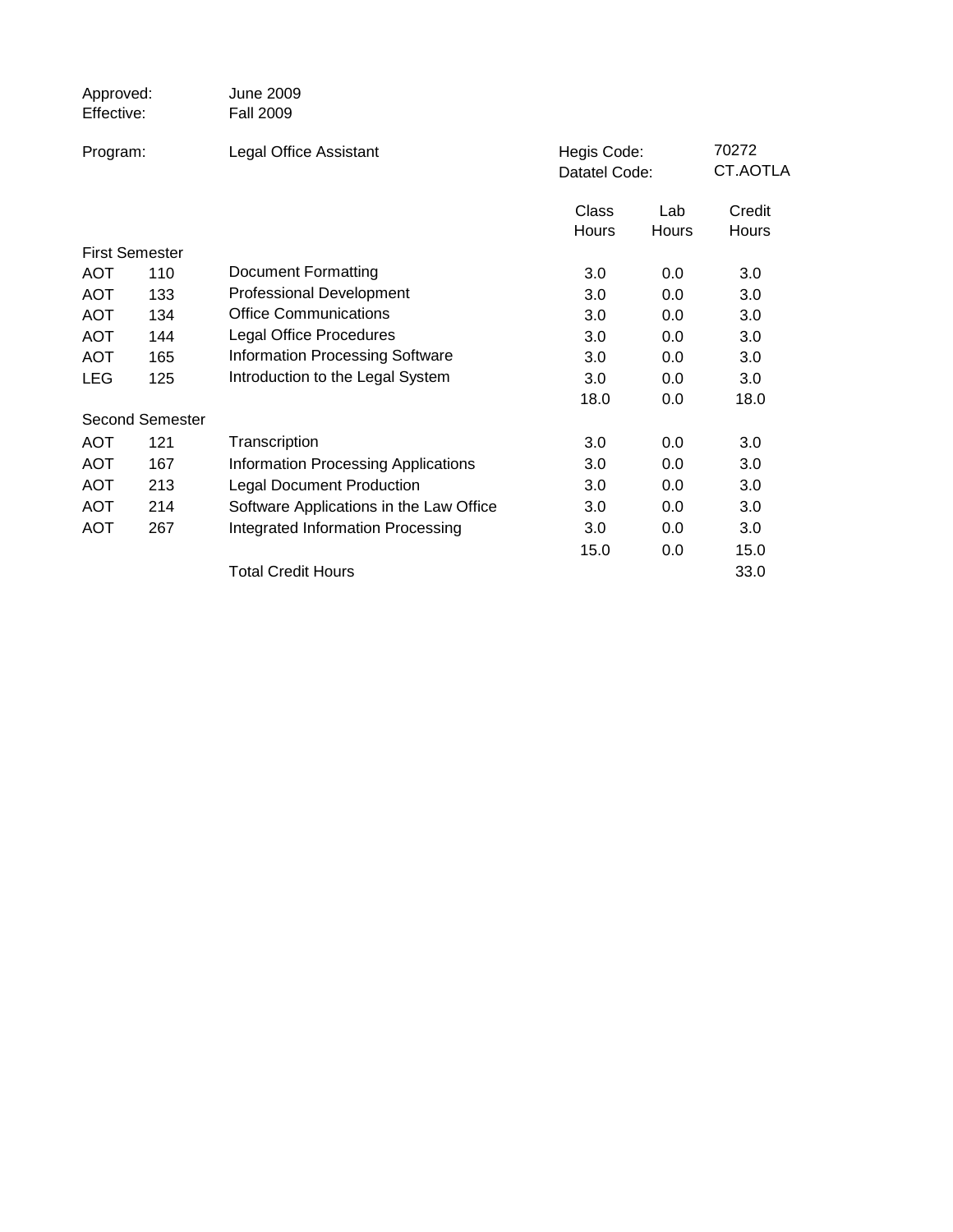| Approved:<br>Effective: |                        | <b>June 2009</b><br><b>Fall 2009</b>       |                              |       |                   |
|-------------------------|------------------------|--------------------------------------------|------------------------------|-------|-------------------|
| Program:                |                        | Legal Office Assistant                     | Hegis Code:<br>Datatel Code: |       | 70272<br>CT.AOTLA |
|                         |                        |                                            |                              |       |                   |
|                         |                        |                                            | Class                        | Lab   | Credit            |
|                         |                        |                                            | Hours                        | Hours | Hours             |
| <b>First Semester</b>   |                        |                                            |                              |       |                   |
| <b>AOT</b>              | 110                    | <b>Document Formatting</b>                 | 3.0                          | 0.0   | 3.0               |
| <b>AOT</b>              | 133                    | <b>Professional Development</b>            | 3.0                          | 0.0   | 3.0               |
| <b>AOT</b>              | 134                    | <b>Office Communications</b>               | 3.0                          | 0.0   | 3.0               |
| <b>AOT</b>              | 144                    | <b>Legal Office Procedures</b>             | 3.0                          | 0.0   | 3.0               |
| <b>AOT</b>              | 165                    | <b>Information Processing Software</b>     | 3.0                          | 0.0   | 3.0               |
| <b>LEG</b>              | 125                    | Introduction to the Legal System           | 3.0                          | 0.0   | 3.0               |
|                         |                        |                                            | 18.0                         | 0.0   | 18.0              |
|                         | <b>Second Semester</b> |                                            |                              |       |                   |
| <b>AOT</b>              | 121                    | Transcription                              | 3.0                          | 0.0   | 3.0               |
| <b>AOT</b>              | 167                    | <b>Information Processing Applications</b> | 3.0                          | 0.0   | 3.0               |
| <b>AOT</b>              | 213                    | <b>Legal Document Production</b>           | 3.0                          | 0.0   | 3.0               |
| <b>AOT</b>              | 214                    | Software Applications in the Law Office    | 3.0                          | 0.0   | 3.0               |
| <b>AOT</b>              | 267                    | Integrated Information Processing          | 3.0                          | 0.0   | 3.0               |
|                         |                        |                                            | 15.0                         | 0.0   | 15.0              |
|                         |                        | <b>Total Credit Hours</b>                  |                              |       | 33.0              |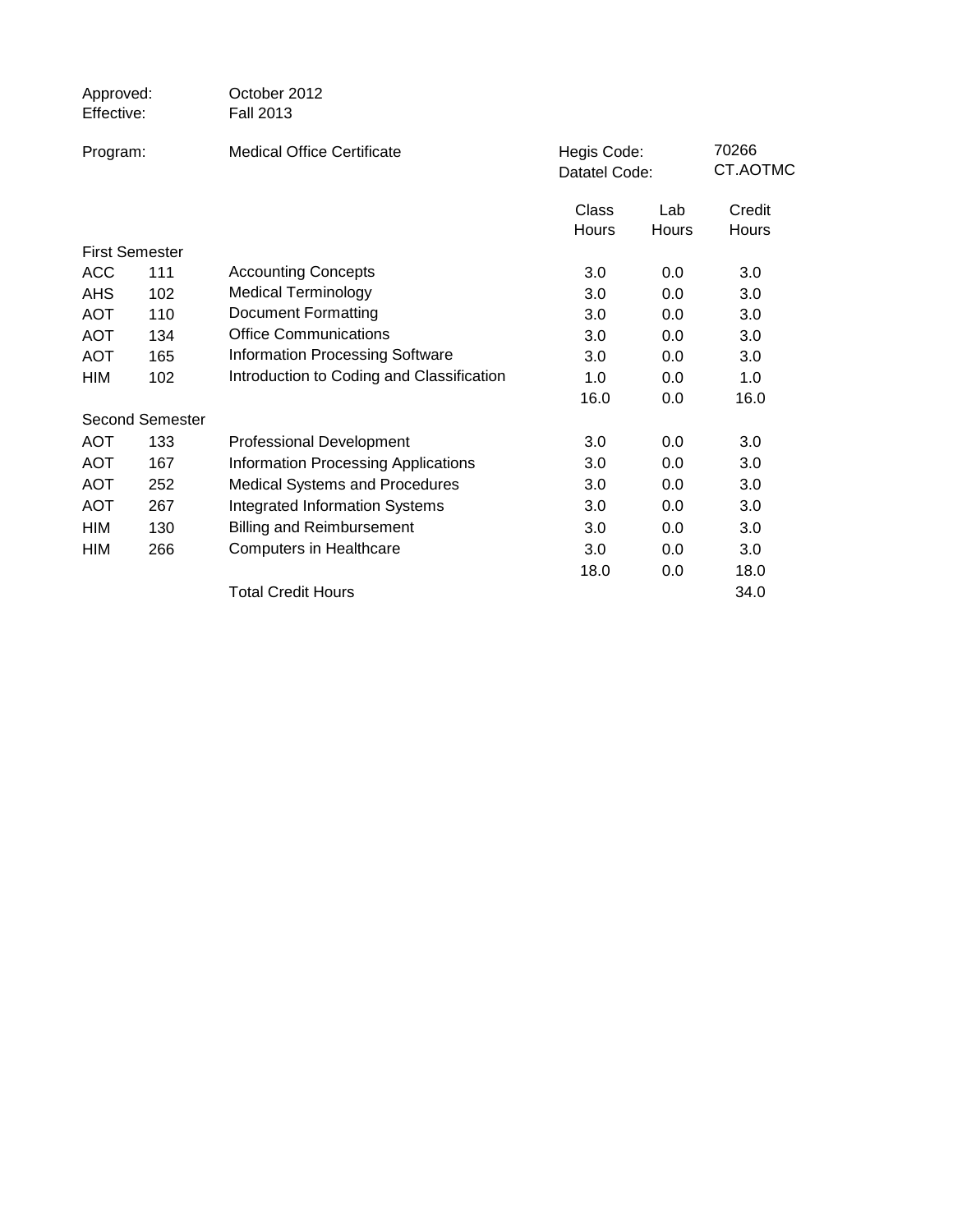| Approved:<br>Effective: |                 | October 2012<br><b>Fall 2013</b>           |                              |                     |                 |
|-------------------------|-----------------|--------------------------------------------|------------------------------|---------------------|-----------------|
| Program:                |                 | <b>Medical Office Certificate</b>          | Hegis Code:<br>Datatel Code: | 70266<br>CT.AOTMC   |                 |
|                         |                 |                                            | Class<br>Hours               | Lab<br><b>Hours</b> | Credit<br>Hours |
| <b>First Semester</b>   |                 |                                            |                              |                     |                 |
| <b>ACC</b>              | 111             | <b>Accounting Concepts</b>                 | 3.0                          | 0.0                 | 3.0             |
| <b>AHS</b>              | 102             | Medical Terminology                        | 3.0                          | 0.0                 | 3.0             |
| <b>AOT</b>              | 110             | <b>Document Formatting</b>                 | 3.0                          | 0.0                 | 3.0             |
| <b>AOT</b>              | 134             | <b>Office Communications</b>               | 3.0                          | 0.0                 | 3.0             |
| <b>AOT</b>              | 165             | <b>Information Processing Software</b>     | 3.0                          | 0.0                 | 3.0             |
| HIM                     | 102             | Introduction to Coding and Classification  | 1.0                          | 0.0                 | 1.0             |
|                         |                 |                                            | 16.0                         | 0.0                 | 16.0            |
|                         | Second Semester |                                            |                              |                     |                 |
| <b>AOT</b>              | 133             | <b>Professional Development</b>            | 3.0                          | 0.0                 | 3.0             |
| <b>AOT</b>              | 167             | <b>Information Processing Applications</b> | 3.0                          | 0.0                 | 3.0             |
| <b>AOT</b>              | 252             | <b>Medical Systems and Procedures</b>      | 3.0                          | 0.0                 | 3.0             |
| <b>AOT</b>              | 267             | <b>Integrated Information Systems</b>      | 3.0                          | 0.0                 | 3.0             |
| HIM                     | 130             | <b>Billing and Reimbursement</b>           | 3.0                          | 0.0                 | 3.0             |
| <b>HIM</b>              | 266             | <b>Computers in Healthcare</b>             | 3.0                          | 0.0                 | 3.0             |
|                         |                 |                                            | 18.0                         | 0.0                 | 18.0            |
|                         |                 | <b>Total Credit Hours</b>                  |                              |                     | 34.0            |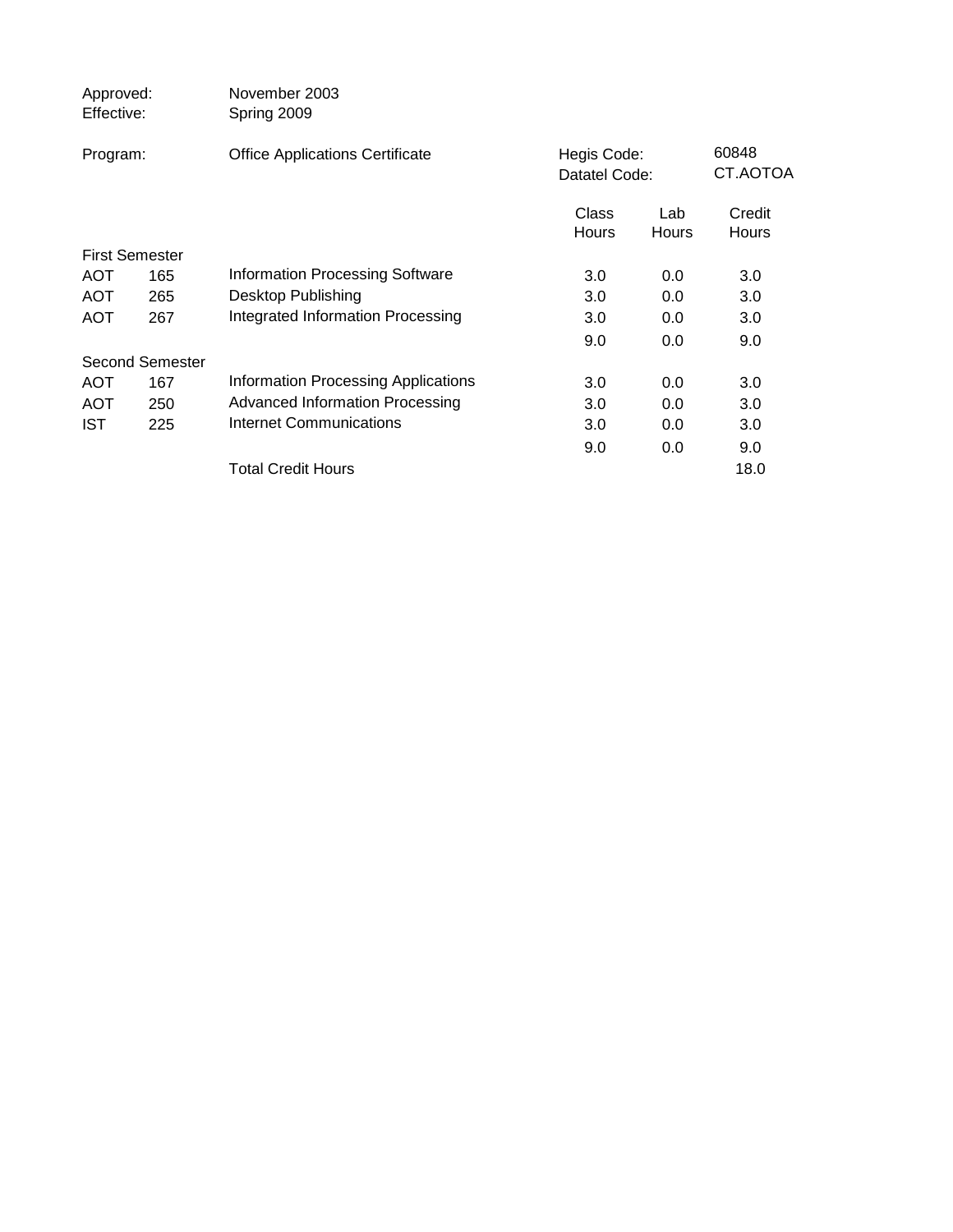| Approved:<br>Effective: |                       | November 2003<br>Spring 2009               |                              |                     |                   |
|-------------------------|-----------------------|--------------------------------------------|------------------------------|---------------------|-------------------|
| Program:                |                       | <b>Office Applications Certificate</b>     | Hegis Code:<br>Datatel Code: |                     | 60848<br>CT.AOTOA |
|                         |                       |                                            | Class<br>Hours               | Lab<br><b>Hours</b> | Credit<br>Hours   |
|                         | <b>First Semester</b> |                                            |                              |                     |                   |
| <b>AOT</b>              | 165                   | <b>Information Processing Software</b>     | 3.0                          | 0.0                 | 3.0               |
| <b>AOT</b>              | 265                   | <b>Desktop Publishing</b>                  | 3.0                          | 0.0                 | 3.0               |
| <b>AOT</b>              | 267                   | Integrated Information Processing          | 3.0                          | 0.0                 | 3.0               |
|                         |                       |                                            | 9.0                          | 0.0                 | 9.0               |
|                         | Second Semester       |                                            |                              |                     |                   |
| <b>AOT</b>              | 167                   | <b>Information Processing Applications</b> | 3.0                          | 0.0                 | 3.0               |
| <b>AOT</b>              | 250                   | Advanced Information Processing            | 3.0                          | 0.0                 | 3.0               |
| IST                     | 225                   | Internet Communications                    | 3.0                          | 0.0                 | 3.0               |
|                         |                       |                                            | 9.0                          | 0.0                 | 9.0               |
|                         |                       | <b>Total Credit Hours</b>                  |                              |                     | 18.0              |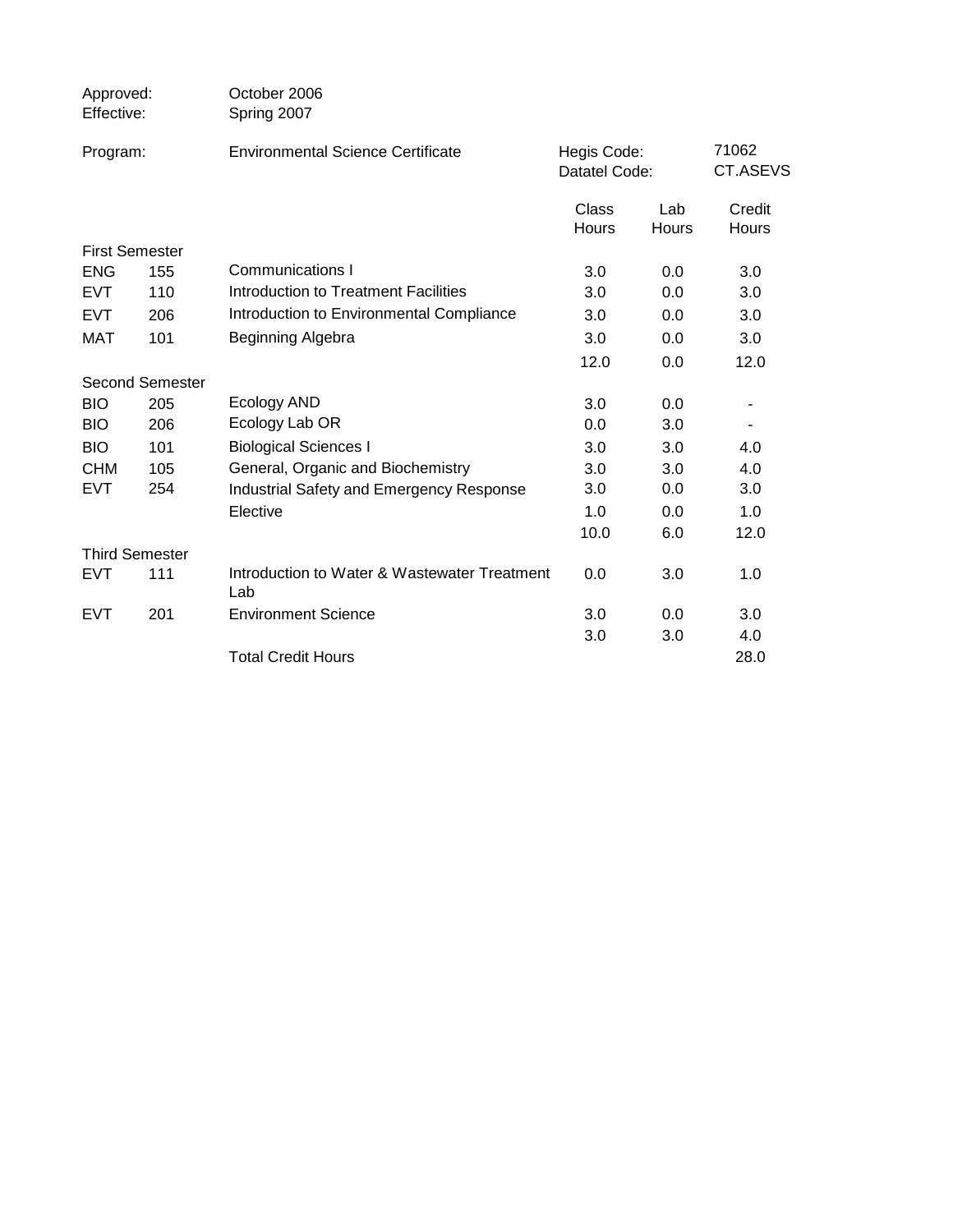| Approved:<br>Effective: |     | October 2006<br>Spring 2007                         |                              |              |                   |
|-------------------------|-----|-----------------------------------------------------|------------------------------|--------------|-------------------|
| Program:                |     | <b>Environmental Science Certificate</b>            | Hegis Code:<br>Datatel Code: |              | 71062<br>CT.ASEVS |
|                         |     |                                                     | Class<br>Hours               | Lab<br>Hours | Credit<br>Hours   |
| <b>First Semester</b>   |     |                                                     |                              |              |                   |
| <b>ENG</b>              | 155 | <b>Communications I</b>                             | 3.0                          | 0.0          | 3.0               |
| <b>EVT</b>              | 110 | Introduction to Treatment Facilities                | 3.0                          | 0.0          | 3.0               |
| <b>EVT</b>              | 206 | Introduction to Environmental Compliance            | 3.0                          | 0.0          | 3.0               |
| <b>MAT</b>              | 101 | Beginning Algebra                                   | 3.0                          | 0.0          | 3.0               |
|                         |     |                                                     | 12.0                         | 0.0          | 12.0              |
| <b>Second Semester</b>  |     |                                                     |                              |              |                   |
| <b>BIO</b>              | 205 | Ecology AND                                         | 3.0                          | 0.0          |                   |
| <b>BIO</b>              | 206 | Ecology Lab OR                                      | 0.0                          | 3.0          | $\blacksquare$    |
| <b>BIO</b>              | 101 | <b>Biological Sciences I</b>                        | 3.0                          | 3.0          | 4.0               |
| <b>CHM</b>              | 105 | General, Organic and Biochemistry                   | 3.0                          | 3.0          | 4.0               |
| EVT                     | 254 | Industrial Safety and Emergency Response            | 3.0                          | 0.0          | 3.0               |
|                         |     | Elective                                            | 1.0                          | 0.0          | 1.0               |
|                         |     |                                                     | 10.0                         | 6.0          | 12.0              |
| <b>Third Semester</b>   |     |                                                     |                              |              |                   |
| <b>EVT</b>              | 111 | Introduction to Water & Wastewater Treatment<br>Lab | 0.0                          | 3.0          | 1.0               |
| <b>EVT</b>              | 201 | <b>Environment Science</b>                          | 3.0                          | 0.0          | 3.0               |
|                         |     |                                                     | 3.0                          | 3.0          | 4.0               |
|                         |     | <b>Total Credit Hours</b>                           |                              |              | 28.0              |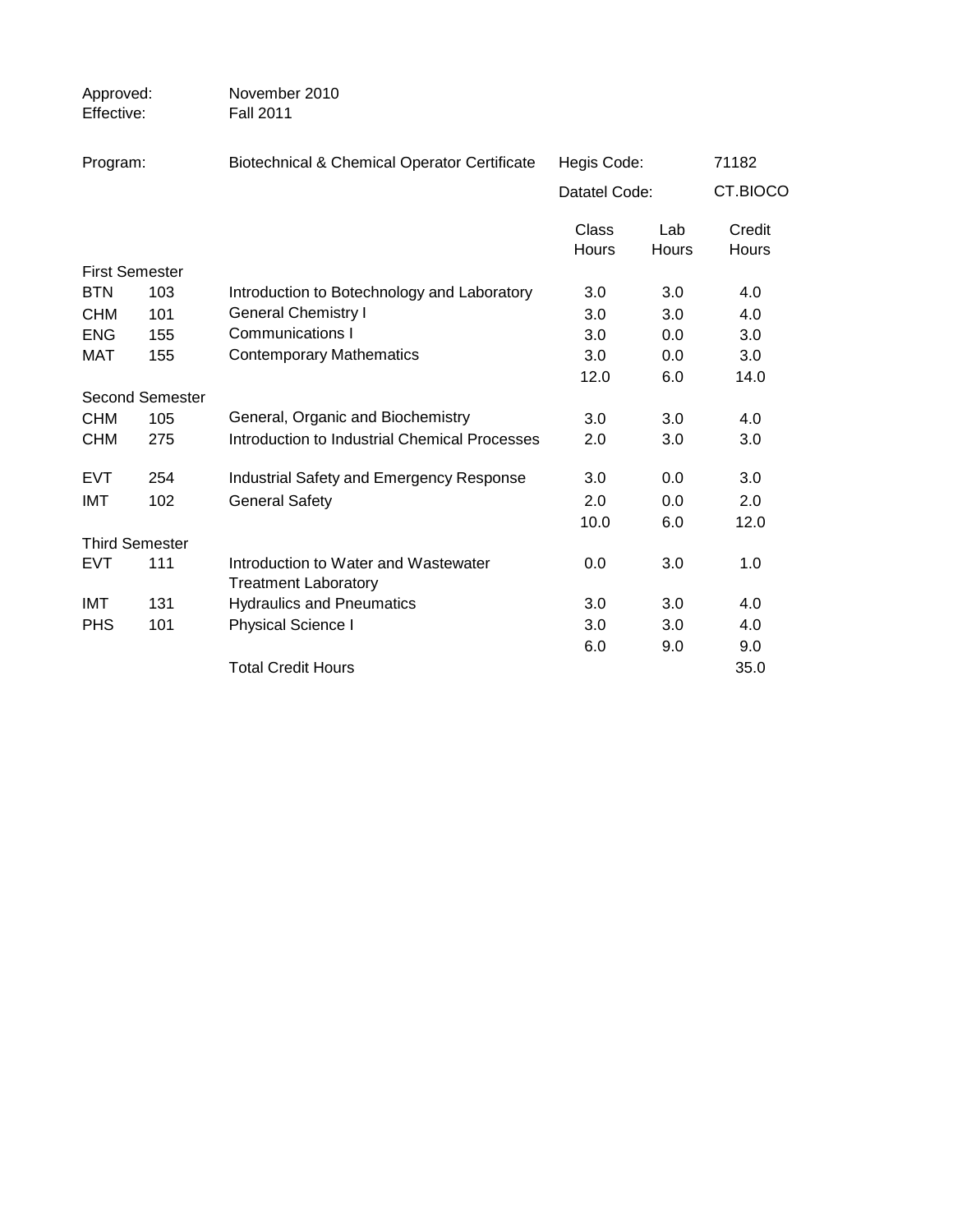| Approved:<br>Effective: |                        | November 2010<br><b>Fall 2011</b>                                   |                       |              |                 |
|-------------------------|------------------------|---------------------------------------------------------------------|-----------------------|--------------|-----------------|
| Program:                |                        | <b>Biotechnical &amp; Chemical Operator Certificate</b>             | Hegis Code:           |              | 71182           |
|                         |                        |                                                                     | Datatel Code:         |              | CT.BIOCO        |
|                         |                        |                                                                     | Class<br><b>Hours</b> | Lab<br>Hours | Credit<br>Hours |
| <b>First Semester</b>   |                        |                                                                     |                       |              |                 |
| <b>BTN</b>              | 103                    | Introduction to Botechnology and Laboratory                         | 3.0                   | 3.0          | 4.0             |
| <b>CHM</b>              | 101                    | <b>General Chemistry I</b>                                          | 3.0                   | 3.0          | 4.0             |
| <b>ENG</b>              | 155                    | <b>Communications I</b>                                             | 3.0                   | 0.0          | 3.0             |
| MAT                     | 155                    | <b>Contemporary Mathematics</b>                                     | 3.0                   | 0.0          | 3.0             |
|                         |                        |                                                                     | 12.0                  | 6.0          | 14.0            |
|                         | <b>Second Semester</b> |                                                                     |                       |              |                 |
| <b>CHM</b>              | 105                    | General, Organic and Biochemistry                                   | 3.0                   | 3.0          | 4.0             |
| <b>CHM</b>              | 275                    | Introduction to Industrial Chemical Processes                       | 2.0                   | 3.0          | 3.0             |
| <b>EVT</b>              | 254                    | Industrial Safety and Emergency Response                            | 3.0                   | 0.0          | 3.0             |
| <b>IMT</b>              | 102                    | <b>General Safety</b>                                               | 2.0                   | 0.0          | 2.0             |
|                         |                        |                                                                     | 10.0                  | 6.0          | 12.0            |
|                         | <b>Third Semester</b>  |                                                                     |                       |              |                 |
| <b>EVT</b>              | 111                    | Introduction to Water and Wastewater<br><b>Treatment Laboratory</b> | 0.0                   | 3.0          | 1.0             |
| <b>IMT</b>              | 131                    | <b>Hydraulics and Pneumatics</b>                                    | 3.0                   | 3.0          | 4.0             |
| <b>PHS</b>              | 101                    | Physical Science I                                                  | 3.0                   | 3.0          | 4.0             |
|                         |                        |                                                                     | 6.0                   | 9.0          | 9.0             |
|                         |                        | <b>Total Credit Hours</b>                                           |                       |              | 35.0            |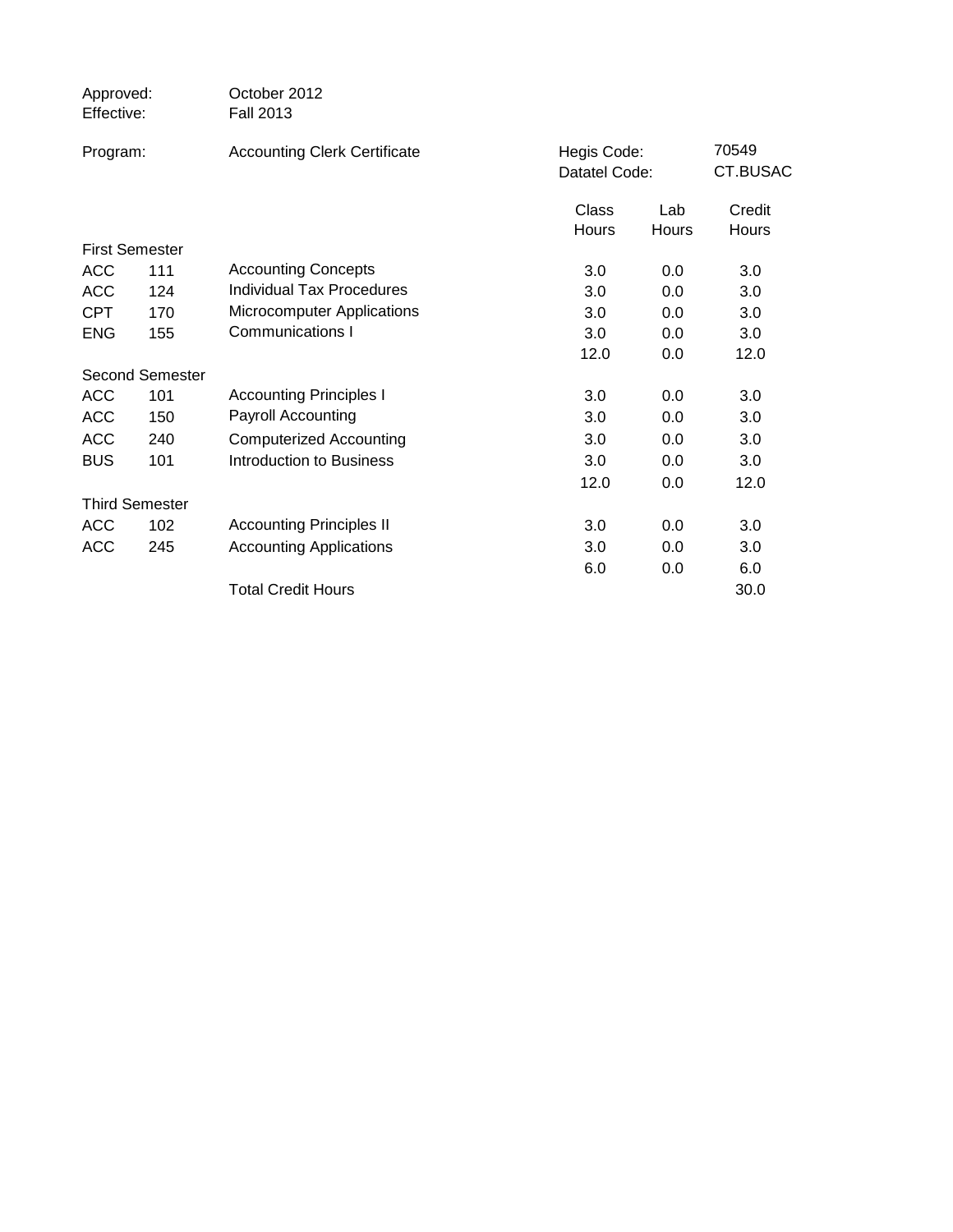| Approved:<br>Effective: |                       | October 2012<br><b>Fall 2013</b>    |                              |              |                   |
|-------------------------|-----------------------|-------------------------------------|------------------------------|--------------|-------------------|
| Program:                |                       | <b>Accounting Clerk Certificate</b> | Hegis Code:<br>Datatel Code: |              | 70549<br>CT.BUSAC |
|                         |                       |                                     | Class<br><b>Hours</b>        | Lab<br>Hours | Credit<br>Hours   |
|                         | <b>First Semester</b> |                                     |                              |              |                   |
| <b>ACC</b>              | 111                   | <b>Accounting Concepts</b>          | 3.0                          | 0.0          | 3.0               |
| <b>ACC</b>              | 124                   | Individual Tax Procedures           | 3.0                          | 0.0          | 3.0               |
| <b>CPT</b>              | 170                   | Microcomputer Applications          | 3.0                          | 0.0          | 3.0               |
| <b>ENG</b>              | 155                   | Communications I                    | 3.0                          | 0.0          | 3.0               |
|                         |                       |                                     | 12.0                         | 0.0          | 12.0              |
|                         | Second Semester       |                                     |                              |              |                   |
| <b>ACC</b>              | 101                   | <b>Accounting Principles I</b>      | 3.0                          | 0.0          | 3.0               |
| <b>ACC</b>              | 150                   | Payroll Accounting                  | 3.0                          | 0.0          | 3.0               |
| <b>ACC</b>              | 240                   | <b>Computerized Accounting</b>      | 3.0                          | 0.0          | 3.0               |
| <b>BUS</b>              | 101                   | Introduction to Business            | 3.0                          | 0.0          | 3.0               |
|                         |                       |                                     | 12.0                         | 0.0          | 12.0              |
|                         | <b>Third Semester</b> |                                     |                              |              |                   |
| <b>ACC</b>              | 102                   | <b>Accounting Principles II</b>     | 3.0                          | 0.0          | 3.0               |
| <b>ACC</b>              | 245                   | <b>Accounting Applications</b>      | 3.0                          | 0.0          | 3.0               |
|                         |                       |                                     | 6.0                          | 0.0          | 6.0               |
|                         |                       | <b>Total Credit Hours</b>           |                              |              | 30.0              |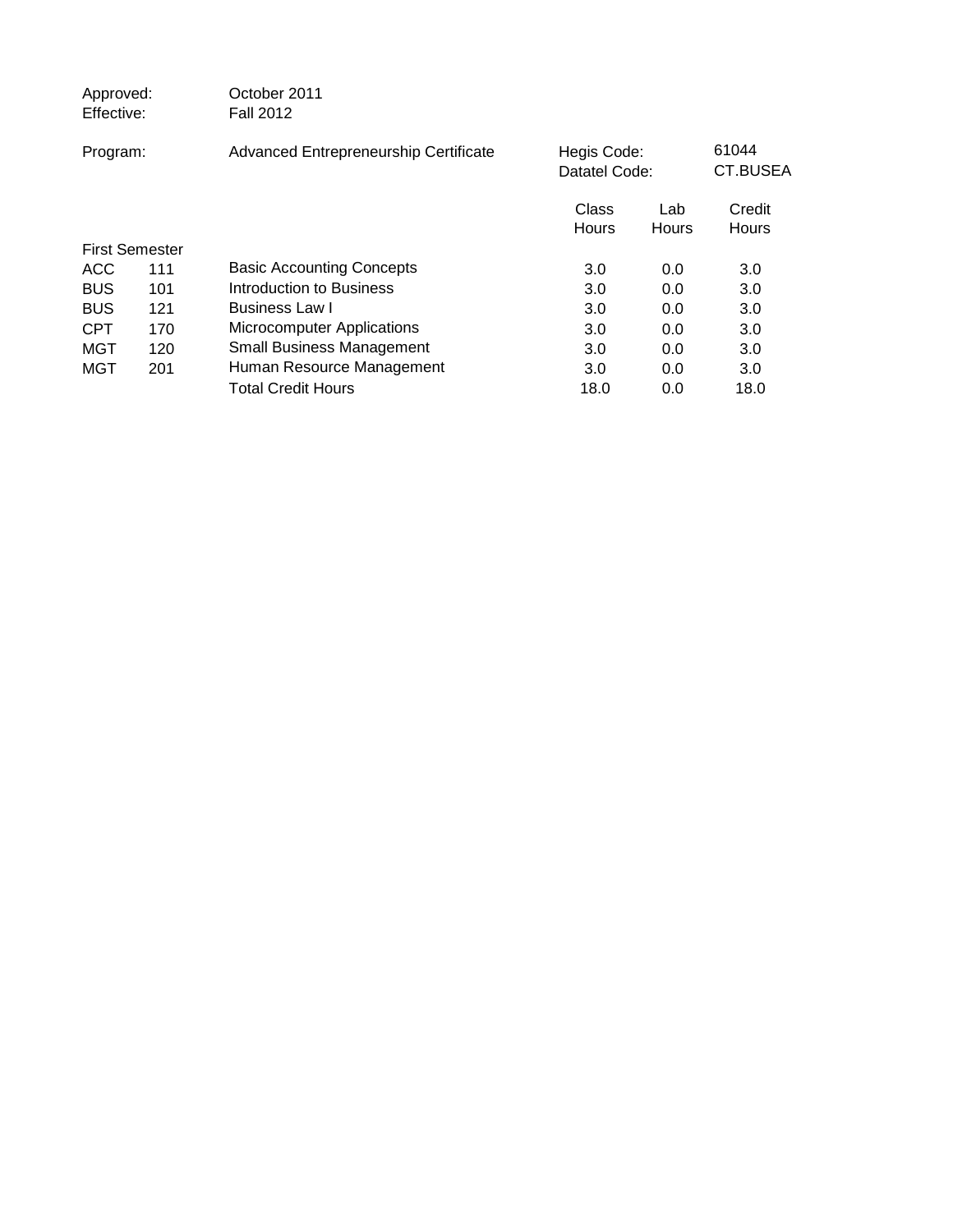| Approved:<br>Effective: |                       | October 2011<br><b>Fall 2012</b>      |                |                              |                 |
|-------------------------|-----------------------|---------------------------------------|----------------|------------------------------|-----------------|
| Program:                |                       | Advanced Entrepreneurship Certificate |                | Hegis Code:<br>Datatel Code: |                 |
|                         |                       |                                       | Class<br>Hours | Lab<br>Hours                 | Credit<br>Hours |
|                         | <b>First Semester</b> |                                       |                |                              |                 |
| <b>ACC</b>              | 111                   | <b>Basic Accounting Concepts</b>      | 3.0            | 0.0                          | 3.0             |
| <b>BUS</b>              | 101                   | Introduction to Business              | 3.0            | 0.0                          | 3.0             |
| <b>BUS</b>              | 121                   | <b>Business Law I</b>                 | 3.0            | 0.0                          | 3.0             |
| <b>CPT</b>              | 170                   | <b>Microcomputer Applications</b>     | 3.0            | 0.0                          | 3.0             |
| <b>MGT</b>              | 120                   | <b>Small Business Management</b>      | 3.0            | 0.0                          | 3.0             |
| MGT                     | 201                   | Human Resource Management             | 3.0            | 0.0                          | 3.0             |
|                         |                       | <b>Total Credit Hours</b>             | 18.0           | 0.0                          | 18.0            |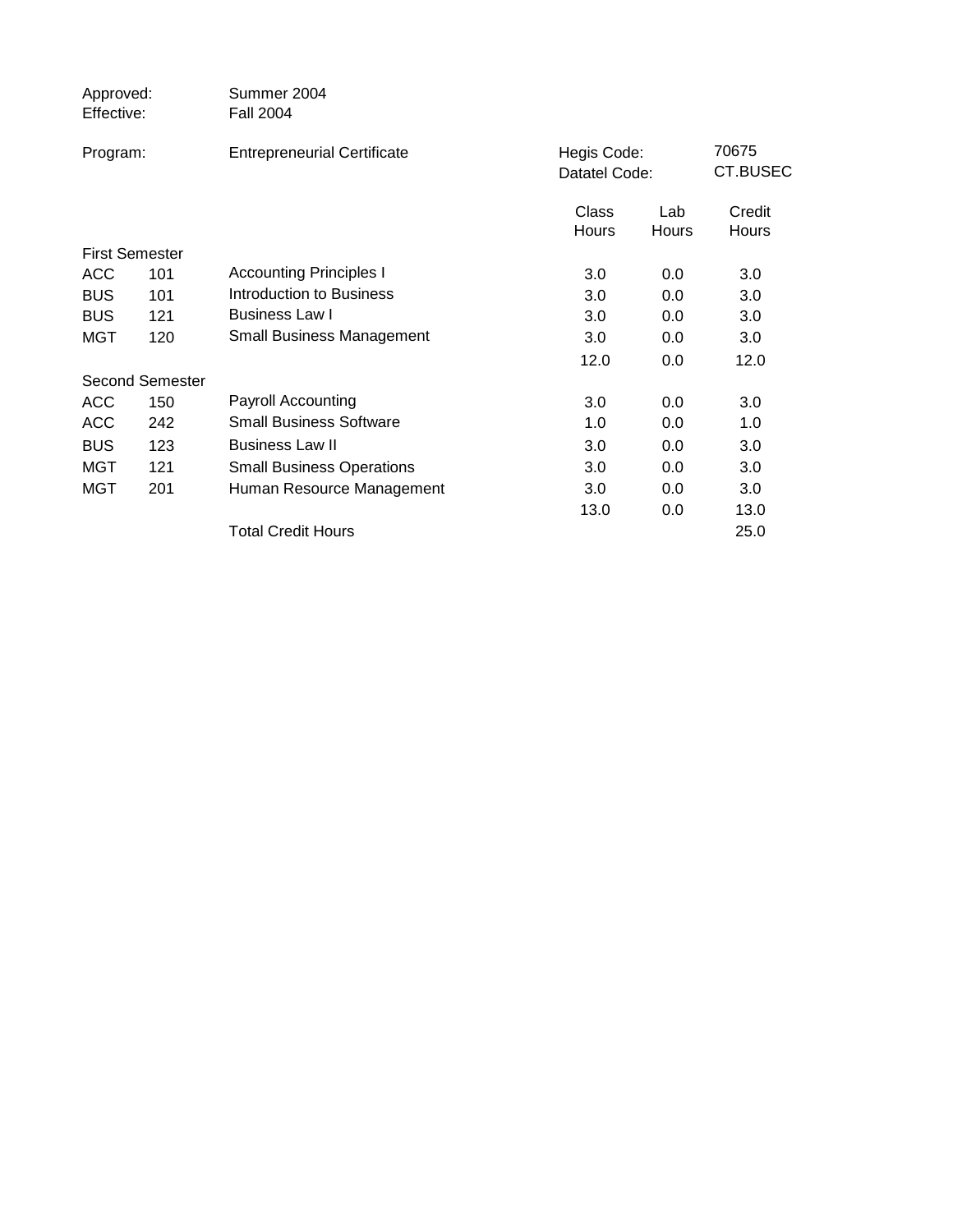| Approved:<br>Effective: |                        | Summer 2004<br><b>Fall 2004</b>    |                              |              |                   |
|-------------------------|------------------------|------------------------------------|------------------------------|--------------|-------------------|
| Program:                |                        | <b>Entrepreneurial Certificate</b> | Hegis Code:<br>Datatel Code: |              | 70675<br>CT.BUSEC |
|                         |                        |                                    | Class<br><b>Hours</b>        | Lab<br>Hours | Credit<br>Hours   |
|                         | <b>First Semester</b>  |                                    |                              |              |                   |
| <b>ACC</b>              | 101                    | <b>Accounting Principles I</b>     | 3.0                          | 0.0          | 3.0               |
| <b>BUS</b>              | 101                    | <b>Introduction to Business</b>    | 3.0                          | 0.0          | 3.0               |
| <b>BUS</b>              | 121                    | <b>Business Law I</b>              | 3.0                          | 0.0          | 3.0               |
| MGT                     | 120                    | <b>Small Business Management</b>   | 3.0                          | 0.0          | 3.0               |
|                         |                        |                                    | 12.0                         | 0.0          | 12.0              |
|                         | <b>Second Semester</b> |                                    |                              |              |                   |
| <b>ACC</b>              | 150                    | <b>Payroll Accounting</b>          | 3.0                          | 0.0          | 3.0               |
| <b>ACC</b>              | 242                    | <b>Small Business Software</b>     | 1.0                          | 0.0          | 1.0               |
| <b>BUS</b>              | 123                    | <b>Business Law II</b>             | 3.0                          | 0.0          | 3.0               |
| MGT                     | 121                    | <b>Small Business Operations</b>   | 3.0                          | 0.0          | 3.0               |
| MGT                     | 201                    | Human Resource Management          | 3.0                          | 0.0          | 3.0               |
|                         |                        |                                    | 13.0                         | 0.0          | 13.0              |
|                         |                        | <b>Total Credit Hours</b>          |                              |              | 25.0              |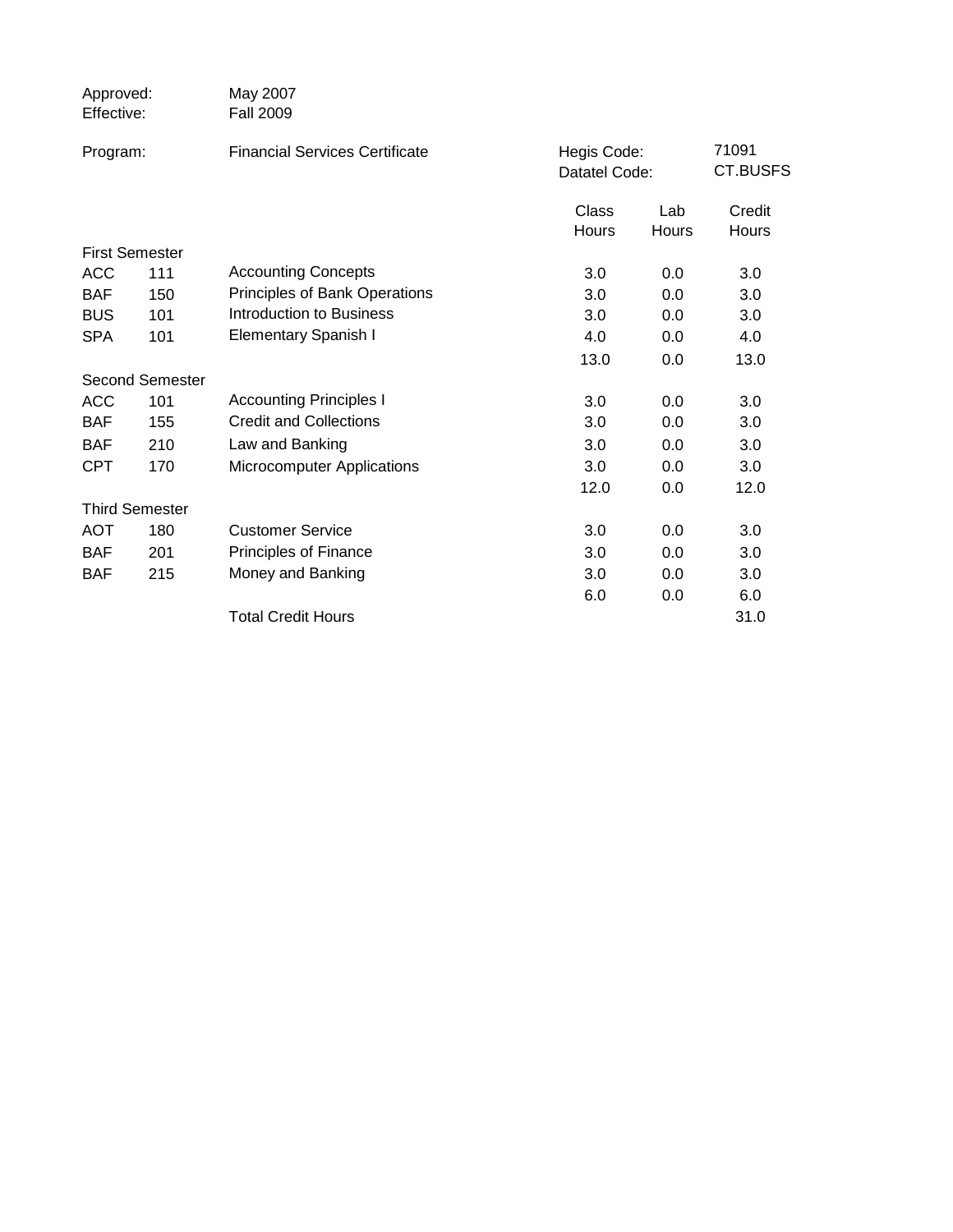| Approved:<br>Effective: |                       | May 2007<br><b>Fall 2009</b>          |                |                              |                 |
|-------------------------|-----------------------|---------------------------------------|----------------|------------------------------|-----------------|
| Program:                |                       | <b>Financial Services Certificate</b> |                | Hegis Code:<br>Datatel Code: |                 |
|                         |                       |                                       | Class<br>Hours | Lab<br>Hours                 | Credit<br>Hours |
|                         | <b>First Semester</b> |                                       |                |                              |                 |
| <b>ACC</b>              | 111                   | <b>Accounting Concepts</b>            | 3.0            | 0.0                          | 3.0             |
| <b>BAF</b>              | 150                   | Principles of Bank Operations         | 3.0            | 0.0                          | 3.0             |
| <b>BUS</b>              | 101                   | Introduction to Business              | 3.0            | 0.0                          | 3.0             |
| <b>SPA</b>              | 101                   | <b>Elementary Spanish I</b>           | 4.0            | 0.0                          | 4.0             |
|                         |                       |                                       | 13.0           | 0.0                          | 13.0            |
|                         | Second Semester       |                                       |                |                              |                 |
| <b>ACC</b>              | 101                   | <b>Accounting Principles I</b>        | 3.0            | 0.0                          | 3.0             |
| <b>BAF</b>              | 155                   | <b>Credit and Collections</b>         | 3.0            | 0.0                          | 3.0             |
| <b>BAF</b>              | 210                   | Law and Banking                       | 3.0            | 0.0                          | 3.0             |
| <b>CPT</b>              | 170                   | <b>Microcomputer Applications</b>     | 3.0            | 0.0                          | 3.0             |
|                         |                       |                                       | 12.0           | 0.0                          | 12.0            |
|                         | <b>Third Semester</b> |                                       |                |                              |                 |
| <b>AOT</b>              | 180                   | <b>Customer Service</b>               | 3.0            | 0.0                          | 3.0             |
| <b>BAF</b>              | 201                   | Principles of Finance                 | 3.0            | 0.0                          | 3.0             |
| <b>BAF</b>              | 215                   | Money and Banking                     | 3.0            | 0.0                          | 3.0             |
|                         |                       |                                       | 6.0            | 0.0                          | 6.0             |
|                         |                       | <b>Total Credit Hours</b>             |                |                              | 31.0            |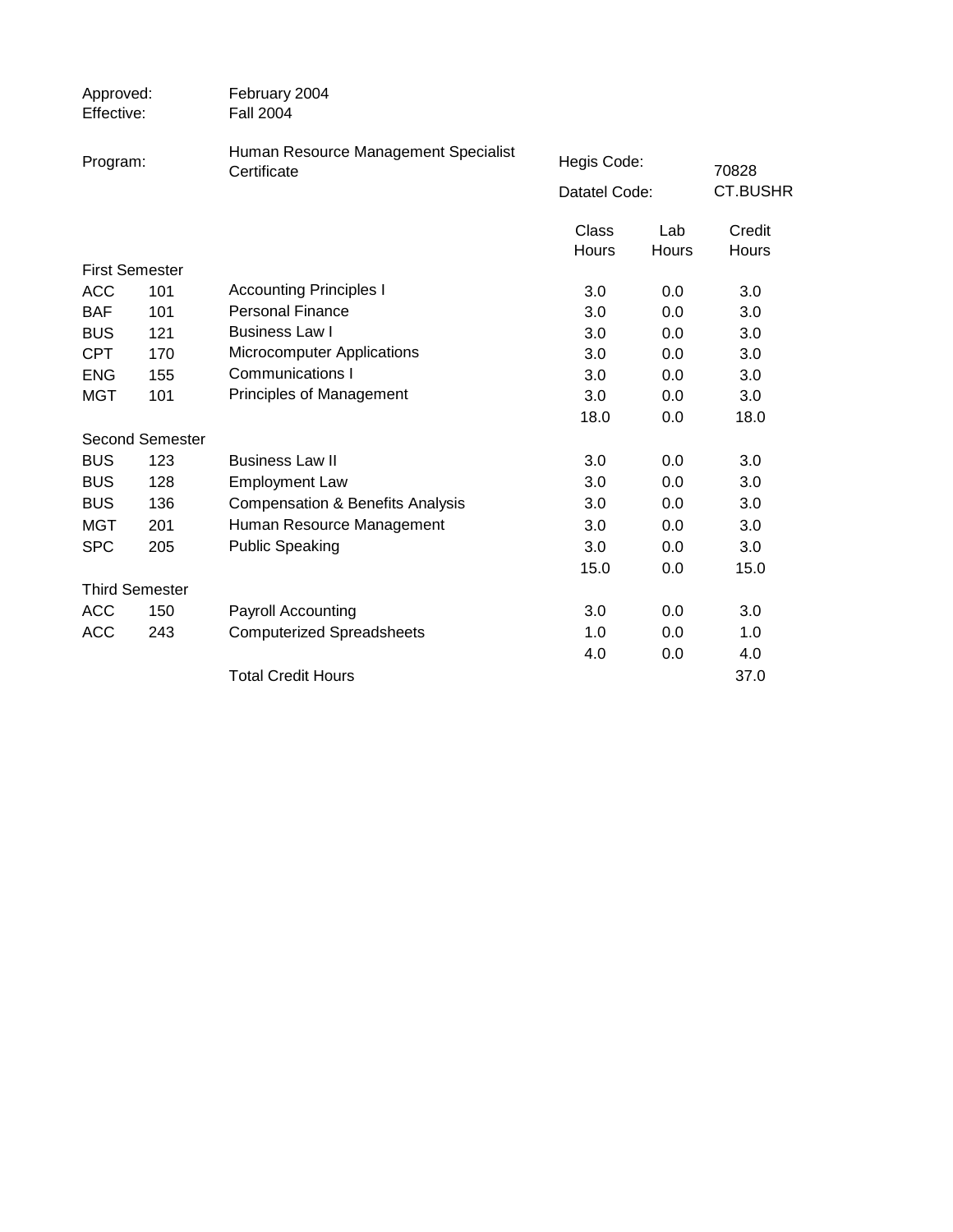| Approved:<br>Effective: | February 2004<br><b>Fall 2004</b>                   |                                                                                        |       |                              |  |
|-------------------------|-----------------------------------------------------|----------------------------------------------------------------------------------------|-------|------------------------------|--|
| Program:                | Human Resource Management Specialist<br>Certificate |                                                                                        |       | 70828                        |  |
|                         |                                                     |                                                                                        |       | <b>CT.BUSHR</b>              |  |
|                         |                                                     | Class                                                                                  | Lab   | Credit                       |  |
|                         |                                                     | <b>Hours</b>                                                                           | Hours | Hours                        |  |
| <b>First Semester</b>   |                                                     |                                                                                        |       |                              |  |
| 101                     |                                                     | 3.0                                                                                    | 0.0   | 3.0                          |  |
| 101                     | <b>Personal Finance</b>                             | 3.0                                                                                    | 0.0   | 3.0                          |  |
| 121                     | <b>Business Law I</b>                               | 3.0                                                                                    | 0.0   | 3.0                          |  |
| 170                     | <b>Microcomputer Applications</b>                   | 3.0                                                                                    | 0.0   | 3.0                          |  |
| 155                     |                                                     | 3.0                                                                                    | 0.0   | 3.0                          |  |
| 101                     | Principles of Management                            | 3.0                                                                                    | 0.0   | 3.0                          |  |
|                         |                                                     | 18.0                                                                                   | 0.0   | 18.0                         |  |
| <b>Second Semester</b>  |                                                     |                                                                                        |       |                              |  |
| 123                     | <b>Business Law II</b>                              | 3.0                                                                                    | 0.0   | 3.0                          |  |
| 128                     | <b>Employment Law</b>                               | 3.0                                                                                    | 0.0   | 3.0                          |  |
| 136                     | <b>Compensation &amp; Benefits Analysis</b>         | 3.0                                                                                    | 0.0   | 3.0                          |  |
| 201                     | Human Resource Management                           | 3.0                                                                                    | 0.0   | 3.0                          |  |
| 205                     | <b>Public Speaking</b>                              | 3.0                                                                                    | 0.0   | 3.0                          |  |
|                         |                                                     | 15.0                                                                                   | 0.0   | 15.0                         |  |
| <b>Third Semester</b>   |                                                     |                                                                                        |       |                              |  |
| 150                     | Payroll Accounting                                  | 3.0                                                                                    | 0.0   | 3.0                          |  |
| 243                     |                                                     | 1.0                                                                                    | 0.0   | 1.0                          |  |
|                         |                                                     | 4.0                                                                                    | 0.0   | 4.0                          |  |
|                         | <b>Total Credit Hours</b>                           |                                                                                        |       | 37.0                         |  |
|                         |                                                     | <b>Accounting Principles I</b><br>Communications I<br><b>Computerized Spreadsheets</b> |       | Hegis Code:<br>Datatel Code: |  |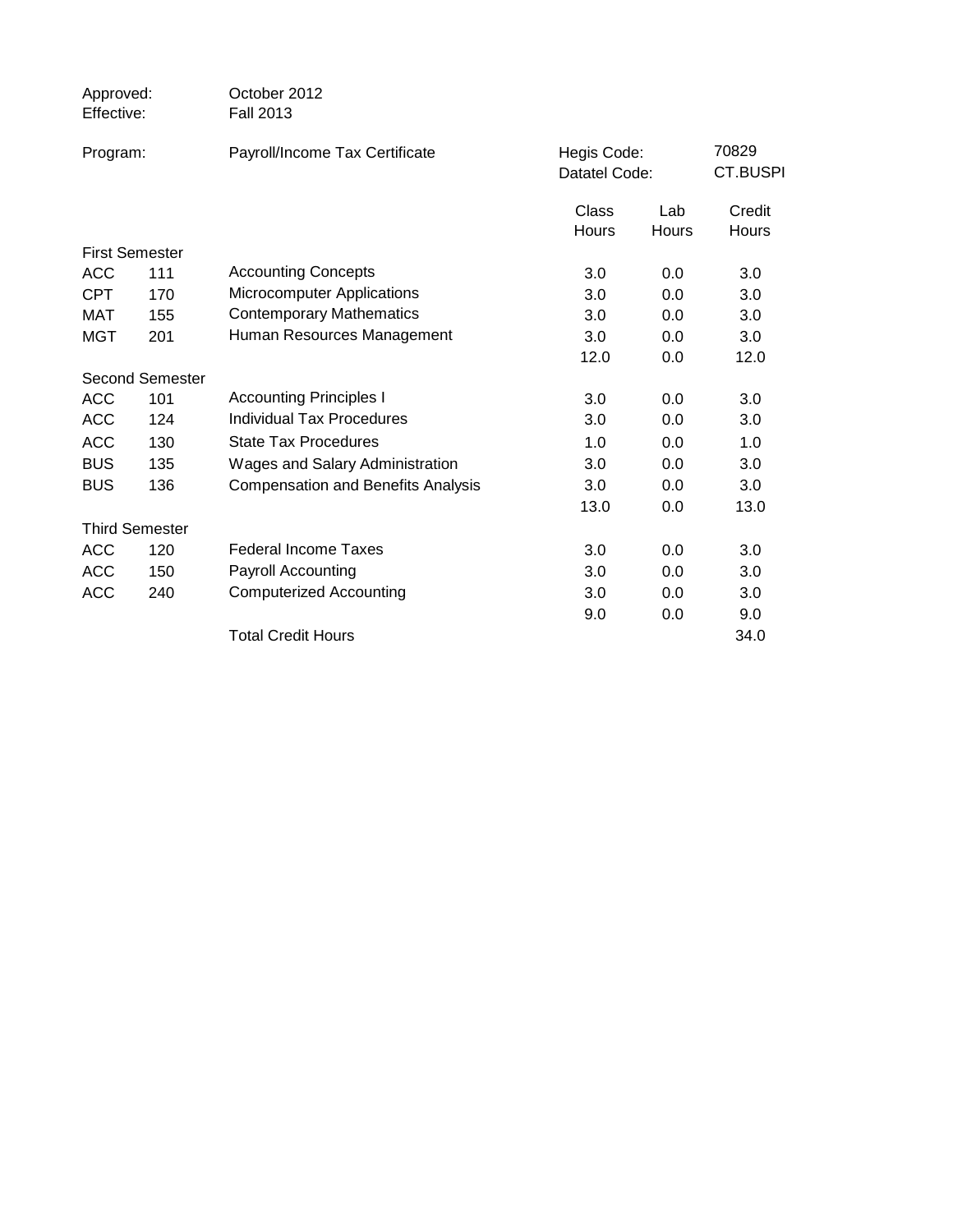| Approved:<br>Effective: |                        | October 2012<br><b>Fall 2013</b>          |                |                              |                 |
|-------------------------|------------------------|-------------------------------------------|----------------|------------------------------|-----------------|
| Program:                |                        | Payroll/Income Tax Certificate            |                | Hegis Code:<br>Datatel Code: |                 |
|                         |                        |                                           | Class<br>Hours | Lab<br>Hours                 | Credit<br>Hours |
|                         | <b>First Semester</b>  |                                           |                |                              |                 |
| <b>ACC</b>              | 111                    | <b>Accounting Concepts</b>                | 3.0            | 0.0                          | 3.0             |
| <b>CPT</b>              | 170                    | <b>Microcomputer Applications</b>         | 3.0            | 0.0                          | 3.0             |
| MAT                     | 155                    | <b>Contemporary Mathematics</b>           | 3.0            | 0.0                          | 3.0             |
| <b>MGT</b>              | 201                    | Human Resources Management                | 3.0            | 0.0                          | 3.0             |
|                         |                        |                                           | 12.0           | 0.0                          | 12.0            |
|                         | <b>Second Semester</b> |                                           |                |                              |                 |
| <b>ACC</b>              | 101                    | <b>Accounting Principles I</b>            | 3.0            | 0.0                          | 3.0             |
| <b>ACC</b>              | 124                    | <b>Individual Tax Procedures</b>          | 3.0            | 0.0                          | 3.0             |
| <b>ACC</b>              | 130                    | <b>State Tax Procedures</b>               | 1.0            | 0.0                          | 1.0             |
| <b>BUS</b>              | 135                    | Wages and Salary Administration           | 3.0            | 0.0                          | 3.0             |
| <b>BUS</b>              | 136                    | <b>Compensation and Benefits Analysis</b> | 3.0            | 0.0                          | 3.0             |
|                         |                        |                                           | 13.0           | 0.0                          | 13.0            |
|                         | <b>Third Semester</b>  |                                           |                |                              |                 |
| <b>ACC</b>              | 120                    | <b>Federal Income Taxes</b>               | 3.0            | 0.0                          | 3.0             |
| <b>ACC</b>              | 150                    | Payroll Accounting                        | 3.0            | 0.0                          | 3.0             |
| <b>ACC</b>              | 240                    | <b>Computerized Accounting</b>            | 3.0            | 0.0                          | 3.0             |
|                         |                        |                                           | 9.0            | 0.0                          | 9.0             |
|                         |                        | <b>Total Credit Hours</b>                 |                |                              | 34.0            |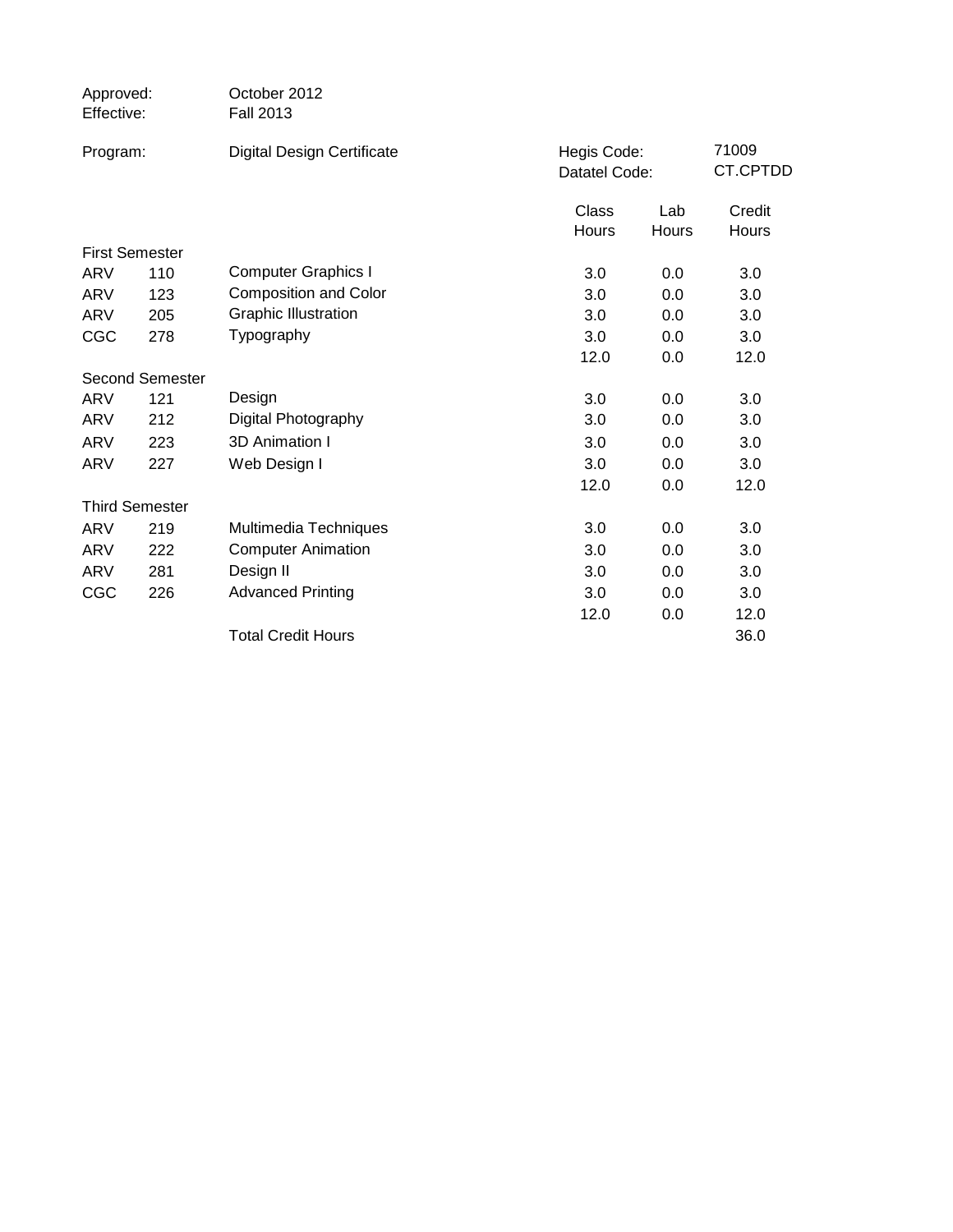| Approved:<br>Effective: |                        | October 2012<br><b>Fall 2013</b>  |                              |              |                   |
|-------------------------|------------------------|-----------------------------------|------------------------------|--------------|-------------------|
| Program:                |                        | <b>Digital Design Certificate</b> | Hegis Code:<br>Datatel Code: |              | 71009<br>CT.CPTDD |
|                         |                        |                                   | <b>Class</b><br>Hours        | Lab<br>Hours | Credit<br>Hours   |
|                         | <b>First Semester</b>  |                                   |                              |              |                   |
| ARV                     | 110                    | <b>Computer Graphics I</b>        | 3.0                          | 0.0          | 3.0               |
| ARV                     | 123                    | <b>Composition and Color</b>      | 3.0                          | 0.0          | 3.0               |
| ARV                     | 205                    | <b>Graphic Illustration</b>       | 3.0                          | 0.0          | 3.0               |
| CGC                     | 278                    | Typography                        | 3.0                          | 0.0          | 3.0               |
|                         |                        |                                   | 12.0                         | 0.0          | 12.0              |
|                         | <b>Second Semester</b> |                                   |                              |              |                   |
| <b>ARV</b>              | 121                    | Design                            | 3.0                          | 0.0          | 3.0               |
| ARV                     | 212                    | Digital Photography               | 3.0                          | 0.0          | 3.0               |
| ARV                     | 223                    | 3D Animation I                    | 3.0                          | 0.0          | 3.0               |
| ARV                     | 227                    | Web Design I                      | 3.0                          | 0.0          | 3.0               |
|                         |                        |                                   | 12.0                         | 0.0          | 12.0              |
|                         | <b>Third Semester</b>  |                                   |                              |              |                   |
| ARV                     | 219                    | Multimedia Techniques             | 3.0                          | 0.0          | 3.0               |
| ARV                     | 222                    | <b>Computer Animation</b>         | 3.0                          | 0.0          | 3.0               |
| <b>ARV</b>              | 281                    | Design II                         | 3.0                          | 0.0          | 3.0               |
| CGC                     | 226                    | <b>Advanced Printing</b>          | 3.0                          | 0.0          | 3.0               |
|                         |                        |                                   | 12.0                         | 0.0          | 12.0              |
|                         |                        | <b>Total Credit Hours</b>         |                              |              | 36.0              |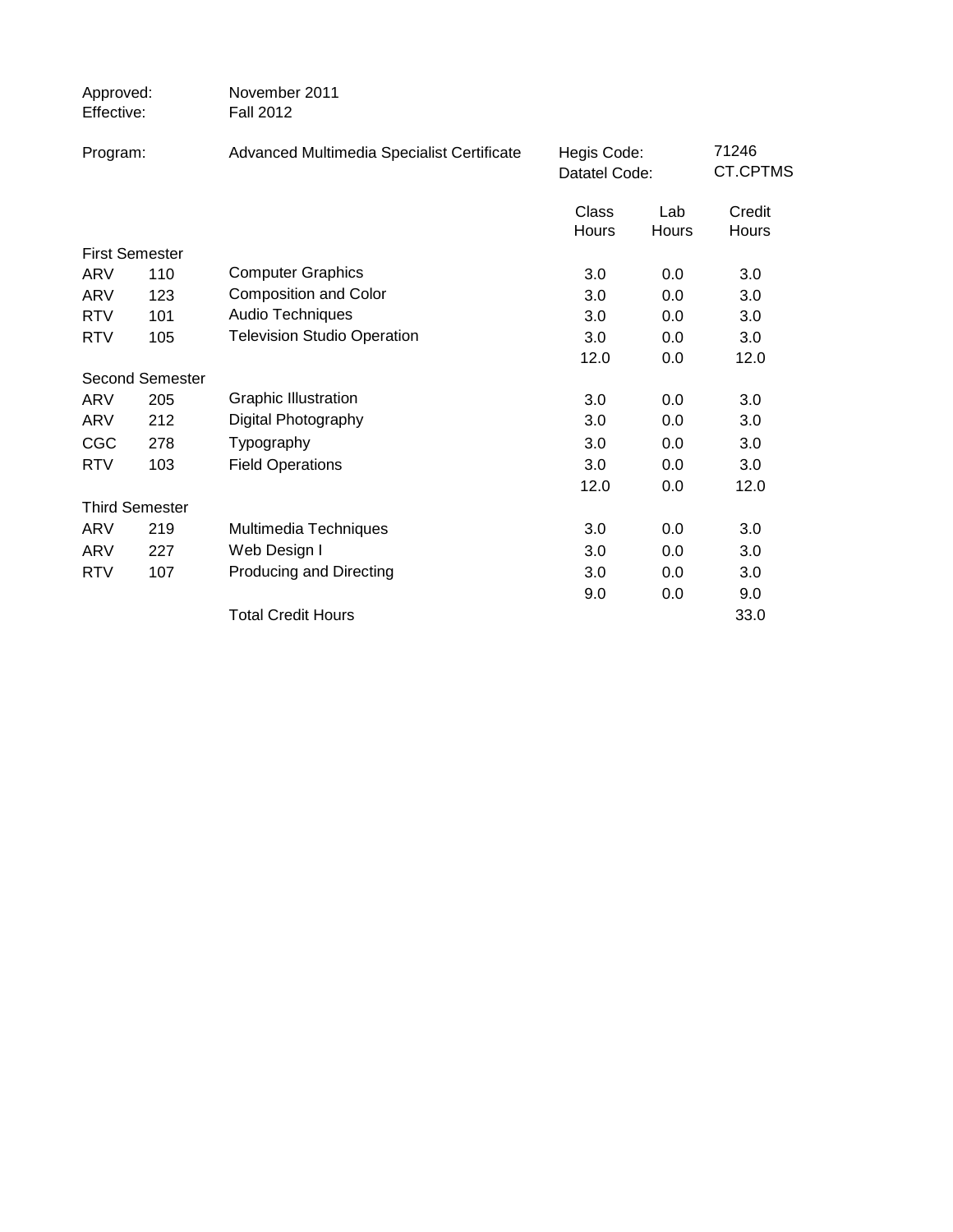| Approved:<br>Effective: |                        | November 2011<br><b>Fall 2012</b>          |                              |              |                   |
|-------------------------|------------------------|--------------------------------------------|------------------------------|--------------|-------------------|
| Program:                |                        | Advanced Multimedia Specialist Certificate | Hegis Code:<br>Datatel Code: |              | 71246<br>CT.CPTMS |
|                         |                        |                                            | Class<br>Hours               | Lab<br>Hours | Credit<br>Hours   |
|                         | <b>First Semester</b>  |                                            |                              |              |                   |
| <b>ARV</b>              | 110                    | <b>Computer Graphics</b>                   | 3.0                          | 0.0          | 3.0               |
| ARV                     | 123                    | <b>Composition and Color</b>               | 3.0                          | 0.0          | 3.0               |
| <b>RTV</b>              | 101                    | Audio Techniques                           | 3.0                          | 0.0          | 3.0               |
| <b>RTV</b>              | 105                    | <b>Television Studio Operation</b>         | 3.0                          | 0.0          | 3.0               |
|                         |                        |                                            | 12.0                         | 0.0          | 12.0              |
|                         | <b>Second Semester</b> |                                            |                              |              |                   |
| ARV                     | 205                    | <b>Graphic Illustration</b>                | 3.0                          | 0.0          | 3.0               |
| ARV                     | 212                    | Digital Photography                        | 3.0                          | 0.0          | 3.0               |
| <b>CGC</b>              | 278                    | Typography                                 | 3.0                          | 0.0          | 3.0               |
| <b>RTV</b>              | 103                    | <b>Field Operations</b>                    | 3.0                          | 0.0          | 3.0               |
|                         |                        |                                            | 12.0                         | 0.0          | 12.0              |
|                         | <b>Third Semester</b>  |                                            |                              |              |                   |
| ARV                     | 219                    | Multimedia Techniques                      | 3.0                          | 0.0          | 3.0               |
| ARV                     | 227                    | Web Design I                               | 3.0                          | 0.0          | 3.0               |
| <b>RTV</b>              | 107                    | Producing and Directing                    | 3.0                          | 0.0          | 3.0               |
|                         |                        |                                            | 9.0                          | 0.0          | 9.0               |
|                         |                        | <b>Total Credit Hours</b>                  |                              |              | 33.0              |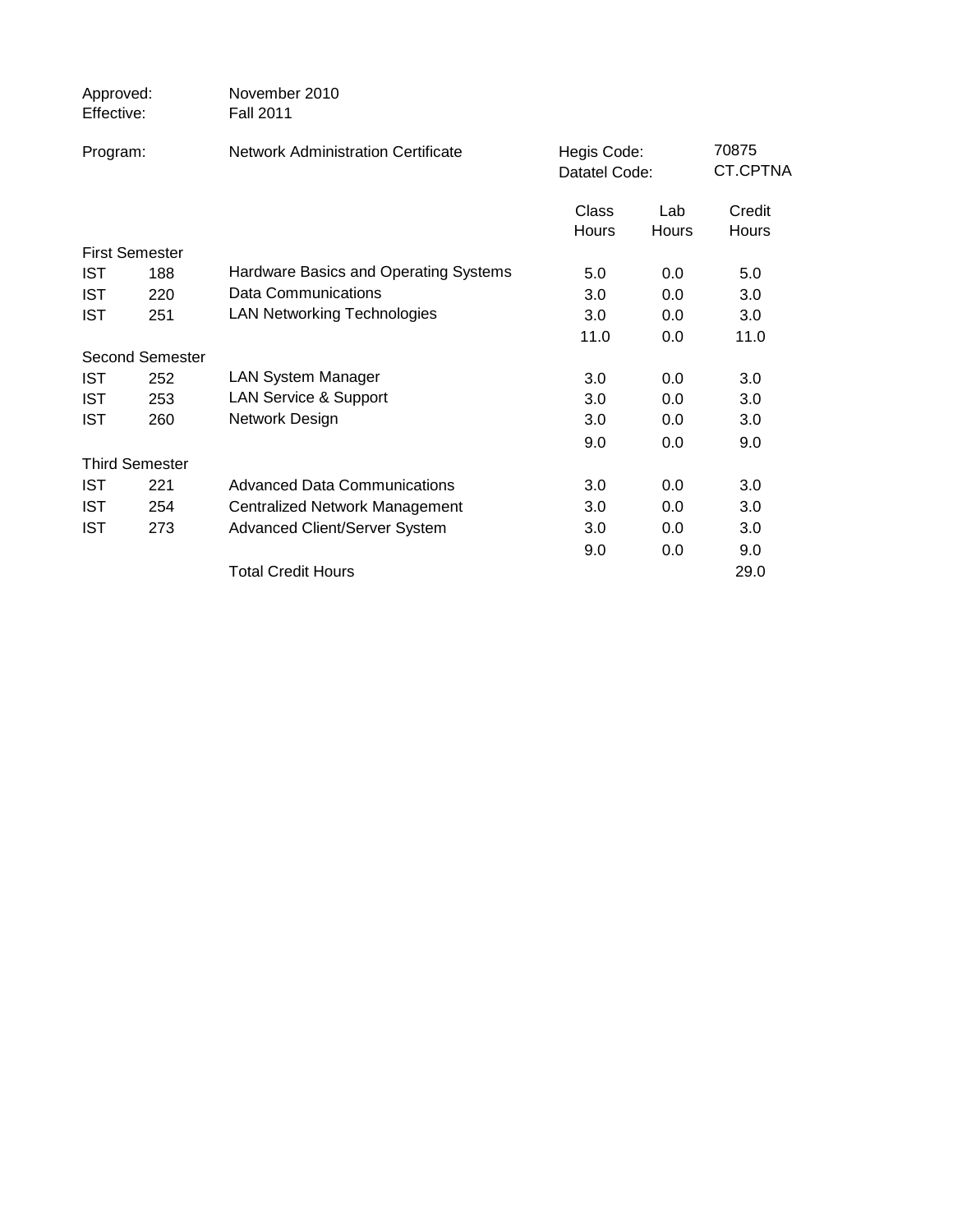| Approved:<br>Effective: | November 2010<br><b>Fall 2011</b>         |                              |                     |                   |
|-------------------------|-------------------------------------------|------------------------------|---------------------|-------------------|
| Program:                | <b>Network Administration Certificate</b> | Hegis Code:<br>Datatel Code: |                     | 70875<br>CT.CPTNA |
|                         |                                           | Class<br><b>Hours</b>        | Lab<br><b>Hours</b> | Credit<br>Hours   |
| <b>First Semester</b>   |                                           |                              |                     |                   |
| <b>IST</b><br>188       | Hardware Basics and Operating Systems     | 5.0                          | 0.0                 | 5.0               |
| <b>IST</b><br>220       | Data Communications                       | 3.0                          | 0.0                 | 3.0               |
| <b>IST</b><br>251       | <b>LAN Networking Technologies</b>        | 3.0                          | 0.0                 | 3.0               |
|                         |                                           | 11.0                         | 0.0                 | 11.0              |
| Second Semester         |                                           |                              |                     |                   |
| <b>IST</b><br>252       | <b>LAN System Manager</b>                 | 3.0                          | 0.0                 | 3.0               |
| <b>IST</b><br>253       | <b>LAN Service &amp; Support</b>          | 3.0                          | 0.0                 | 3.0               |
| <b>IST</b><br>260       | Network Design                            | 3.0                          | 0.0                 | 3.0               |
|                         |                                           | 9.0                          | 0.0                 | 9.0               |
| <b>Third Semester</b>   |                                           |                              |                     |                   |
| <b>IST</b><br>221       | <b>Advanced Data Communications</b>       | 3.0                          | 0.0                 | 3.0               |
| <b>IST</b><br>254       | <b>Centralized Network Management</b>     | 3.0                          | 0.0                 | 3.0               |
| <b>IST</b><br>273       | Advanced Client/Server System             | 3.0                          | 0.0                 | 3.0               |
|                         |                                           | 9.0                          | 0.0                 | 9.0               |
|                         | <b>Total Credit Hours</b>                 |                              |                     | 29.0              |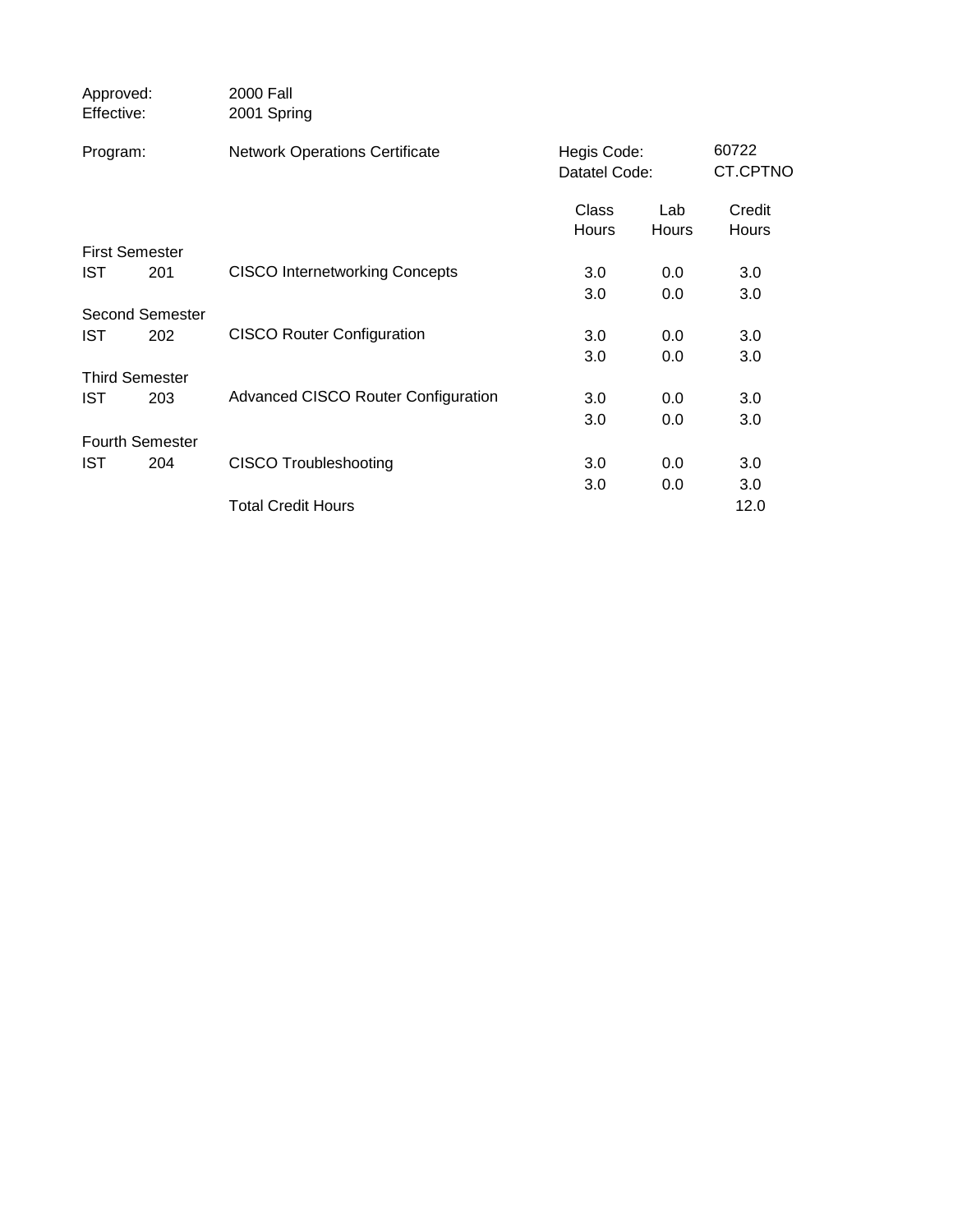| Approved:<br>Effective: |                        | 2000 Fall<br>2001 Spring              |                              |              |                        |
|-------------------------|------------------------|---------------------------------------|------------------------------|--------------|------------------------|
| Program:                |                        | <b>Network Operations Certificate</b> | Hegis Code:<br>Datatel Code: |              | 60722<br>CT.CPTNO      |
|                         |                        |                                       | Class<br>Hours               | Lab<br>Hours | Credit<br><b>Hours</b> |
|                         | <b>First Semester</b>  |                                       |                              |              |                        |
| <b>IST</b>              | 201                    | <b>CISCO Internetworking Concepts</b> | 3.0                          | 0.0          | 3.0                    |
|                         |                        |                                       | 3.0                          | 0.0          | 3.0                    |
|                         | Second Semester        |                                       |                              |              |                        |
| <b>IST</b>              | 202                    | <b>CISCO Router Configuration</b>     | 3.0                          | 0.0          | 3.0                    |
|                         |                        |                                       | 3.0                          | 0.0          | 3.0                    |
|                         | <b>Third Semester</b>  |                                       |                              |              |                        |
| <b>IST</b>              | 203                    | Advanced CISCO Router Configuration   | 3.0                          | 0.0          | 3.0                    |
|                         |                        |                                       | 3.0                          | 0.0          | 3.0                    |
|                         | <b>Fourth Semester</b> |                                       |                              |              |                        |
| <b>IST</b>              | 204                    | <b>CISCO Troubleshooting</b>          | 3.0                          | 0.0          | 3.0                    |
|                         |                        |                                       | 3.0                          | 0.0          | 3.0                    |
|                         |                        | <b>Total Credit Hours</b>             |                              |              | 12.0                   |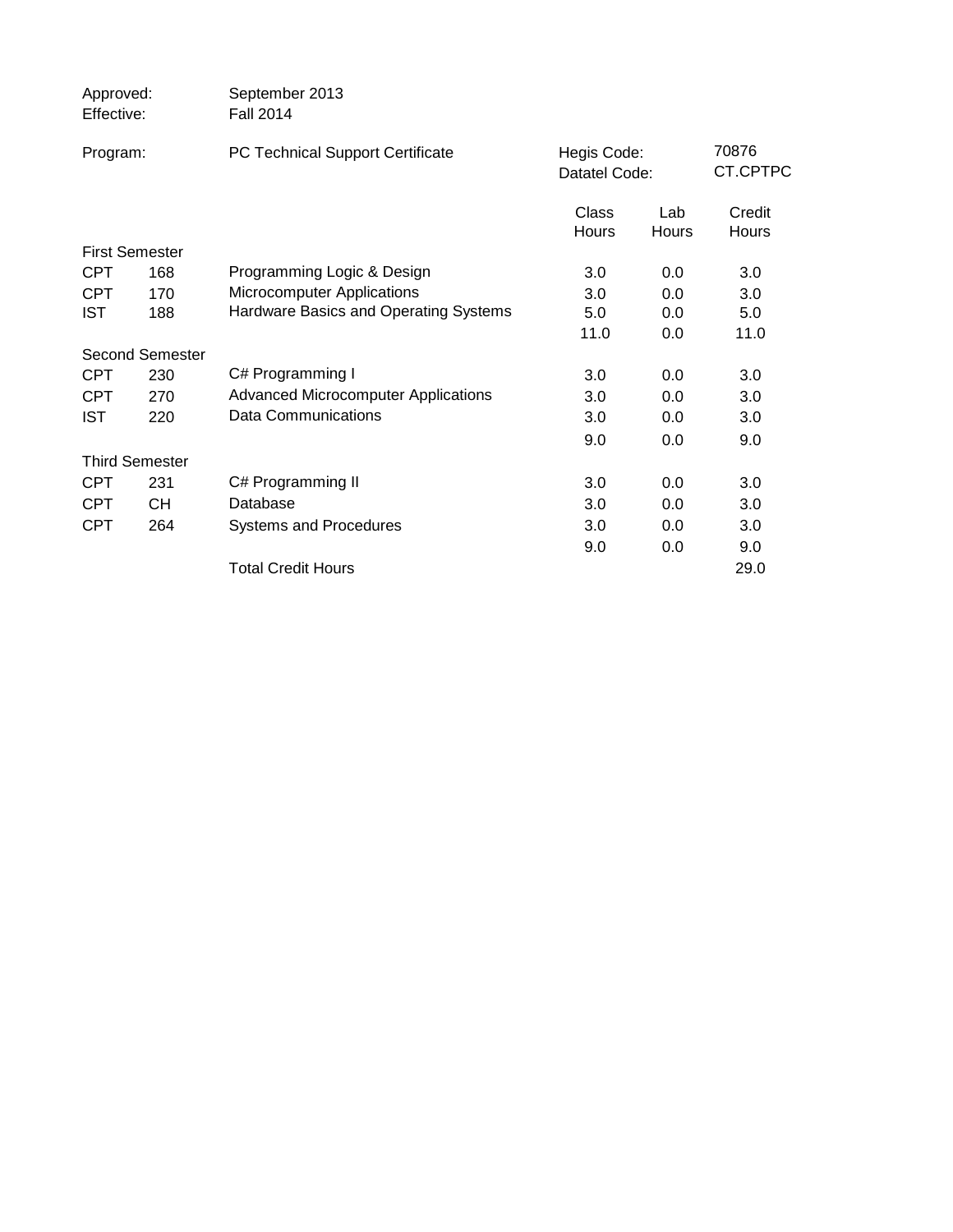| Approved:<br>Effective: |                        | September 2013<br><b>Fall 2014</b>         |                              |              |                   |
|-------------------------|------------------------|--------------------------------------------|------------------------------|--------------|-------------------|
| Program:                |                        | PC Technical Support Certificate           | Hegis Code:<br>Datatel Code: |              | 70876<br>CT.CPTPC |
|                         |                        |                                            | Class<br>Hours               | Lab<br>Hours | Credit<br>Hours   |
|                         | <b>First Semester</b>  |                                            |                              |              |                   |
| <b>CPT</b>              | 168                    | Programming Logic & Design                 | 3.0                          | 0.0          | 3.0               |
| <b>CPT</b>              | 170                    | Microcomputer Applications                 | 3.0                          | 0.0          | 3.0               |
| <b>IST</b>              | 188                    | Hardware Basics and Operating Systems      | 5.0                          | 0.0          | 5.0               |
|                         |                        |                                            | 11.0                         | 0.0          | 11.0              |
|                         | <b>Second Semester</b> |                                            |                              |              |                   |
| <b>CPT</b>              | 230                    | C# Programming I                           | 3.0                          | 0.0          | 3.0               |
| <b>CPT</b>              | 270                    | <b>Advanced Microcomputer Applications</b> | 3.0                          | 0.0          | 3.0               |
| <b>IST</b>              | 220                    | <b>Data Communications</b>                 | 3.0                          | 0.0          | 3.0               |
|                         |                        |                                            | 9.0                          | $0.0\,$      | 9.0               |
|                         | <b>Third Semester</b>  |                                            |                              |              |                   |
| <b>CPT</b>              | 231                    | C# Programming II                          | 3.0                          | 0.0          | 3.0               |
| <b>CPT</b>              | <b>CH</b>              | Database                                   | 3.0                          | 0.0          | 3.0               |
| <b>CPT</b>              | 264                    | <b>Systems and Procedures</b>              | 3.0                          | 0.0          | 3.0               |
|                         |                        |                                            | 9.0                          | 0.0          | 9.0               |
|                         |                        | <b>Total Credit Hours</b>                  |                              |              | 29.0              |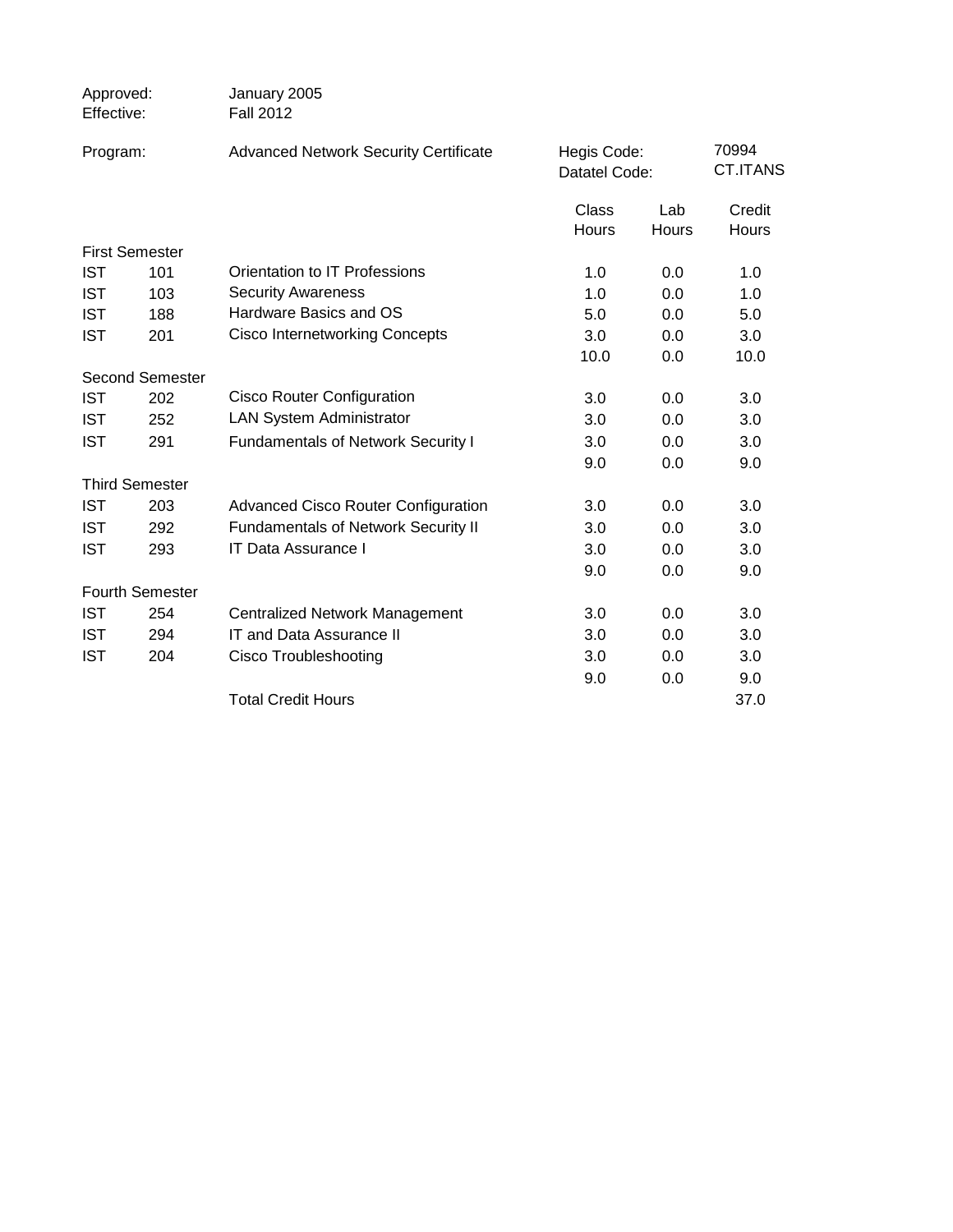| Approved:<br>Effective: |                        | January 2005<br><b>Fall 2012</b>             |                              |              |                          |
|-------------------------|------------------------|----------------------------------------------|------------------------------|--------------|--------------------------|
| Program:                |                        | <b>Advanced Network Security Certificate</b> | Hegis Code:<br>Datatel Code: |              | 70994<br><b>CT.ITANS</b> |
|                         |                        |                                              | <b>Class</b><br>Hours        | Lab<br>Hours | Credit<br>Hours          |
|                         | <b>First Semester</b>  |                                              |                              |              |                          |
| <b>IST</b>              | 101                    | Orientation to IT Professions                | 1.0                          | 0.0          | 1.0                      |
| <b>IST</b>              | 103                    | <b>Security Awareness</b>                    | 1.0                          | 0.0          | 1.0                      |
| <b>IST</b>              | 188                    | Hardware Basics and OS                       | 5.0                          | 0.0          | 5.0                      |
| <b>IST</b>              | 201                    | <b>Cisco Internetworking Concepts</b>        | 3.0                          | 0.0          | 3.0                      |
|                         |                        |                                              | 10.0                         | 0.0          | 10.0                     |
|                         | <b>Second Semester</b> |                                              |                              |              |                          |
| <b>IST</b>              | 202                    | <b>Cisco Router Configuration</b>            | 3.0                          | 0.0          | 3.0                      |
| <b>IST</b>              | 252                    | <b>LAN System Administrator</b>              | 3.0                          | 0.0          | 3.0                      |
| <b>IST</b>              | 291                    | <b>Fundamentals of Network Security I</b>    | 3.0                          | 0.0          | 3.0                      |
|                         |                        |                                              | 9.0                          | 0.0          | 9.0                      |
|                         | <b>Third Semester</b>  |                                              |                              |              |                          |
| <b>IST</b>              | 203                    | <b>Advanced Cisco Router Configuration</b>   | 3.0                          | 0.0          | 3.0                      |
| <b>IST</b>              | 292                    | <b>Fundamentals of Network Security II</b>   | 3.0                          | 0.0          | 3.0                      |
| <b>IST</b>              | 293                    | IT Data Assurance I                          | 3.0                          | 0.0          | 3.0                      |
|                         |                        |                                              | 9.0                          | 0.0          | 9.0                      |
|                         | Fourth Semester        |                                              |                              |              |                          |
| <b>IST</b>              | 254                    | <b>Centralized Network Management</b>        | 3.0                          | 0.0          | 3.0                      |
| <b>IST</b>              | 294                    | <b>IT and Data Assurance II</b>              | 3.0                          | 0.0          | 3.0                      |
| <b>IST</b>              | 204                    | <b>Cisco Troubleshooting</b>                 | 3.0                          | 0.0          | 3.0                      |
|                         |                        |                                              | 9.0                          | 0.0          | 9.0                      |
|                         |                        | <b>Total Credit Hours</b>                    |                              |              | 37.0                     |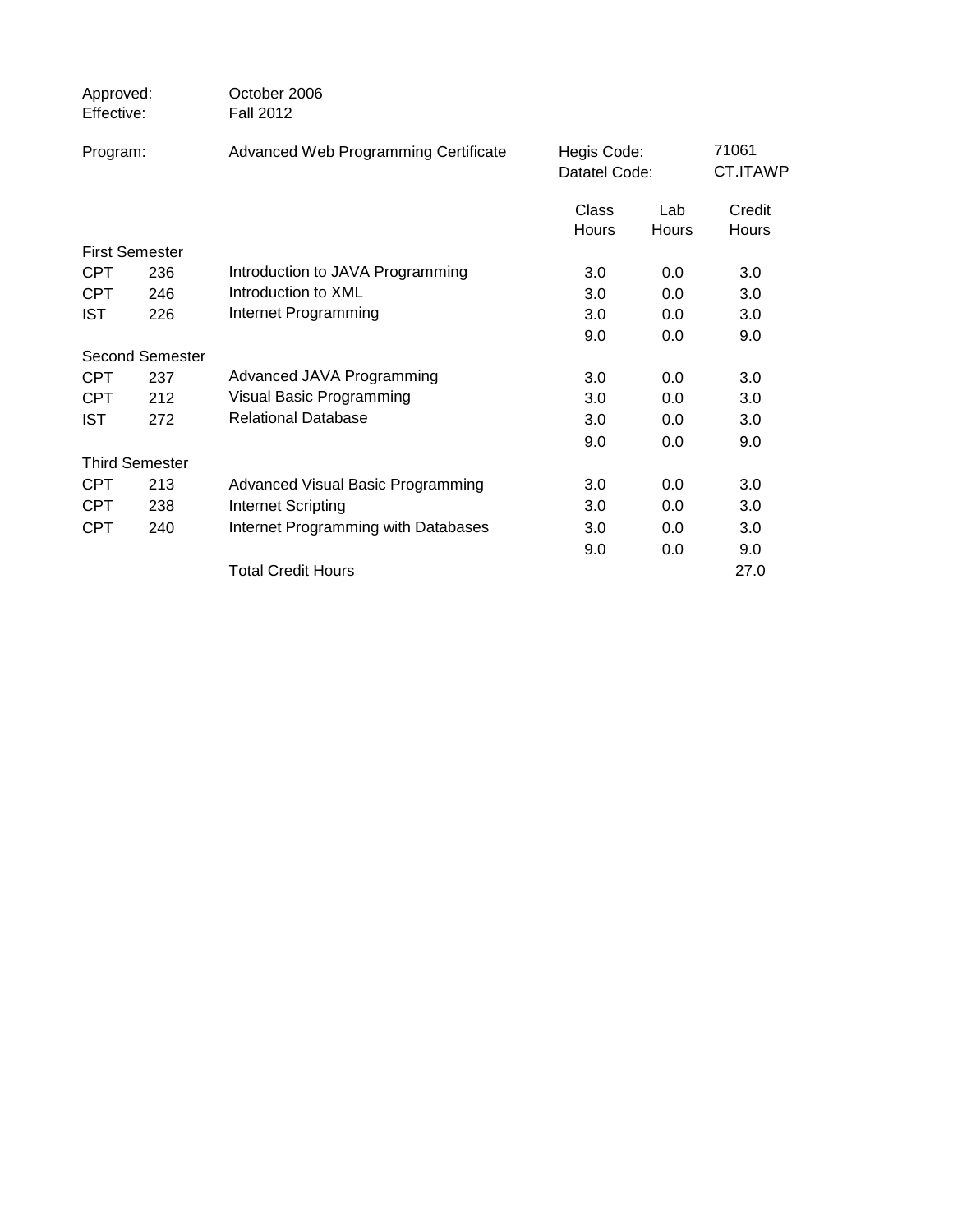|     | October 2006<br><b>Fall 2012</b>                                                                         |                              |                     |                        |
|-----|----------------------------------------------------------------------------------------------------------|------------------------------|---------------------|------------------------|
|     | Advanced Web Programming Certificate                                                                     | Hegis Code:<br>Datatel Code: |                     | 71061<br>CT.ITAWP      |
|     |                                                                                                          | Class<br><b>Hours</b>        | Lab<br><b>Hours</b> | Credit<br><b>Hours</b> |
|     |                                                                                                          |                              |                     |                        |
| 236 | Introduction to JAVA Programming                                                                         | 3.0                          | 0.0                 | 3.0                    |
| 246 | Introduction to XML                                                                                      | 3.0                          | 0.0                 | 3.0                    |
| 226 | Internet Programming                                                                                     | 3.0                          | 0.0                 | 3.0                    |
|     |                                                                                                          | 9.0                          | 0.0                 | 9.0                    |
|     |                                                                                                          |                              |                     |                        |
| 237 | Advanced JAVA Programming                                                                                | 3.0                          | 0.0                 | 3.0                    |
| 212 | Visual Basic Programming                                                                                 | 3.0                          | 0.0                 | 3.0                    |
| 272 | <b>Relational Database</b>                                                                               | 3.0                          | 0.0                 | 3.0                    |
|     |                                                                                                          | 9.0                          | 0.0                 | 9.0                    |
|     |                                                                                                          |                              |                     |                        |
| 213 | Advanced Visual Basic Programming                                                                        | 3.0                          | 0.0                 | 3.0                    |
| 238 | <b>Internet Scripting</b>                                                                                | 3.0                          | 0.0                 | 3.0                    |
| 240 | Internet Programming with Databases                                                                      | 3.0                          | 0.0                 | 3.0                    |
|     |                                                                                                          | 9.0                          | 0.0                 | 9.0                    |
|     | <b>Total Credit Hours</b>                                                                                |                              |                     | 27.0                   |
|     | Approved:<br>Effective:<br>Program:<br><b>First Semester</b><br>Second Semester<br><b>Third Semester</b> |                              |                     |                        |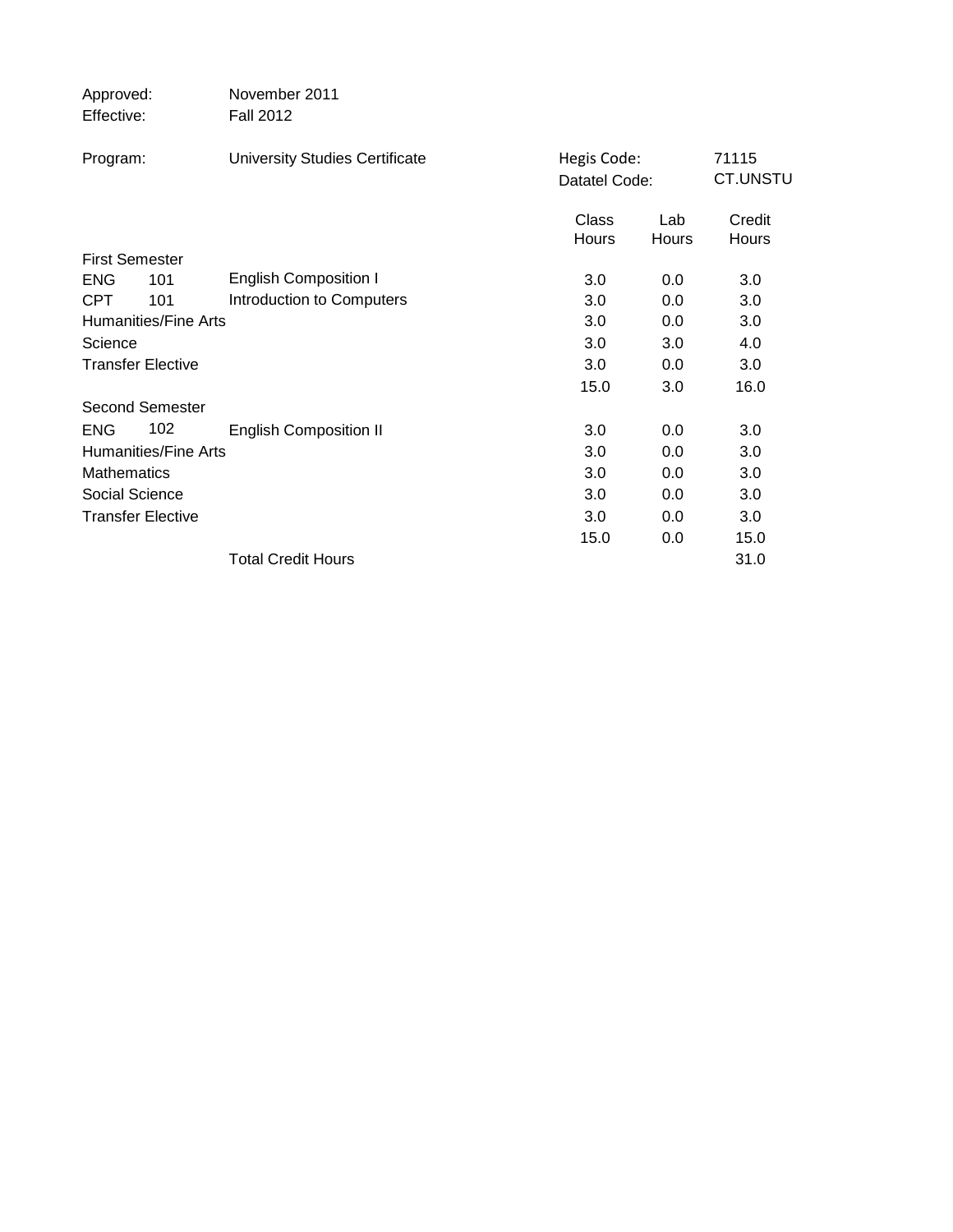| Approved:                   | November 2011                         |                              |              |                          |
|-----------------------------|---------------------------------------|------------------------------|--------------|--------------------------|
| Effective:                  | <b>Fall 2012</b>                      |                              |              |                          |
| Program:                    | <b>University Studies Certificate</b> | Hegis Code:<br>Datatel Code: |              | 71115<br><b>CT.UNSTU</b> |
|                             |                                       | Class<br>Hours               | Lab<br>Hours | Credit<br>Hours          |
| <b>First Semester</b>       |                                       |                              |              |                          |
| <b>ENG</b><br>101           | <b>English Composition I</b>          | 3.0                          | 0.0          | 3.0                      |
| <b>CPT</b><br>101           | Introduction to Computers             | 3.0                          | 0.0          | 3.0                      |
| <b>Humanities/Fine Arts</b> |                                       | 3.0                          | 0.0          | 3.0                      |
| Science                     |                                       | 3.0                          | 3.0          | 4.0                      |
| <b>Transfer Elective</b>    |                                       | 3.0                          | 0.0          | 3.0                      |
|                             |                                       | 15.0                         | 3.0          | 16.0                     |
| <b>Second Semester</b>      |                                       |                              |              |                          |
| 102<br><b>ENG</b>           | <b>English Composition II</b>         | 3.0                          | 0.0          | 3.0                      |
| <b>Humanities/Fine Arts</b> |                                       | 3.0                          | 0.0          | 3.0                      |
| <b>Mathematics</b>          |                                       | 3.0                          | 0.0          | 3.0                      |
| Social Science              |                                       | 3.0                          | 0.0          | 3.0                      |
| <b>Transfer Elective</b>    |                                       | 3.0                          | 0.0          | 3.0                      |
|                             |                                       | 15.0                         | 0.0          | 15.0                     |
|                             | <b>Total Credit Hours</b>             |                              |              | 31.0                     |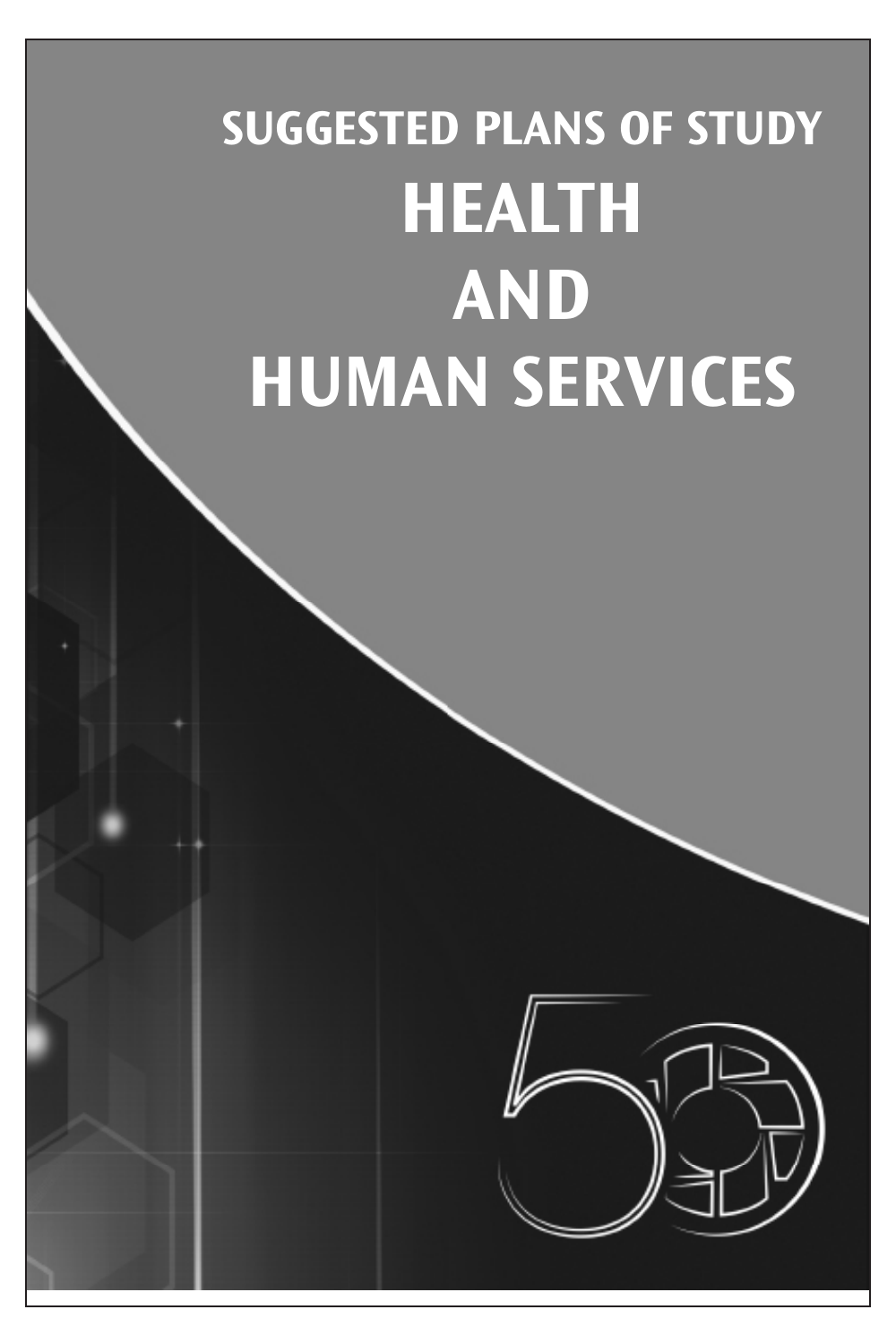## **SUGGESTED PLANS OF STUDY HEALTH AND HUMAN SERVICES**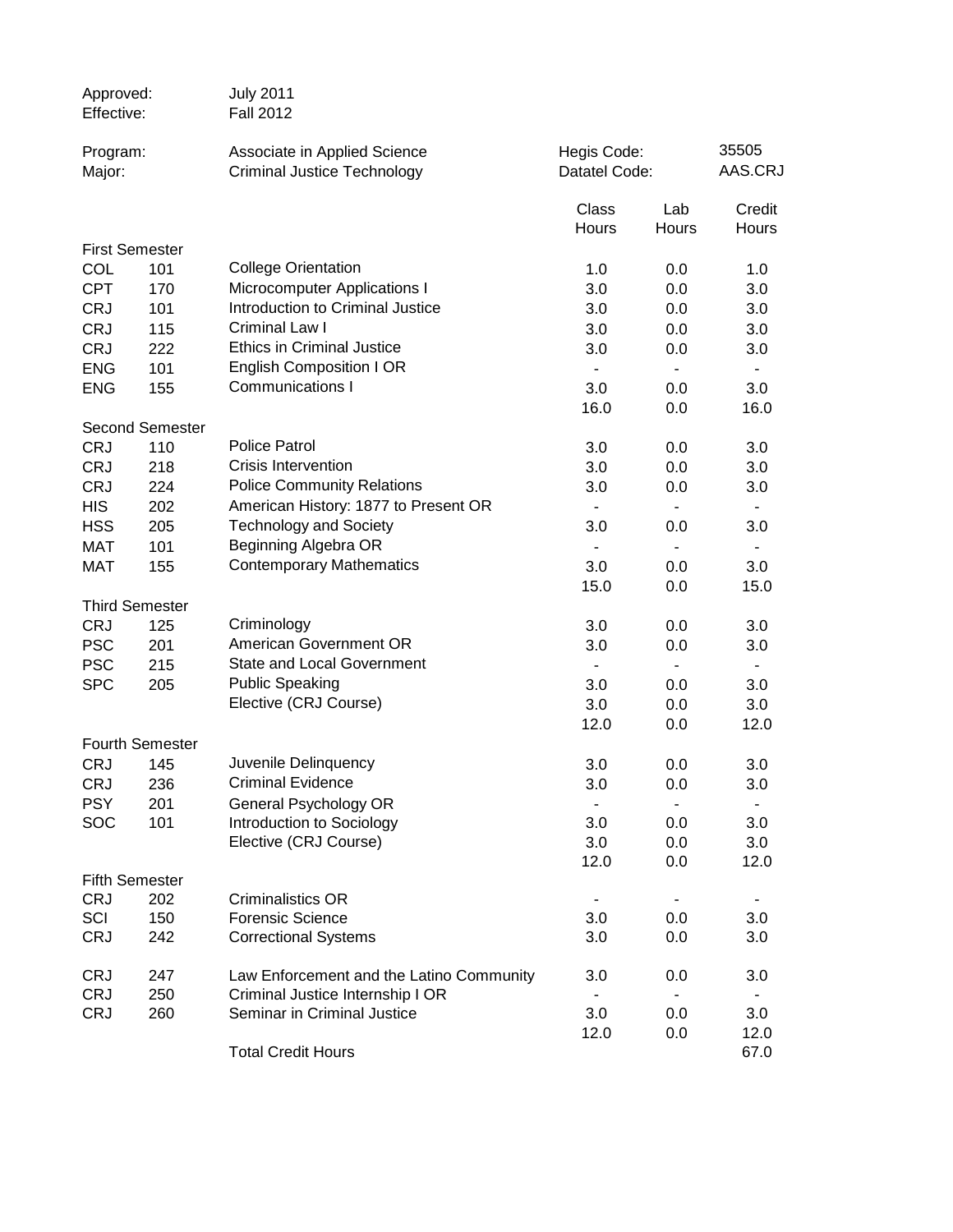| Approved:<br>Effective: |                        | <b>July 2011</b><br><b>Fall 2012</b>                               |                              |                |                  |
|-------------------------|------------------------|--------------------------------------------------------------------|------------------------------|----------------|------------------|
| Program:<br>Major:      |                        | Associate in Applied Science<br><b>Criminal Justice Technology</b> | Hegis Code:<br>Datatel Code: |                | 35505<br>AAS.CRJ |
|                         |                        |                                                                    | Class<br>Hours               | Lab<br>Hours   | Credit<br>Hours  |
| <b>First Semester</b>   |                        |                                                                    |                              |                |                  |
| COL                     | 101                    | <b>College Orientation</b>                                         | 1.0                          | 0.0            | 1.0              |
| <b>CPT</b>              | 170                    | Microcomputer Applications I                                       | 3.0                          | 0.0            | 3.0              |
| <b>CRJ</b>              | 101                    | Introduction to Criminal Justice                                   | 3.0                          | 0.0            | 3.0              |
| <b>CRJ</b>              | 115                    | Criminal Law I                                                     | 3.0                          | 0.0            | 3.0              |
| <b>CRJ</b>              | 222                    | <b>Ethics in Criminal Justice</b>                                  | 3.0                          | 0.0            | 3.0              |
| <b>ENG</b>              | 101                    | <b>English Composition I OR</b>                                    | $\overline{\phantom{a}}$     | $\blacksquare$ | ٠                |
| <b>ENG</b>              | 155                    | Communications I                                                   | 3.0                          | 0.0            | 3.0              |
|                         |                        |                                                                    | 16.0                         | 0.0            | 16.0             |
|                         | <b>Second Semester</b> |                                                                    |                              |                |                  |
| <b>CRJ</b>              | 110                    | <b>Police Patrol</b>                                               | 3.0                          | 0.0            | 3.0              |
| <b>CRJ</b>              | 218                    | <b>Crisis Intervention</b>                                         | 3.0                          | 0.0            | 3.0              |
| <b>CRJ</b>              | 224                    | <b>Police Community Relations</b>                                  | 3.0                          | 0.0            | 3.0              |
| <b>HIS</b>              | 202                    | American History: 1877 to Present OR                               |                              |                |                  |
| <b>HSS</b>              | 205                    | <b>Technology and Society</b>                                      | 3.0                          | 0.0            | 3.0              |
| <b>MAT</b>              | 101                    | Beginning Algebra OR                                               | $\overline{\phantom{0}}$     |                |                  |
| <b>MAT</b>              | 155                    | <b>Contemporary Mathematics</b>                                    | 3.0                          | 0.0            | 3.0              |
|                         |                        |                                                                    | 15.0                         | 0.0            | 15.0             |
|                         | <b>Third Semester</b>  |                                                                    |                              |                |                  |
| <b>CRJ</b>              | 125                    | Criminology                                                        | 3.0                          | 0.0            | 3.0              |
| <b>PSC</b>              | 201                    | American Government OR                                             | 3.0                          | 0.0            | 3.0              |
| <b>PSC</b>              | 215                    | <b>State and Local Government</b>                                  | $\overline{\phantom{a}}$     | $\blacksquare$ | ٠                |
| <b>SPC</b>              | 205                    | <b>Public Speaking</b>                                             | 3.0                          | 0.0            | 3.0              |
|                         |                        | Elective (CRJ Course)                                              | 3.0                          | 0.0            | 3.0              |
|                         |                        |                                                                    | 12.0                         | 0.0            | 12.0             |
|                         | <b>Fourth Semester</b> |                                                                    |                              |                |                  |
| <b>CRJ</b>              | 145                    | Juvenile Delinquency                                               | 3.0                          | 0.0            | 3.0              |
| <b>CRJ</b>              | 236                    | <b>Criminal Evidence</b>                                           | 3.0                          | 0.0            | 3.0              |
| <b>PSY</b>              | 201                    | General Psychology OR                                              |                              |                |                  |
| SOC                     | 101                    | Introduction to Sociology                                          | 3.0                          | 0.0            | 3.0              |
|                         |                        | Elective (CRJ Course)                                              | 3.0                          | 0.0            | 3.0              |
| <b>Fifth Semester</b>   |                        |                                                                    | 12.0                         | 0.0            | 12.0             |
| <b>CRJ</b>              | 202                    | <b>Criminalistics OR</b>                                           |                              |                |                  |
| SCI                     | 150                    | <b>Forensic Science</b>                                            | 3.0                          | 0.0            | 3.0              |
| <b>CRJ</b>              | 242                    | <b>Correctional Systems</b>                                        | 3.0                          | 0.0            | 3.0              |
|                         |                        |                                                                    |                              |                |                  |
| <b>CRJ</b>              | 247                    | Law Enforcement and the Latino Community                           | 3.0                          | 0.0            | 3.0              |
| <b>CRJ</b>              | 250                    | Criminal Justice Internship I OR                                   | $\overline{\phantom{0}}$     | $\blacksquare$ | ٠                |
| <b>CRJ</b>              | 260                    | Seminar in Criminal Justice                                        | 3.0                          | 0.0            | 3.0              |
|                         |                        |                                                                    | 12.0                         | 0.0            | 12.0             |
|                         |                        | <b>Total Credit Hours</b>                                          |                              |                | 67.0             |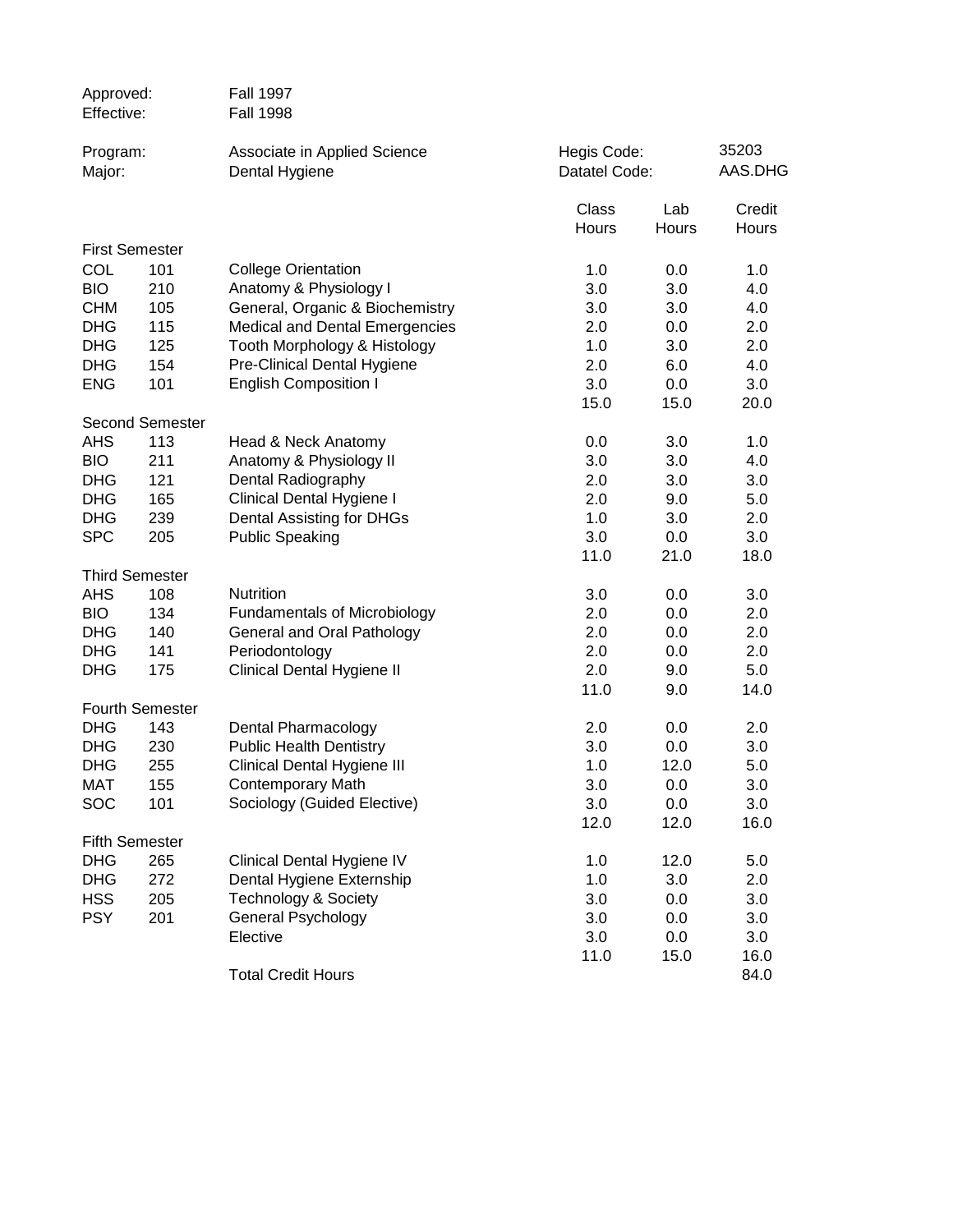| Approved:<br>Effective: |                        | <b>Fall 1997</b><br><b>Fall 1998</b>                  |                              |              |                  |
|-------------------------|------------------------|-------------------------------------------------------|------------------------------|--------------|------------------|
| Program:<br>Major:      |                        | Associate in Applied Science<br>Dental Hygiene        | Hegis Code:<br>Datatel Code: |              | 35203<br>AAS.DHG |
|                         |                        |                                                       | Class<br>Hours               | Lab<br>Hours | Credit<br>Hours  |
|                         | <b>First Semester</b>  |                                                       |                              |              |                  |
| COL                     | 101                    | <b>College Orientation</b>                            | 1.0                          | 0.0          | 1.0              |
| <b>BIO</b>              | 210                    | Anatomy & Physiology I                                | 3.0                          | 3.0          | 4.0              |
| <b>CHM</b>              | 105                    | General, Organic & Biochemistry                       | 3.0                          | 3.0          | 4.0              |
| <b>DHG</b>              | 115                    | <b>Medical and Dental Emergencies</b>                 | 2.0                          | 0.0          | 2.0              |
| <b>DHG</b>              | 125                    | Tooth Morphology & Histology                          | 1.0                          | 3.0          | 2.0              |
| <b>DHG</b>              | 154                    | Pre-Clinical Dental Hygiene                           | 2.0                          | 6.0          | 4.0              |
| <b>ENG</b>              | 101                    | <b>English Composition I</b>                          | 3.0                          | 0.0          | 3.0              |
|                         |                        |                                                       | 15.0                         | 15.0         | 20.0             |
|                         | <b>Second Semester</b> |                                                       |                              |              |                  |
| <b>AHS</b>              | 113                    | Head & Neck Anatomy                                   | 0.0                          | 3.0          | 1.0              |
| <b>BIO</b>              | 211                    | Anatomy & Physiology II                               | 3.0                          | 3.0          | 4.0              |
| <b>DHG</b>              | 121                    | Dental Radiography                                    | 2.0                          | 3.0          | 3.0              |
| <b>DHG</b>              | 165                    | Clinical Dental Hygiene I                             | 2.0                          | 9.0          | 5.0              |
| <b>DHG</b>              | 239                    | Dental Assisting for DHGs                             | 1.0                          | 3.0          | 2.0              |
| <b>SPC</b>              | 205                    | <b>Public Speaking</b>                                | 3.0                          | 0.0          | 3.0              |
|                         |                        |                                                       | 11.0                         | 21.0         | 18.0             |
|                         | <b>Third Semester</b>  |                                                       |                              |              |                  |
| <b>AHS</b>              | 108                    | Nutrition                                             | 3.0                          | 0.0          | 3.0              |
| <b>BIO</b>              | 134                    | <b>Fundamentals of Microbiology</b>                   | 2.0                          | 0.0          | 2.0              |
| <b>DHG</b>              | 140                    | General and Oral Pathology                            | 2.0                          | 0.0          | 2.0              |
| <b>DHG</b>              | 141                    | Periodontology                                        | 2.0                          | 0.0          | 2.0              |
| <b>DHG</b>              | 175                    | Clinical Dental Hygiene II                            | 2.0                          | 9.0          | 5.0              |
|                         |                        |                                                       | 11.0                         | 9.0          | 14.0             |
| <b>DHG</b>              | <b>Fourth Semester</b> |                                                       |                              |              |                  |
| <b>DHG</b>              | 143<br>230             | Dental Pharmacology<br><b>Public Health Dentistry</b> | 2.0<br>3.0                   | 0.0<br>0.0   | 2.0<br>3.0       |
| <b>DHG</b>              | 255                    | Clinical Dental Hygiene III                           | 1.0                          | 12.0         | 5.0              |
| MAT                     |                        | <b>Contemporary Math</b>                              | 3.0                          |              |                  |
| SOC                     | 155<br>101             | Sociology (Guided Elective)                           | 3.0                          | 0.0<br>0.0   | 3.0<br>3.0       |
|                         |                        |                                                       | 12.0                         | 12.0         | 16.0             |
|                         | <b>Fifth Semester</b>  |                                                       |                              |              |                  |
| <b>DHG</b>              | 265                    | Clinical Dental Hygiene IV                            | 1.0                          | 12.0         | 5.0              |
| <b>DHG</b>              | 272                    | Dental Hygiene Externship                             | 1.0                          | 3.0          | 2.0              |
| <b>HSS</b>              | 205                    | <b>Technology &amp; Society</b>                       | 3.0                          | 0.0          | 3.0              |
| <b>PSY</b>              | 201                    | General Psychology                                    | 3.0                          | 0.0          | 3.0              |
|                         |                        | Elective                                              | 3.0                          | 0.0          | 3.0              |
|                         |                        |                                                       | 11.0                         | 15.0         | 16.0             |
|                         |                        | <b>Total Credit Hours</b>                             |                              |              | 84.0             |
|                         |                        |                                                       |                              |              |                  |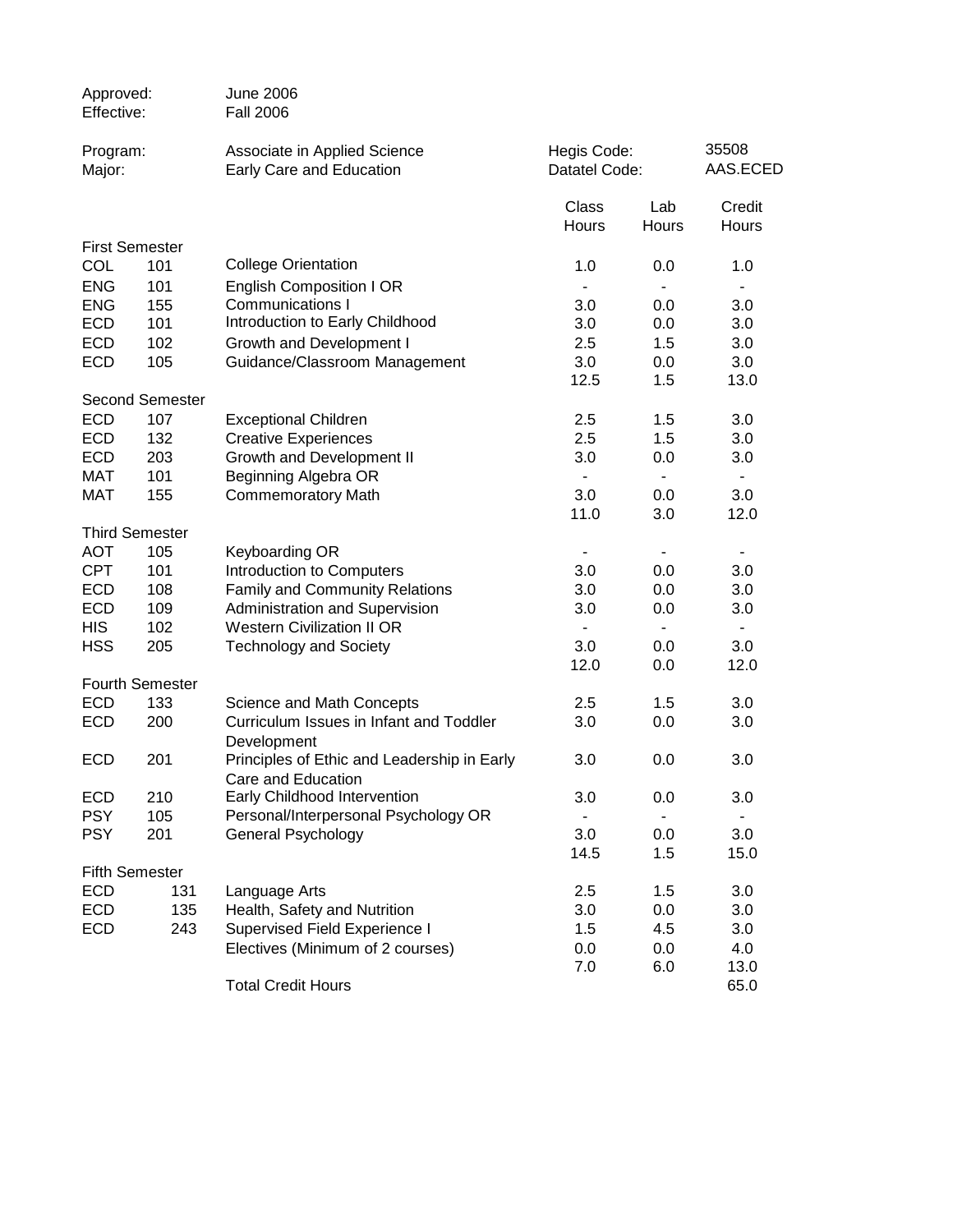| Approved:<br>Effective:  |                        | <b>June 2006</b><br><b>Fall 2006</b>                              |                              |                |                   |
|--------------------------|------------------------|-------------------------------------------------------------------|------------------------------|----------------|-------------------|
| Program:<br>Major:       |                        | Associate in Applied Science<br>Early Care and Education          | Hegis Code:<br>Datatel Code: |                | 35508<br>AAS.ECED |
|                          |                        |                                                                   | Class<br>Hours               | Lab<br>Hours   | Credit<br>Hours   |
|                          | <b>First Semester</b>  |                                                                   |                              |                |                   |
| <b>COL</b>               | 101                    | <b>College Orientation</b>                                        | 1.0                          | 0.0            | 1.0               |
| <b>ENG</b>               | 101                    | <b>English Composition I OR</b>                                   | $\blacksquare$               |                | ٠                 |
| <b>ENG</b>               | 155                    | <b>Communications I</b>                                           | 3.0                          | 0.0            | 3.0               |
| <b>ECD</b>               | 101                    | Introduction to Early Childhood                                   | 3.0                          | 0.0            | 3.0               |
| <b>ECD</b>               | 102                    | Growth and Development I                                          | 2.5                          | 1.5            | 3.0               |
| <b>ECD</b>               | 105                    | Guidance/Classroom Management                                     | 3.0                          | 0.0            | 3.0               |
|                          |                        |                                                                   | 12.5                         | 1.5            | 13.0              |
|                          | <b>Second Semester</b> |                                                                   |                              |                |                   |
| <b>ECD</b>               | 107                    | <b>Exceptional Children</b>                                       | 2.5                          | 1.5            | 3.0               |
| <b>ECD</b>               | 132                    | <b>Creative Experiences</b>                                       | 2.5                          | 1.5            | 3.0               |
| <b>ECD</b>               | 203                    | Growth and Development II                                         | 3.0                          | 0.0            | 3.0               |
| <b>MAT</b><br><b>MAT</b> | 101<br>155             | Beginning Algebra OR<br><b>Commemoratory Math</b>                 | ٠<br>3.0                     | ٠<br>0.0       | ٠<br>3.0          |
|                          |                        |                                                                   | 11.0                         | 3.0            | 12.0              |
|                          | <b>Third Semester</b>  |                                                                   |                              |                |                   |
| <b>AOT</b>               | 105                    | Keyboarding OR                                                    | $\overline{\phantom{0}}$     |                | ٠                 |
| <b>CPT</b>               | 101                    | Introduction to Computers                                         | 3.0                          | 0.0            | 3.0               |
| <b>ECD</b>               | 108                    | <b>Family and Community Relations</b>                             | 3.0                          | 0.0            | 3.0               |
| <b>ECD</b>               | 109                    | Administration and Supervision                                    | 3.0                          | 0.0            | 3.0               |
| <b>HIS</b>               | 102                    | <b>Western Civilization II OR</b>                                 | $\overline{\phantom{a}}$     | $\blacksquare$ | $\blacksquare$    |
| <b>HSS</b>               | 205                    | <b>Technology and Society</b>                                     | 3.0                          | 0.0            | 3.0               |
|                          |                        |                                                                   | 12.0                         | 0.0            | 12.0              |
|                          | <b>Fourth Semester</b> |                                                                   |                              |                |                   |
| <b>ECD</b>               | 133                    | Science and Math Concepts                                         | 2.5                          | 1.5            | 3.0               |
| <b>ECD</b>               | 200                    | Curriculum Issues in Infant and Toddler<br>Development            | 3.0                          | 0.0            | 3.0               |
| <b>ECD</b>               | 201                    | Principles of Ethic and Leadership in Early<br>Care and Education | 3.0                          | 0.0            | 3.0               |
| <b>ECD</b>               | 210                    | Early Childhood Intervention                                      | 3.0                          | 0.0            | 3.0               |
| <b>PSY</b>               | 105                    | Personal/Interpersonal Psychology OR                              |                              |                |                   |
| <b>PSY</b>               | 201                    | General Psychology                                                | 3.0                          | 0.0            | 3.0               |
|                          |                        |                                                                   | 14.5                         | 1.5            | 15.0              |
|                          | <b>Fifth Semester</b>  |                                                                   |                              |                |                   |
| <b>ECD</b>               | 131                    | Language Arts                                                     | 2.5                          | 1.5            | 3.0               |
| <b>ECD</b>               | 135                    | Health, Safety and Nutrition                                      | 3.0                          | 0.0            | 3.0               |
| <b>ECD</b>               | 243                    | <b>Supervised Field Experience I</b>                              | 1.5                          | 4.5            | 3.0               |
|                          |                        | Electives (Minimum of 2 courses)                                  | 0.0                          | 0.0            | 4.0               |
|                          |                        |                                                                   | 7.0                          | 6.0            | 13.0              |
|                          |                        | <b>Total Credit Hours</b>                                         |                              |                | 65.0              |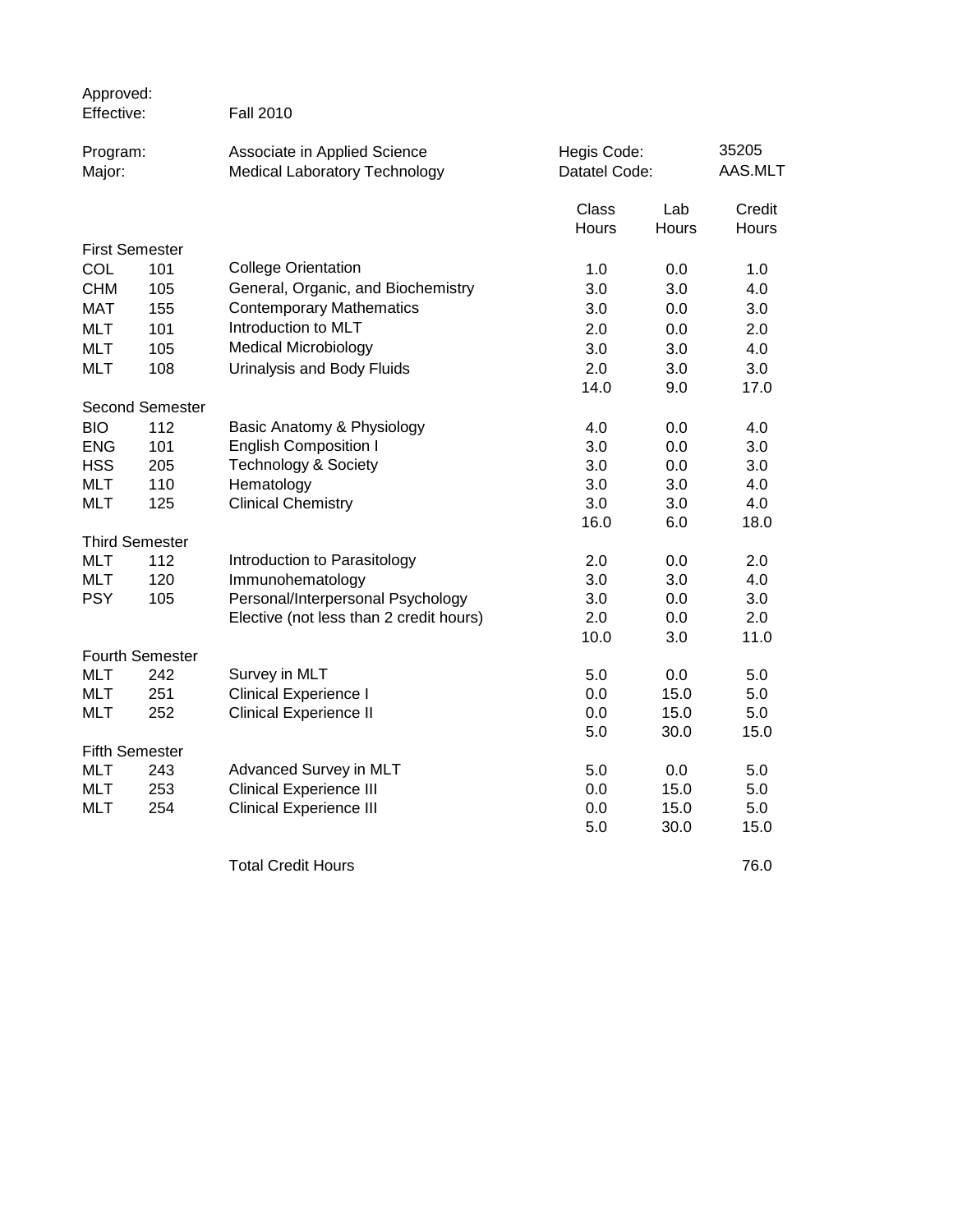| Approved:<br>Effective: |                        | <b>Fall 2010</b>                                                     |                              |                     |                        |
|-------------------------|------------------------|----------------------------------------------------------------------|------------------------------|---------------------|------------------------|
| Program:<br>Major:      |                        | Associate in Applied Science<br><b>Medical Laboratory Technology</b> | Hegis Code:<br>Datatel Code: |                     | 35205<br>AAS.MLT       |
|                         |                        |                                                                      | Class<br>Hours               | Lab<br><b>Hours</b> | Credit<br><b>Hours</b> |
| <b>First Semester</b>   |                        |                                                                      |                              |                     |                        |
| <b>COL</b>              | 101                    | <b>College Orientation</b>                                           | 1.0                          | 0.0                 | 1.0                    |
| <b>CHM</b>              | 105                    | General, Organic, and Biochemistry                                   | 3.0                          | 3.0                 | 4.0                    |
| <b>MAT</b>              | 155                    | <b>Contemporary Mathematics</b>                                      | 3.0                          | 0.0                 | 3.0                    |
| <b>MLT</b>              | 101                    | Introduction to MLT                                                  | 2.0                          | 0.0                 | 2.0                    |
| <b>MLT</b>              | 105                    | <b>Medical Microbiology</b>                                          | 3.0                          | 3.0                 | 4.0                    |
| <b>MLT</b>              | 108                    | Urinalysis and Body Fluids                                           | 2.0                          | 3.0                 | 3.0                    |
|                         |                        |                                                                      | 14.0                         | 9.0                 | 17.0                   |
|                         | Second Semester        |                                                                      |                              |                     |                        |
| <b>BIO</b>              | 112                    | Basic Anatomy & Physiology                                           | 4.0                          | 0.0                 | 4.0                    |
| <b>ENG</b>              | 101                    | <b>English Composition I</b>                                         | 3.0                          | 0.0                 | 3.0                    |
| <b>HSS</b>              | 205                    | <b>Technology &amp; Society</b>                                      | 3.0                          | 0.0                 | 3.0                    |
| <b>MLT</b>              | 110                    | Hematology                                                           | 3.0                          | 3.0                 | 4.0                    |
| <b>MLT</b>              | 125                    | <b>Clinical Chemistry</b>                                            | 3.0                          | 3.0                 | 4.0                    |
|                         |                        |                                                                      | 16.0                         | 6.0                 | 18.0                   |
|                         | <b>Third Semester</b>  |                                                                      |                              |                     |                        |
| <b>MLT</b>              | 112                    | Introduction to Parasitology                                         | 2.0                          | 0.0                 | 2.0                    |
| <b>MLT</b>              | 120                    | Immunohematology                                                     | 3.0                          | 3.0                 | 4.0                    |
| <b>PSY</b>              | 105                    | Personal/Interpersonal Psychology                                    | 3.0                          | 0.0                 | 3.0                    |
|                         |                        | Elective (not less than 2 credit hours)                              | 2.0                          | 0.0                 | 2.0                    |
|                         |                        |                                                                      | 10.0                         | 3.0                 | 11.0                   |
|                         | <b>Fourth Semester</b> |                                                                      |                              |                     |                        |
| <b>MLT</b>              | 242                    | Survey in MLT                                                        | 5.0                          | 0.0                 | 5.0                    |
| <b>MLT</b>              | 251                    | <b>Clinical Experience I</b>                                         | 0.0                          | 15.0                | 5.0                    |
| <b>MLT</b>              | 252                    | <b>Clinical Experience II</b>                                        | 0.0                          | 15.0                | 5.0                    |
|                         |                        |                                                                      | 5.0                          | 30.0                | 15.0                   |
| <b>Fifth Semester</b>   |                        |                                                                      |                              |                     |                        |
| <b>MLT</b>              | 243                    | Advanced Survey in MLT                                               | 5.0                          | 0.0                 | 5.0                    |
| <b>MLT</b>              | 253                    | <b>Clinical Experience III</b>                                       | 0.0                          | 15.0                | 5.0                    |
| <b>MLT</b>              | 254                    | <b>Clinical Experience III</b>                                       | 0.0                          | 15.0                | 5.0                    |
|                         |                        |                                                                      | 5.0                          | 30.0                | 15.0                   |
|                         |                        | <b>Total Credit Hours</b>                                            |                              |                     | 76.0                   |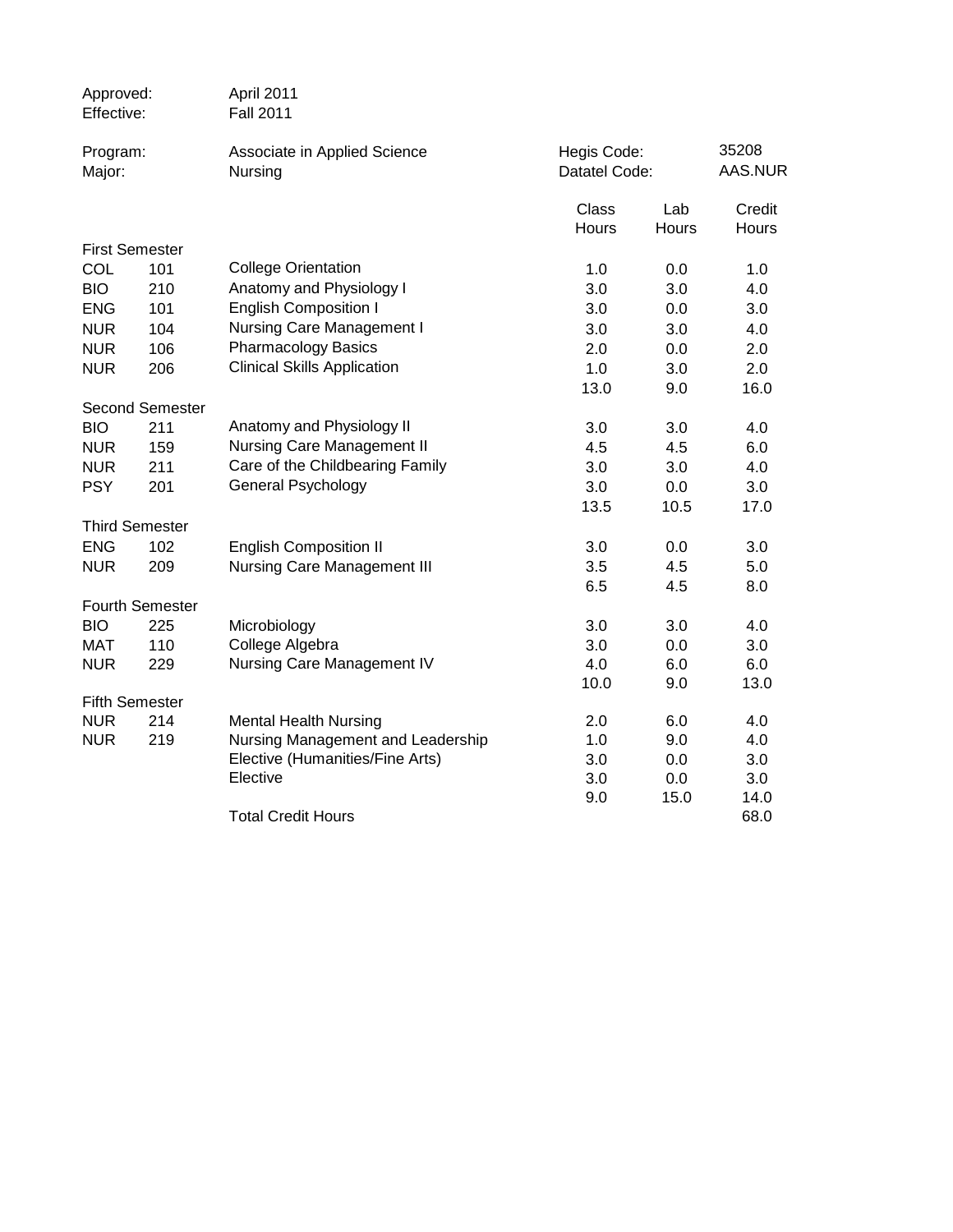| Approved:<br>Effective:  |                        | April 2011<br><b>Fall 2011</b>                                       |                              |              |                  |
|--------------------------|------------------------|----------------------------------------------------------------------|------------------------------|--------------|------------------|
| Program:<br>Major:       |                        | Associate in Applied Science<br>Nursing                              | Hegis Code:<br>Datatel Code: |              | 35208<br>AAS.NUR |
|                          |                        |                                                                      | Class<br><b>Hours</b>        | Lab<br>Hours | Credit<br>Hours  |
| <b>First Semester</b>    |                        |                                                                      |                              |              |                  |
| COL                      | 101                    | <b>College Orientation</b>                                           | 1.0                          | 0.0          | 1.0              |
| <b>BIO</b>               | 210                    | Anatomy and Physiology I                                             | 3.0                          | 3.0          | 4.0              |
| <b>ENG</b>               | 101                    | <b>English Composition I</b>                                         | 3.0                          | 0.0          | 3.0              |
| <b>NUR</b>               | 104                    | Nursing Care Management I                                            | 3.0                          | 3.0          | 4.0              |
| <b>NUR</b>               | 106                    | <b>Pharmacology Basics</b>                                           | 2.0                          | 0.0          | 2.0              |
| <b>NUR</b>               | 206                    | <b>Clinical Skills Application</b>                                   | 1.0                          | 3.0          | 2.0              |
|                          |                        |                                                                      | 13.0                         | 9.0          | 16.0             |
|                          | <b>Second Semester</b> |                                                                      |                              |              |                  |
| <b>BIO</b>               | 211                    | Anatomy and Physiology II                                            | 3.0                          | 3.0          | 4.0              |
| <b>NUR</b>               | 159                    | <b>Nursing Care Management II</b>                                    | 4.5                          | 4.5          | 6.0              |
| <b>NUR</b>               | 211                    | Care of the Childbearing Family                                      | 3.0                          | 3.0          | 4.0              |
| <b>PSY</b>               | 201                    | <b>General Psychology</b>                                            | 3.0                          | 0.0          | 3.0              |
|                          |                        |                                                                      | 13.5                         | 10.5         | 17.0             |
|                          | <b>Third Semester</b>  |                                                                      |                              |              |                  |
| <b>ENG</b>               | 102                    | <b>English Composition II</b>                                        | 3.0                          | 0.0          | 3.0              |
| <b>NUR</b>               | 209                    | <b>Nursing Care Management III</b>                                   | 3.5                          | 4.5          | 5.0              |
|                          |                        |                                                                      | 6.5                          | 4.5          | 8.0              |
|                          | <b>Fourth Semester</b> |                                                                      |                              |              |                  |
| <b>BIO</b>               | 225                    | Microbiology                                                         | 3.0                          | 3.0          | 4.0              |
| <b>MAT</b>               | 110                    | College Algebra                                                      | 3.0                          | 0.0          | 3.0              |
| <b>NUR</b>               | 229                    | Nursing Care Management IV                                           | 4.0                          | 6.0          | 6.0              |
|                          |                        |                                                                      | 10.0                         | 9.0          | 13.0             |
| <b>Fifth Semester</b>    |                        |                                                                      |                              |              |                  |
| <b>NUR</b><br><b>NUR</b> | 214<br>219             | <b>Mental Health Nursing</b>                                         | 2.0<br>1.0                   | 6.0<br>9.0   | 4.0<br>4.0       |
|                          |                        | Nursing Management and Leadership<br>Elective (Humanities/Fine Arts) | 3.0                          | 0.0          | 3.0              |
|                          |                        | Elective                                                             | 3.0                          | 0.0          | 3.0              |
|                          |                        |                                                                      | 9.0                          | 15.0         | 14.0             |
|                          |                        | <b>Total Credit Hours</b>                                            |                              |              | 68.0             |
|                          |                        |                                                                      |                              |              |                  |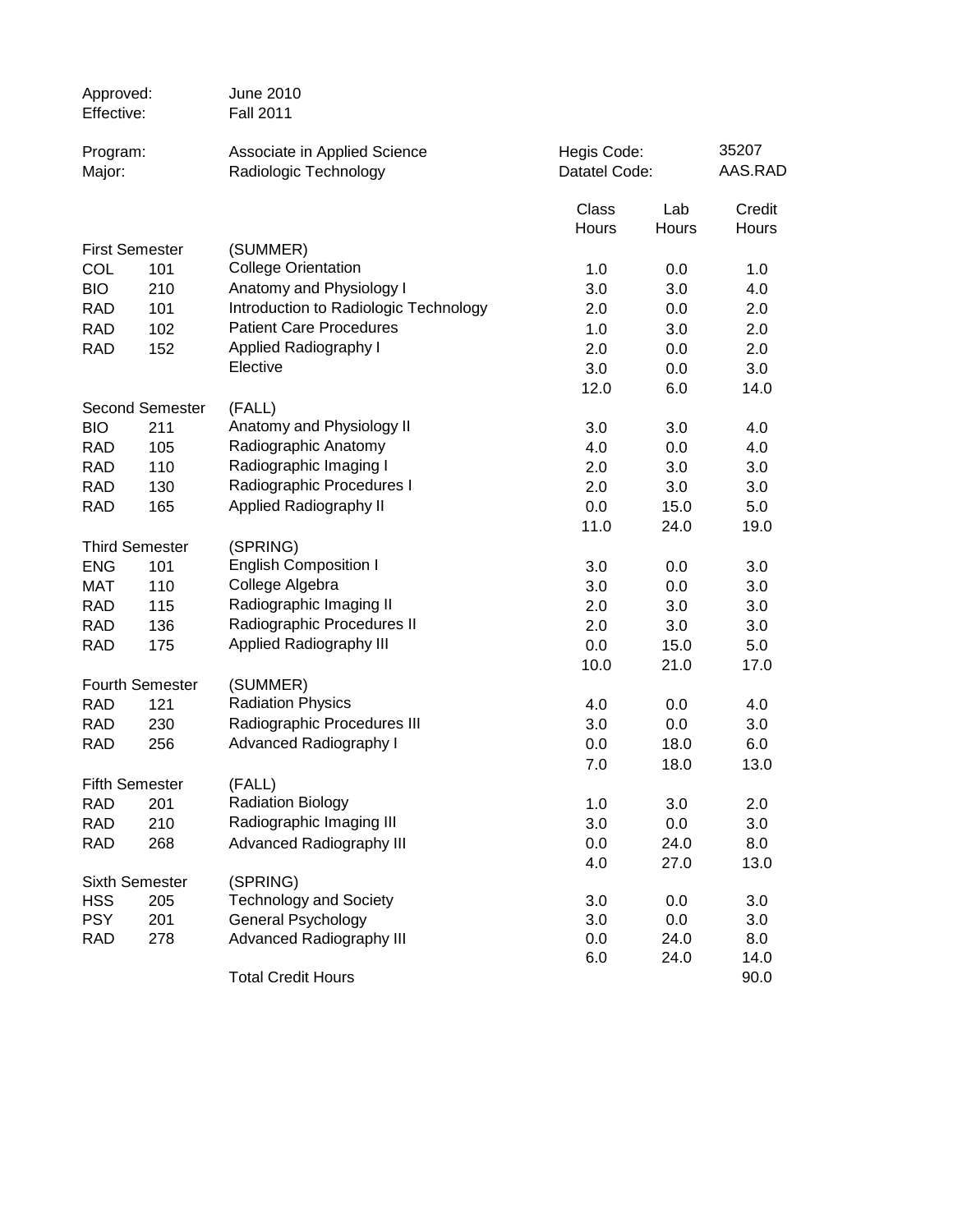| Approved:<br>Effective: |                        | June 2010<br><b>Fall 2011</b>                         |                              |              |                  |
|-------------------------|------------------------|-------------------------------------------------------|------------------------------|--------------|------------------|
| Program:<br>Major:      |                        | Associate in Applied Science<br>Radiologic Technology | Hegis Code:<br>Datatel Code: |              | 35207<br>AAS.RAD |
|                         |                        |                                                       | Class<br>Hours               | Lab<br>Hours | Credit<br>Hours  |
|                         | <b>First Semester</b>  | (SUMMER)                                              |                              |              |                  |
| COL                     | 101                    | <b>College Orientation</b>                            | 1.0                          | 0.0          | 1.0              |
| <b>BIO</b>              | 210                    | Anatomy and Physiology I                              | 3.0                          | 3.0          | 4.0              |
| <b>RAD</b>              | 101                    | Introduction to Radiologic Technology                 | 2.0                          | 0.0          | 2.0              |
| <b>RAD</b>              | 102                    | <b>Patient Care Procedures</b>                        | 1.0                          | 3.0          | 2.0              |
| <b>RAD</b>              | 152                    | <b>Applied Radiography I</b>                          | 2.0                          | 0.0          | 2.0              |
|                         |                        | Elective                                              | 3.0                          | 0.0          | 3.0              |
|                         |                        |                                                       | 12.0                         | 6.0          | 14.0             |
|                         | <b>Second Semester</b> | (FALL)                                                |                              |              |                  |
| <b>BIO</b>              | 211                    | Anatomy and Physiology II                             | 3.0                          | 3.0          | 4.0              |
| <b>RAD</b>              | 105                    | Radiographic Anatomy                                  | 4.0                          | 0.0          | 4.0              |
| <b>RAD</b>              | 110                    | Radiographic Imaging I                                | 2.0                          | 3.0          | 3.0              |
| <b>RAD</b>              | 130                    | Radiographic Procedures I                             | 2.0                          | 3.0          | 3.0              |
| <b>RAD</b>              | 165                    | Applied Radiography II                                | 0.0                          | 15.0         | 5.0              |
|                         |                        |                                                       | 11.0                         | 24.0         | 19.0             |
|                         | <b>Third Semester</b>  | (SPRING)                                              |                              |              |                  |
| <b>ENG</b>              | 101                    | <b>English Composition I</b>                          | 3.0                          | 0.0          | 3.0              |
| MAT                     | 110                    | College Algebra                                       | 3.0                          | 0.0          | 3.0              |
| <b>RAD</b>              | 115                    | Radiographic Imaging II                               | 2.0                          | 3.0          | 3.0              |
| <b>RAD</b>              | 136                    | Radiographic Procedures II                            | 2.0                          | 3.0          | 3.0              |
| <b>RAD</b>              | 175                    | Applied Radiography III                               | 0.0                          | 15.0         | 5.0              |
|                         |                        |                                                       | 10.0                         | 21.0         | 17.0             |
|                         | <b>Fourth Semester</b> | (SUMMER)                                              |                              |              |                  |
| <b>RAD</b>              | 121                    | <b>Radiation Physics</b>                              | 4.0                          | 0.0          | 4.0              |
| <b>RAD</b>              | 230                    | Radiographic Procedures III                           | 3.0                          | 0.0          | 3.0              |
| <b>RAD</b>              | 256                    | <b>Advanced Radiography I</b>                         | 0.0                          | 18.0         | 6.0              |
|                         |                        |                                                       | 7.0                          | 18.0         | 13.0             |
|                         | <b>Fifth Semester</b>  | (FALL)                                                |                              |              |                  |
| <b>RAD</b>              | 201                    | <b>Radiation Biology</b>                              | 1.0                          | 3.0          | 2.0              |
| <b>RAD</b>              | 210                    | Radiographic Imaging III                              | 3.0                          | 0.0          | 3.0              |
| <b>RAD</b>              | 268                    | <b>Advanced Radiography III</b>                       | 0.0                          | 24.0         | 8.0              |
|                         |                        |                                                       | 4.0                          | 27.0         | 13.0             |
|                         | Sixth Semester         | (SPRING)                                              |                              |              |                  |
| <b>HSS</b>              | 205                    | <b>Technology and Society</b>                         | 3.0                          | 0.0          | 3.0              |
| <b>PSY</b>              | 201                    | General Psychology                                    | 3.0                          | 0.0          | 3.0              |
| <b>RAD</b>              | 278                    | <b>Advanced Radiography III</b>                       | 0.0                          | 24.0         | 8.0              |
|                         |                        |                                                       | 6.0                          | 24.0         | 14.0             |
|                         |                        | <b>Total Credit Hours</b>                             |                              |              | 90.0             |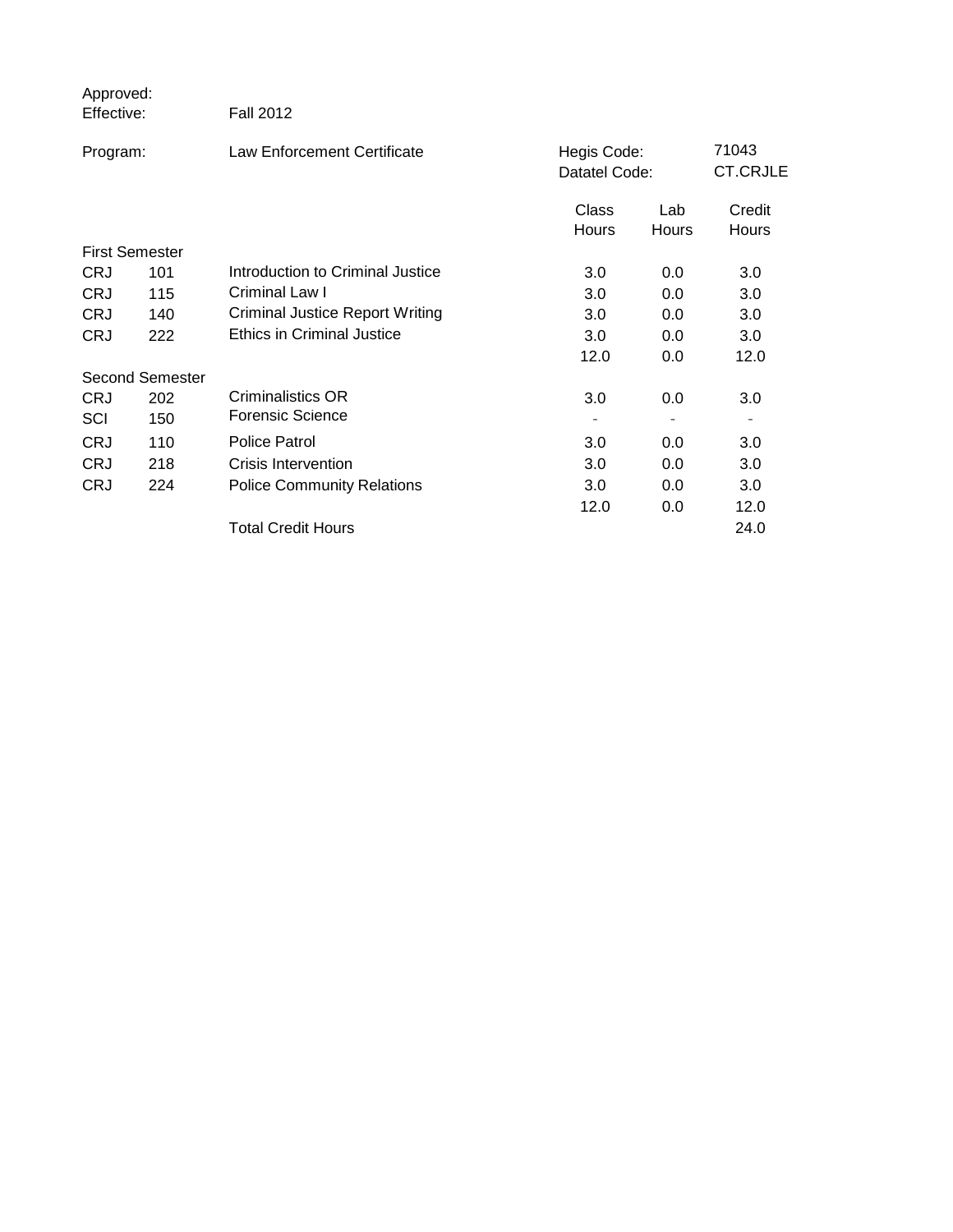| Approved:<br>Effective: |                        | <b>Fall 2012</b>                       |                              |              |                          |
|-------------------------|------------------------|----------------------------------------|------------------------------|--------------|--------------------------|
| Program:                |                        | <b>Law Enforcement Certificate</b>     | Hegis Code:<br>Datatel Code: |              | 71043<br><b>CT.CRJLE</b> |
|                         |                        |                                        | Class<br>Hours               | Lab<br>Hours | Credit<br>Hours          |
| <b>First Semester</b>   |                        |                                        |                              |              |                          |
| <b>CRJ</b>              | 101                    | Introduction to Criminal Justice       | 3.0                          | 0.0          | 3.0                      |
| <b>CRJ</b>              | 115                    | Criminal Law I                         | 3.0                          | 0.0          | 3.0                      |
| <b>CRJ</b>              | 140                    | <b>Criminal Justice Report Writing</b> | 3.0                          | 0.0          | 3.0                      |
| <b>CRJ</b>              | 222                    | <b>Ethics in Criminal Justice</b>      | 3.0                          | 0.0          | 3.0                      |
|                         |                        |                                        | 12.0                         | 0.0          | 12.0                     |
|                         | <b>Second Semester</b> |                                        |                              |              |                          |
| <b>CRJ</b>              | 202                    | Criminalistics OR                      | 3.0                          | 0.0          | 3.0                      |
| SCI                     | 150                    | Forensic Science                       |                              |              |                          |
| <b>CRJ</b>              | 110                    | <b>Police Patrol</b>                   | 3.0                          | 0.0          | 3.0                      |
| <b>CRJ</b>              | 218                    | Crisis Intervention                    | 3.0                          | 0.0          | 3.0                      |
| <b>CRJ</b>              | 224                    | <b>Police Community Relations</b>      | 3.0                          | 0.0          | 3.0                      |
|                         |                        |                                        | 12.0                         | 0.0          | 12.0                     |
|                         |                        | <b>Total Credit Hours</b>              |                              |              | 24.0                     |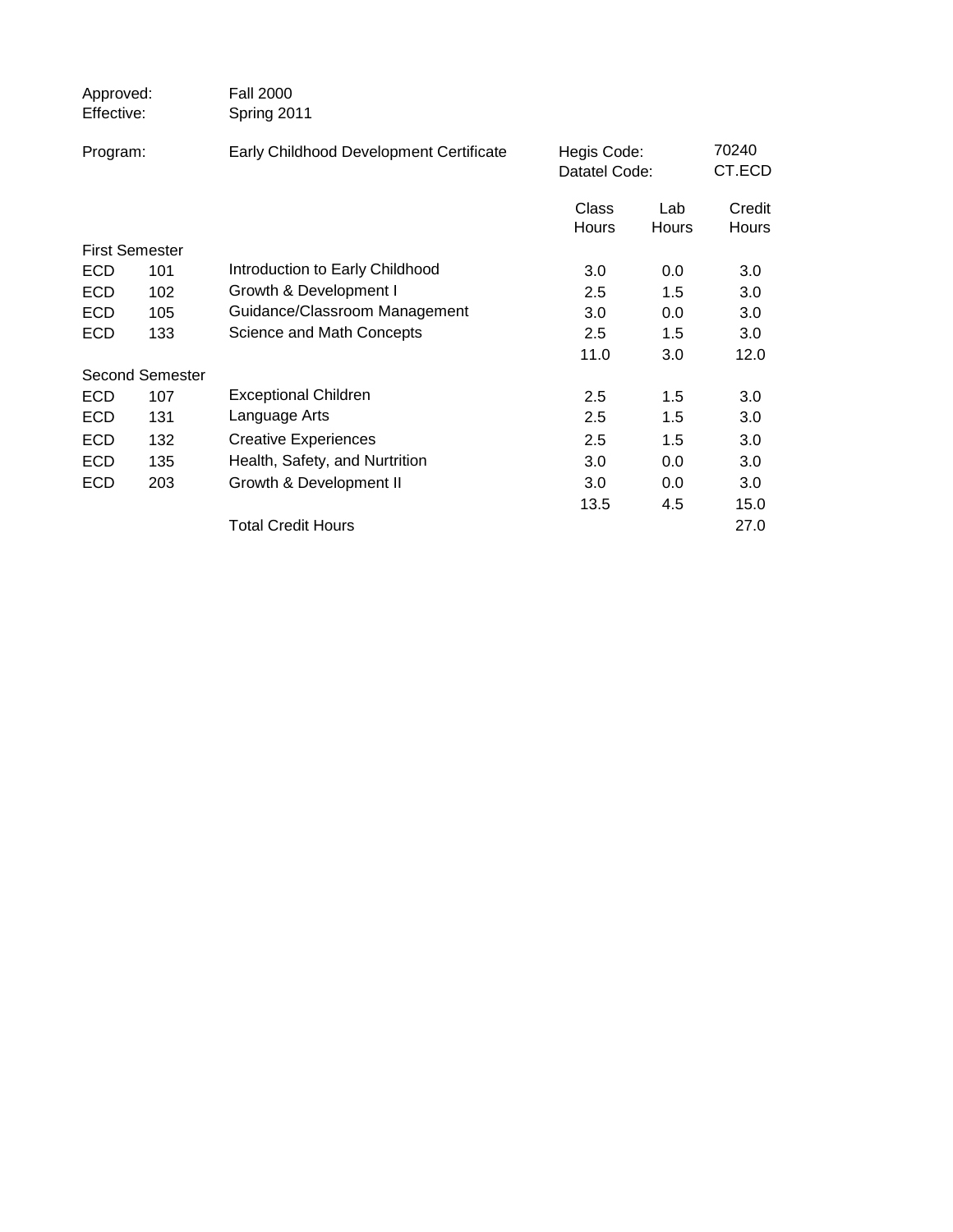| Approved:<br>Effective: |     | <b>Fall 2000</b><br>Spring 2011         |                              |       |                 |  |
|-------------------------|-----|-----------------------------------------|------------------------------|-------|-----------------|--|
| Program:                |     | Early Childhood Development Certificate | Hegis Code:<br>Datatel Code: |       | 70240<br>CT.ECD |  |
|                         |     |                                         |                              |       |                 |  |
|                         |     |                                         | Class                        | Lab   | Credit          |  |
|                         |     |                                         | <b>Hours</b>                 | Hours | Hours           |  |
| <b>First Semester</b>   |     |                                         |                              |       |                 |  |
| <b>ECD</b>              | 101 | Introduction to Early Childhood         | 3.0                          | 0.0   | 3.0             |  |
| <b>ECD</b>              | 102 | Growth & Development I                  | 2.5                          | 1.5   | 3.0             |  |
| <b>ECD</b>              | 105 | Guidance/Classroom Management           | 3.0                          | 0.0   | 3.0             |  |
| <b>ECD</b>              | 133 | Science and Math Concepts               | 2.5                          | 1.5   | 3.0             |  |
|                         |     |                                         | 11.0                         | 3.0   | 12.0            |  |
| <b>Second Semester</b>  |     |                                         |                              |       |                 |  |
| <b>ECD</b>              | 107 | <b>Exceptional Children</b>             | 2.5                          | 1.5   | 3.0             |  |
| <b>ECD</b>              | 131 | Language Arts                           | 2.5                          | 1.5   | 3.0             |  |
| <b>ECD</b>              | 132 | <b>Creative Experiences</b>             | 2.5                          | 1.5   | 3.0             |  |
| <b>ECD</b>              | 135 | Health, Safety, and Nurtrition          | 3.0                          | 0.0   | 3.0             |  |
| <b>ECD</b>              | 203 | Growth & Development II                 | 3.0                          | 0.0   | 3.0             |  |
|                         |     |                                         | 13.5                         | 4.5   | 15.0            |  |
|                         |     | <b>Total Credit Hours</b>               |                              |       | 27.0            |  |
|                         |     |                                         |                              |       |                 |  |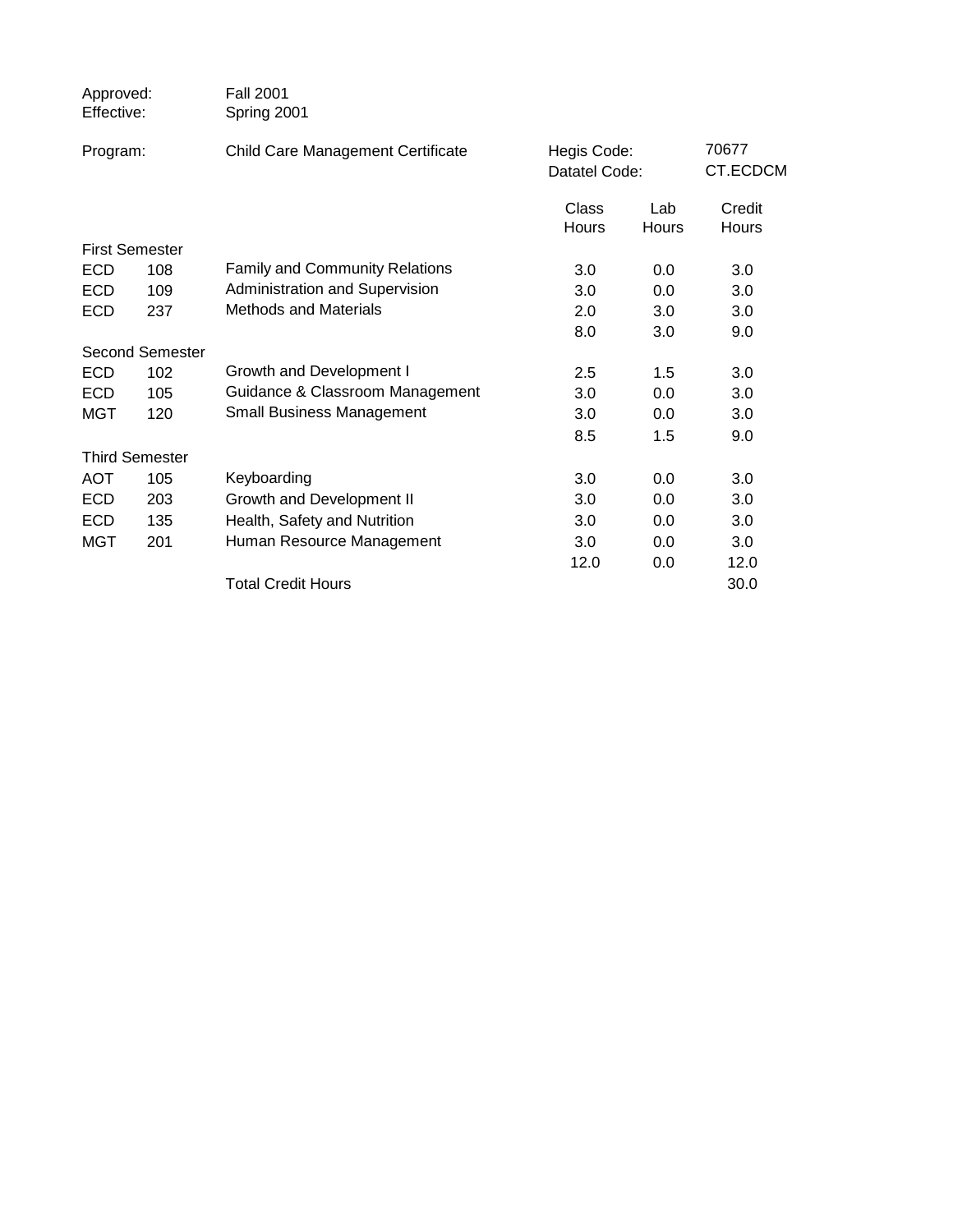| Approved:<br>Effective: |                        | <b>Fall 2001</b><br>Spring 2001       |                              |       |                   |
|-------------------------|------------------------|---------------------------------------|------------------------------|-------|-------------------|
| Program:                |                        | Child Care Management Certificate     | Hegis Code:<br>Datatel Code: |       | 70677<br>CT.ECDCM |
|                         |                        |                                       | Class                        | Lab   | Credit            |
|                         |                        |                                       | Hours                        | Hours | Hours             |
|                         | <b>First Semester</b>  |                                       |                              |       |                   |
| <b>ECD</b>              | 108                    | <b>Family and Community Relations</b> | 3.0                          | 0.0   | 3.0               |
| <b>ECD</b>              | 109                    | Administration and Supervision        | 3.0                          | 0.0   | 3.0               |
| <b>ECD</b>              | 237                    | <b>Methods and Materials</b>          | 2.0                          | 3.0   | 3.0               |
|                         |                        |                                       | 8.0                          | 3.0   | 9.0               |
|                         | <b>Second Semester</b> |                                       |                              |       |                   |
| <b>ECD</b>              | 102                    | Growth and Development I              | 2.5                          | 1.5   | 3.0               |
| <b>ECD</b>              | 105                    | Guidance & Classroom Management       | 3.0                          | 0.0   | 3.0               |
| <b>MGT</b>              | 120                    | <b>Small Business Management</b>      | 3.0                          | 0.0   | 3.0               |
|                         |                        |                                       | 8.5                          | 1.5   | 9.0               |
|                         | <b>Third Semester</b>  |                                       |                              |       |                   |
| <b>AOT</b>              | 105                    | Keyboarding                           | 3.0                          | 0.0   | 3.0               |
| <b>ECD</b>              | 203                    | Growth and Development II             | 3.0                          | 0.0   | 3.0               |
| <b>ECD</b>              | 135                    | Health, Safety and Nutrition          | 3.0                          | 0.0   | 3.0               |
| <b>MGT</b>              | 201                    | Human Resource Management             | 3.0                          | 0.0   | 3.0               |
|                         |                        |                                       | 12.0                         | 0.0   | 12.0              |
|                         |                        | <b>Total Credit Hours</b>             |                              |       | 30.0              |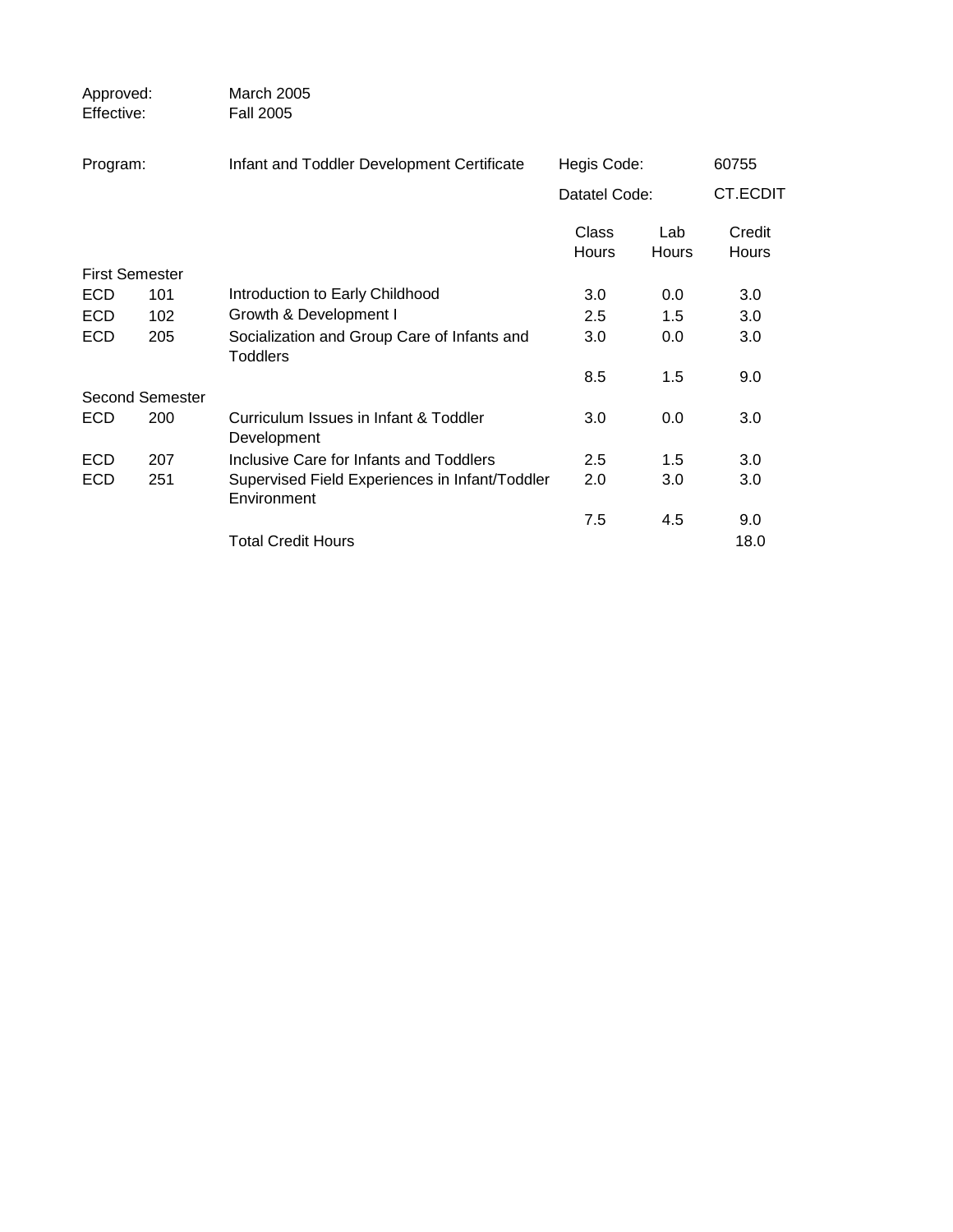| Approved:<br>Effective: |                        | March 2005<br><b>Fall 2005</b>                                 |                |              |                        |  |
|-------------------------|------------------------|----------------------------------------------------------------|----------------|--------------|------------------------|--|
| Program:                |                        | Infant and Toddler Development Certificate                     |                | Hegis Code:  |                        |  |
|                         |                        |                                                                | Datatel Code:  |              | <b>CT.ECDIT</b>        |  |
|                         |                        |                                                                | Class<br>Hours | Lab<br>Hours | Credit<br><b>Hours</b> |  |
| <b>First Semester</b>   |                        |                                                                |                |              |                        |  |
| <b>ECD</b>              | 101                    | Introduction to Early Childhood                                | 3.0            | 0.0          | 3.0                    |  |
| <b>ECD</b>              | 102                    | Growth & Development I                                         | 2.5            | 1.5          | 3.0                    |  |
| <b>ECD</b>              | 205                    | Socialization and Group Care of Infants and<br><b>Toddlers</b> | 3.0            | 0.0          | 3.0                    |  |
|                         |                        |                                                                | 8.5            | 1.5          | 9.0                    |  |
|                         | <b>Second Semester</b> |                                                                |                |              |                        |  |
| <b>ECD</b>              | 200                    | Curriculum Issues in Infant & Toddler<br>Development           | 3.0            | 0.0          | 3.0                    |  |
| <b>ECD</b>              | 207                    | Inclusive Care for Infants and Toddlers                        | 2.5            | 1.5          | 3.0                    |  |
| <b>ECD</b>              | 251                    | Supervised Field Experiences in Infant/Toddler<br>Environment  | 2.0            | 3.0          | 3.0                    |  |
|                         |                        |                                                                | 7.5            | 4.5          | 9.0                    |  |
|                         |                        | <b>Total Credit Hours</b>                                      |                |              | 18.0                   |  |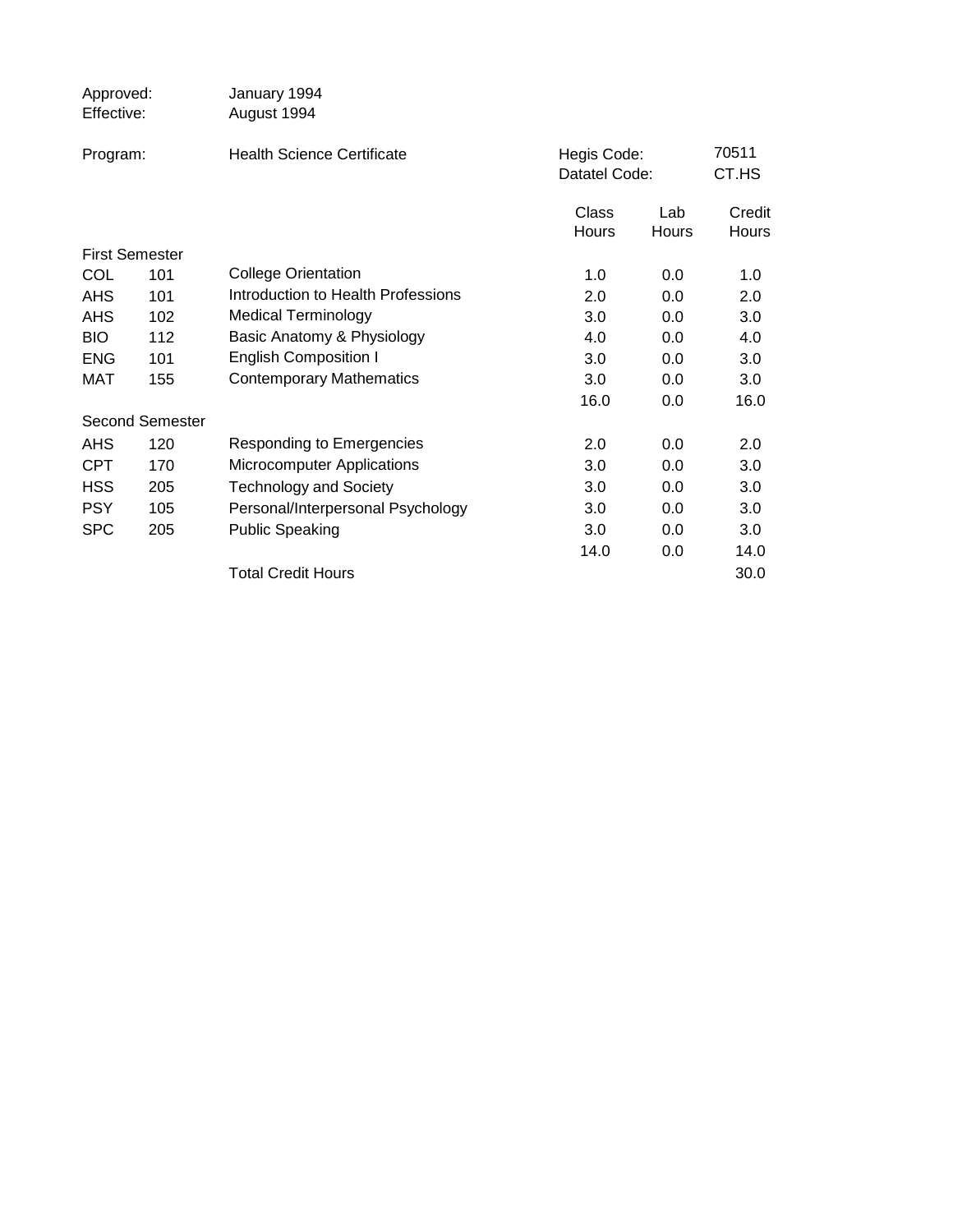| Approved:<br>Effective: |                        | January 1994<br>August 1994        |                              |              |                        |
|-------------------------|------------------------|------------------------------------|------------------------------|--------------|------------------------|
| Program:                |                        | <b>Health Science Certificate</b>  | Hegis Code:<br>Datatel Code: |              | 70511<br>CT.HS         |
|                         |                        |                                    | Class<br>Hours               | Lab<br>Hours | Credit<br><b>Hours</b> |
|                         | <b>First Semester</b>  |                                    |                              |              |                        |
| <b>COL</b>              | 101                    | <b>College Orientation</b>         | 1.0                          | 0.0          | 1.0                    |
| <b>AHS</b>              | 101                    | Introduction to Health Professions | 2.0                          | 0.0          | 2.0                    |
| <b>AHS</b>              | 102                    | <b>Medical Terminology</b>         | 3.0                          | 0.0          | 3.0                    |
| <b>BIO</b>              | 112                    | Basic Anatomy & Physiology         | 4.0                          | 0.0          | 4.0                    |
| <b>ENG</b>              | 101                    | <b>English Composition I</b>       | 3.0                          | 0.0          | 3.0                    |
| MAT                     | 155                    | <b>Contemporary Mathematics</b>    | 3.0                          | 0.0          | 3.0                    |
|                         |                        |                                    | 16.0                         | 0.0          | 16.0                   |
|                         | <b>Second Semester</b> |                                    |                              |              |                        |
| <b>AHS</b>              | 120                    | Responding to Emergencies          | 2.0                          | 0.0          | 2.0                    |
| <b>CPT</b>              | 170                    | Microcomputer Applications         | 3.0                          | 0.0          | 3.0                    |
| <b>HSS</b>              | 205                    | <b>Technology and Society</b>      | 3.0                          | 0.0          | 3.0                    |
| <b>PSY</b>              | 105                    | Personal/Interpersonal Psychology  | 3.0                          | 0.0          | 3.0                    |
| <b>SPC</b>              | 205                    | <b>Public Speaking</b>             | 3.0                          | 0.0          | 3.0                    |
|                         |                        |                                    | 14.0                         | 0.0          | 14.0                   |
|                         |                        | <b>Total Credit Hours</b>          |                              |              | 30.0                   |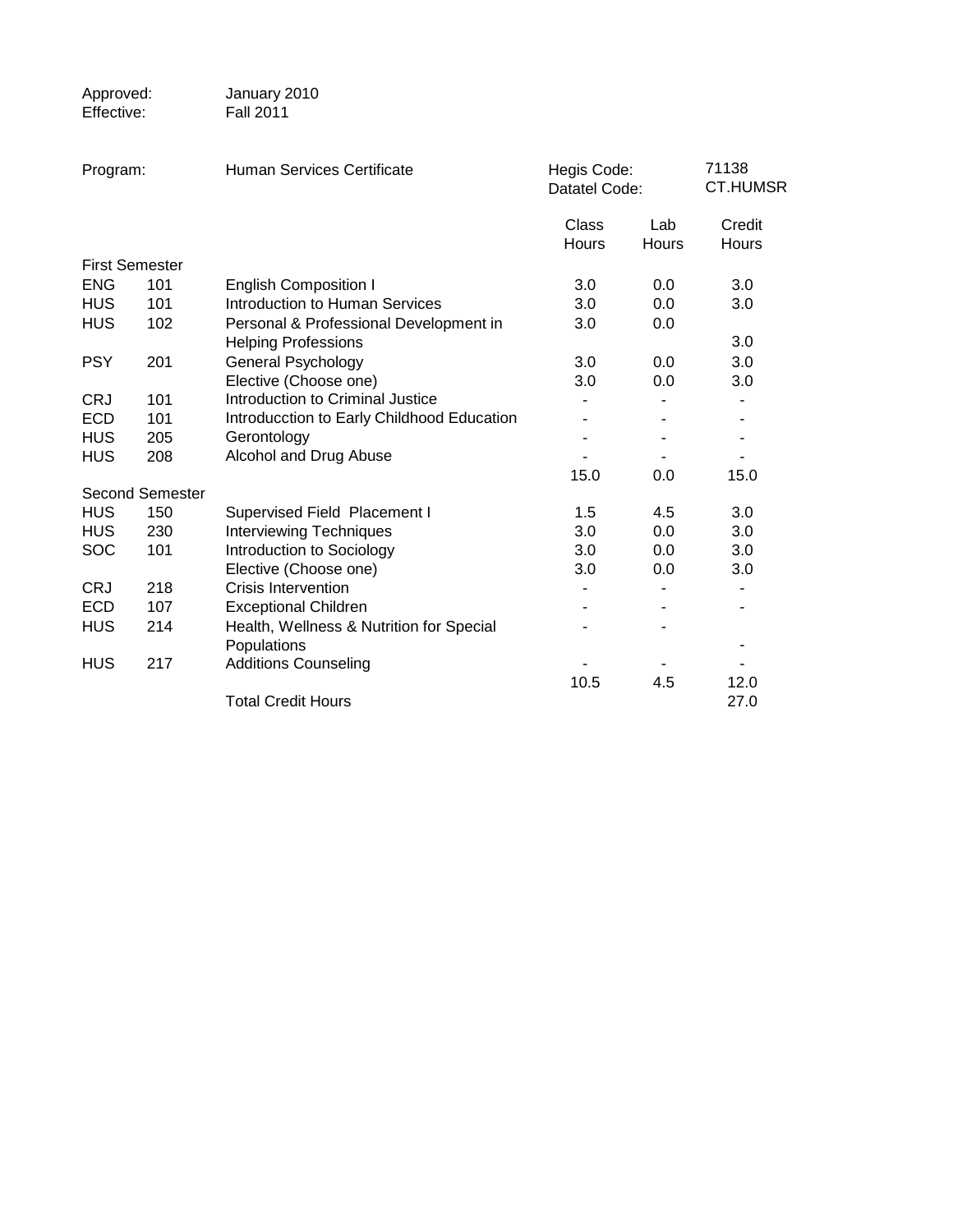| Approved:<br>Effective: |                        | January 2010<br><b>Fall 2011</b>                                     |                              |                     |                          |
|-------------------------|------------------------|----------------------------------------------------------------------|------------------------------|---------------------|--------------------------|
| Program:                |                        | Human Services Certificate                                           | Hegis Code:<br>Datatel Code: |                     | 71138<br><b>CT.HUMSR</b> |
|                         |                        |                                                                      | Class<br><b>Hours</b>        | Lab<br><b>Hours</b> | Credit<br>Hours          |
| <b>First Semester</b>   |                        |                                                                      |                              |                     |                          |
| <b>ENG</b>              | 101                    | <b>English Composition I</b>                                         | 3.0                          | 0.0                 | 3.0                      |
| <b>HUS</b>              | 101                    | <b>Introduction to Human Services</b>                                | 3.0                          | 0.0                 | 3.0                      |
| <b>HUS</b>              | 102                    | Personal & Professional Development in<br><b>Helping Professions</b> | 3.0                          | 0.0                 | 3.0                      |
| <b>PSY</b>              | 201                    | <b>General Psychology</b>                                            | 3.0                          | 0.0                 | 3.0                      |
|                         |                        | Elective (Choose one)                                                | 3.0                          | 0.0                 | 3.0                      |
| <b>CRJ</b>              | 101                    | Introduction to Criminal Justice                                     |                              |                     |                          |
| <b>ECD</b>              | 101                    | Introducction to Early Childhood Education                           |                              |                     |                          |
| <b>HUS</b>              | 205                    | Gerontology                                                          |                              |                     | $\overline{\phantom{a}}$ |
| <b>HUS</b>              | 208                    | Alcohol and Drug Abuse                                               |                              |                     |                          |
|                         |                        |                                                                      | 15.0                         | 0.0                 | 15.0                     |
|                         | <b>Second Semester</b> |                                                                      |                              |                     |                          |
| <b>HUS</b>              | 150                    | Supervised Field Placement I                                         | 1.5                          | 4.5                 | 3.0                      |
| <b>HUS</b>              | 230                    | <b>Interviewing Techniques</b>                                       | 3.0                          | 0.0                 | 3.0                      |
| <b>SOC</b>              | 101                    | Introduction to Sociology                                            | 3.0                          | 0.0                 | 3.0                      |
|                         |                        | Elective (Choose one)                                                | 3.0                          | 0.0                 | 3.0                      |
| <b>CRJ</b>              | 218                    | <b>Crisis Intervention</b>                                           |                              |                     |                          |
| <b>ECD</b>              | 107                    | <b>Exceptional Children</b>                                          |                              |                     | ۰                        |
| <b>HUS</b>              | 214                    | Health, Wellness & Nutrition for Special                             |                              |                     |                          |
|                         |                        | Populations                                                          |                              |                     |                          |
| HUS                     | 217                    | <b>Additions Counseling</b>                                          |                              |                     |                          |
|                         |                        |                                                                      | 10.5                         | 4.5                 | 12.0                     |
|                         |                        | <b>Total Credit Hours</b>                                            |                              |                     | 27.0                     |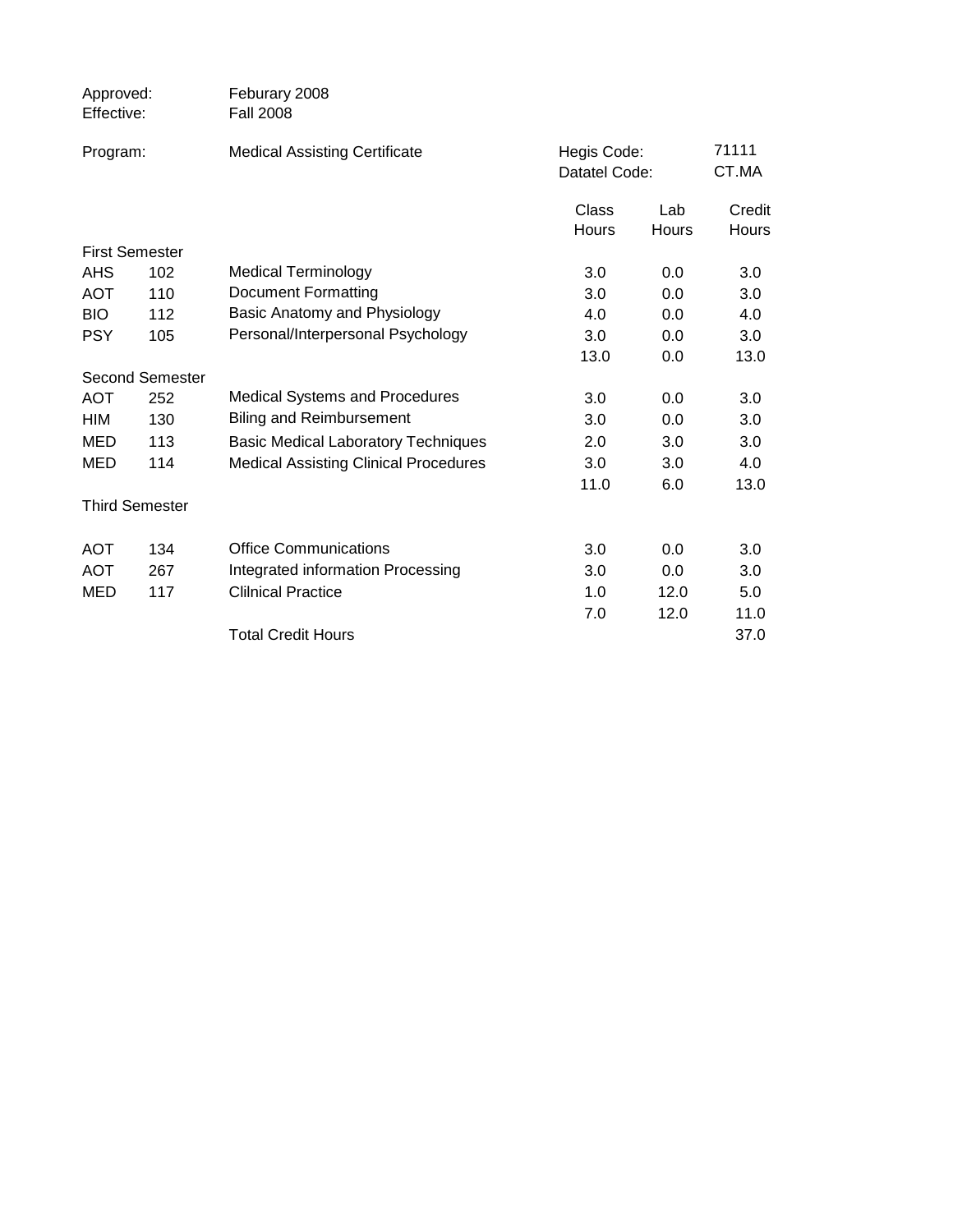| Approved:<br>Effective: |                        | Feburary 2008<br><b>Fall 2008</b>            |                              |              |                        |
|-------------------------|------------------------|----------------------------------------------|------------------------------|--------------|------------------------|
| Program:                |                        | <b>Medical Assisting Certificate</b>         | Hegis Code:<br>Datatel Code: |              | 71111<br>CT.MA         |
|                         |                        |                                              | Class<br>Hours               | Lab<br>Hours | Credit<br><b>Hours</b> |
|                         | <b>First Semester</b>  |                                              |                              |              |                        |
| <b>AHS</b>              | 102                    | <b>Medical Terminology</b>                   | 3.0                          | 0.0          | 3.0                    |
| <b>AOT</b>              | 110                    | <b>Document Formatting</b>                   | 3.0                          | 0.0          | 3.0                    |
| <b>BIO</b>              | 112                    | Basic Anatomy and Physiology                 | 4.0                          | 0.0          | 4.0                    |
| <b>PSY</b>              | 105                    | Personal/Interpersonal Psychology            | 3.0                          | 0.0          | 3.0                    |
|                         |                        |                                              | 13.0                         | 0.0          | 13.0                   |
|                         | <b>Second Semester</b> |                                              |                              |              |                        |
| <b>AOT</b>              | 252                    | <b>Medical Systems and Procedures</b>        | 3.0                          | 0.0          | 3.0                    |
| <b>HIM</b>              | 130                    | <b>Biling and Reimbursement</b>              | 3.0                          | 0.0          | 3.0                    |
| <b>MED</b>              | 113                    | <b>Basic Medical Laboratory Techniques</b>   | 2.0                          | 3.0          | 3.0                    |
| <b>MED</b>              | 114                    | <b>Medical Assisting Clinical Procedures</b> | 3.0                          | 3.0          | 4.0                    |
|                         |                        |                                              | 11.0                         | 6.0          | 13.0                   |
|                         | <b>Third Semester</b>  |                                              |                              |              |                        |
| <b>AOT</b>              | 134                    | <b>Office Communications</b>                 | 3.0                          | 0.0          | 3.0                    |
| <b>AOT</b>              | 267                    | Integrated information Processing            | 3.0                          | 0.0          | 3.0                    |
| MED                     | 117                    | <b>Clilnical Practice</b>                    | 1.0                          | 12.0         | 5.0                    |
|                         |                        |                                              | 7.0                          | 12.0         | 11.0                   |
|                         |                        | <b>Total Credit Hours</b>                    |                              |              | 37.0                   |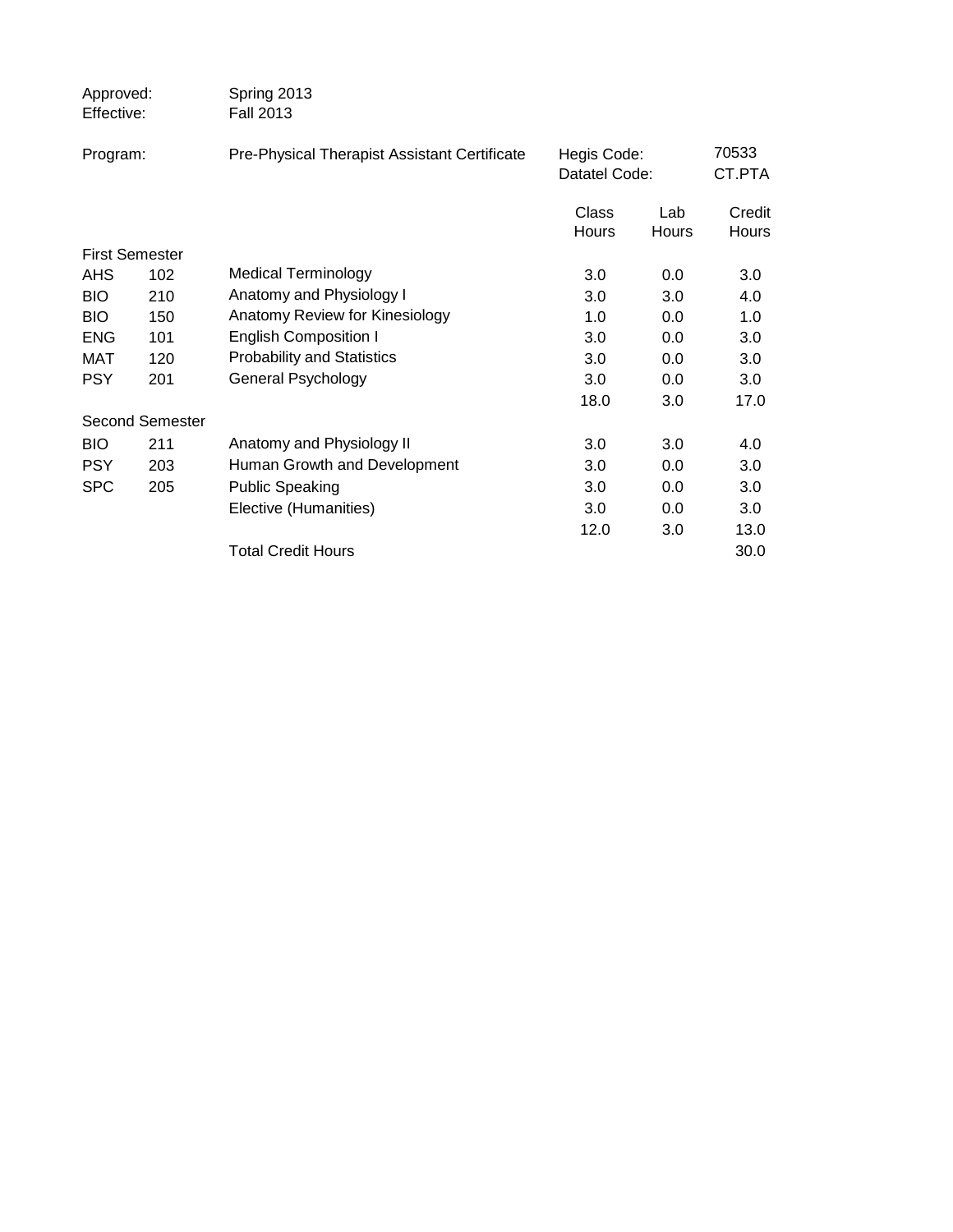| Approved:<br>Effective: |                        | Spring 2013<br><b>Fall 2013</b>              |                              |              |                 |
|-------------------------|------------------------|----------------------------------------------|------------------------------|--------------|-----------------|
| Program:                |                        | Pre-Physical Therapist Assistant Certificate | Hegis Code:<br>Datatel Code: |              | 70533<br>CT.PTA |
|                         |                        |                                              | Class<br><b>Hours</b>        | Lab<br>Hours | Credit<br>Hours |
| <b>First Semester</b>   |                        |                                              |                              |              |                 |
| <b>AHS</b>              | 102                    | Medical Terminology                          | 3.0                          | $0.0\,$      | 3.0             |
| <b>BIO</b>              | 210                    | Anatomy and Physiology I                     | 3.0                          | 3.0          | 4.0             |
| <b>BIO</b>              | 150                    | Anatomy Review for Kinesiology               | 1.0                          | 0.0          | 1.0             |
| <b>ENG</b>              | 101                    | <b>English Composition I</b>                 | 3.0                          | $0.0\,$      | 3.0             |
| MAT                     | 120                    | <b>Probability and Statistics</b>            | 3.0                          | 0.0          | 3.0             |
| <b>PSY</b>              | 201                    | General Psychology                           | 3.0                          | 0.0          | 3.0             |
|                         |                        |                                              | 18.0                         | 3.0          | 17.0            |
|                         | <b>Second Semester</b> |                                              |                              |              |                 |
| <b>BIO</b>              | 211                    | Anatomy and Physiology II                    | 3.0                          | 3.0          | 4.0             |
| <b>PSY</b>              | 203                    | Human Growth and Development                 | 3.0                          | 0.0          | 3.0             |
| <b>SPC</b>              | 205                    | <b>Public Speaking</b>                       | 3.0                          | 0.0          | 3.0             |
|                         |                        | Elective (Humanities)                        | 3.0                          | 0.0          | 3.0             |
|                         |                        |                                              | 12.0                         | 3.0          | 13.0            |
|                         |                        | <b>Total Credit Hours</b>                    |                              |              | 30.0            |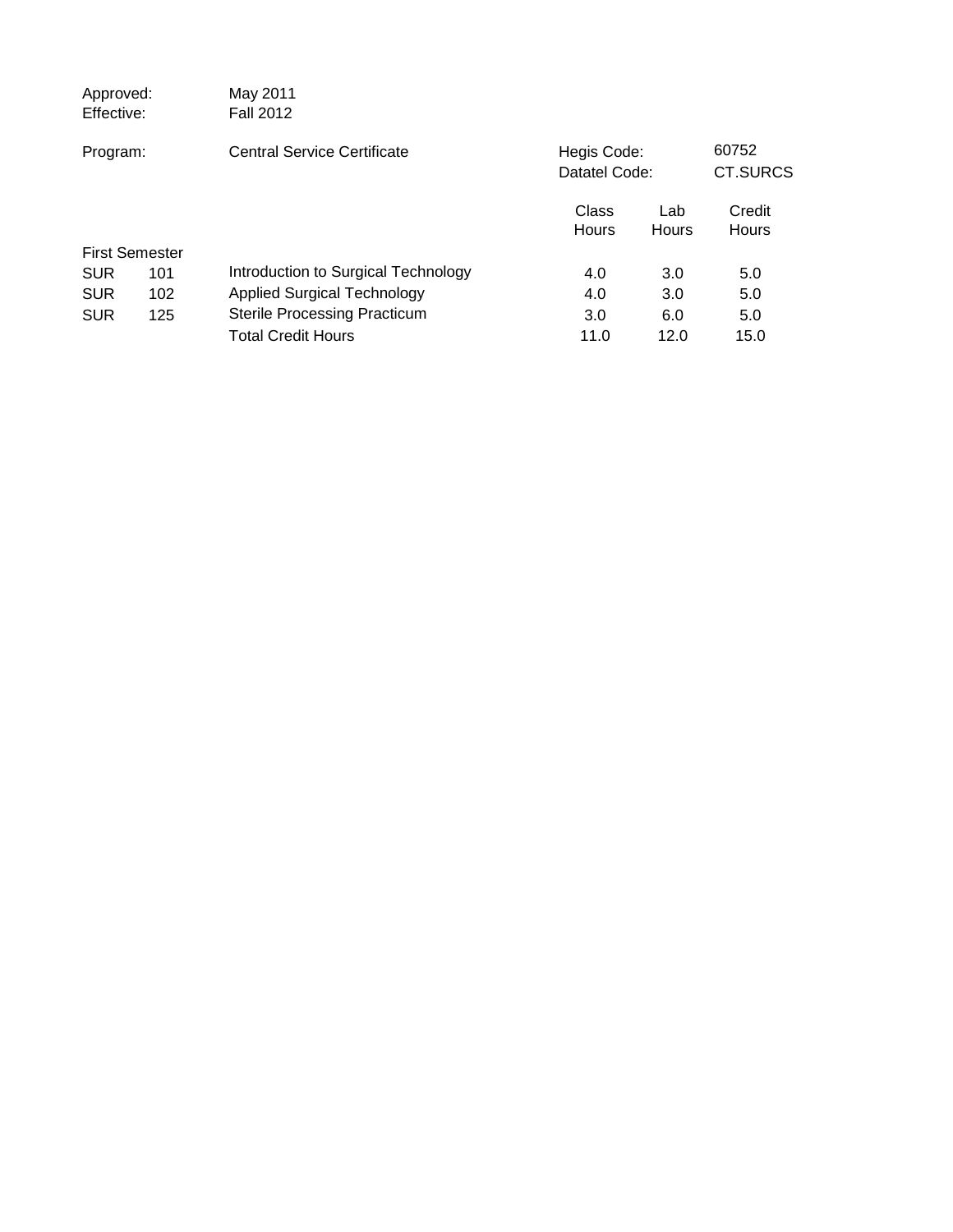| Approved:<br>Effective: |     | May 2011<br><b>Fall 2012</b>        |                              |              |                   |
|-------------------------|-----|-------------------------------------|------------------------------|--------------|-------------------|
| Program:                |     | Central Service Certificate         | Hegis Code:<br>Datatel Code: |              | 60752<br>CT.SURCS |
|                         |     |                                     | Class<br>Hours               | Lab<br>Hours | Credit<br>Hours   |
| <b>First Semester</b>   |     |                                     |                              |              |                   |
| <b>SUR</b>              | 101 | Introduction to Surgical Technology | 4.0                          | 3.0          | 5.0               |
| <b>SUR</b>              | 102 | <b>Applied Surgical Technology</b>  | 4.0                          | 3.0          | 5.0               |
| <b>SUR</b>              | 125 | <b>Sterile Processing Practicum</b> | 3.0                          | 6.0          | 5.0               |
|                         |     | <b>Total Credit Hours</b>           | 11.0                         | 12.0         | 15.0              |
|                         |     |                                     |                              |              |                   |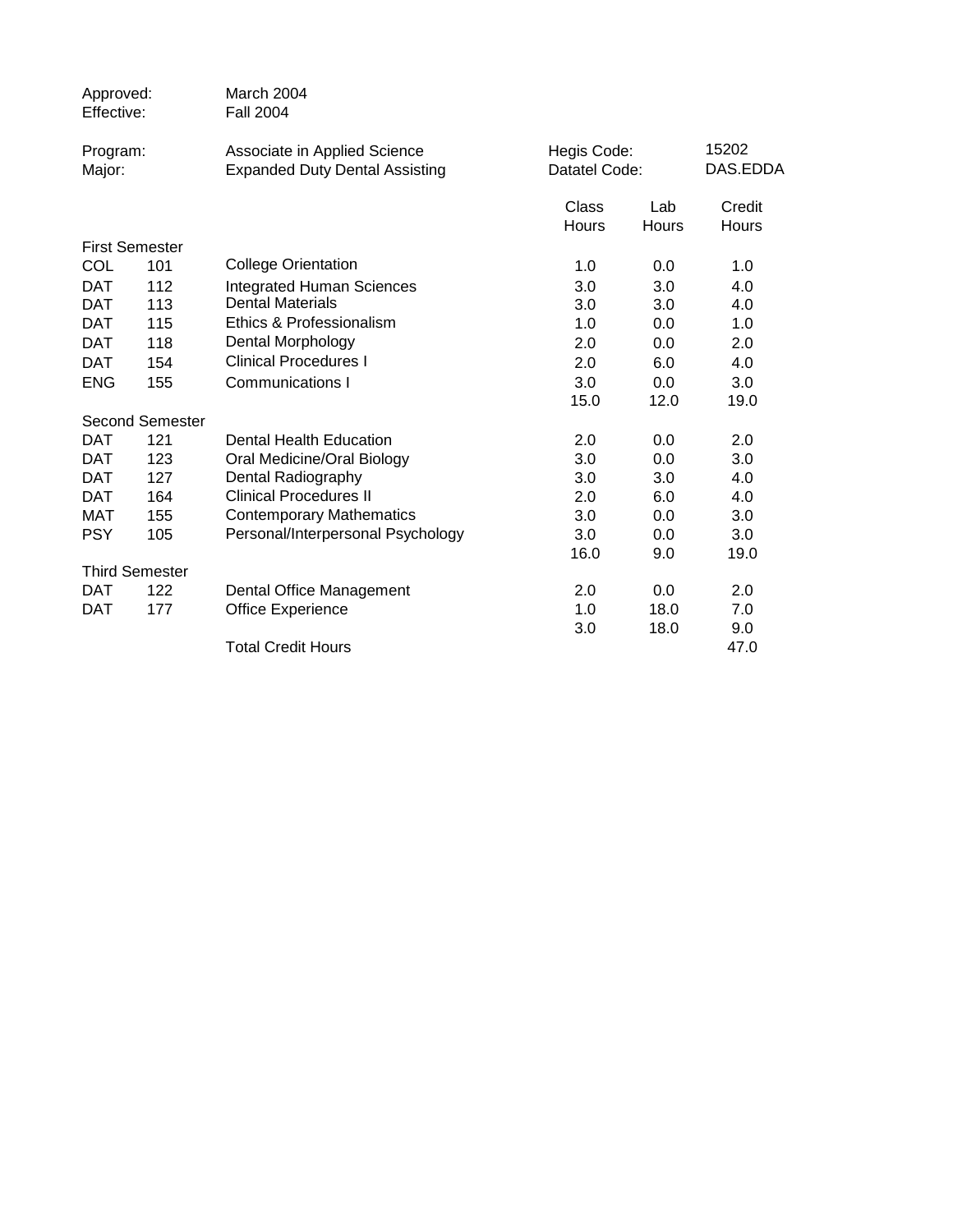| Approved:<br>Effective: |                        | March 2004<br><b>Fall 2004</b>                                        |                              |              |                   |
|-------------------------|------------------------|-----------------------------------------------------------------------|------------------------------|--------------|-------------------|
| Program:<br>Major:      |                        | Associate in Applied Science<br><b>Expanded Duty Dental Assisting</b> | Hegis Code:<br>Datatel Code: |              | 15202<br>DAS.EDDA |
|                         |                        |                                                                       | Class<br>Hours               | Lab<br>Hours | Credit<br>Hours   |
|                         | <b>First Semester</b>  |                                                                       |                              |              |                   |
| COL                     | 101                    | <b>College Orientation</b>                                            | 1.0                          | 0.0          | 1.0               |
| <b>DAT</b>              | 112                    | <b>Integrated Human Sciences</b>                                      | 3.0                          | 3.0          | 4.0               |
| <b>DAT</b>              | 113                    | <b>Dental Materials</b>                                               | 3.0                          | 3.0          | 4.0               |
| <b>DAT</b>              | 115                    | Ethics & Professionalism                                              | 1.0                          | 0.0          | 1.0               |
| <b>DAT</b>              | 118                    | Dental Morphology                                                     | 2.0                          | 0.0          | 2.0               |
| <b>DAT</b>              | 154                    | <b>Clinical Procedures I</b>                                          | 2.0                          | 6.0          | 4.0               |
| <b>ENG</b>              | 155                    | Communications I                                                      | 3.0                          | 0.0          | 3.0               |
|                         |                        |                                                                       | 15.0                         | 12.0         | 19.0              |
|                         | <b>Second Semester</b> |                                                                       |                              |              |                   |
| <b>DAT</b>              | 121                    | Dental Health Education                                               | 2.0                          | 0.0          | 2.0               |
| <b>DAT</b>              | 123                    | Oral Medicine/Oral Biology                                            | 3.0                          | 0.0          | 3.0               |
| DAT                     | 127                    | Dental Radiography                                                    | 3.0                          | 3.0          | 4.0               |
| <b>DAT</b>              | 164                    | <b>Clinical Procedures II</b>                                         | 2.0                          | 6.0          | 4.0               |
| <b>MAT</b>              | 155                    | <b>Contemporary Mathematics</b>                                       | 3.0                          | 0.0          | 3.0               |
| <b>PSY</b>              | 105                    | Personal/Interpersonal Psychology                                     | 3.0                          | 0.0          | 3.0               |
|                         |                        |                                                                       | 16.0                         | 9.0          | 19.0              |
|                         | <b>Third Semester</b>  |                                                                       |                              |              |                   |
| <b>DAT</b>              | 122                    | Dental Office Management                                              | 2.0                          | 0.0          | 2.0               |
| <b>DAT</b>              | 177                    | <b>Office Experience</b>                                              | 1.0                          | 18.0         | 7.0               |
|                         |                        |                                                                       | 3.0                          | 18.0         | 9.0               |
|                         |                        | <b>Total Credit Hours</b>                                             |                              |              | 47.0              |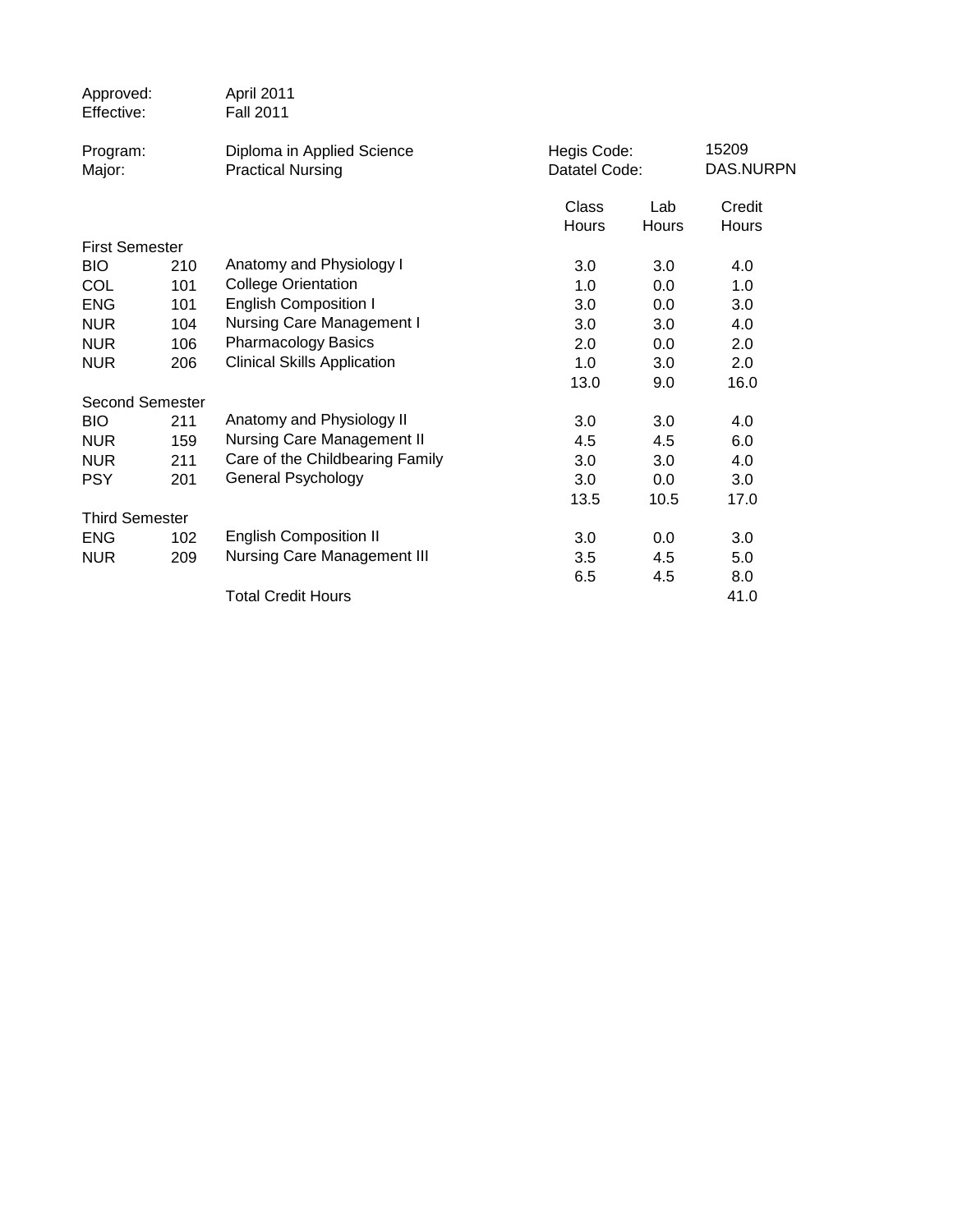| Approved:<br>Effective: |     | April 2011<br><b>Fall 2011</b>                         |                              |       |                    |
|-------------------------|-----|--------------------------------------------------------|------------------------------|-------|--------------------|
| Program:<br>Major:      |     | Diploma in Applied Science<br><b>Practical Nursing</b> | Hegis Code:<br>Datatel Code: |       | 15209<br>DAS.NURPN |
|                         |     |                                                        | Class                        | Lab   | Credit             |
|                         |     |                                                        | Hours                        | Hours | Hours              |
| <b>First Semester</b>   |     |                                                        |                              |       |                    |
| <b>BIO</b>              | 210 | Anatomy and Physiology I                               | 3.0                          | 3.0   | 4.0                |
| <b>COL</b>              | 101 | <b>College Orientation</b>                             | 1.0                          | 0.0   | 1.0                |
| <b>ENG</b>              | 101 | <b>English Composition I</b>                           | 3.0                          | 0.0   | 3.0                |
| <b>NUR</b>              | 104 | <b>Nursing Care Management I</b>                       | 3.0                          | 3.0   | 4.0                |
| <b>NUR</b>              | 106 | <b>Pharmacology Basics</b>                             | 2.0                          | 0.0   | 2.0                |
| <b>NUR</b>              | 206 | <b>Clinical Skills Application</b>                     | 1.0                          | 3.0   | 2.0                |
|                         |     |                                                        | 13.0                         | 9.0   | 16.0               |
| <b>Second Semester</b>  |     |                                                        |                              |       |                    |
| <b>BIO</b>              | 211 | Anatomy and Physiology II                              | 3.0                          | 3.0   | 4.0                |
| <b>NUR</b>              | 159 | <b>Nursing Care Management II</b>                      | 4.5                          | 4.5   | 6.0                |
| <b>NUR</b>              | 211 | Care of the Childbearing Family                        | 3.0                          | 3.0   | 4.0                |
| <b>PSY</b>              | 201 | General Psychology                                     | 3.0                          | 0.0   | 3.0                |
|                         |     |                                                        | 13.5                         | 10.5  | 17.0               |
| <b>Third Semester</b>   |     |                                                        |                              |       |                    |
| <b>ENG</b>              | 102 | <b>English Composition II</b>                          | 3.0                          | 0.0   | 3.0                |
| <b>NUR</b>              | 209 | <b>Nursing Care Management III</b>                     | 3.5                          | 4.5   | 5.0                |
|                         |     |                                                        | 6.5                          | 4.5   | 8.0                |
|                         |     | <b>Total Credit Hours</b>                              |                              |       | 41.0               |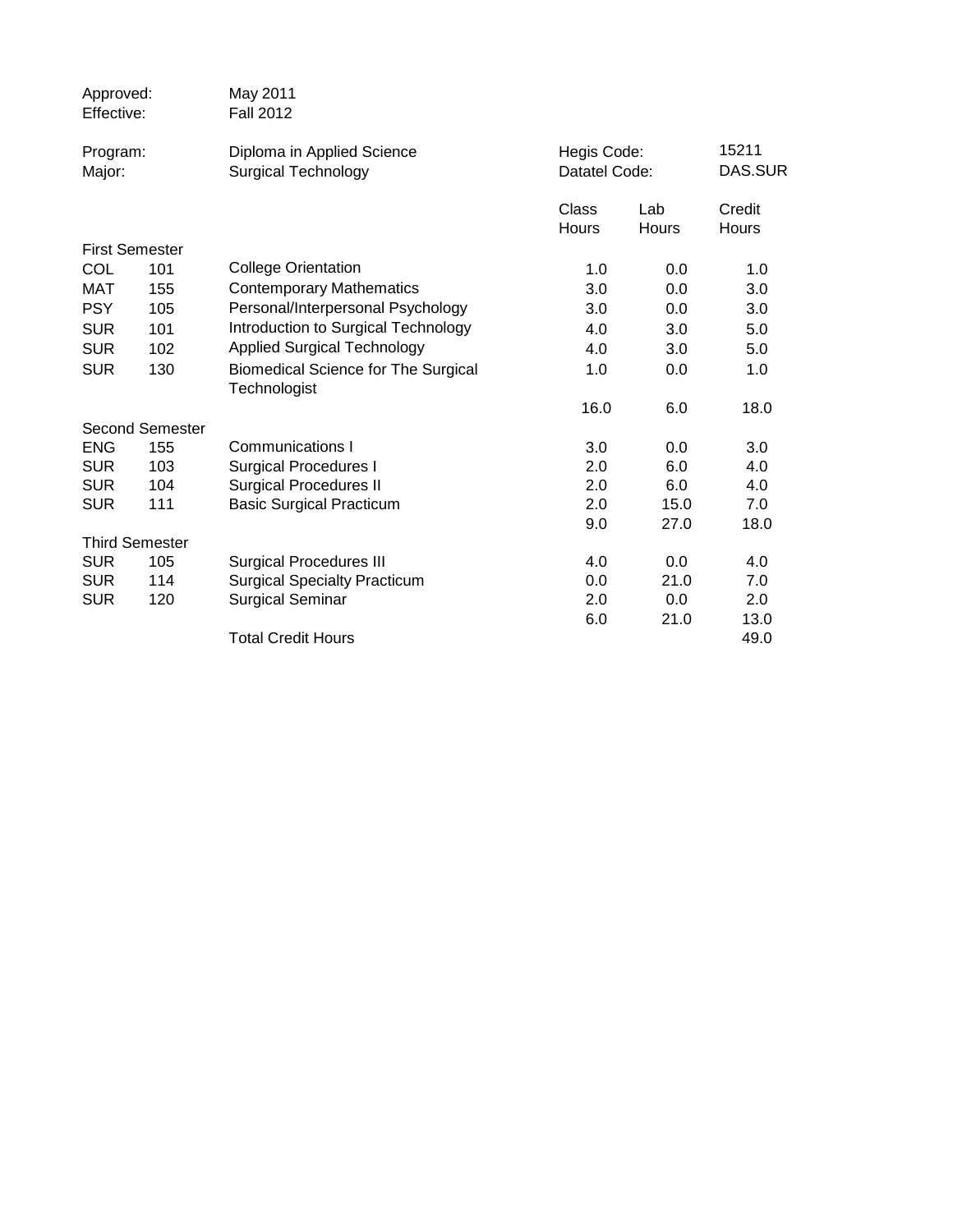| Approved:<br>Effective: |                        | May 2011<br><b>Fall 2012</b>                               |                              |              |                  |  |
|-------------------------|------------------------|------------------------------------------------------------|------------------------------|--------------|------------------|--|
| Program:<br>Major:      |                        | Diploma in Applied Science<br><b>Surgical Technology</b>   | Hegis Code:<br>Datatel Code: |              | 15211<br>DAS.SUR |  |
|                         |                        |                                                            | Class<br>Hours               | Lab<br>Hours | Credit<br>Hours  |  |
|                         | <b>First Semester</b>  |                                                            |                              |              |                  |  |
| COL                     | 101                    | <b>College Orientation</b>                                 | 1.0                          | 0.0          | 1.0              |  |
| <b>MAT</b>              | 155                    | <b>Contemporary Mathematics</b>                            | 3.0                          | 0.0          | 3.0              |  |
| <b>PSY</b>              | 105                    | Personal/Interpersonal Psychology                          | 3.0                          | 0.0          | 3.0              |  |
| <b>SUR</b>              | 101                    | Introduction to Surgical Technology                        | 4.0                          | 3.0          | 5.0              |  |
| <b>SUR</b>              | 102                    | <b>Applied Surgical Technology</b>                         | 4.0                          | 3.0          | 5.0              |  |
| <b>SUR</b>              | 130                    | <b>Biomedical Science for The Surgical</b><br>Technologist | 1.0                          | 0.0          | 1.0              |  |
|                         |                        |                                                            | 16.0                         | 6.0          | 18.0             |  |
|                         | <b>Second Semester</b> |                                                            |                              |              |                  |  |
| <b>ENG</b>              | 155                    | Communications I                                           | 3.0                          | 0.0          | 3.0              |  |
| <b>SUR</b>              | 103                    | <b>Surgical Procedures I</b>                               | 2.0                          | 6.0          | 4.0              |  |
| <b>SUR</b>              | 104                    | <b>Surgical Procedures II</b>                              | 2.0                          | 6.0          | 4.0              |  |
| <b>SUR</b>              | 111                    | <b>Basic Surgical Practicum</b>                            | 2.0                          | 15.0         | 7.0              |  |
|                         |                        |                                                            | 9.0                          | 27.0         | 18.0             |  |
|                         | <b>Third Semester</b>  |                                                            |                              |              |                  |  |
| <b>SUR</b>              | 105                    | <b>Surgical Procedures III</b>                             | 4.0                          | 0.0          | 4.0              |  |
| <b>SUR</b>              | 114                    | <b>Surgical Specialty Practicum</b>                        | 0.0                          | 21.0         | 7.0              |  |
| <b>SUR</b>              | 120                    | <b>Surgical Seminar</b>                                    | 2.0                          | 0.0          | 2.0              |  |
|                         |                        |                                                            | 6.0                          | 21.0         | 13.0             |  |
|                         |                        | <b>Total Credit Hours</b>                                  |                              |              | 49.0             |  |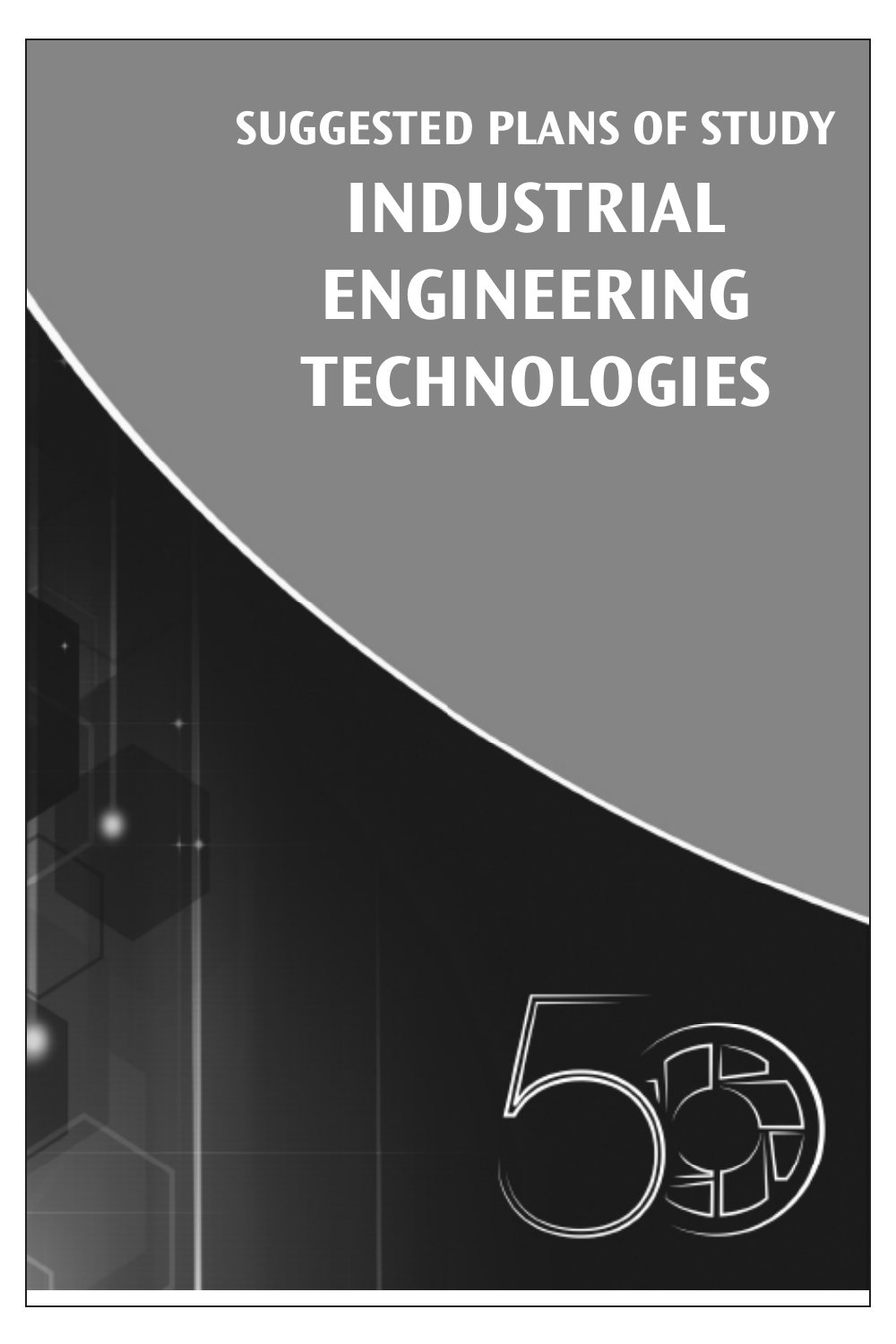## **SUGGESTED PLANS OF STUDY INDUSTRIAL ENGINEERING TECHNOLOGIES**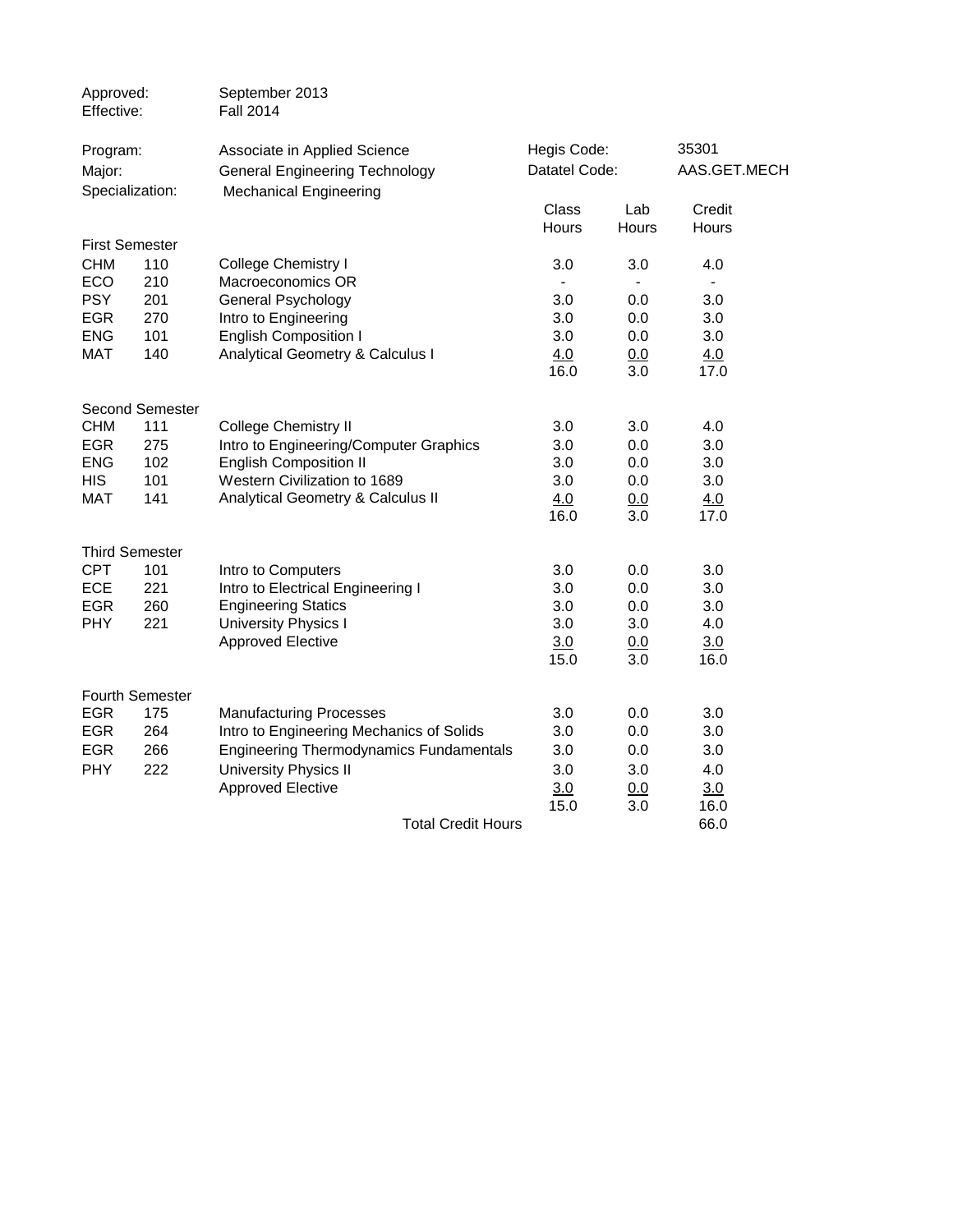| Approved:<br>Effective:   |                 | September 2013<br><b>Fall 2014</b>             |               |            |                          |  |
|---------------------------|-----------------|------------------------------------------------|---------------|------------|--------------------------|--|
| Program:                  |                 | Associate in Applied Science                   | Hegis Code:   |            | 35301                    |  |
| Major:<br>Specialization: |                 | <b>General Engineering Technology</b>          | Datatel Code: |            | AAS.GET.MECH             |  |
|                           |                 | <b>Mechanical Engineering</b>                  | Class         | Lab        | Credit                   |  |
|                           |                 |                                                | Hours         | Hours      | Hours                    |  |
| <b>First Semester</b>     |                 |                                                |               |            |                          |  |
| <b>CHM</b>                | 110             | <b>College Chemistry I</b>                     | 3.0           | 3.0        | 4.0                      |  |
| ECO                       | 210             | Macroeconomics OR                              | $\sim$        |            | $\overline{\phantom{a}}$ |  |
| <b>PSY</b>                | 201             | General Psychology                             | 3.0           | 0.0        | 3.0                      |  |
| <b>EGR</b>                | 270             | Intro to Engineering                           | 3.0           | 0.0        | 3.0                      |  |
| <b>ENG</b>                | 101             | <b>English Composition I</b>                   | 3.0           | 0.0        | 3.0                      |  |
| <b>MAT</b>                | 140             | Analytical Geometry & Calculus I               | 4.0           | 0.0        | 4.0                      |  |
|                           |                 |                                                | 16.0          | 3.0        | 17.0                     |  |
|                           | Second Semester |                                                |               |            |                          |  |
| <b>CHM</b>                | 111             | <b>College Chemistry II</b>                    | 3.0           | 3.0        | 4.0                      |  |
| <b>EGR</b>                | 275             | Intro to Engineering/Computer Graphics         | 3.0           | 0.0        | 3.0                      |  |
| <b>ENG</b>                | 102             | <b>English Composition II</b>                  | 3.0           | 0.0        | 3.0                      |  |
| <b>HIS</b>                | 101             | Western Civilization to 1689                   | 3.0           | 0.0        | 3.0                      |  |
| <b>MAT</b>                | 141             | Analytical Geometry & Calculus II              | 4.0           | 0.0        | 4.0                      |  |
|                           |                 |                                                | 16.0          | 3.0        | 17.0                     |  |
| <b>Third Semester</b>     |                 |                                                |               |            |                          |  |
| <b>CPT</b>                | 101             | Intro to Computers                             | 3.0           | 0.0        | 3.0                      |  |
| <b>ECE</b>                | 221             | Intro to Electrical Engineering I              | 3.0           | 0.0        | 3.0                      |  |
| <b>EGR</b>                | 260             | <b>Engineering Statics</b>                     | 3.0           | 0.0        | 3.0                      |  |
| <b>PHY</b>                | 221             | <b>University Physics I</b>                    | 3.0           | 3.0        | 4.0                      |  |
|                           |                 | <b>Approved Elective</b>                       | 3.0           | <u>0.0</u> | 3.0                      |  |
|                           |                 |                                                | 15.0          | 3.0        | 16.0                     |  |
|                           |                 |                                                |               |            |                          |  |
|                           | Fourth Semester |                                                |               |            |                          |  |
| <b>EGR</b>                | 175             | <b>Manufacturing Processes</b>                 | 3.0           | 0.0        | 3.0                      |  |
| <b>EGR</b>                | 264             | Intro to Engineering Mechanics of Solids       | 3.0           | 0.0        | 3.0                      |  |
| <b>EGR</b>                | 266             | <b>Engineering Thermodynamics Fundamentals</b> | 3.0           | 0.0        | 3.0                      |  |
| <b>PHY</b>                | 222             | <b>University Physics II</b>                   | 3.0           | 3.0        | 4.0                      |  |
|                           |                 | <b>Approved Elective</b>                       | 3.0           | 0.0        | 3.0                      |  |
|                           |                 |                                                | 15.0          | 3.0        | 16.0                     |  |
|                           |                 | <b>Total Credit Hours</b>                      |               |            | 66.0                     |  |
|                           |                 |                                                |               |            |                          |  |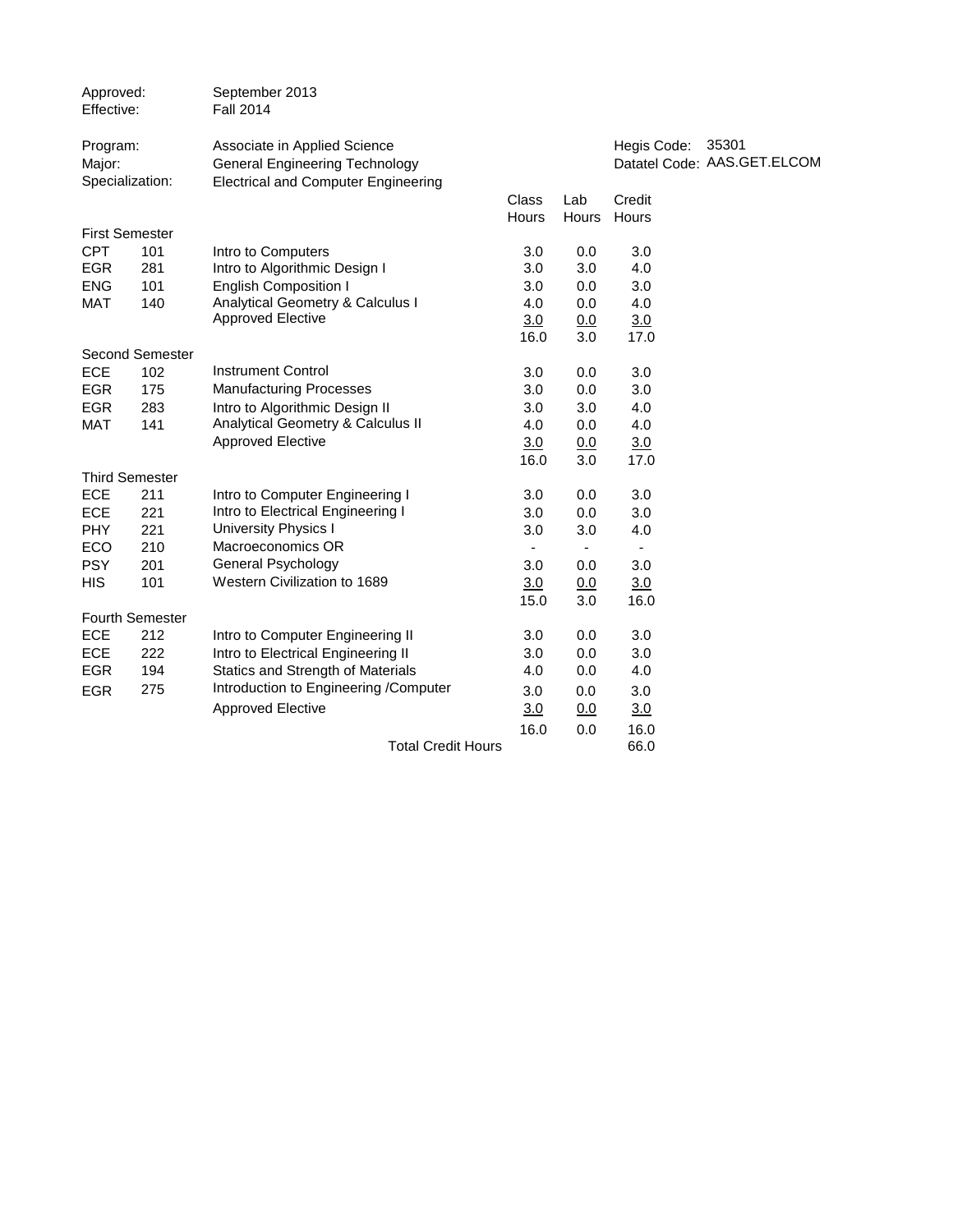| Approved:<br>Effective: |                        | September 2013<br><b>Fall 2014</b>                                                                                  |                       |              |                 |                                      |
|-------------------------|------------------------|---------------------------------------------------------------------------------------------------------------------|-----------------------|--------------|-----------------|--------------------------------------|
| Program:<br>Major:      | Specialization:        | Associate in Applied Science<br><b>General Engineering Technology</b><br><b>Electrical and Computer Engineering</b> |                       |              | Hegis Code:     | 35301<br>Datatel Code: AAS.GET.ELCOM |
|                         |                        |                                                                                                                     | <b>Class</b><br>Hours | Lab<br>Hours | Credit<br>Hours |                                      |
|                         | <b>First Semester</b>  |                                                                                                                     |                       |              |                 |                                      |
| <b>CPT</b>              | 101                    | Intro to Computers                                                                                                  | 3.0                   | 0.0          | 3.0             |                                      |
| <b>EGR</b>              | 281                    | Intro to Algorithmic Design I                                                                                       | 3.0                   | 3.0          | 4.0             |                                      |
| <b>ENG</b>              | 101                    | <b>English Composition I</b>                                                                                        | 3.0                   | 0.0          | 3.0             |                                      |
| <b>MAT</b>              | 140                    | Analytical Geometry & Calculus I                                                                                    | 4.0                   | 0.0          | 4.0             |                                      |
|                         |                        | <b>Approved Elective</b>                                                                                            | 3.0                   | 0.0          | 3.0             |                                      |
|                         |                        |                                                                                                                     | 16.0                  | 3.0          | 17.0            |                                      |
|                         | <b>Second Semester</b> |                                                                                                                     |                       |              |                 |                                      |
| <b>ECE</b>              | 102                    | <b>Instrument Control</b>                                                                                           | 3.0                   | 0.0          | 3.0             |                                      |
| <b>EGR</b>              | 175                    | <b>Manufacturing Processes</b>                                                                                      | 3.0                   | 0.0          | 3.0             |                                      |
| <b>EGR</b>              | 283                    | Intro to Algorithmic Design II                                                                                      | 3.0                   | 3.0          | 4.0             |                                      |
| <b>MAT</b>              | 141                    | Analytical Geometry & Calculus II                                                                                   | 4.0                   | 0.0          | 4.0             |                                      |
|                         |                        | <b>Approved Elective</b>                                                                                            | 3.0                   | 0.0          | 3.0             |                                      |
|                         |                        |                                                                                                                     | 16.0                  | 3.0          | 17.0            |                                      |
|                         | <b>Third Semester</b>  |                                                                                                                     |                       |              |                 |                                      |
| ECE                     | 211                    | Intro to Computer Engineering I                                                                                     | 3.0                   | 0.0          | 3.0             |                                      |
| ECE                     | 221                    | Intro to Electrical Engineering I                                                                                   | 3.0                   | 0.0          | 3.0             |                                      |
| <b>PHY</b>              | 221                    | <b>University Physics I</b>                                                                                         | 3.0                   | 3.0          | 4.0             |                                      |
| ECO                     | 210                    | Macroeconomics OR                                                                                                   | $\blacksquare$        |              |                 |                                      |
| <b>PSY</b>              | 201                    | <b>General Psychology</b>                                                                                           | 3.0                   | 0.0          | 3.0             |                                      |
| <b>HIS</b>              | 101                    | Western Civilization to 1689                                                                                        | 3.0                   | 0.0          | 3.0             |                                      |
|                         |                        |                                                                                                                     | 15.0                  | 3.0          | 16.0            |                                      |
|                         | Fourth Semester        |                                                                                                                     |                       |              |                 |                                      |
| <b>ECE</b>              | 212                    | Intro to Computer Engineering II                                                                                    | 3.0                   | 0.0          | 3.0             |                                      |
| <b>ECE</b>              | 222                    | Intro to Electrical Engineering II                                                                                  | 3.0                   | 0.0          | 3.0             |                                      |
| <b>EGR</b>              | 194                    | <b>Statics and Strength of Materials</b>                                                                            | 4.0                   | 0.0          | 4.0             |                                      |
| <b>EGR</b>              | 275                    | Introduction to Engineering /Computer                                                                               | 3.0                   | 0.0          | 3.0             |                                      |
|                         |                        | <b>Approved Elective</b>                                                                                            | 3.0                   | 0.0          | 3.0             |                                      |
|                         |                        |                                                                                                                     | 16.0                  | 0.0          | 16.0            |                                      |
|                         |                        | <b>Total Credit Hours</b>                                                                                           |                       |              | 66.0            |                                      |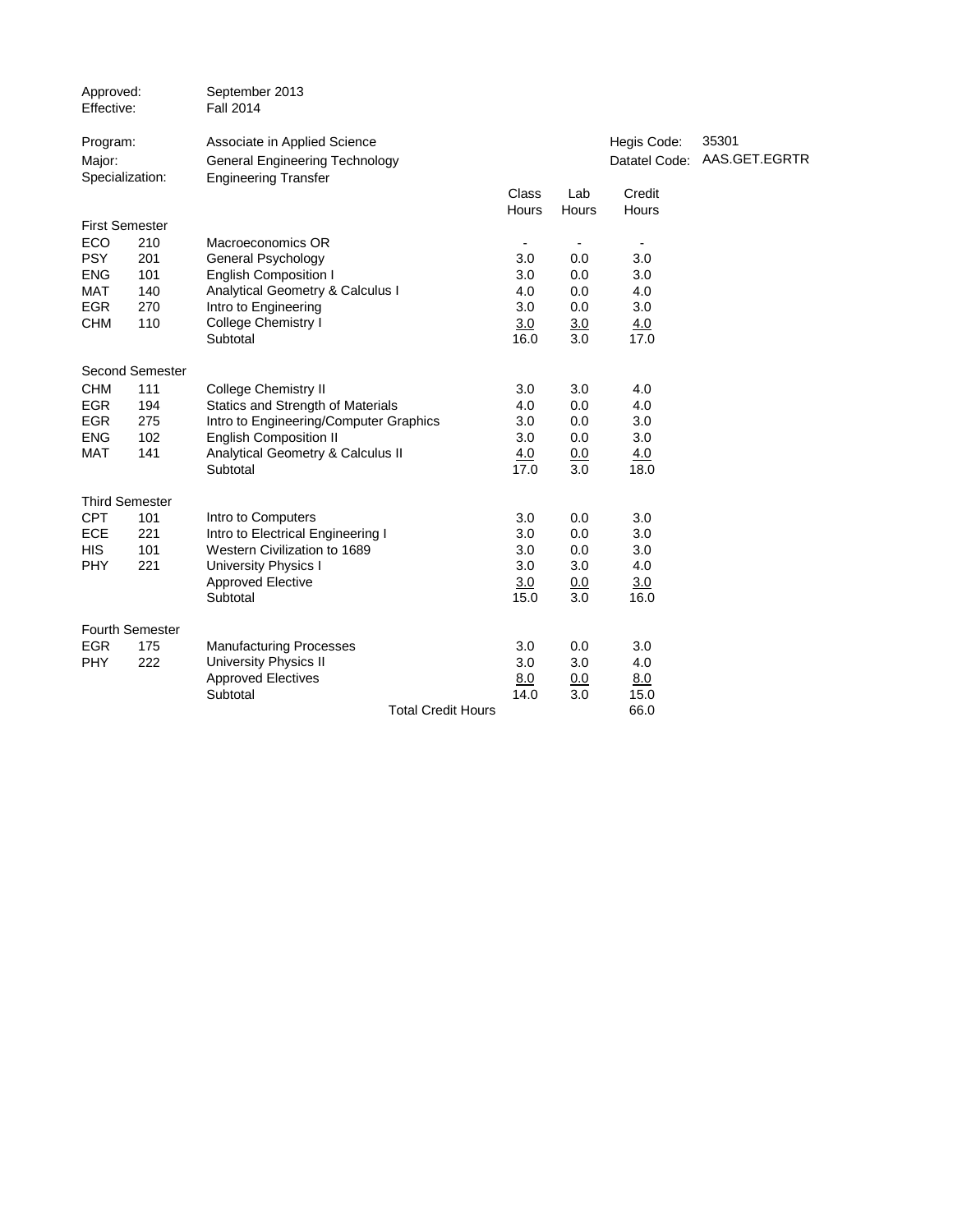| Approved:<br>Effective:               |                        | September 2013<br><b>Fall 2014</b>                                                                   |                       |                |                          |                                      |
|---------------------------------------|------------------------|------------------------------------------------------------------------------------------------------|-----------------------|----------------|--------------------------|--------------------------------------|
| Program:<br>Major:<br>Specialization: |                        | Associate in Applied Science<br><b>General Engineering Technology</b><br><b>Engineering Transfer</b> |                       |                | Hegis Code:              | 35301<br>Datatel Code: AAS.GET.EGRTR |
|                                       |                        |                                                                                                      | <b>Class</b><br>Hours | Lab<br>Hours   | Credit<br>Hours          |                                      |
| <b>First Semester</b>                 |                        |                                                                                                      |                       |                |                          |                                      |
| ECO                                   | 210                    | Macroeconomics OR                                                                                    | $\blacksquare$        | $\blacksquare$ | $\overline{\phantom{a}}$ |                                      |
| <b>PSY</b>                            | 201                    | General Psychology                                                                                   | 3.0                   | 0.0            | 3.0                      |                                      |
| <b>ENG</b>                            | 101                    | <b>English Composition I</b>                                                                         | 3.0                   | 0.0            | 3.0                      |                                      |
| <b>MAT</b>                            | 140                    | <b>Analytical Geometry &amp; Calculus I</b>                                                          | 4.0                   | 0.0            | 4.0                      |                                      |
| <b>EGR</b>                            | 270                    | Intro to Engineering                                                                                 | 3.0                   | 0.0            | 3.0                      |                                      |
| <b>CHM</b>                            | 110                    | College Chemistry I                                                                                  | 3.0                   | 3.0            | 4.0                      |                                      |
|                                       |                        | Subtotal                                                                                             | 16.0                  | 3.0            | 17.0                     |                                      |
|                                       | <b>Second Semester</b> |                                                                                                      |                       |                |                          |                                      |
| <b>CHM</b>                            | 111                    | <b>College Chemistry II</b>                                                                          | 3.0                   | 3.0            | 4.0                      |                                      |
| <b>EGR</b>                            | 194                    | <b>Statics and Strength of Materials</b>                                                             | 4.0                   | 0.0            | 4.0                      |                                      |
| <b>EGR</b>                            | 275                    | Intro to Engineering/Computer Graphics                                                               | 3.0                   | 0.0            | 3.0                      |                                      |
| <b>ENG</b>                            | 102                    | <b>English Composition II</b>                                                                        | 3.0                   | 0.0            | 3.0                      |                                      |
| <b>MAT</b>                            | 141                    | Analytical Geometry & Calculus II                                                                    | 4.0                   | 0.0            | 4.0                      |                                      |
|                                       |                        | Subtotal                                                                                             | 17.0                  | 3.0            | 18.0                     |                                      |
|                                       | <b>Third Semester</b>  |                                                                                                      |                       |                |                          |                                      |
| <b>CPT</b>                            | 101                    | Intro to Computers                                                                                   | 3.0                   | 0.0            | 3.0                      |                                      |
| <b>ECE</b>                            | 221                    | Intro to Electrical Engineering I                                                                    | 3.0                   | 0.0            | 3.0                      |                                      |
| <b>HIS</b>                            | 101                    | Western Civilization to 1689                                                                         | 3.0                   | 0.0            | 3.0                      |                                      |
| <b>PHY</b>                            | 221                    | <b>University Physics I</b>                                                                          | 3.0                   | 3.0            | 4.0                      |                                      |
|                                       |                        | <b>Approved Elective</b>                                                                             | 3.0                   | 0.0            | 3.0                      |                                      |
|                                       |                        | Subtotal                                                                                             | 15.0                  | 3.0            | 16.0                     |                                      |
|                                       | Fourth Semester        |                                                                                                      |                       |                |                          |                                      |
| <b>EGR</b>                            | 175                    | <b>Manufacturing Processes</b>                                                                       | 3.0                   | 0.0            | 3.0                      |                                      |
| <b>PHY</b>                            | 222                    | <b>University Physics II</b>                                                                         | 3.0                   | 3.0            | 4.0                      |                                      |
|                                       |                        | <b>Approved Electives</b>                                                                            | 8.0                   | 0.0            | 8.0                      |                                      |
|                                       |                        | Subtotal                                                                                             | 14.0                  | 3.0            | 15.0                     |                                      |
|                                       |                        | <b>Total Credit Hours</b>                                                                            |                       |                | 66.0                     |                                      |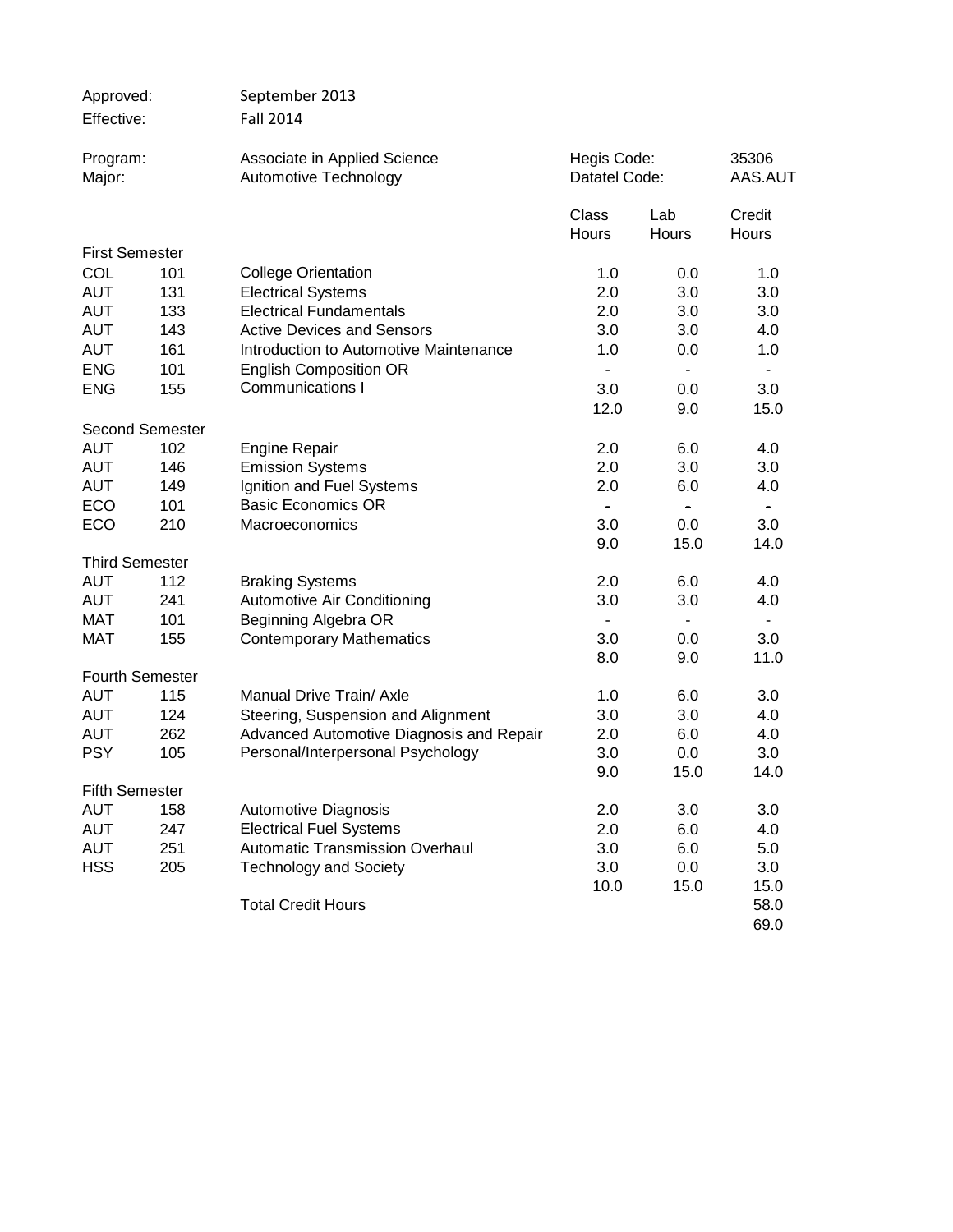| Approved:              |            | September 2013                                              |                              |                |                  |
|------------------------|------------|-------------------------------------------------------------|------------------------------|----------------|------------------|
| Effective:             |            | <b>Fall 2014</b>                                            |                              |                |                  |
| Program:               |            | Associate in Applied Science                                | Hegis Code:<br>Datatel Code: |                | 35306<br>AAS.AUT |
| Major:                 |            | Automotive Technology                                       |                              |                |                  |
|                        |            |                                                             | Class                        | Lab            | Credit           |
| <b>First Semester</b>  |            |                                                             | Hours                        | Hours          | Hours            |
|                        |            |                                                             |                              |                |                  |
| COL<br><b>AUT</b>      | 101        | <b>College Orientation</b>                                  | 1.0<br>2.0                   | 0.0            | 1.0<br>3.0       |
| <b>AUT</b>             | 131        | <b>Electrical Systems</b><br><b>Electrical Fundamentals</b> | 2.0                          | 3.0            |                  |
| <b>AUT</b>             | 133<br>143 | <b>Active Devices and Sensors</b>                           | 3.0                          | 3.0            | 3.0              |
|                        |            |                                                             |                              | 3.0            | 4.0              |
| <b>AUT</b>             | 161        | Introduction to Automotive Maintenance                      | 1.0                          | 0.0            | 1.0              |
| <b>ENG</b>             | 101        | <b>English Composition OR</b>                               | $\blacksquare$               | $\blacksquare$ | $\blacksquare$   |
| <b>ENG</b>             | 155        | <b>Communications I</b>                                     | 3.0                          | 0.0            | 3.0              |
|                        |            |                                                             | 12.0                         | 9.0            | 15.0             |
| <b>Second Semester</b> |            |                                                             |                              |                |                  |
| <b>AUT</b>             | 102        | <b>Engine Repair</b>                                        | 2.0                          | 6.0            | 4.0              |
| <b>AUT</b>             | 146        | <b>Emission Systems</b>                                     | 2.0                          | 3.0            | 3.0              |
| <b>AUT</b>             | 149        | Ignition and Fuel Systems                                   | 2.0                          | 6.0            | 4.0              |
| ECO                    | 101        | <b>Basic Economics OR</b>                                   | $\blacksquare$               | $\blacksquare$ | $\blacksquare$   |
| ECO                    | 210        | Macroeconomics                                              | 3.0                          | 0.0            | 3.0              |
|                        |            |                                                             | 9.0                          | 15.0           | 14.0             |
| <b>Third Semester</b>  |            |                                                             |                              |                |                  |
| <b>AUT</b>             | 112        | <b>Braking Systems</b>                                      | 2.0                          | 6.0            | 4.0              |
| <b>AUT</b>             | 241        | Automotive Air Conditioning                                 | 3.0                          | 3.0            | 4.0              |
| MAT                    | 101        | Beginning Algebra OR                                        |                              |                |                  |
| <b>MAT</b>             | 155        | <b>Contemporary Mathematics</b>                             | 3.0                          | 0.0            | 3.0              |
|                        |            |                                                             | 8.0                          | 9.0            | 11.0             |
| <b>Fourth Semester</b> |            |                                                             |                              |                |                  |
| <b>AUT</b>             | 115        | Manual Drive Train/ Axle                                    | 1.0                          | 6.0            | 3.0              |
| <b>AUT</b>             | 124        | Steering, Suspension and Alignment                          | 3.0                          | 3.0            | 4.0              |
| <b>AUT</b>             | 262        | Advanced Automotive Diagnosis and Repair                    | 2.0                          | 6.0            | 4.0              |
| <b>PSY</b>             | 105        | Personal/Interpersonal Psychology                           | 3.0                          | 0.0            | 3.0              |
|                        |            |                                                             | 9.0                          | 15.0           | 14.0             |
| <b>Fifth Semester</b>  |            |                                                             |                              |                |                  |
| <b>AUT</b>             | 158        | <b>Automotive Diagnosis</b>                                 | 2.0                          | 3.0            | 3.0              |
| <b>AUT</b>             | 247        | <b>Electrical Fuel Systems</b>                              | 2.0                          | 6.0            | 4.0              |
| <b>AUT</b>             | 251        | <b>Automatic Transmission Overhaul</b>                      | 3.0                          | 6.0            | 5.0              |
| <b>HSS</b>             | 205        | <b>Technology and Society</b>                               | 3.0                          | 0.0            | 3.0              |
|                        |            |                                                             | 10.0                         | 15.0           | 15.0             |
|                        |            | <b>Total Credit Hours</b>                                   |                              |                | 58.0             |
|                        |            |                                                             |                              |                | 69.0             |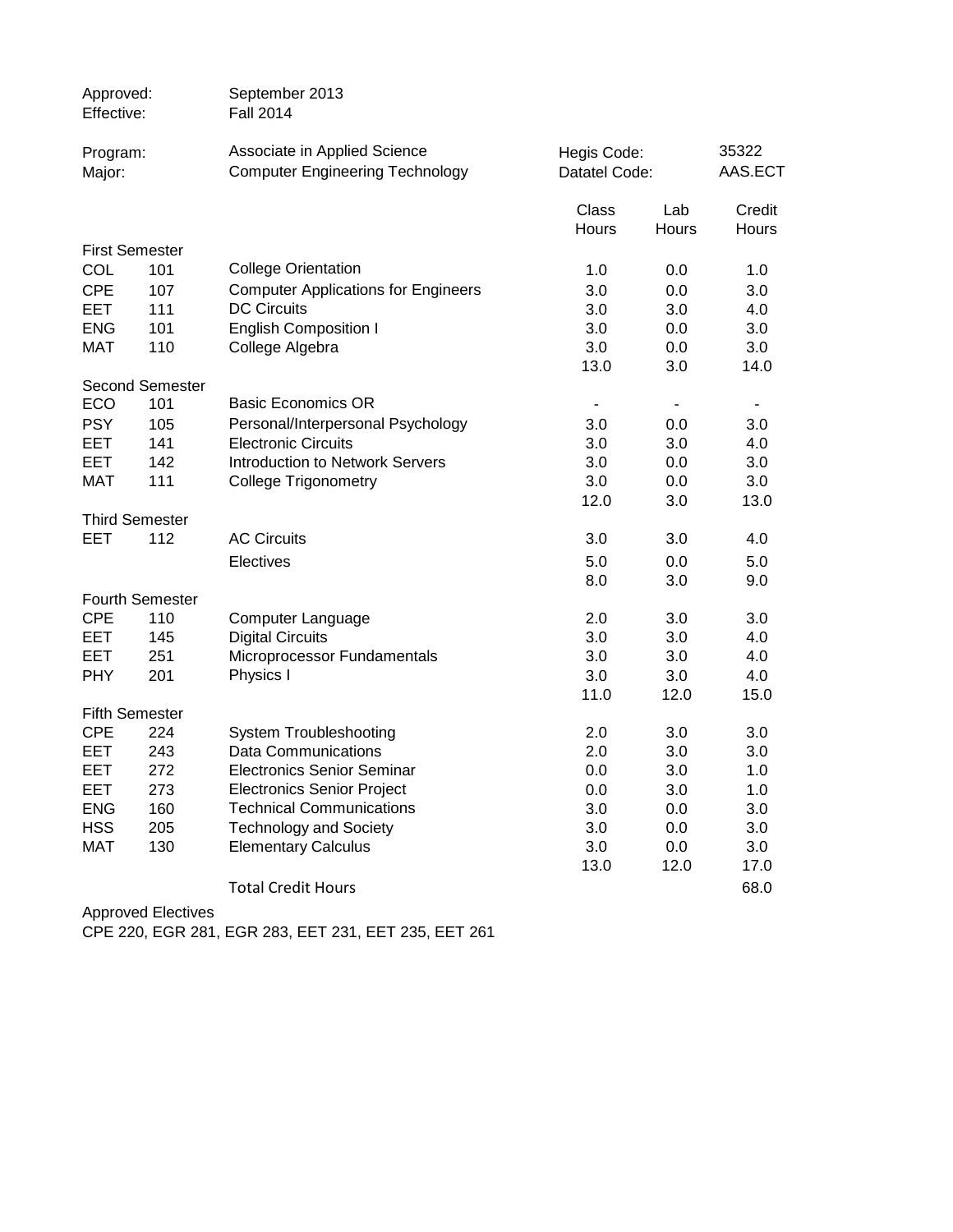| Approved:<br>Effective:  |                        | September 2013<br><b>Fall 2014</b>                                     |                              |                          |                        |
|--------------------------|------------------------|------------------------------------------------------------------------|------------------------------|--------------------------|------------------------|
| Program:<br>Major:       |                        | Associate in Applied Science<br><b>Computer Engineering Technology</b> | Hegis Code:<br>Datatel Code: |                          | 35322<br>AAS.ECT       |
|                          |                        |                                                                        | Class<br>Hours               | Lab<br><b>Hours</b>      | Credit<br><b>Hours</b> |
| <b>First Semester</b>    |                        |                                                                        |                              |                          |                        |
| COL                      | 101                    | <b>College Orientation</b>                                             | 1.0                          | 0.0                      | 1.0                    |
| <b>CPE</b>               | 107                    | <b>Computer Applications for Engineers</b>                             | 3.0                          | 0.0                      | 3.0                    |
| <b>EET</b>               | 111                    | <b>DC Circuits</b>                                                     | 3.0                          | 3.0                      | 4.0                    |
| <b>ENG</b>               | 101                    | <b>English Composition I</b>                                           | 3.0                          | 0.0                      | 3.0                    |
| MAT                      | 110                    | College Algebra                                                        | 3.0                          | 0.0                      | 3.0                    |
|                          |                        |                                                                        | 13.0                         | 3.0                      | 14.0                   |
|                          | <b>Second Semester</b> |                                                                        |                              |                          |                        |
| ECO                      | 101                    | <b>Basic Economics OR</b>                                              | $\overline{\phantom{a}}$     | $\overline{\phantom{a}}$ |                        |
| <b>PSY</b>               | 105                    | Personal/Interpersonal Psychology                                      | 3.0                          | 0.0                      | 3.0                    |
| EET<br><b>EET</b>        | 141                    | <b>Electronic Circuits</b><br>Introduction to Network Servers          | 3.0                          | 3.0                      | 4.0<br>3.0             |
| MAT                      | 142<br>111             | <b>College Trigonometry</b>                                            | 3.0<br>3.0                   | 0.0<br>0.0               | 3.0                    |
|                          |                        |                                                                        | 12.0                         | 3.0                      | 13.0                   |
|                          | <b>Third Semester</b>  |                                                                        |                              |                          |                        |
| EET                      | 112                    | <b>AC Circuits</b>                                                     | 3.0                          | 3.0                      | 4.0                    |
|                          |                        | Electives                                                              | 5.0                          | 0.0                      | 5.0                    |
|                          |                        |                                                                        | 8.0                          | 3.0                      | 9.0                    |
|                          | <b>Fourth Semester</b> |                                                                        |                              |                          |                        |
| <b>CPE</b>               | 110                    | Computer Language                                                      | 2.0                          | 3.0                      | 3.0                    |
| <b>EET</b>               | 145                    | <b>Digital Circuits</b>                                                | 3.0                          | 3.0                      | 4.0                    |
| <b>EET</b>               | 251                    | Microprocessor Fundamentals                                            | 3.0                          | 3.0                      | 4.0                    |
| <b>PHY</b>               | 201                    | Physics I                                                              | 3.0                          | 3.0                      | 4.0                    |
|                          |                        |                                                                        | 11.0                         | 12.0                     | 15.0                   |
|                          | <b>Fifth Semester</b>  |                                                                        |                              |                          |                        |
| <b>CPE</b>               | 224                    | <b>System Troubleshooting</b>                                          | 2.0                          | 3.0                      | 3.0                    |
| EET                      | 243                    | <b>Data Communications</b>                                             | 2.0                          | 3.0                      | 3.0                    |
| EET                      | 272                    | <b>Electronics Senior Seminar</b>                                      | 0.0                          | 3.0                      | 1.0                    |
| EET                      | 273                    | <b>Electronics Senior Project</b>                                      | 0.0                          | 3.0                      | 1.0                    |
| <b>ENG</b><br><b>HSS</b> | 160<br>205             | <b>Technical Communications</b>                                        | 3.0<br>3.0                   | 0.0<br>0.0               | 3.0<br>3.0             |
| <b>MAT</b>               | 130                    | <b>Technology and Society</b><br><b>Elementary Calculus</b>            | 3.0                          | 0.0                      | 3.0                    |
|                          |                        |                                                                        | 13.0                         | 12.0                     | 17.0                   |
|                          |                        | <b>Total Credit Hours</b>                                              |                              |                          | 68.0                   |
|                          |                        |                                                                        |                              |                          |                        |

Approved Electives

CPE 220, EGR 281, EGR 283, EET 231, EET 235, EET 261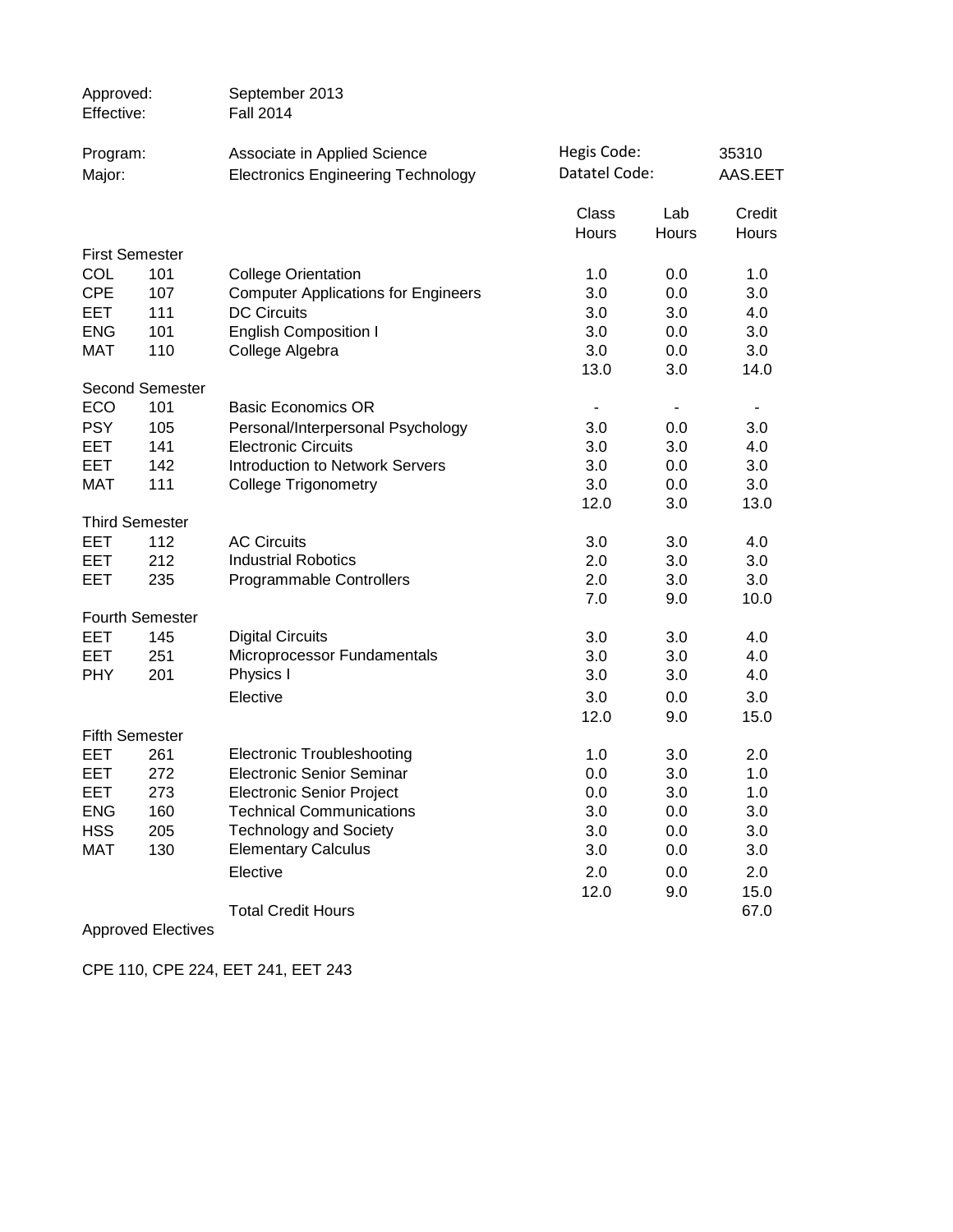| Approved:<br>Effective: |                        | September 2013<br><b>Fall 2014</b>                                        |                              |              |                  |
|-------------------------|------------------------|---------------------------------------------------------------------------|------------------------------|--------------|------------------|
| Program:<br>Major:      |                        | Associate in Applied Science<br><b>Electronics Engineering Technology</b> | Hegis Code:<br>Datatel Code: |              | 35310<br>AAS.EET |
|                         |                        |                                                                           | Class<br>Hours               | Lab<br>Hours | Credit<br>Hours  |
| <b>First Semester</b>   |                        |                                                                           |                              |              |                  |
| COL                     | 101                    | <b>College Orientation</b>                                                | 1.0                          | 0.0          | 1.0              |
| <b>CPE</b>              | 107                    | <b>Computer Applications for Engineers</b>                                | 3.0                          | 0.0          | 3.0              |
| <b>EET</b>              | 111                    | <b>DC Circuits</b>                                                        | 3.0                          | 3.0          | 4.0              |
| <b>ENG</b>              | 101                    | <b>English Composition I</b>                                              | 3.0                          | 0.0          | 3.0              |
| <b>MAT</b>              | 110                    | College Algebra                                                           | 3.0                          | 0.0          | 3.0              |
|                         |                        |                                                                           | 13.0                         | 3.0          | 14.0             |
|                         | <b>Second Semester</b> |                                                                           |                              |              |                  |
| ECO                     | 101                    | <b>Basic Economics OR</b>                                                 |                              |              |                  |
| <b>PSY</b>              | 105                    | Personal/Interpersonal Psychology                                         | 3.0                          | 0.0          | 3.0              |
| <b>EET</b>              | 141                    | <b>Electronic Circuits</b>                                                | 3.0                          | 3.0          | 4.0              |
| EET                     | 142                    | <b>Introduction to Network Servers</b>                                    | 3.0                          | 0.0          | 3.0              |
| <b>MAT</b>              | 111                    | <b>College Trigonometry</b>                                               | 3.0                          | 0.0          | 3.0              |
|                         |                        |                                                                           | 12.0                         | 3.0          | 13.0             |
|                         | <b>Third Semester</b>  |                                                                           |                              |              |                  |
| <b>EET</b>              | 112                    | <b>AC Circuits</b>                                                        | 3.0                          | 3.0          | 4.0              |
| EET                     | 212                    | <b>Industrial Robotics</b>                                                | 2.0                          | 3.0          | 3.0              |
| EET                     | 235                    | Programmable Controllers                                                  | 2.0                          | 3.0          | 3.0              |
|                         |                        |                                                                           | 7.0                          | 9.0          | 10.0             |
|                         | <b>Fourth Semester</b> |                                                                           |                              |              |                  |
| <b>EET</b>              | 145                    | <b>Digital Circuits</b>                                                   | 3.0                          | 3.0          | 4.0              |
| EET                     | 251                    | Microprocessor Fundamentals                                               | 3.0                          | 3.0          | 4.0              |
| <b>PHY</b>              | 201                    | Physics I                                                                 | 3.0                          | 3.0          | 4.0              |
|                         |                        | Elective                                                                  | 3.0                          | 0.0          | 3.0              |
|                         |                        |                                                                           | 12.0                         | 9.0          | 15.0             |
| <b>Fifth Semester</b>   |                        |                                                                           |                              |              |                  |
| EET                     | 261                    | <b>Electronic Troubleshooting</b>                                         | 1.0                          | 3.0          | 2.0              |
| EET                     | 272                    | <b>Electronic Senior Seminar</b>                                          | 0.0                          | 3.0          | 1.0              |
| EET                     | 273                    | <b>Electronic Senior Project</b>                                          | 0.0                          | 3.0          | 1.0              |
| <b>ENG</b>              | 160                    | <b>Technical Communications</b>                                           | 3.0                          | 0.0          | 3.0              |
| <b>HSS</b>              | 205                    | <b>Technology and Society</b>                                             | 3.0                          | 0.0          | 3.0              |
| <b>MAT</b>              | 130                    | <b>Elementary Calculus</b>                                                | 3.0                          | 0.0          | 3.0              |
|                         |                        | Elective                                                                  | 2.0                          | 0.0          | 2.0              |
|                         |                        |                                                                           | 12.0                         | 9.0          | 15.0             |
|                         |                        | <b>Total Credit Hours</b>                                                 |                              |              | 67.0             |
|                         |                        |                                                                           |                              |              |                  |

Approved Electives

CPE 110, CPE 224, EET 241, EET 243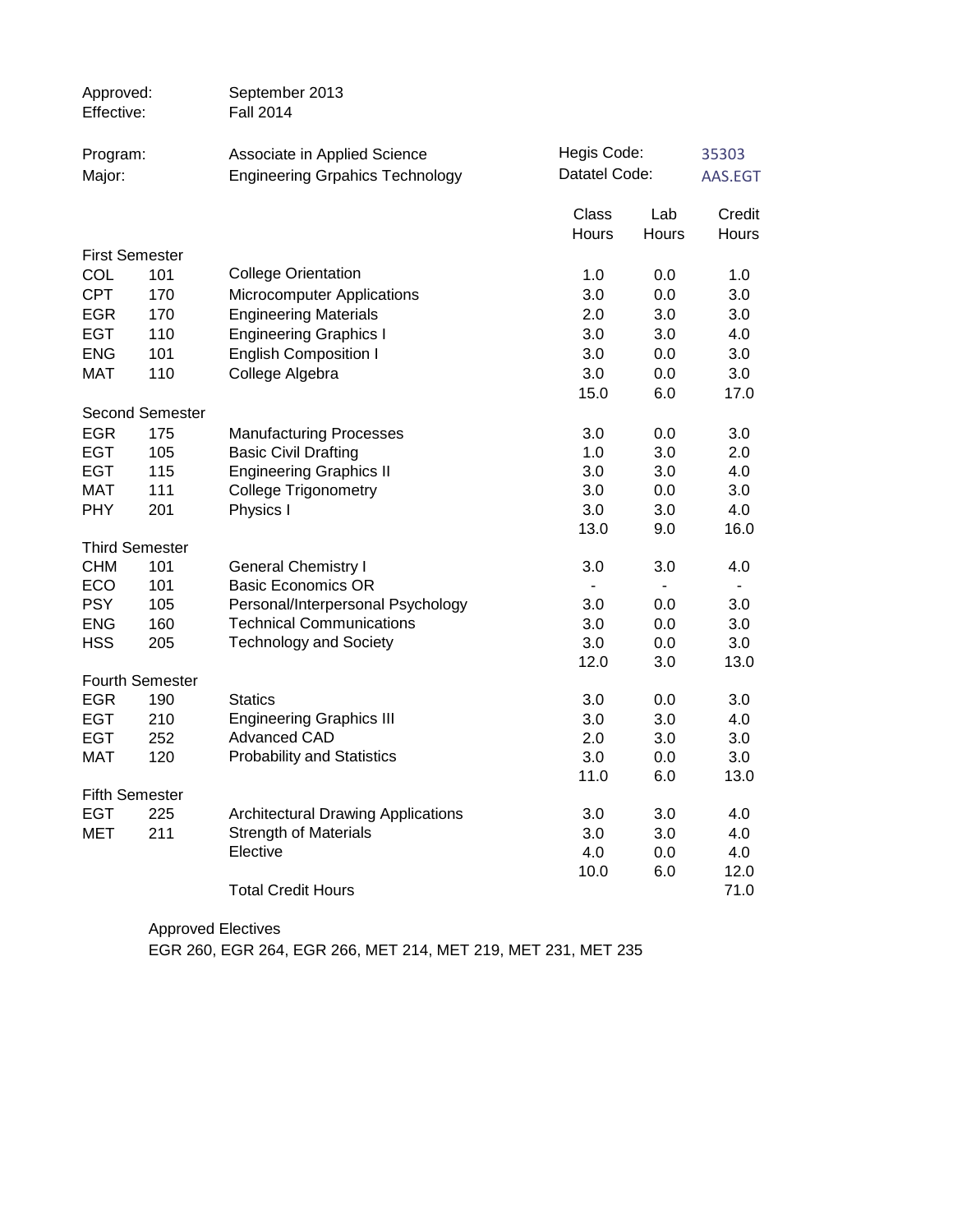| Approved:<br>Effective: |                        | September 2013<br><b>Fall 2014</b>                            |                          |            |              |
|-------------------------|------------------------|---------------------------------------------------------------|--------------------------|------------|--------------|
| Program:                |                        | Associate in Applied Science                                  | Hegis Code:              |            | 35303        |
| Major:                  |                        | <b>Engineering Grpahics Technology</b>                        | Datatel Code:            |            | AAS.EGT      |
|                         |                        |                                                               | Class                    | Lab        | Credit       |
|                         |                        |                                                               | Hours                    | Hours      | Hours        |
| <b>First Semester</b>   |                        |                                                               |                          |            |              |
| COL                     | 101                    | <b>College Orientation</b>                                    | 1.0                      | 0.0        | 1.0          |
| <b>CPT</b>              | 170                    | Microcomputer Applications                                    | 3.0                      | 0.0        | 3.0          |
| <b>EGR</b>              | 170                    | <b>Engineering Materials</b>                                  | 2.0                      | 3.0        | 3.0          |
| <b>EGT</b>              | 110                    | <b>Engineering Graphics I</b>                                 | 3.0                      | 3.0        | 4.0          |
| <b>ENG</b>              | 101                    | <b>English Composition I</b>                                  | 3.0                      | 0.0        | 3.0          |
| MAT                     | 110                    | College Algebra                                               | 3.0                      | 0.0        | 3.0          |
|                         |                        |                                                               | 15.0                     | 6.0        | 17.0         |
|                         | <b>Second Semester</b> |                                                               |                          |            |              |
| <b>EGR</b>              | 175                    | <b>Manufacturing Processes</b>                                | 3.0                      | 0.0        | 3.0          |
| <b>EGT</b>              | 105                    | <b>Basic Civil Drafting</b>                                   | 1.0                      | 3.0        | 2.0          |
| <b>EGT</b><br>MAT       | 115<br>111             | <b>Engineering Graphics II</b><br><b>College Trigonometry</b> | 3.0<br>3.0               | 3.0        | 4.0          |
| <b>PHY</b>              | 201                    | Physics I                                                     | 3.0                      | 0.0<br>3.0 | 3.0<br>4.0   |
|                         |                        |                                                               | 13.0                     | 9.0        | 16.0         |
| <b>Third Semester</b>   |                        |                                                               |                          |            |              |
| <b>CHM</b>              | 101                    | <b>General Chemistry I</b>                                    | 3.0                      | 3.0        | 4.0          |
| ECO                     | 101                    | <b>Basic Economics OR</b>                                     | $\overline{\phantom{0}}$ | $\sim$     | $\sim$       |
| <b>PSY</b>              | 105                    | Personal/Interpersonal Psychology                             | 3.0                      | 0.0        | 3.0          |
| <b>ENG</b>              | 160                    | <b>Technical Communications</b>                               | 3.0                      | 0.0        | 3.0          |
| <b>HSS</b>              | 205                    | <b>Technology and Society</b>                                 | 3.0                      | 0.0        | 3.0          |
|                         |                        |                                                               | 12.0                     | 3.0        | 13.0         |
| <b>Fourth Semester</b>  |                        |                                                               |                          |            |              |
| <b>EGR</b>              | 190                    | <b>Statics</b>                                                | 3.0                      | 0.0        | 3.0          |
| EGT                     | 210                    | <b>Engineering Graphics III</b>                               | 3.0                      | 3.0        | 4.0          |
| <b>EGT</b>              | 252                    | <b>Advanced CAD</b>                                           | 2.0                      | 3.0        | 3.0          |
| <b>MAT</b>              | 120                    | <b>Probability and Statistics</b>                             | 3.0                      | 0.0        | 3.0          |
|                         |                        |                                                               | 11.0                     | 6.0        | 13.0         |
| <b>Fifth Semester</b>   |                        |                                                               |                          |            |              |
| <b>EGT</b>              | 225                    | <b>Architectural Drawing Applications</b>                     | 3.0                      | 3.0        | 4.0          |
| <b>MET</b>              | 211                    | <b>Strength of Materials</b>                                  | 3.0                      | 3.0        | 4.0          |
|                         |                        | Elective                                                      | 4.0<br>10.0              | 0.0        | 4.0          |
|                         |                        | <b>Total Credit Hours</b>                                     |                          | 6.0        | 12.0<br>71.0 |
|                         |                        |                                                               |                          |            |              |

Approved Electives EGR 260, EGR 264, EGR 266, MET 214, MET 219, MET 231, MET 235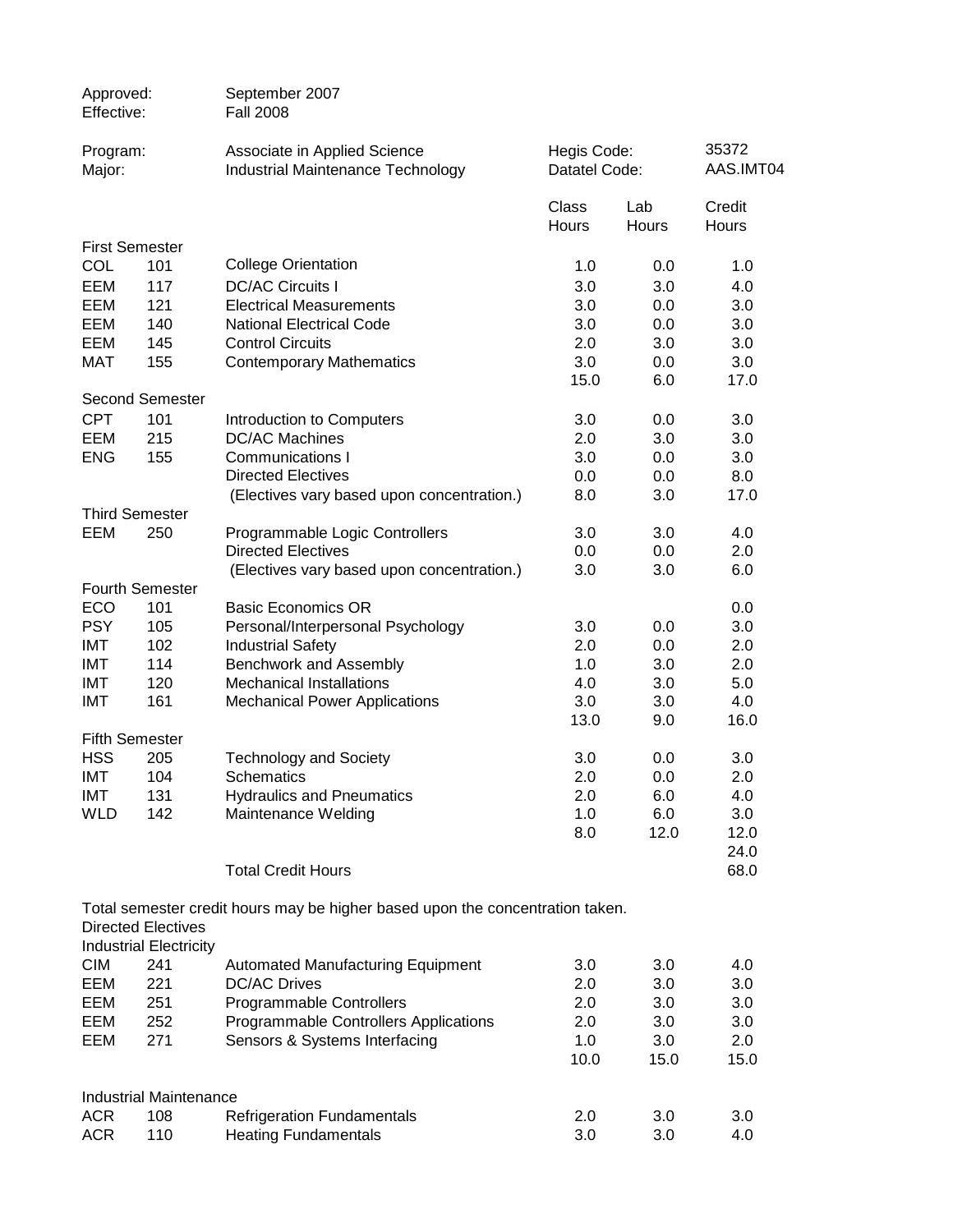| Approved:<br>Effective:  |                               | September 2007<br><b>Fall 2008</b>                                            |                |              |                 |
|--------------------------|-------------------------------|-------------------------------------------------------------------------------|----------------|--------------|-----------------|
| Program:                 |                               | Associate in Applied Science                                                  | Hegis Code:    |              | 35372           |
| Major:                   |                               | <b>Industrial Maintenance Technology</b>                                      | Datatel Code:  |              | AAS.IMT04       |
|                          |                               |                                                                               | Class<br>Hours | Lab<br>Hours | Credit<br>Hours |
|                          | <b>First Semester</b>         |                                                                               |                |              |                 |
| COL                      | 101                           | <b>College Orientation</b>                                                    | 1.0            | 0.0          | 1.0             |
| EEM                      | 117                           | <b>DC/AC Circuits I</b>                                                       | 3.0            | 3.0          | 4.0             |
| EEM                      | 121                           | <b>Electrical Measurements</b>                                                | 3.0            | 0.0          | 3.0             |
| EEM                      | 140                           | <b>National Electrical Code</b>                                               | 3.0            | 0.0          | 3.0             |
| EEM                      | 145                           | <b>Control Circuits</b>                                                       | 2.0            | 3.0          | 3.0             |
| <b>MAT</b>               | 155                           | <b>Contemporary Mathematics</b>                                               | 3.0            | 0.0          | 3.0             |
|                          |                               |                                                                               | 15.0           | 6.0          | 17.0            |
|                          | <b>Second Semester</b>        |                                                                               |                |              |                 |
| <b>CPT</b>               | 101                           | Introduction to Computers                                                     | 3.0            | 0.0          | 3.0             |
| EEM                      | 215                           | <b>DC/AC Machines</b>                                                         | 2.0            | 3.0          | 3.0             |
| <b>ENG</b>               | 155                           | Communications I                                                              | 3.0            | 0.0          | 3.0             |
|                          |                               | <b>Directed Electives</b>                                                     | 0.0            | 0.0          | 8.0             |
|                          |                               | (Electives vary based upon concentration.)                                    | 8.0            | 3.0          | 17.0            |
|                          | <b>Third Semester</b>         |                                                                               |                |              |                 |
| EEM                      | 250                           | Programmable Logic Controllers                                                | 3.0            | 3.0          | 4.0             |
|                          |                               | <b>Directed Electives</b>                                                     | 0.0            | 0.0          | 2.0             |
|                          |                               | (Electives vary based upon concentration.)                                    | 3.0            | 3.0          | 6.0             |
|                          | Fourth Semester               |                                                                               |                |              |                 |
| ECO                      | 101                           | <b>Basic Economics OR</b>                                                     |                |              | 0.0             |
| <b>PSY</b>               | 105                           | Personal/Interpersonal Psychology                                             | 3.0            | 0.0          | 3.0             |
| <b>IMT</b>               | 102                           | <b>Industrial Safety</b>                                                      | 2.0            | 0.0          | 2.0             |
| IMT                      | 114                           | Benchwork and Assembly                                                        | 1.0            | 3.0          | 2.0             |
| <b>IMT</b>               | 120                           | <b>Mechanical Installations</b>                                               | 4.0            | 3.0          | 5.0             |
| <b>IMT</b>               | 161                           | <b>Mechanical Power Applications</b>                                          | 3.0            | 3.0          | 4.0             |
|                          |                               |                                                                               | 13.0           | 9.0          | 16.0            |
|                          | <b>Fifth Semester</b>         |                                                                               |                |              |                 |
| <b>HSS</b>               | 205                           | <b>Technology and Society</b>                                                 | 3.0            | 0.0          | 3.0             |
| IMT                      | 104                           | Schematics                                                                    | 2.0            | 0.0          | 2.0             |
| IMT                      | 131                           | <b>Hydraulics and Pneumatics</b>                                              | 2.0            | 6.0          | 4.0             |
| <b>WLD</b>               | 142                           | Maintenance Welding                                                           | 1.0            | 6.0          | 3.0             |
|                          |                               |                                                                               | 8.0            | 12.0         | 12.0            |
|                          |                               |                                                                               |                |              | 24.0            |
|                          |                               | <b>Total Credit Hours</b>                                                     |                |              | 68.0            |
|                          |                               |                                                                               |                |              |                 |
|                          |                               | Total semester credit hours may be higher based upon the concentration taken. |                |              |                 |
|                          | <b>Directed Electives</b>     |                                                                               |                |              |                 |
|                          | <b>Industrial Electricity</b> |                                                                               |                |              |                 |
| <b>CIM</b>               | 241                           | Automated Manufacturing Equipment                                             | 3.0            | 3.0          | 4.0             |
| EEM                      | 221                           | <b>DC/AC Drives</b>                                                           | 2.0            | 3.0          | 3.0             |
| EEM                      | 251                           | Programmable Controllers                                                      | 2.0            | 3.0          | 3.0             |
| EEM                      | 252                           | Programmable Controllers Applications                                         | 2.0            | 3.0          | 3.0             |
| EEM                      | 271                           | Sensors & Systems Interfacing                                                 | 1.0            | 3.0          | 2.0             |
|                          |                               |                                                                               | 10.0           | 15.0         | 15.0            |
|                          |                               |                                                                               |                |              |                 |
|                          | <b>Industrial Maintenance</b> |                                                                               |                |              |                 |
| <b>ACR</b><br><b>ACR</b> | 108<br>110                    | <b>Refrigeration Fundamentals</b>                                             | 2.0<br>3.0     | 3.0<br>3.0   | 3.0<br>4.0      |
|                          |                               | <b>Heating Fundamentals</b>                                                   |                |              |                 |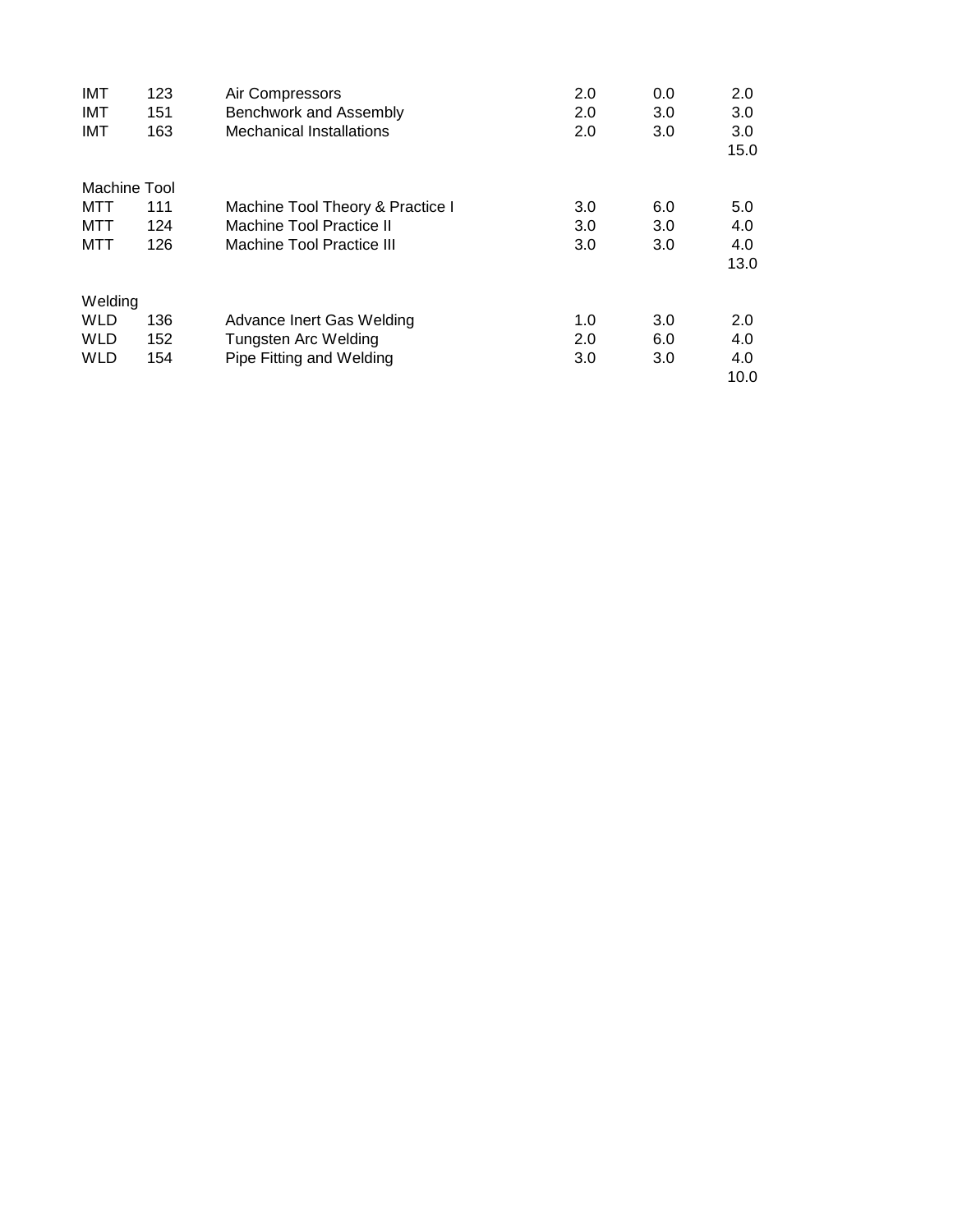| <b>IMT</b>   | 123 | Air Compressors                  | 2.0 | 0.0 | 2.0  |
|--------------|-----|----------------------------------|-----|-----|------|
| <b>IMT</b>   | 151 | Benchwork and Assembly           | 2.0 | 3.0 | 3.0  |
| <b>IMT</b>   | 163 | <b>Mechanical Installations</b>  | 2.0 | 3.0 | 3.0  |
|              |     |                                  |     |     | 15.0 |
| Machine Tool |     |                                  |     |     |      |
| MTT          | 111 | Machine Tool Theory & Practice I | 3.0 | 6.0 | 5.0  |
| MTT          | 124 | Machine Tool Practice II         | 3.0 | 3.0 | 4.0  |
| MTT          | 126 | Machine Tool Practice III        | 3.0 | 3.0 | 4.0  |
|              |     |                                  |     |     | 13.0 |
| Welding      |     |                                  |     |     |      |
| <b>WLD</b>   | 136 | Advance Inert Gas Welding        | 1.0 | 3.0 | 2.0  |
| <b>WLD</b>   | 152 | Tungsten Arc Welding             | 2.0 | 6.0 | 4.0  |
| <b>WLD</b>   | 154 | Pipe Fitting and Welding         | 3.0 | 3.0 | 4.0  |
|              |     |                                  |     |     | 10.0 |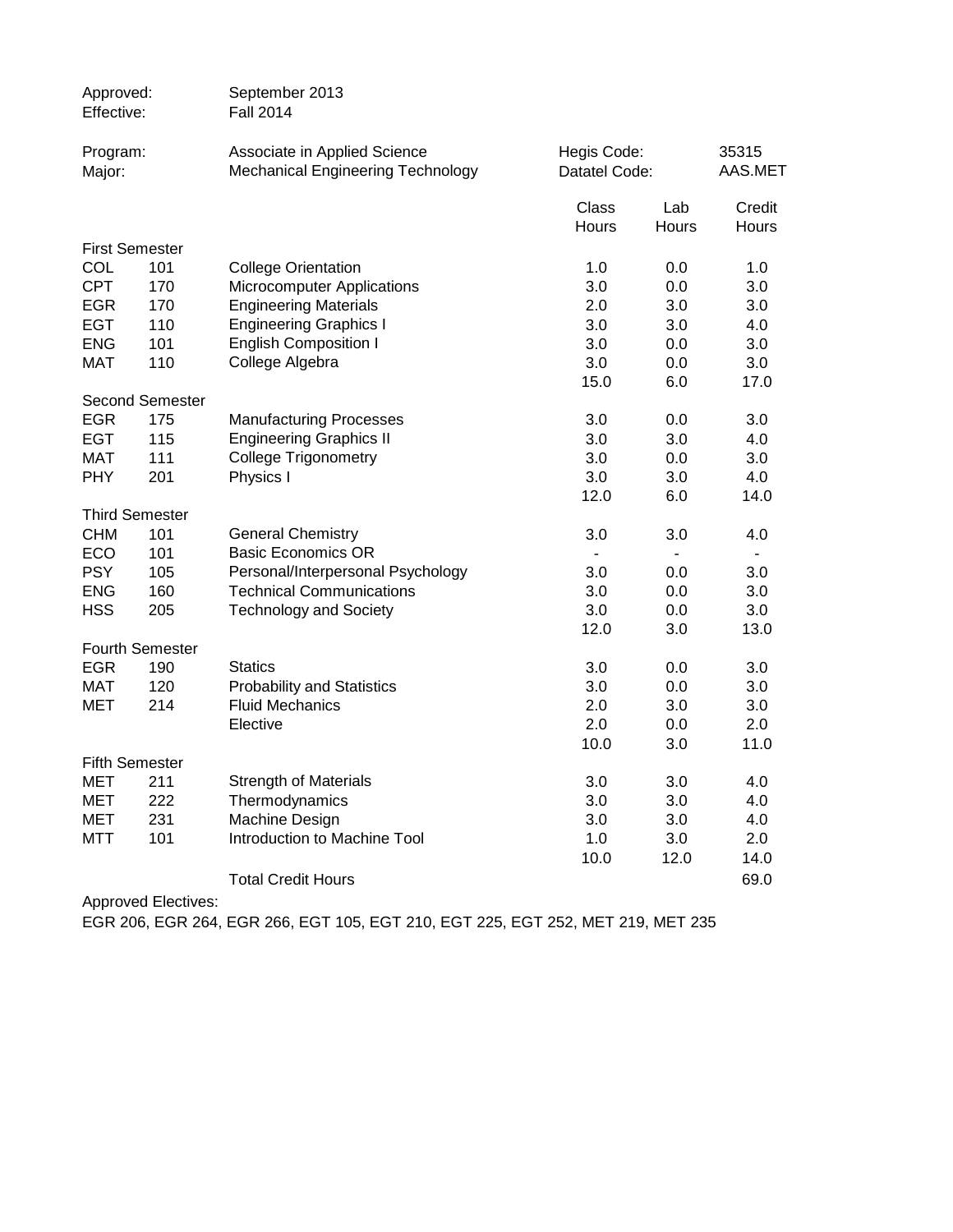| Approved:<br>Effective: |                        | September 2013<br><b>Fall 2014</b>                                       |                              |              |                  |
|-------------------------|------------------------|--------------------------------------------------------------------------|------------------------------|--------------|------------------|
| Program:<br>Major:      |                        | Associate in Applied Science<br><b>Mechanical Engineering Technology</b> | Hegis Code:<br>Datatel Code: |              | 35315<br>AAS.MET |
|                         |                        |                                                                          | Class<br>Hours               | Lab<br>Hours | Credit<br>Hours  |
|                         | <b>First Semester</b>  |                                                                          |                              |              |                  |
| COL                     | 101                    | <b>College Orientation</b>                                               | 1.0                          | 0.0          | 1.0              |
| <b>CPT</b>              | 170                    | <b>Microcomputer Applications</b>                                        | 3.0                          | 0.0          | 3.0              |
| <b>EGR</b>              | 170                    | <b>Engineering Materials</b>                                             | 2.0                          | 3.0          | 3.0              |
| <b>EGT</b>              | 110                    | <b>Engineering Graphics I</b>                                            | 3.0                          | 3.0          | 4.0              |
| <b>ENG</b>              | 101                    | <b>English Composition I</b>                                             | 3.0                          | 0.0          | 3.0              |
| <b>MAT</b>              | 110                    | College Algebra                                                          | 3.0                          | 0.0          | 3.0              |
|                         |                        |                                                                          | 15.0                         | 6.0          | 17.0             |
|                         | <b>Second Semester</b> |                                                                          |                              |              |                  |
| <b>EGR</b>              | 175                    | <b>Manufacturing Processes</b>                                           | 3.0                          | 0.0          | 3.0              |
| <b>EGT</b>              | 115                    | <b>Engineering Graphics II</b>                                           | 3.0                          | 3.0          | 4.0              |
| <b>MAT</b>              | 111                    | <b>College Trigonometry</b>                                              | 3.0                          | 0.0          | 3.0              |
| <b>PHY</b>              | 201                    | Physics I                                                                | 3.0                          | 3.0          | 4.0              |
|                         |                        |                                                                          | 12.0                         | 6.0          | 14.0             |
|                         | <b>Third Semester</b>  |                                                                          |                              |              |                  |
| CHM                     | 101                    | <b>General Chemistry</b>                                                 | 3.0                          | 3.0          | 4.0              |
| ECO                     | 101                    | <b>Basic Economics OR</b>                                                |                              |              |                  |
| <b>PSY</b>              | 105                    | Personal/Interpersonal Psychology                                        | 3.0                          | 0.0          | 3.0              |
| <b>ENG</b>              | 160                    | <b>Technical Communications</b>                                          | 3.0                          | 0.0          | 3.0              |
| <b>HSS</b>              | 205                    | <b>Technology and Society</b>                                            | 3.0                          | 0.0          | 3.0              |
|                         | <b>Fourth Semester</b> |                                                                          | 12.0                         | 3.0          | 13.0             |
| <b>EGR</b>              | 190                    | <b>Statics</b>                                                           | 3.0                          | 0.0          | 3.0              |
| MAT                     | 120                    | <b>Probability and Statistics</b>                                        | 3.0                          | 0.0          | 3.0              |
| <b>MET</b>              | 214                    | <b>Fluid Mechanics</b>                                                   | 2.0                          | 3.0          | 3.0              |
|                         |                        | Elective                                                                 | 2.0                          | 0.0          | 2.0              |
|                         |                        |                                                                          | 10.0                         | 3.0          | 11.0             |
|                         | <b>Fifth Semester</b>  |                                                                          |                              |              |                  |
| MET                     | 211                    | <b>Strength of Materials</b>                                             | 3.0                          | 3.0          | 4.0              |
| <b>MET</b>              | 222                    | Thermodynamics                                                           | 3.0                          | 3.0          | 4.0              |
| <b>MET</b>              | 231                    | Machine Design                                                           | 3.0                          | 3.0          | 4.0              |
| MTT                     | 101                    | Introduction to Machine Tool                                             | 1.0                          | 3.0          | 2.0              |
|                         |                        |                                                                          | 10.0                         | 12.0         | 14.0             |
|                         |                        | <b>Total Credit Hours</b>                                                |                              |              | 69.0             |
|                         |                        |                                                                          |                              |              |                  |

Approved Electives:

EGR 206, EGR 264, EGR 266, EGT 105, EGT 210, EGT 225, EGT 252, MET 219, MET 235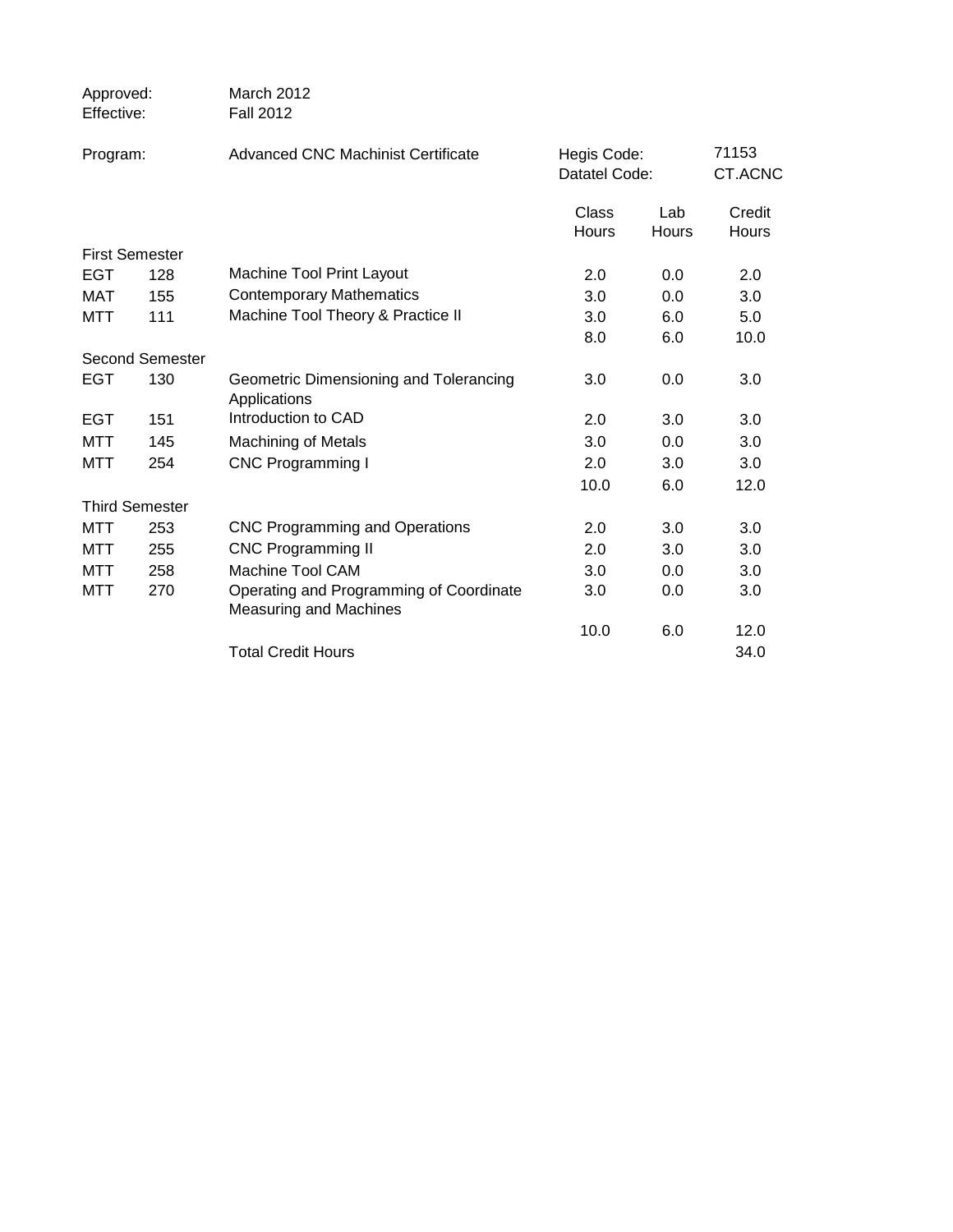| Approved:<br>Effective: |                        | March 2012<br><b>Fall 2012</b>                                           |                              |                     |                  |
|-------------------------|------------------------|--------------------------------------------------------------------------|------------------------------|---------------------|------------------|
| Program:                |                        | Advanced CNC Machinist Certificate                                       | Hegis Code:<br>Datatel Code: |                     | 71153<br>CT.ACNC |
|                         |                        |                                                                          | Class<br><b>Hours</b>        | Lab<br><b>Hours</b> | Credit<br>Hours  |
| <b>First Semester</b>   |                        |                                                                          |                              |                     |                  |
| EGT                     | 128                    | Machine Tool Print Layout                                                | 2.0                          | 0.0                 | 2.0              |
| <b>MAT</b>              | 155                    | <b>Contemporary Mathematics</b>                                          | 3.0                          | 0.0                 | 3.0              |
| <b>MTT</b>              | 111                    | Machine Tool Theory & Practice II                                        | 3.0                          | 6.0                 | 5.0              |
|                         |                        |                                                                          | 8.0                          | 6.0                 | 10.0             |
|                         | <b>Second Semester</b> |                                                                          |                              |                     |                  |
| EGT                     | 130                    | Geometric Dimensioning and Tolerancing<br>Applications                   | 3.0                          | 0.0                 | 3.0              |
| <b>EGT</b>              | 151                    | Introduction to CAD                                                      | 2.0                          | 3.0                 | 3.0              |
| MTT                     | 145                    | <b>Machining of Metals</b>                                               | 3.0                          | 0.0                 | 3.0              |
| MTT                     | 254                    | <b>CNC Programming I</b>                                                 | 2.0                          | 3.0                 | 3.0              |
|                         |                        |                                                                          | 10.0                         | 6.0                 | 12.0             |
|                         | <b>Third Semester</b>  |                                                                          |                              |                     |                  |
| MTT                     | 253                    | <b>CNC Programming and Operations</b>                                    | 2.0                          | 3.0                 | 3.0              |
| MTT                     | 255                    | <b>CNC Programming II</b>                                                | 2.0                          | 3.0                 | 3.0              |
| MTT                     | 258                    | <b>Machine Tool CAM</b>                                                  | 3.0                          | 0.0                 | 3.0              |
| MTT                     | 270                    | Operating and Programming of Coordinate<br><b>Measuring and Machines</b> | 3.0                          | 0.0                 | 3.0              |
|                         |                        |                                                                          | 10.0                         | 6.0                 | 12.0             |
|                         |                        | <b>Total Credit Hours</b>                                                |                              |                     | 34.0             |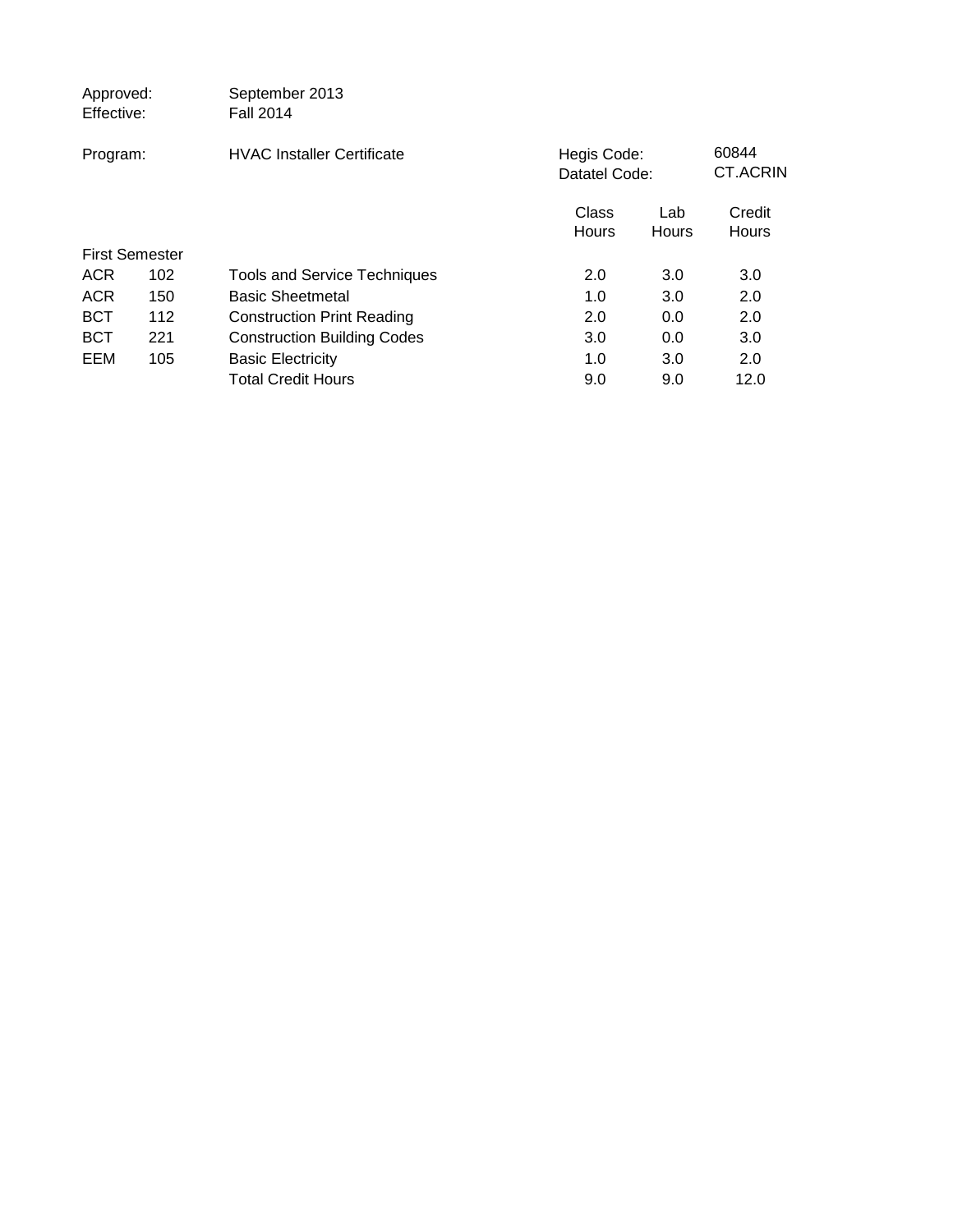| Approved:<br>Effective: |     | September 2013<br><b>Fall 2014</b>  |                |                              |                        |
|-------------------------|-----|-------------------------------------|----------------|------------------------------|------------------------|
| Program:                |     | <b>HVAC Installer Certificate</b>   |                | Hegis Code:<br>Datatel Code: |                        |
|                         |     |                                     | Class<br>Hours | Lab<br>Hours                 | Credit<br><b>Hours</b> |
| <b>First Semester</b>   |     |                                     |                |                              |                        |
| <b>ACR</b>              | 102 | <b>Tools and Service Techniques</b> | 2.0            | 3.0                          | 3.0                    |
| <b>ACR</b>              | 150 | <b>Basic Sheetmetal</b>             | 1.0            | 3.0                          | 2.0                    |
| <b>BCT</b>              | 112 | <b>Construction Print Reading</b>   | 2.0            | 0.0                          | 2.0                    |
| <b>BCT</b>              | 221 | <b>Construction Building Codes</b>  | 3.0            | 0.0                          | 3.0                    |
| EEM                     | 105 | <b>Basic Electricity</b>            | 1.0            | 3.0                          | 2.0                    |
|                         |     | <b>Total Credit Hours</b>           | 9.0            | 9.0                          | 12.0                   |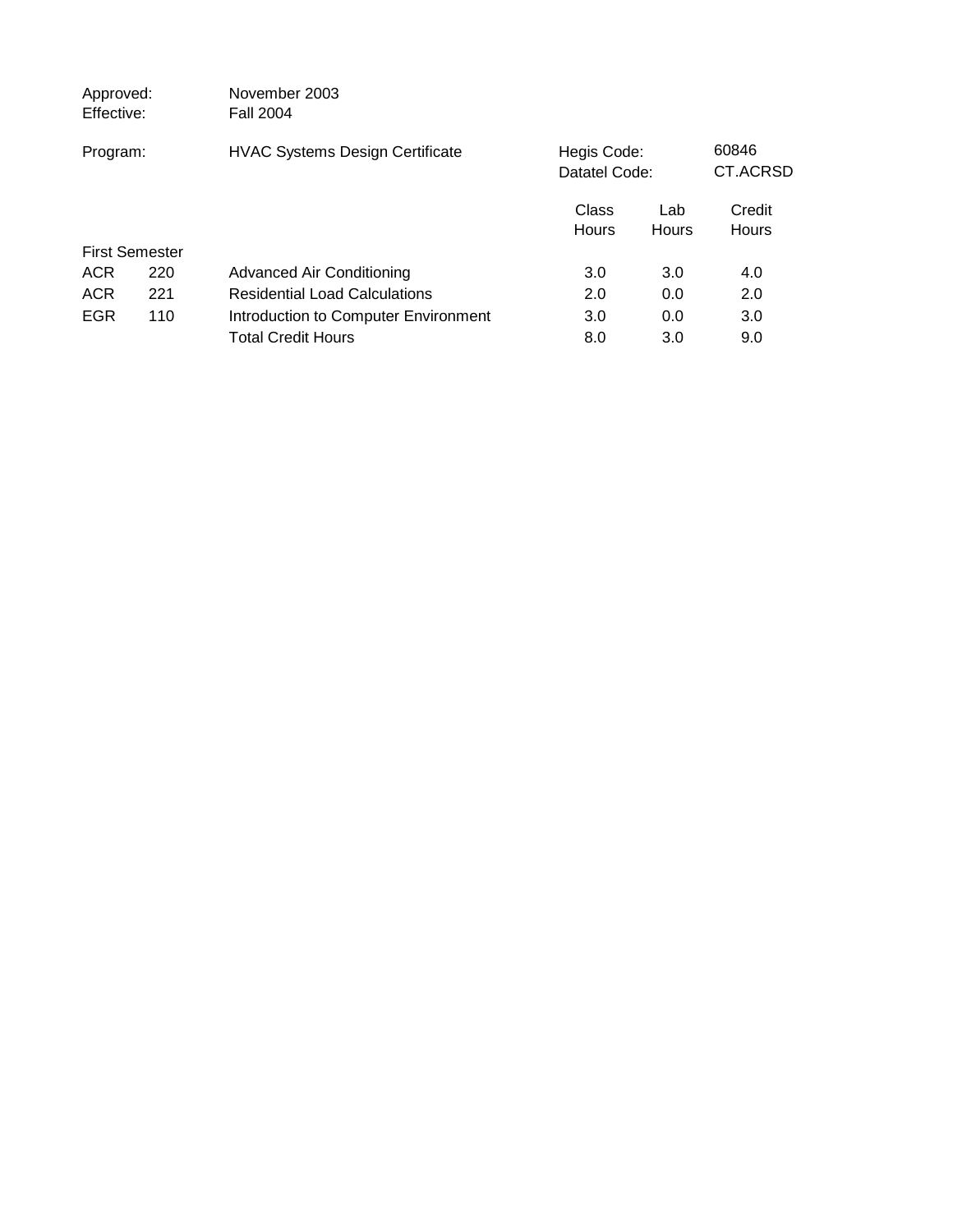| Approved:<br>Effective: |     | November 2003<br><b>Fall 2004</b>      |                              |              |                        |  |
|-------------------------|-----|----------------------------------------|------------------------------|--------------|------------------------|--|
| Program:                |     | <b>HVAC Systems Design Certificate</b> | Hegis Code:<br>Datatel Code: |              | 60846<br>CT.ACRSD      |  |
|                         |     |                                        | Class<br><b>Hours</b>        | Lab<br>Hours | Credit<br><b>Hours</b> |  |
| <b>First Semester</b>   |     |                                        |                              |              |                        |  |
| <b>ACR</b>              | 220 | <b>Advanced Air Conditioning</b>       | 3.0                          | 3.0          | 4.0                    |  |
| <b>ACR</b>              | 221 | <b>Residential Load Calculations</b>   | 2.0                          | 0.0          | 2.0                    |  |
| <b>EGR</b>              | 110 | Introduction to Computer Environment   | 3.0                          | 0.0          | 3.0                    |  |
|                         |     | <b>Total Credit Hours</b>              | 8.0                          | 3.0          | 9.0                    |  |
|                         |     |                                        |                              |              |                        |  |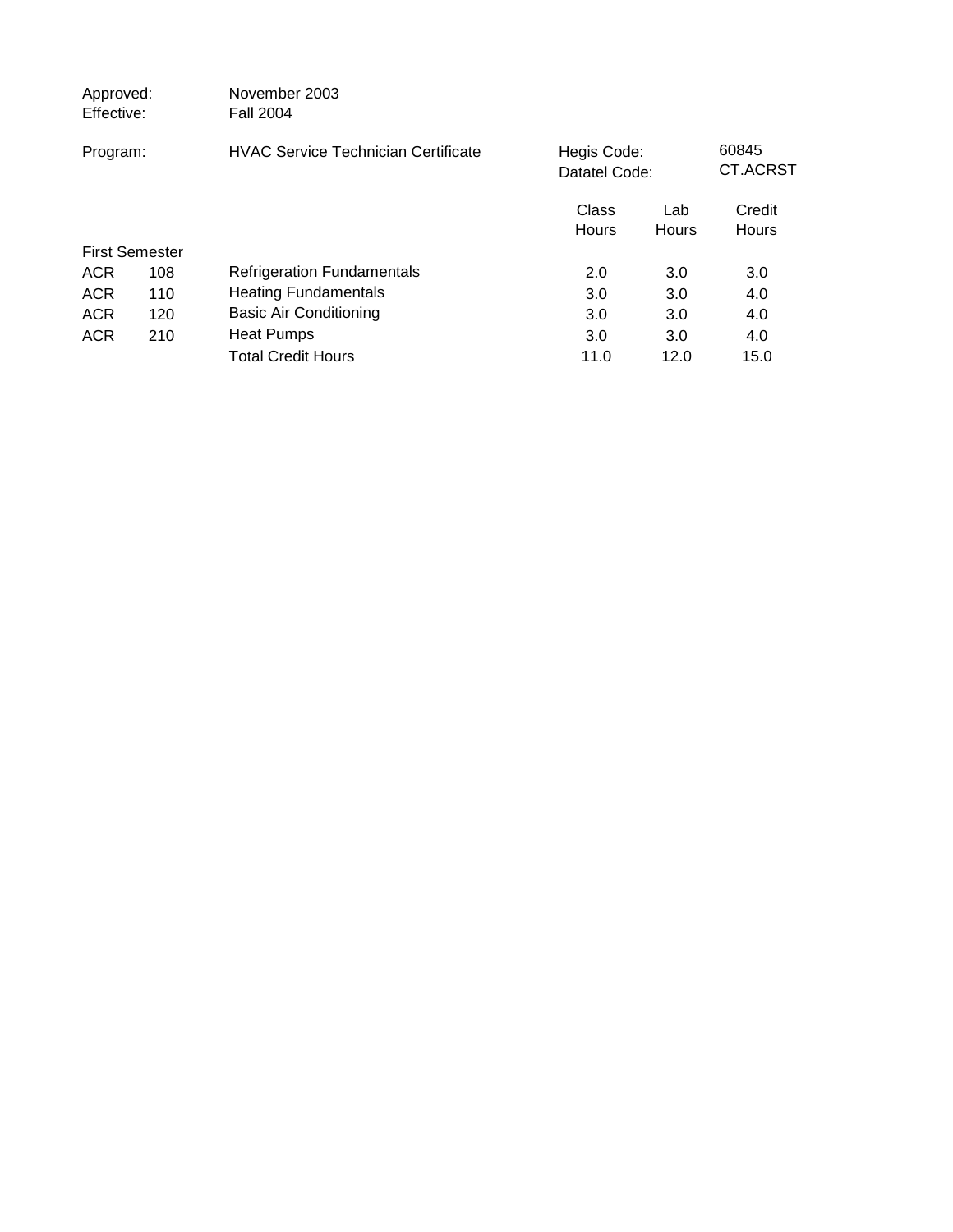| Approved:<br>Effective: |     | November 2003<br><b>Fall 2004</b>          |                              |              |                        |  |
|-------------------------|-----|--------------------------------------------|------------------------------|--------------|------------------------|--|
| Program:                |     | <b>HVAC Service Technician Certificate</b> | Hegis Code:<br>Datatel Code: |              | 60845<br>CT.ACRST      |  |
|                         |     |                                            | Class<br>Hours               | Lab<br>Hours | Credit<br><b>Hours</b> |  |
| <b>First Semester</b>   |     |                                            |                              |              |                        |  |
| <b>ACR</b>              | 108 | <b>Refrigeration Fundamentals</b>          | 2.0                          | 3.0          | 3.0                    |  |
| <b>ACR</b>              | 110 | <b>Heating Fundamentals</b>                | 3.0                          | 3.0          | 4.0                    |  |
| <b>ACR</b>              | 120 | <b>Basic Air Conditioning</b>              | 3.0                          | 3.0          | 4.0                    |  |
| <b>ACR</b>              | 210 | <b>Heat Pumps</b>                          | 3.0                          | 3.0          | 4.0                    |  |
|                         |     | <b>Total Credit Hours</b>                  | 11.0                         | 12.0         | 15.0                   |  |
|                         |     |                                            |                              |              |                        |  |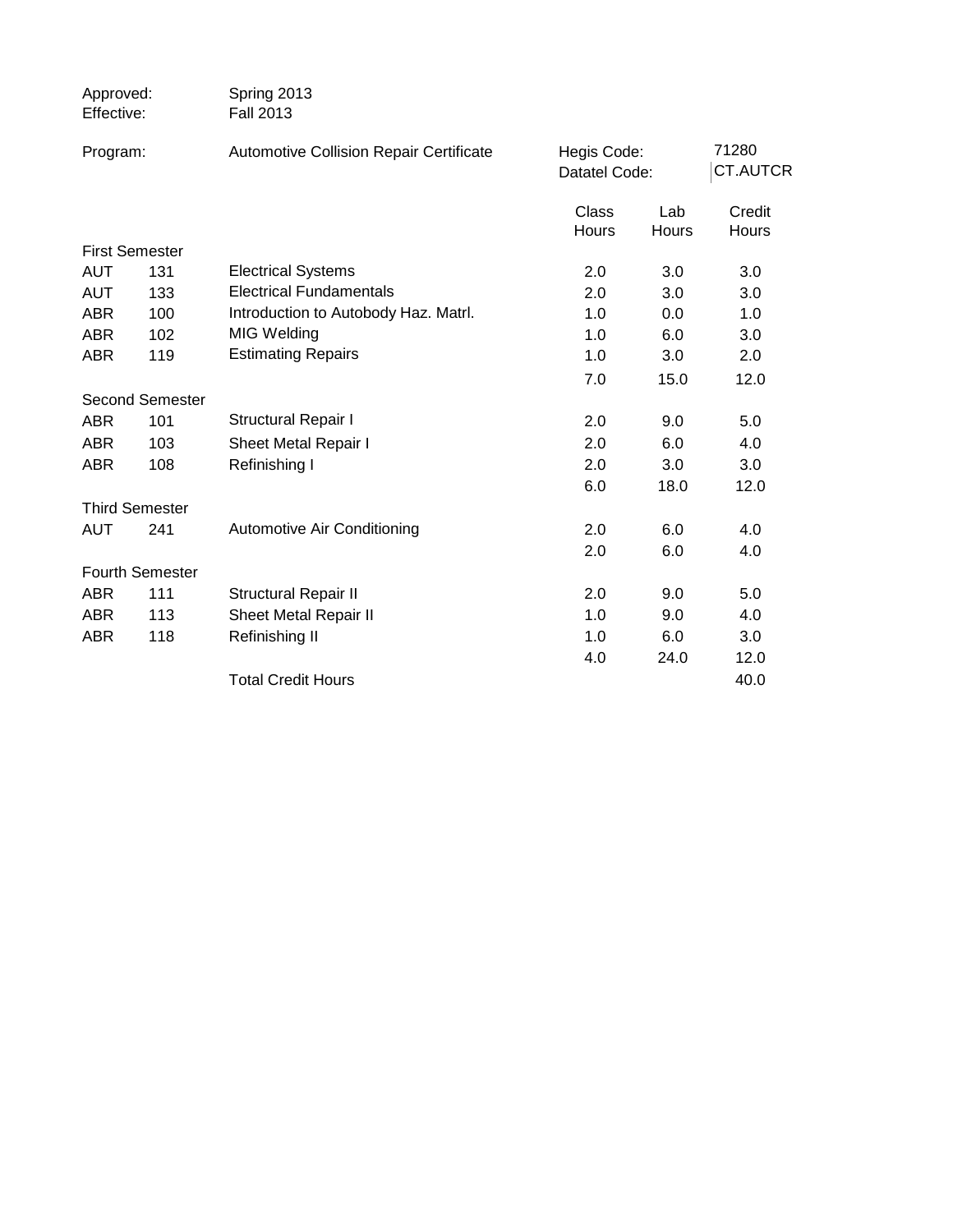| Approved:<br>Effective: |                        | Spring 2013<br><b>Fall 2013</b>         |                              |              |                          |
|-------------------------|------------------------|-----------------------------------------|------------------------------|--------------|--------------------------|
| Program:                |                        | Automotive Collision Repair Certificate | Hegis Code:<br>Datatel Code: |              | 71280<br><b>CT.AUTCR</b> |
|                         |                        |                                         | <b>Class</b><br>Hours        | Lab<br>Hours | Credit<br>Hours          |
| <b>First Semester</b>   |                        |                                         |                              |              |                          |
| <b>AUT</b>              | 131                    | <b>Electrical Systems</b>               | 2.0                          | 3.0          | 3.0                      |
| <b>AUT</b>              | 133                    | <b>Electrical Fundamentals</b>          | 2.0                          | 3.0          | 3.0                      |
| <b>ABR</b>              | 100                    | Introduction to Autobody Haz. Matrl.    | 1.0                          | 0.0          | 1.0                      |
| <b>ABR</b>              | 102                    | MIG Welding                             | 1.0                          | 6.0          | 3.0                      |
| <b>ABR</b>              | 119                    | <b>Estimating Repairs</b>               | 1.0                          | 3.0          | 2.0                      |
|                         |                        |                                         | 7.0                          | 15.0         | 12.0                     |
|                         | <b>Second Semester</b> |                                         |                              |              |                          |
| <b>ABR</b>              | 101                    | <b>Structural Repair I</b>              | 2.0                          | 9.0          | 5.0                      |
| <b>ABR</b>              | 103                    | Sheet Metal Repair I                    | 2.0                          | 6.0          | 4.0                      |
| <b>ABR</b>              | 108                    | Refinishing I                           | 2.0                          | 3.0          | 3.0                      |
|                         |                        |                                         | 6.0                          | 18.0         | 12.0                     |
| <b>Third Semester</b>   |                        |                                         |                              |              |                          |
| <b>AUT</b>              | 241                    | Automotive Air Conditioning             | 2.0                          | 6.0          | 4.0                      |
|                         |                        |                                         | 2.0                          | 6.0          | 4.0                      |
| Fourth Semester         |                        |                                         |                              |              |                          |
| <b>ABR</b>              | 111                    | <b>Structural Repair II</b>             | 2.0                          | 9.0          | 5.0                      |
| <b>ABR</b>              | 113                    | Sheet Metal Repair II                   | 1.0                          | 9.0          | 4.0                      |
| <b>ABR</b>              | 118                    | Refinishing II                          | 1.0                          | 6.0          | 3.0                      |
|                         |                        |                                         | 4.0                          | 24.0         | 12.0                     |
|                         |                        | <b>Total Credit Hours</b>               |                              |              | 40.0                     |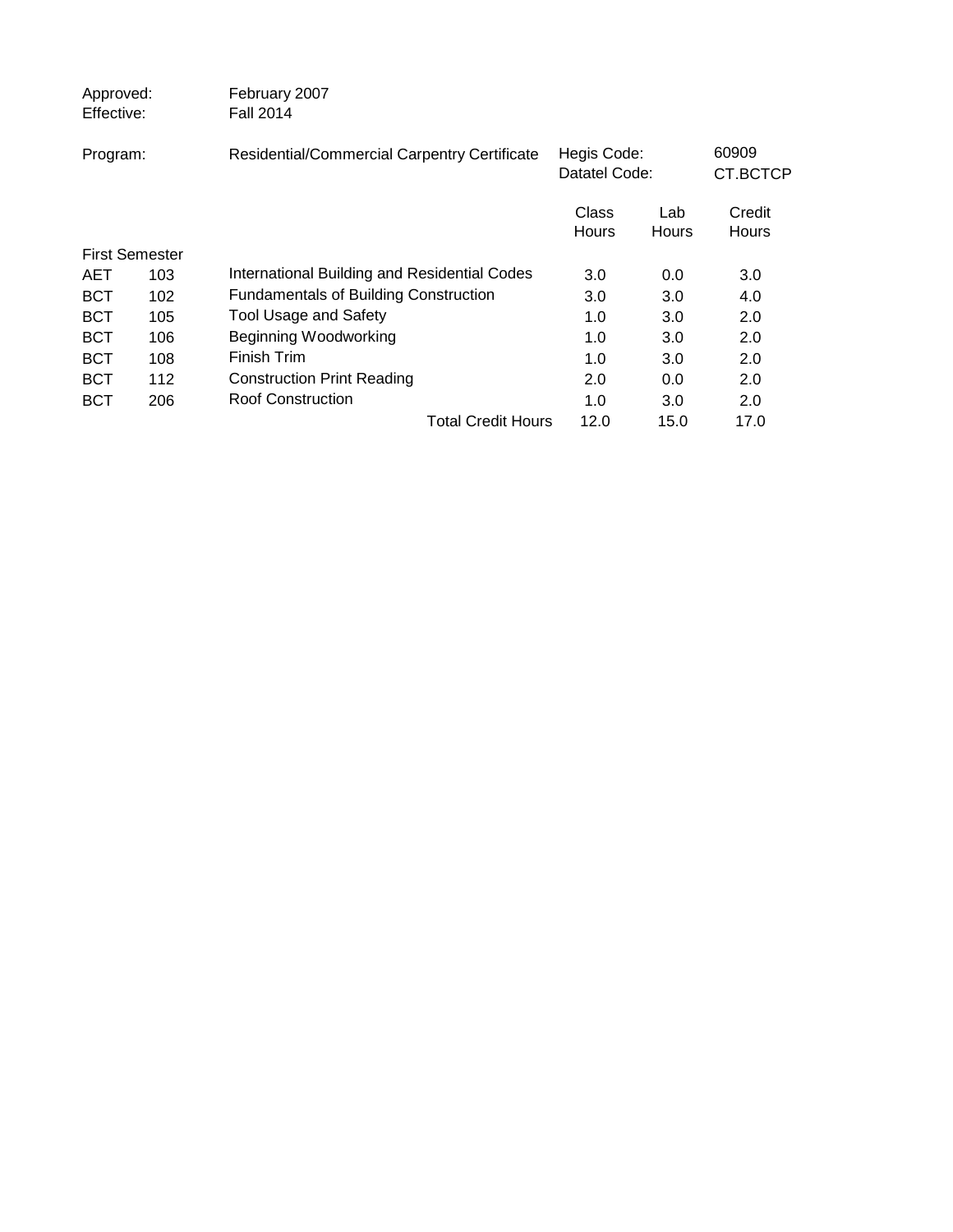| Approved:<br>Effective: |     | February 2007<br><b>Fall 2014</b>            |                              |              |                        |
|-------------------------|-----|----------------------------------------------|------------------------------|--------------|------------------------|
| Program:                |     | Residential/Commercial Carpentry Certificate | Hegis Code:<br>Datatel Code: |              | 60909<br>CT.BCTCP      |
|                         |     |                                              | Class<br><b>Hours</b>        | Lab<br>Hours | Credit<br><b>Hours</b> |
| <b>First Semester</b>   |     |                                              |                              |              |                        |
| <b>AET</b>              | 103 | International Building and Residential Codes | 3.0                          | 0.0          | 3.0                    |
| <b>BCT</b>              | 102 | <b>Fundamentals of Building Construction</b> | 3.0                          | 3.0          | 4.0                    |
| <b>BCT</b>              | 105 | <b>Tool Usage and Safety</b>                 | 1.0                          | 3.0          | 2.0                    |
| <b>BCT</b>              | 106 | Beginning Woodworking                        | 1.0                          | 3.0          | 2.0                    |
| <b>BCT</b>              | 108 | Finish Trim                                  | 1.0                          | 3.0          | 2.0                    |
| <b>BCT</b>              | 112 | <b>Construction Print Reading</b>            | 2.0                          | 0.0          | 2.0                    |
| BCT                     | 206 | <b>Roof Construction</b>                     | 1.0                          | 3.0          | 2.0                    |
|                         |     | <b>Total Credit Hours</b>                    | 12.0                         | 15.0         | 17.0                   |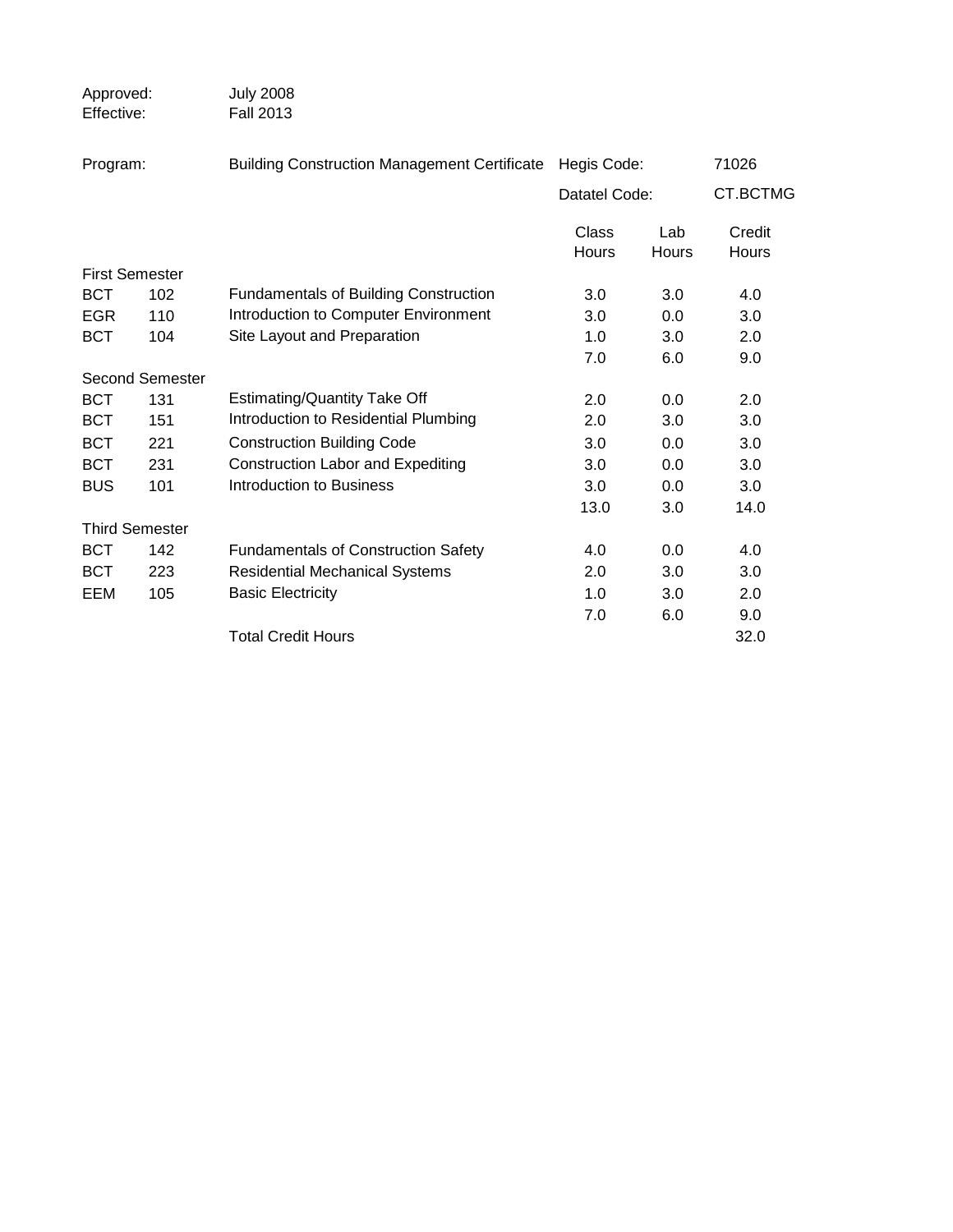| Approved:<br>Effective: |                       | <b>July 2008</b><br><b>Fall 2013</b>                |                       |                     |                 |
|-------------------------|-----------------------|-----------------------------------------------------|-----------------------|---------------------|-----------------|
| Program:                |                       | <b>Building Construction Management Certificate</b> |                       | Hegis Code:         | 71026           |
|                         |                       |                                                     | Datatel Code:         |                     | CT.BCTMG        |
|                         |                       |                                                     | <b>Class</b><br>Hours | Lab<br><b>Hours</b> | Credit<br>Hours |
|                         | <b>First Semester</b> |                                                     |                       |                     |                 |
| <b>BCT</b>              | 102                   | <b>Fundamentals of Building Construction</b>        | 3.0                   | 3.0                 | 4.0             |
| <b>EGR</b>              | 110                   | Introduction to Computer Environment                | 3.0                   | 0.0                 | 3.0             |
| <b>BCT</b>              | 104                   | Site Layout and Preparation                         | 1.0                   | 3.0                 | 2.0             |
|                         |                       |                                                     | 7.0                   | 6.0                 | 9.0             |
|                         | Second Semester       |                                                     |                       |                     |                 |
| <b>BCT</b>              | 131                   | <b>Estimating/Quantity Take Off</b>                 | 2.0                   | 0.0                 | 2.0             |
| <b>BCT</b>              | 151                   | Introduction to Residential Plumbing                | 2.0                   | 3.0                 | 3.0             |
| <b>BCT</b>              | 221                   | <b>Construction Building Code</b>                   | 3.0                   | 0.0                 | 3.0             |
| <b>BCT</b>              | 231                   | <b>Construction Labor and Expediting</b>            | 3.0                   | 0.0                 | 3.0             |
| <b>BUS</b>              | 101                   | Introduction to Business                            | 3.0                   | 0.0                 | 3.0             |
|                         |                       |                                                     | 13.0                  | 3.0                 | 14.0            |
|                         | <b>Third Semester</b> |                                                     |                       |                     |                 |
| <b>BCT</b>              | 142                   | <b>Fundamentals of Construction Safety</b>          | 4.0                   | 0.0                 | 4.0             |
| <b>BCT</b>              | 223                   | <b>Residential Mechanical Systems</b>               | 2.0                   | 3.0                 | 3.0             |
| EEM                     | 105                   | <b>Basic Electricity</b>                            | 1.0                   | 3.0                 | 2.0             |
|                         |                       |                                                     | 7.0                   | 6.0                 | 9.0             |
|                         |                       | <b>Total Credit Hours</b>                           |                       |                     | 32.0            |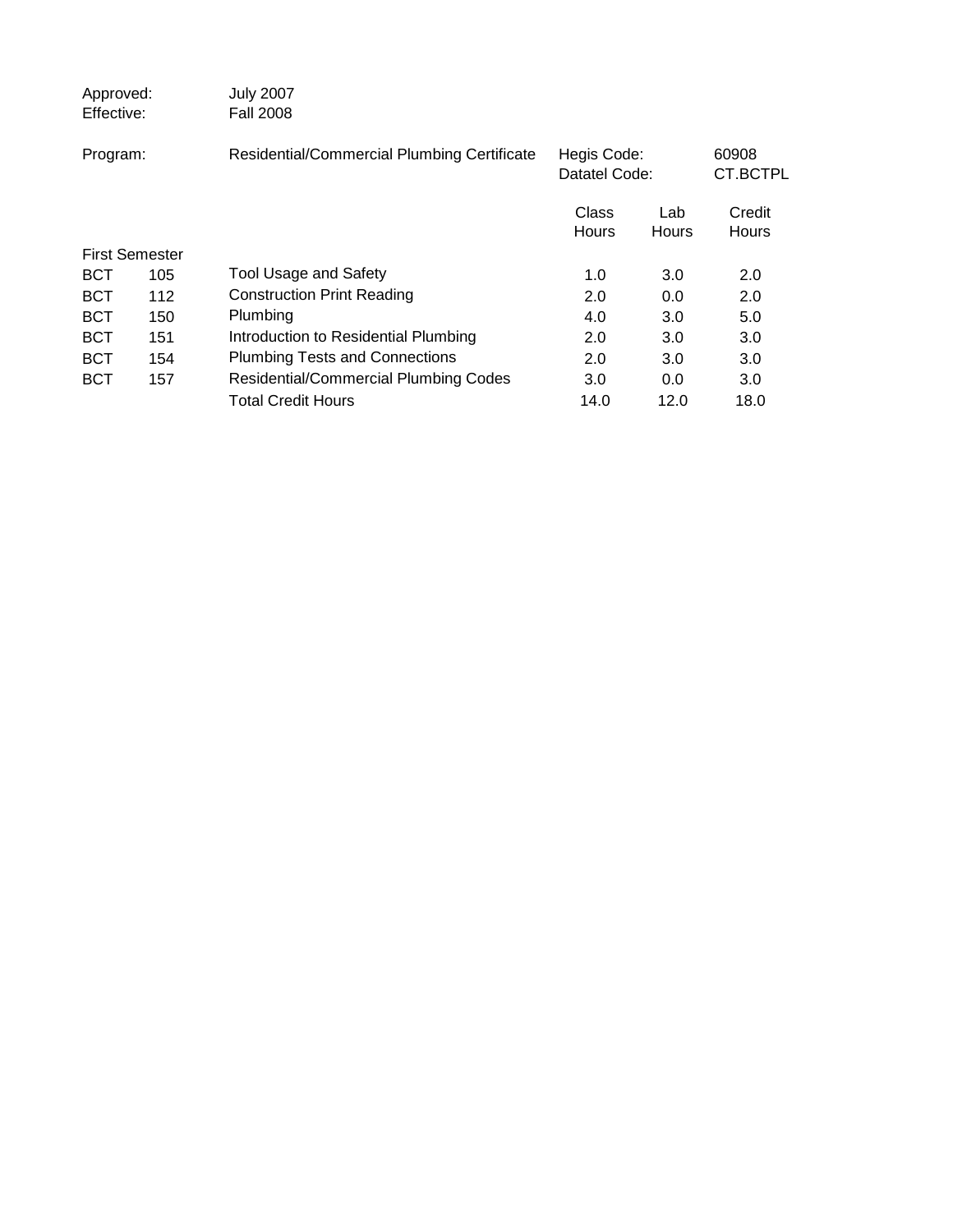| Approved:<br>Effective: |     | <b>July 2007</b><br><b>Fall 2008</b>         |                              |              |                        |  |
|-------------------------|-----|----------------------------------------------|------------------------------|--------------|------------------------|--|
| Program:                |     | Residential/Commercial Plumbing Certificate  | Hegis Code:<br>Datatel Code: |              | 60908<br>CT.BCTPL      |  |
|                         |     |                                              | Class<br><b>Hours</b>        | Lab<br>Hours | Credit<br><b>Hours</b> |  |
| <b>First Semester</b>   |     |                                              |                              |              |                        |  |
| <b>BCT</b>              | 105 | <b>Tool Usage and Safety</b>                 | 1.0                          | 3.0          | 2.0                    |  |
| <b>BCT</b>              | 112 | <b>Construction Print Reading</b>            | 2.0                          | 0.0          | 2.0                    |  |
| <b>BCT</b>              | 150 | Plumbing                                     | 4.0                          | 3.0          | 5.0                    |  |
| <b>BCT</b>              | 151 | Introduction to Residential Plumbing         | 2.0                          | 3.0          | 3.0                    |  |
| <b>BCT</b>              | 154 | <b>Plumbing Tests and Connections</b>        | 2.0                          | 3.0          | 3.0                    |  |
| <b>BCT</b>              | 157 | <b>Residential/Commercial Plumbing Codes</b> | 3.0                          | 0.0          | 3.0                    |  |
|                         |     | <b>Total Credit Hours</b>                    | 14.0                         | 12.0         | 18.0                   |  |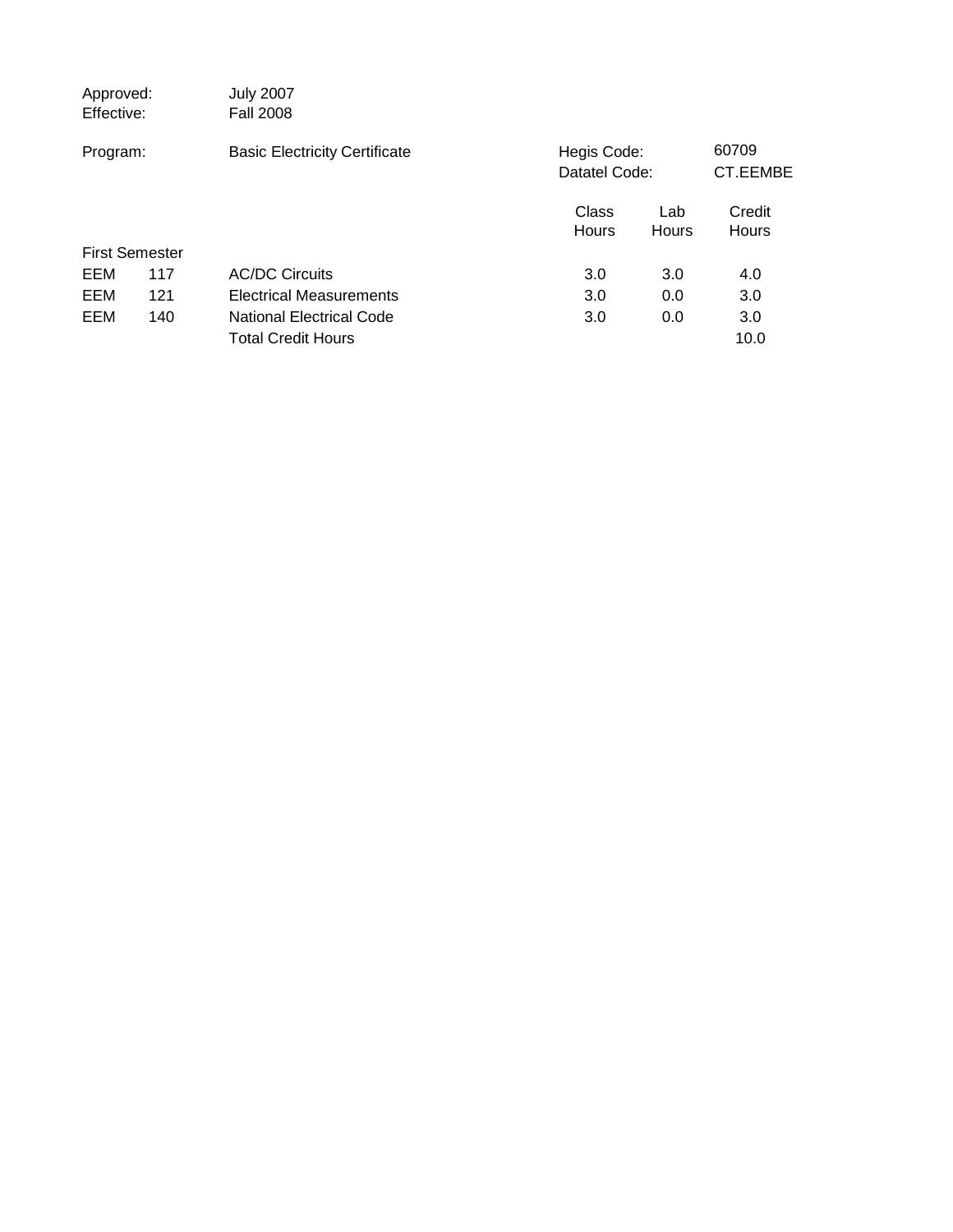| Approved:<br>Effective: |     | <b>July 2007</b><br><b>Fall 2008</b> |                              |              |                   |
|-------------------------|-----|--------------------------------------|------------------------------|--------------|-------------------|
| Program:                |     | <b>Basic Electricity Certificate</b> | Hegis Code:<br>Datatel Code: |              | 60709<br>CT.EEMBE |
|                         |     |                                      | Class<br><b>Hours</b>        | Lab<br>Hours | Credit<br>Hours   |
| <b>First Semester</b>   |     |                                      |                              |              |                   |
| EEM                     | 117 | <b>AC/DC Circuits</b>                | 3.0                          | 3.0          | 4.0               |
| EEM                     | 121 | <b>Electrical Measurements</b>       | 3.0                          | 0.0          | 3.0               |
| EEM                     | 140 | <b>National Electrical Code</b>      | 3.0                          | 0.0          | 3.0               |
|                         |     | <b>Total Credit Hours</b>            |                              |              | 10.0              |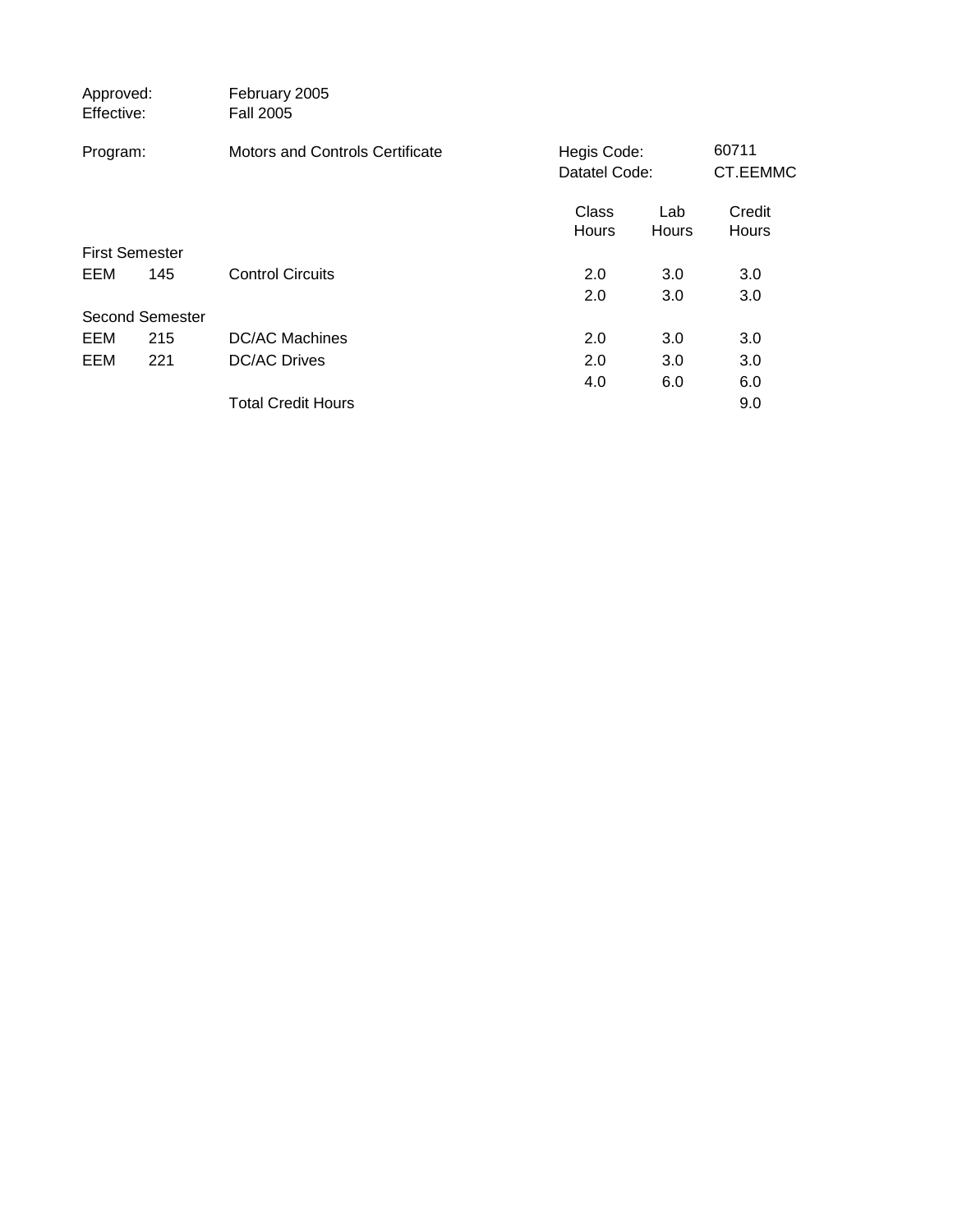| Approved:<br>Effective: | February 2005<br><b>Fall 2005</b>      |                              |              |                        |  |
|-------------------------|----------------------------------------|------------------------------|--------------|------------------------|--|
| Program:                | <b>Motors and Controls Certificate</b> | Hegis Code:<br>Datatel Code: |              | 60711<br>CT.EEMMC      |  |
|                         |                                        | Class<br><b>Hours</b>        | Lab<br>Hours | Credit<br><b>Hours</b> |  |
| <b>First Semester</b>   |                                        |                              |              |                        |  |
| EEM<br>145              | <b>Control Circuits</b>                | 2.0                          | 3.0          | 3.0                    |  |
|                         |                                        | 2.0                          | 3.0          | 3.0                    |  |
| <b>Second Semester</b>  |                                        |                              |              |                        |  |
| EEM<br>215              | <b>DC/AC Machines</b>                  | 2.0                          | 3.0          | 3.0                    |  |
| EEM<br>221              | <b>DC/AC Drives</b>                    | 2.0                          | 3.0          | 3.0                    |  |
|                         |                                        | 4.0                          | 6.0          | 6.0                    |  |
|                         | <b>Total Credit Hours</b>              |                              |              | 9.0                    |  |
|                         |                                        |                              |              |                        |  |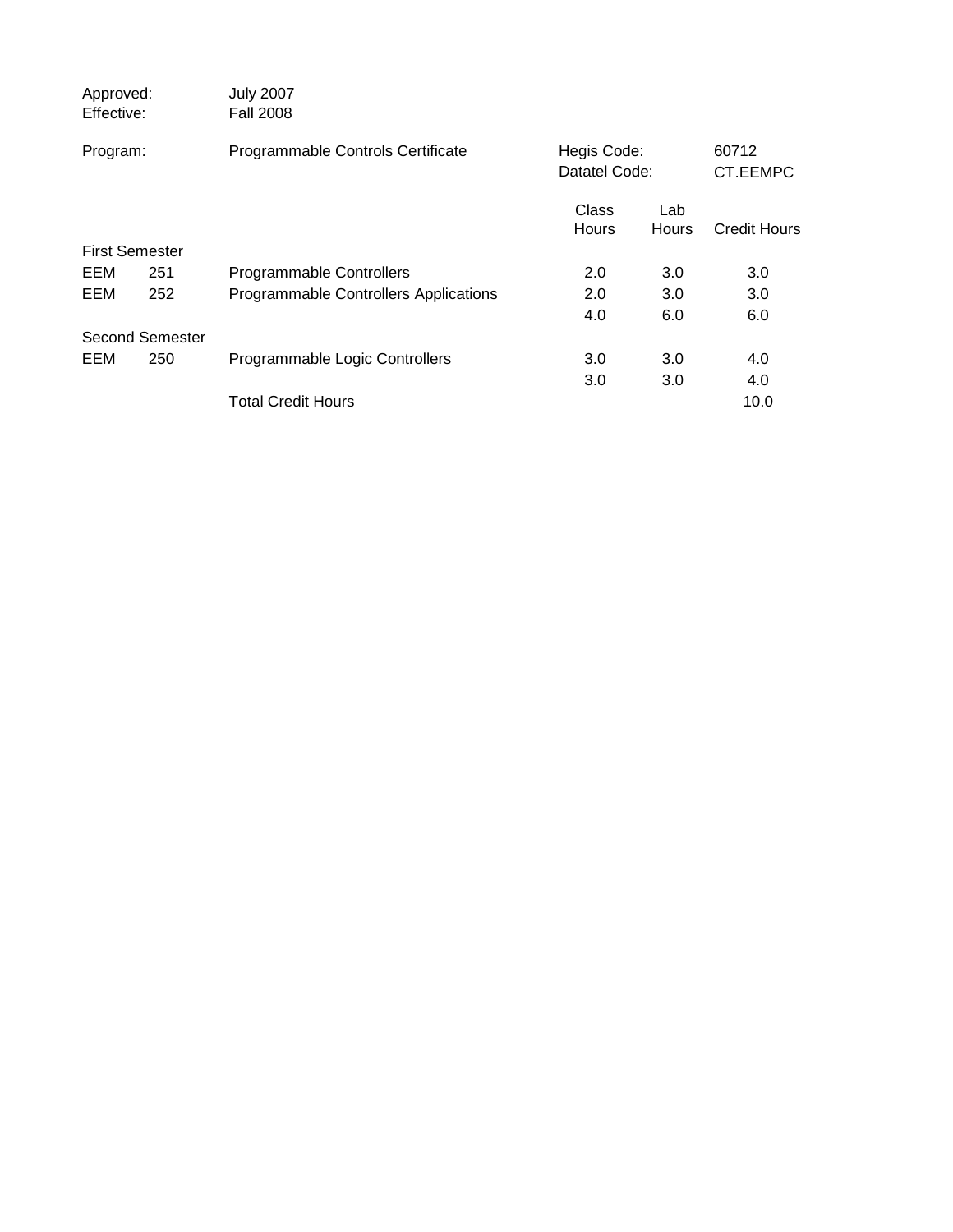| Approved:<br>Effective: |                 | <b>July 2007</b><br><b>Fall 2008</b>  |                              |                     |                     |
|-------------------------|-----------------|---------------------------------------|------------------------------|---------------------|---------------------|
| Program:                |                 | Programmable Controls Certificate     | Hegis Code:<br>Datatel Code: |                     | 60712<br>CT.EEMPC   |
|                         |                 |                                       | Class<br><b>Hours</b>        | Lab<br><b>Hours</b> | <b>Credit Hours</b> |
| <b>First Semester</b>   |                 |                                       |                              |                     |                     |
| EEM                     | 251             | Programmable Controllers              | 2.0                          | 3.0                 | 3.0                 |
| EEM                     | 252             | Programmable Controllers Applications | 2.0                          | 3.0                 | 3.0                 |
|                         |                 |                                       | 4.0                          | 6.0                 | 6.0                 |
|                         | Second Semester |                                       |                              |                     |                     |
| EEM                     | 250             | Programmable Logic Controllers        | 3.0                          | 3.0                 | 4.0                 |
|                         |                 |                                       | 3.0                          | 3.0                 | 4.0                 |
|                         |                 | <b>Total Credit Hours</b>             |                              |                     | 10.0                |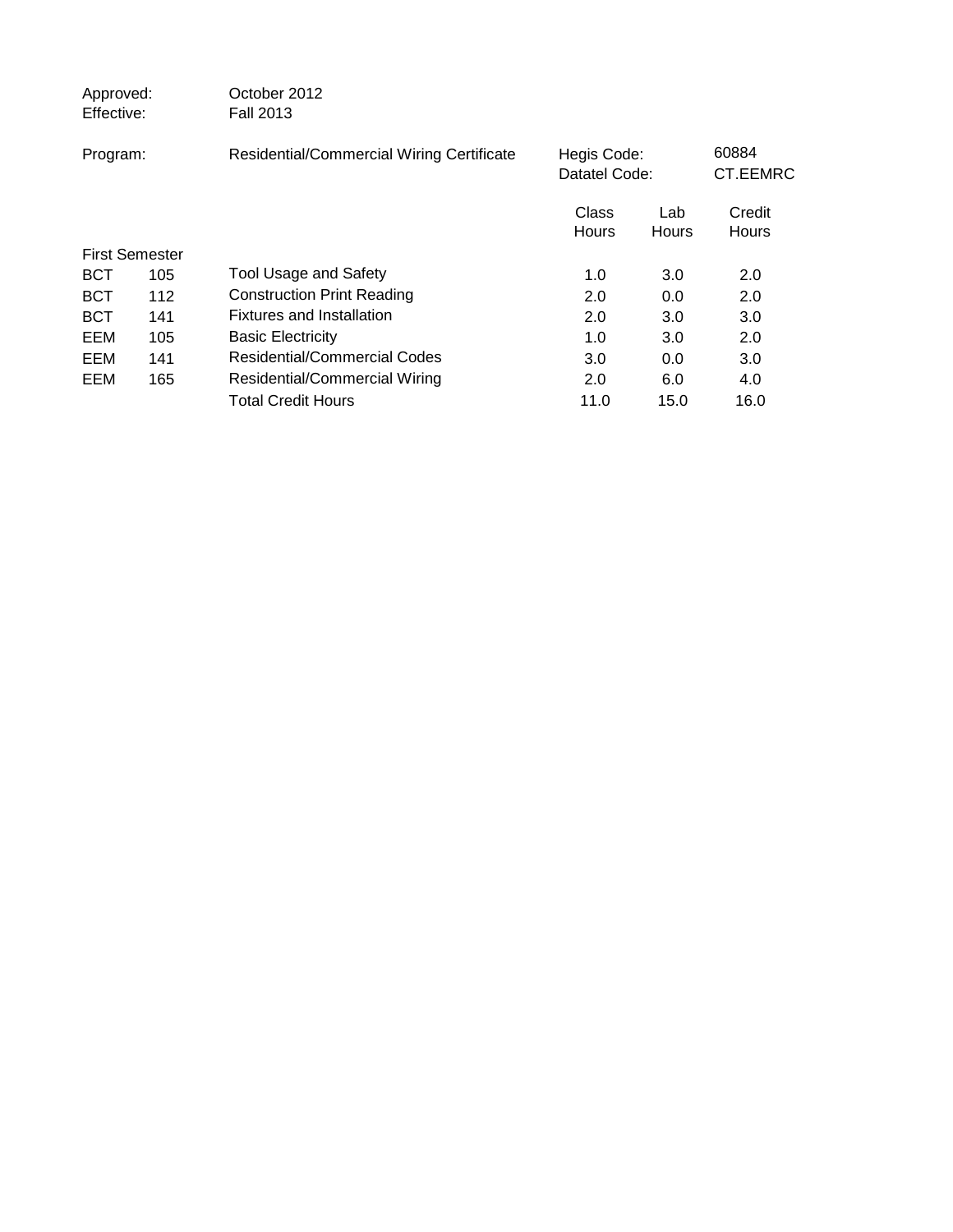| Approved:<br>Effective: |     | October 2012<br><b>Fall 2013</b>          |                              |              |                        |  |
|-------------------------|-----|-------------------------------------------|------------------------------|--------------|------------------------|--|
| Program:                |     | Residential/Commercial Wiring Certificate | Hegis Code:<br>Datatel Code: |              | 60884<br>CT.EEMRC      |  |
|                         |     |                                           | Class<br>Hours               | Lab<br>Hours | Credit<br><b>Hours</b> |  |
| <b>First Semester</b>   |     |                                           |                              |              |                        |  |
| <b>BCT</b>              | 105 | <b>Tool Usage and Safety</b>              | 1.0                          | 3.0          | 2.0                    |  |
| <b>BCT</b>              | 112 | <b>Construction Print Reading</b>         | 2.0                          | 0.0          | 2.0                    |  |
| BCT                     | 141 | <b>Fixtures and Installation</b>          | 2.0                          | 3.0          | 3.0                    |  |
| EEM                     | 105 | <b>Basic Electricity</b>                  | 1.0                          | 3.0          | 2.0                    |  |
| EEM                     | 141 | Residential/Commercial Codes              | 3.0                          | 0.0          | 3.0                    |  |
| EEM                     | 165 | Residential/Commercial Wiring             | 2.0                          | 6.0          | 4.0                    |  |
|                         |     | <b>Total Credit Hours</b>                 | 11.0                         | 15.0         | 16.0                   |  |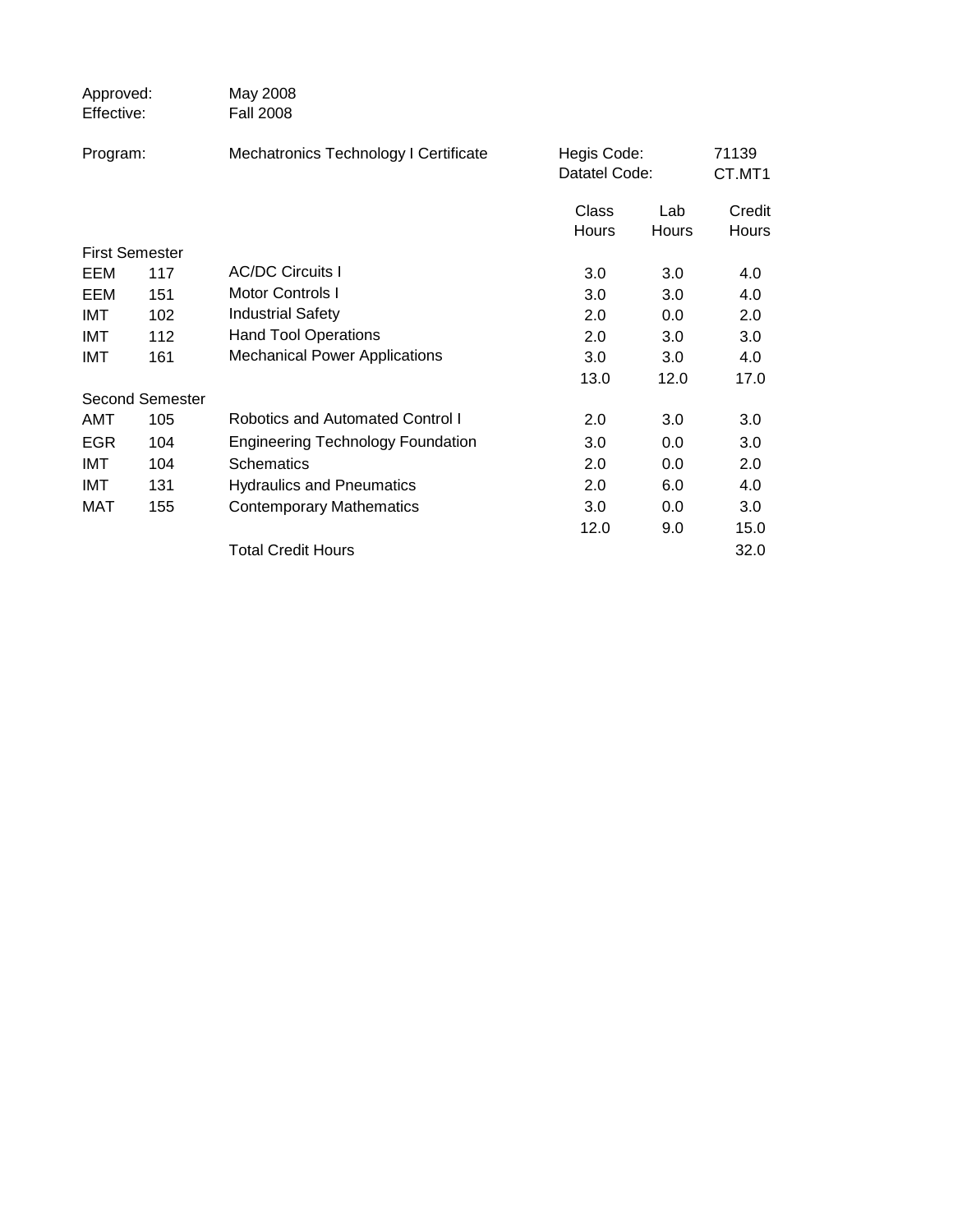| Approved:<br>Effective: |                        | May 2008<br><b>Fall 2008</b>             |                              |                     |                 |
|-------------------------|------------------------|------------------------------------------|------------------------------|---------------------|-----------------|
| Program:                |                        | Mechatronics Technology I Certificate    | Hegis Code:<br>Datatel Code: |                     | 71139<br>CT.MT1 |
|                         |                        |                                          | Class<br>Hours               | Lab<br><b>Hours</b> | Credit<br>Hours |
|                         | <b>First Semester</b>  |                                          |                              |                     |                 |
| EEM                     | 117                    | <b>AC/DC Circuits I</b>                  | 3.0                          | 3.0                 | 4.0             |
| EEM                     | 151                    | <b>Motor Controls I</b>                  | 3.0                          | 3.0                 | 4.0             |
| IMT                     | 102                    | <b>Industrial Safety</b>                 | 2.0                          | 0.0                 | 2.0             |
| IMT                     | 112                    | <b>Hand Tool Operations</b>              | 2.0                          | 3.0                 | 3.0             |
| <b>IMT</b>              | 161                    | <b>Mechanical Power Applications</b>     | 3.0                          | 3.0                 | 4.0             |
|                         |                        |                                          | 13.0                         | 12.0                | 17.0            |
|                         | <b>Second Semester</b> |                                          |                              |                     |                 |
| AMT                     | 105                    | Robotics and Automated Control I         | 2.0                          | 3.0                 | 3.0             |
| <b>EGR</b>              | 104                    | <b>Engineering Technology Foundation</b> | 3.0                          | 0.0                 | 3.0             |
| IMT                     | 104                    | <b>Schematics</b>                        | 2.0                          | 0.0                 | 2.0             |
| IMT                     | 131                    | <b>Hydraulics and Pneumatics</b>         | 2.0                          | 6.0                 | 4.0             |
| MAT                     | 155                    | <b>Contemporary Mathematics</b>          | 3.0                          | 0.0                 | 3.0             |
|                         |                        |                                          | 12.0                         | 9.0                 | 15.0            |
|                         |                        | <b>Total Credit Hours</b>                |                              |                     | 32.0            |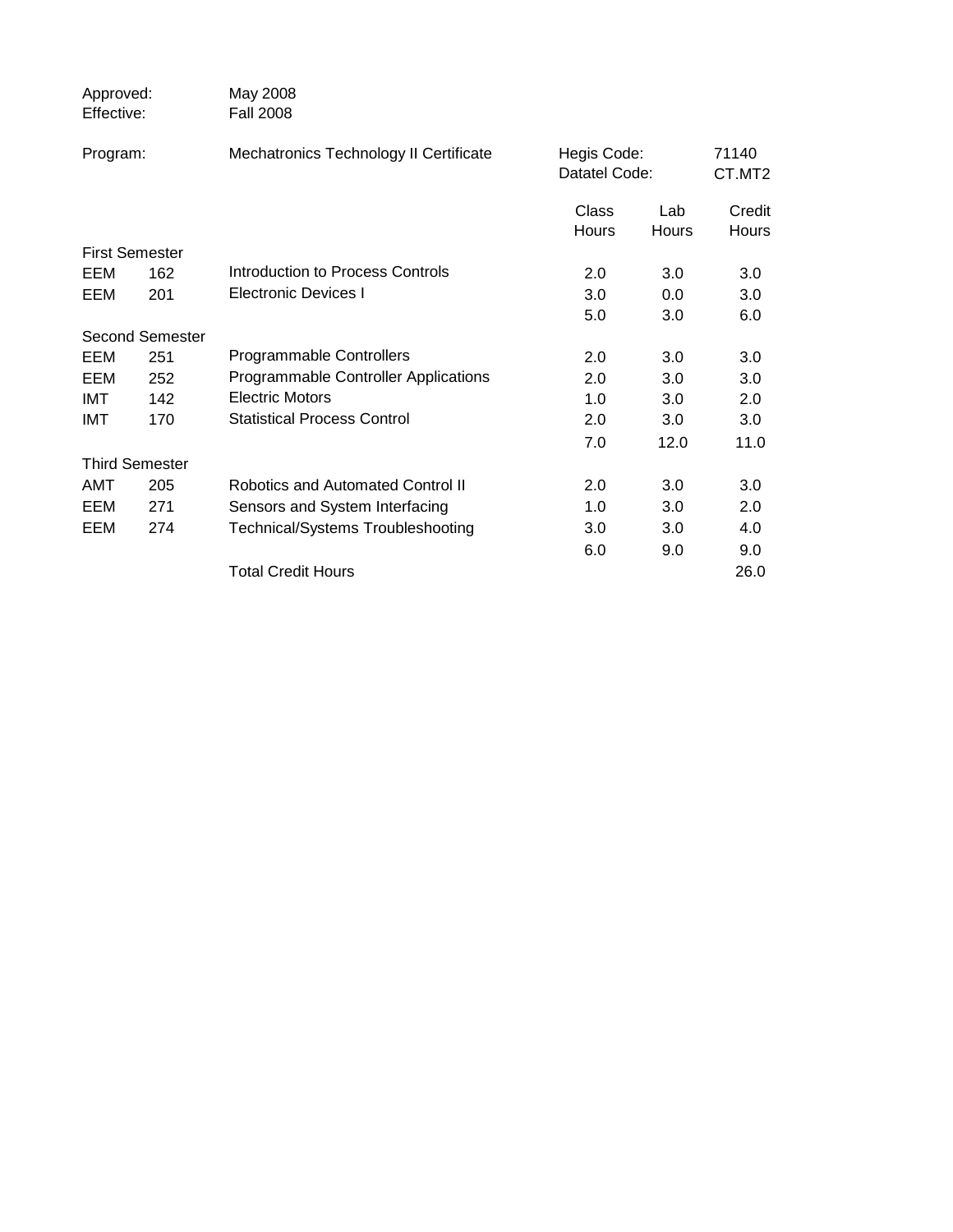| Approved:<br>Effective: |                        | May 2008<br><b>Fall 2008</b>                |                              |              |                 |
|-------------------------|------------------------|---------------------------------------------|------------------------------|--------------|-----------------|
| Program:                |                        | Mechatronics Technology II Certificate      | Hegis Code:<br>Datatel Code: |              | 71140<br>CT.MT2 |
|                         |                        |                                             | Class<br>Hours               | Lab<br>Hours | Credit<br>Hours |
|                         | <b>First Semester</b>  |                                             |                              |              |                 |
| EEM                     | 162                    | Introduction to Process Controls            | 2.0                          | 3.0          | 3.0             |
| EEM                     | 201                    | <b>Electronic Devices I</b>                 | 3.0                          | 0.0          | 3.0             |
|                         |                        |                                             | 5.0                          | 3.0          | 6.0             |
|                         | <b>Second Semester</b> |                                             |                              |              |                 |
| EEM                     | 251                    | Programmable Controllers                    | 2.0                          | 3.0          | 3.0             |
| EEM                     | 252                    | <b>Programmable Controller Applications</b> | 2.0                          | 3.0          | 3.0             |
| IMT                     | 142                    | <b>Electric Motors</b>                      | 1.0                          | 3.0          | 2.0             |
| <b>IMT</b>              | 170                    | <b>Statistical Process Control</b>          | 2.0                          | 3.0          | 3.0             |
|                         |                        |                                             | 7.0                          | 12.0         | 11.0            |
|                         | <b>Third Semester</b>  |                                             |                              |              |                 |
| AMT                     | 205                    | Robotics and Automated Control II           | 2.0                          | 3.0          | 3.0             |
| EEM                     | 271                    | Sensors and System Interfacing              | 1.0                          | 3.0          | 2.0             |
| EEM                     | 274                    | Technical/Systems Troubleshooting           | 3.0                          | 3.0          | 4.0             |
|                         |                        |                                             | 6.0                          | 9.0          | 9.0             |
|                         |                        | <b>Total Credit Hours</b>                   |                              |              | 26.0            |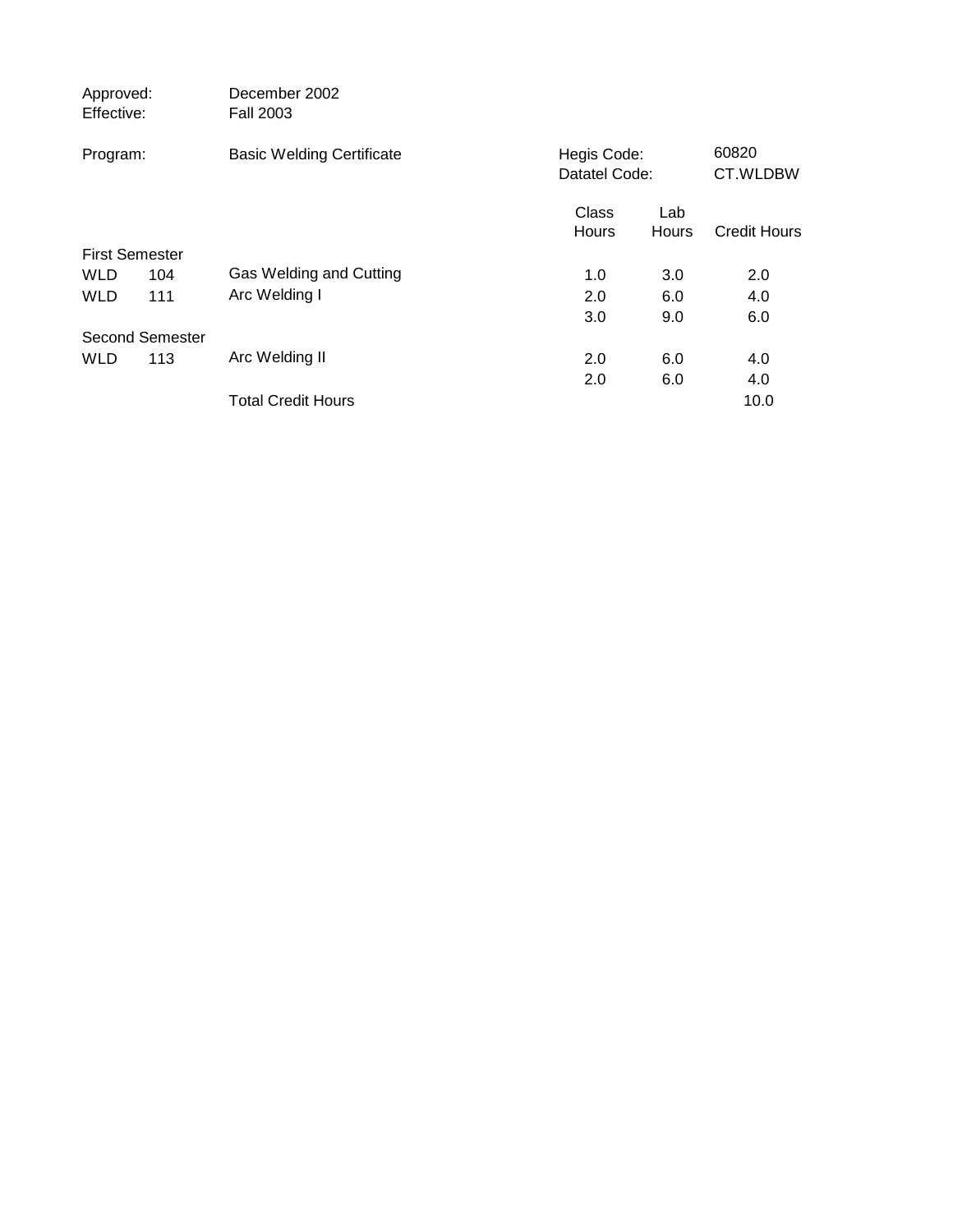| Approved:<br>Effective: | December 2002<br><b>Fall 2003</b> |                |                              |                     |
|-------------------------|-----------------------------------|----------------|------------------------------|---------------------|
| Program:                | <b>Basic Welding Certificate</b>  |                | Hegis Code:<br>Datatel Code: |                     |
|                         |                                   | Class<br>Hours | Lab<br>Hours                 | <b>Credit Hours</b> |
| <b>First Semester</b>   |                                   |                |                              |                     |
| <b>WLD</b>              | Gas Welding and Cutting<br>104    | 1.0            | 3.0                          | 2.0                 |
| <b>WLD</b>              | Arc Welding I<br>111              | 2.0            | 6.0                          | 4.0                 |
|                         |                                   | 3.0            | 9.0                          | 6.0                 |
| Second Semester         |                                   |                |                              |                     |
| <b>WLD</b>              | Arc Welding II<br>113             | 2.0            | 6.0                          | 4.0                 |
|                         |                                   | 2.0            | 6.0                          | 4.0                 |
|                         | <b>Total Credit Hours</b>         |                |                              | 10.0                |
|                         |                                   |                |                              |                     |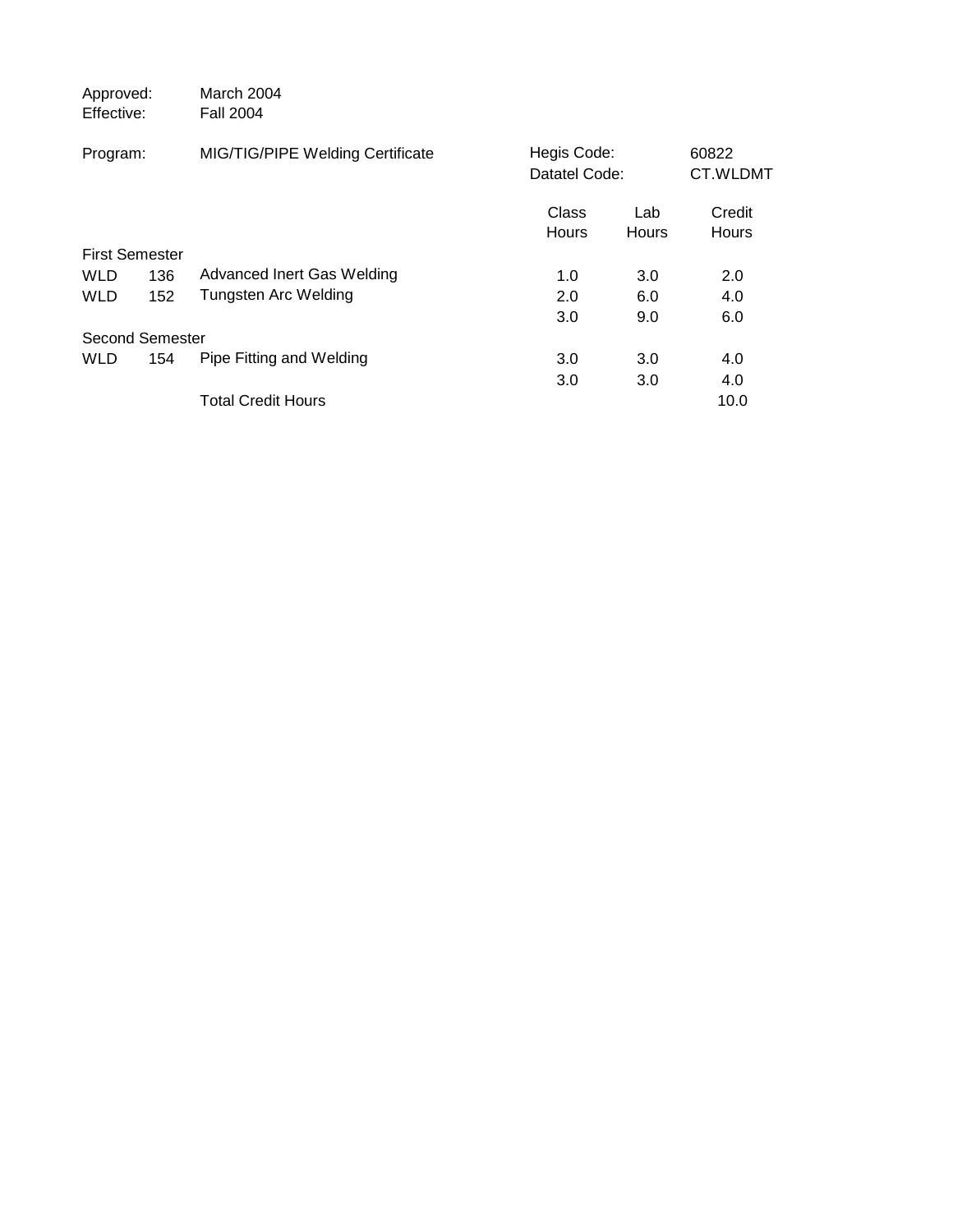| Approved:<br>Effective: |     | March 2004<br><b>Fall 2004</b>   |                              |              |                        |
|-------------------------|-----|----------------------------------|------------------------------|--------------|------------------------|
| Program:                |     | MIG/TIG/PIPE Welding Certificate | Hegis Code:<br>Datatel Code: |              | 60822<br>CT.WLDMT      |
|                         |     |                                  | Class<br>Hours               | Lab<br>Hours | Credit<br><b>Hours</b> |
| <b>First Semester</b>   |     |                                  |                              |              |                        |
| <b>WLD</b>              | 136 | Advanced Inert Gas Welding       | 1.0                          | 3.0          | 2.0                    |
| <b>WLD</b>              | 152 | Tungsten Arc Welding             | 2.0                          | 6.0          | 4.0                    |
|                         |     |                                  | 3.0                          | 9.0          | 6.0                    |
| Second Semester         |     |                                  |                              |              |                        |
| <b>WLD</b>              | 154 | Pipe Fitting and Welding         | 3.0                          | 3.0          | 4.0                    |
|                         |     |                                  | 3.0                          | 3.0          | 4.0                    |
|                         |     | <b>Total Credit Hours</b>        |                              |              | 10.0                   |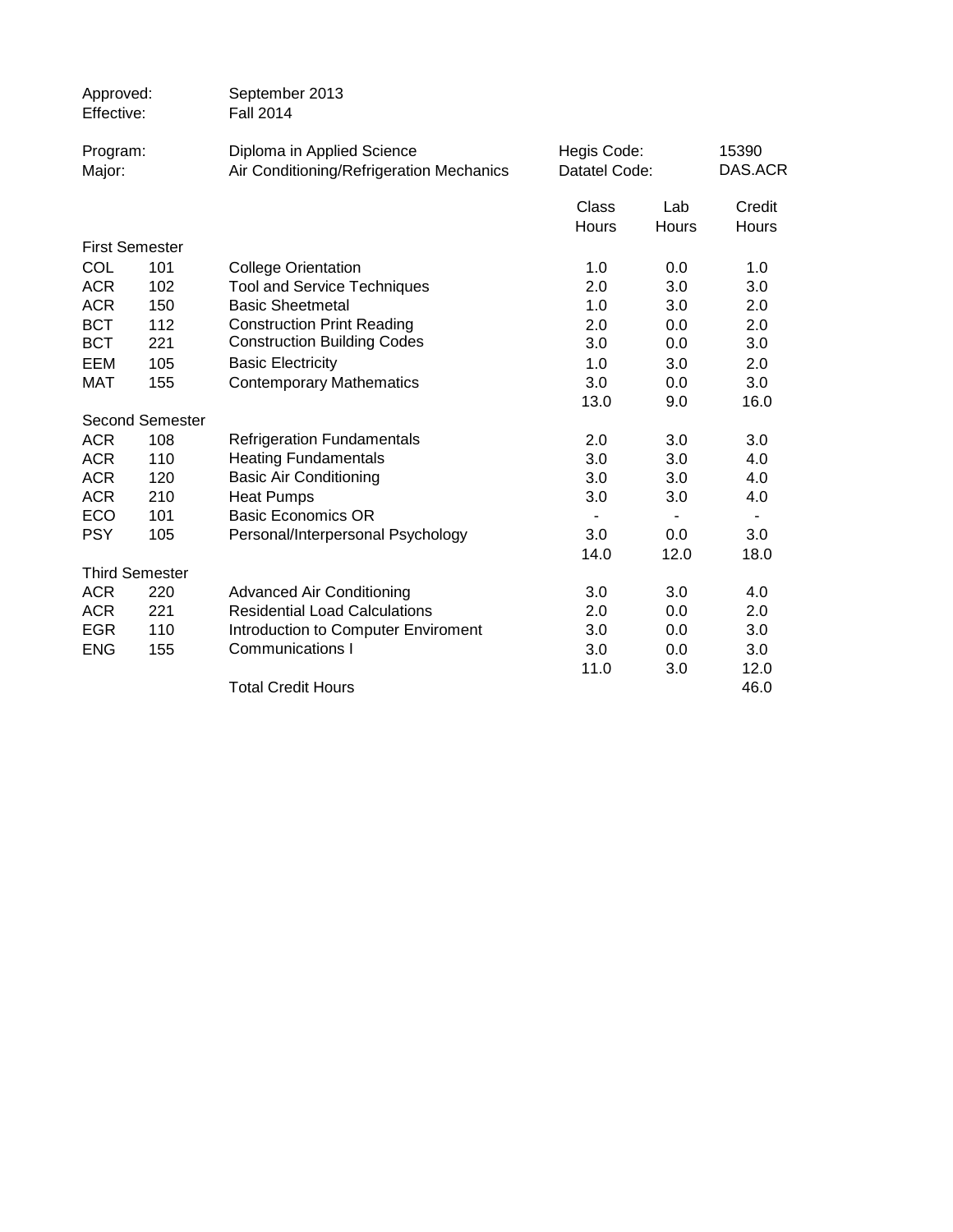| Approved:<br>Effective: |                        | September 2013<br><b>Fall 2014</b>       |               |                          |                |  |
|-------------------------|------------------------|------------------------------------------|---------------|--------------------------|----------------|--|
| Program:                |                        | Diploma in Applied Science               | Hegis Code:   |                          | 15390          |  |
| Major:                  |                        | Air Conditioning/Refrigeration Mechanics | Datatel Code: |                          | DAS.ACR        |  |
|                         |                        |                                          | Class         | Lab                      | Credit         |  |
|                         |                        |                                          | <b>Hours</b>  | <b>Hours</b>             | Hours          |  |
| <b>First Semester</b>   |                        |                                          |               |                          |                |  |
| <b>COL</b>              | 101                    | <b>College Orientation</b>               | 1.0           | 0.0                      | 1.0            |  |
| <b>ACR</b>              | 102                    | <b>Tool and Service Techniques</b>       | 2.0           | 3.0                      | 3.0            |  |
| <b>ACR</b>              | 150                    | <b>Basic Sheetmetal</b>                  | 1.0           | 3.0                      | 2.0            |  |
| <b>BCT</b>              | 112                    | <b>Construction Print Reading</b>        | 2.0           | 0.0                      | 2.0            |  |
| <b>BCT</b>              | 221                    | <b>Construction Building Codes</b>       | 3.0           | 0.0                      | 3.0            |  |
| EEM                     | 105                    | <b>Basic Electricity</b>                 | 1.0           | 3.0                      | 2.0            |  |
| <b>MAT</b>              | 155                    | <b>Contemporary Mathematics</b>          | 3.0           | 0.0                      | 3.0            |  |
|                         |                        |                                          | 13.0          | 9.0                      | 16.0           |  |
|                         | <b>Second Semester</b> |                                          |               |                          |                |  |
| <b>ACR</b>              | 108                    | <b>Refrigeration Fundamentals</b>        | 2.0           | 3.0                      | 3.0            |  |
| <b>ACR</b>              | 110                    | <b>Heating Fundamentals</b>              | 3.0           | 3.0                      | 4.0            |  |
| <b>ACR</b>              | 120                    | <b>Basic Air Conditioning</b>            | 3.0           | 3.0                      | 4.0            |  |
| <b>ACR</b>              | 210                    | <b>Heat Pumps</b>                        | 3.0           | 3.0                      | 4.0            |  |
| ECO                     | 101                    | <b>Basic Economics OR</b>                |               | $\overline{\phantom{a}}$ | $\blacksquare$ |  |
| <b>PSY</b>              | 105                    | Personal/Interpersonal Psychology        | 3.0           | 0.0                      | 3.0            |  |
|                         |                        |                                          | 14.0          | 12.0                     | 18.0           |  |
| <b>Third Semester</b>   |                        |                                          |               |                          |                |  |
| <b>ACR</b>              | 220                    | <b>Advanced Air Conditioning</b>         | 3.0           | 3.0                      | 4.0            |  |
| <b>ACR</b>              | 221                    | <b>Residential Load Calculations</b>     | 2.0           | 0.0                      | 2.0            |  |
| <b>EGR</b>              | 110                    | Introduction to Computer Enviroment      | 3.0           | 0.0                      | 3.0            |  |
| <b>ENG</b>              | 155                    | <b>Communications I</b>                  | 3.0           | 0.0                      | 3.0            |  |
|                         |                        |                                          | 11.0          | 3.0                      | 12.0           |  |
|                         |                        | <b>Total Credit Hours</b>                |               |                          | 46.0           |  |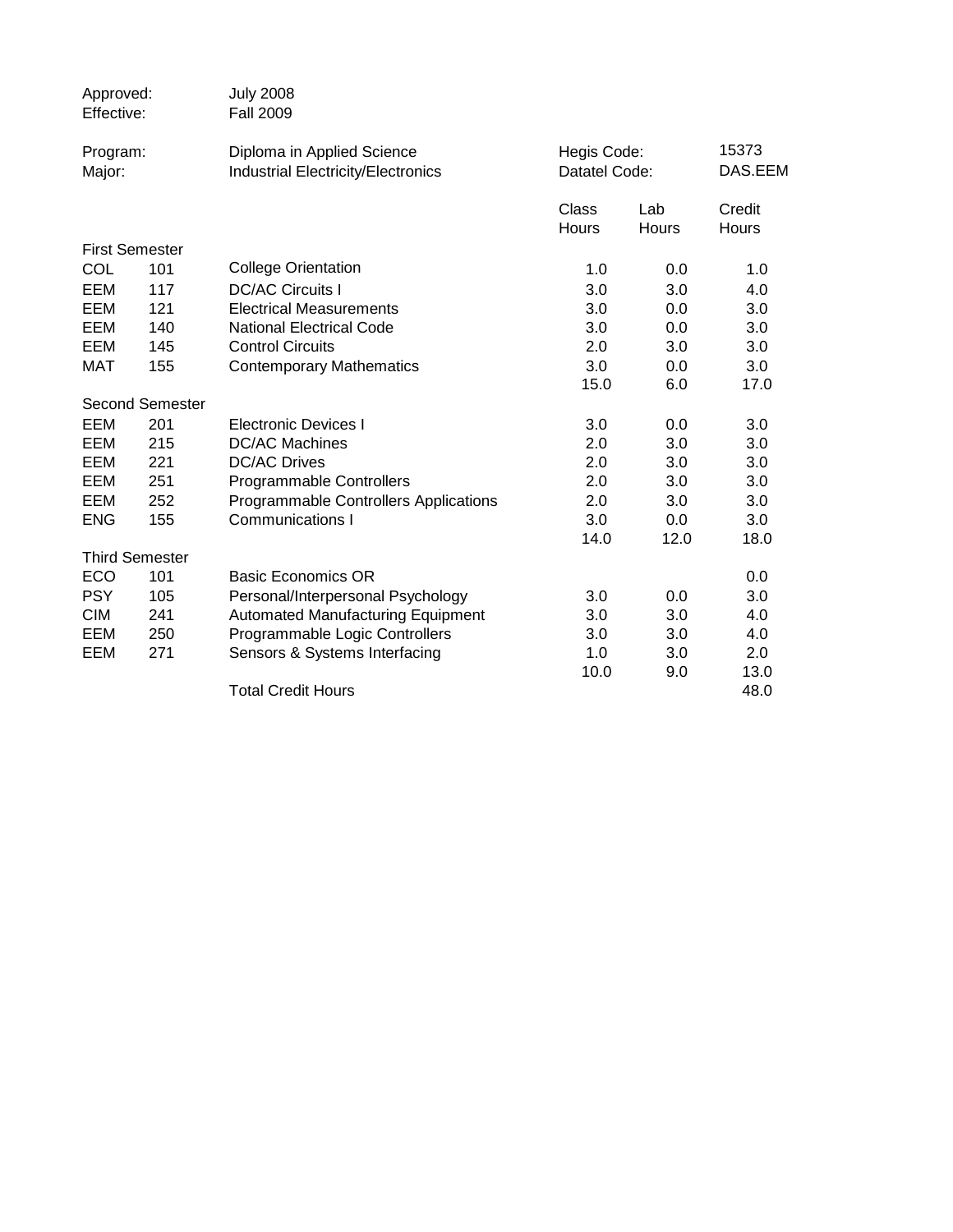| Approved:<br>Effective: |                        | <b>July 2008</b><br><b>Fall 2009</b>         |               |       |         |
|-------------------------|------------------------|----------------------------------------------|---------------|-------|---------|
| Program:                |                        | Diploma in Applied Science                   | Hegis Code:   |       | 15373   |
| Major:                  |                        | <b>Industrial Electricity/Electronics</b>    | Datatel Code: |       | DAS.EEM |
|                         |                        |                                              | Class         | Lab   | Credit  |
|                         |                        |                                              | Hours         | Hours | Hours   |
|                         | <b>First Semester</b>  |                                              |               |       |         |
| COL                     | 101                    | <b>College Orientation</b>                   | 1.0           | 0.0   | 1.0     |
| EEM                     | 117                    | <b>DC/AC Circuits I</b>                      | 3.0           | 3.0   | 4.0     |
| EEM                     | 121                    | <b>Electrical Measurements</b>               | 3.0           | 0.0   | 3.0     |
| EEM                     | 140                    | <b>National Electrical Code</b>              | 3.0           | 0.0   | 3.0     |
| EEM                     | 145                    | <b>Control Circuits</b>                      | 2.0           | 3.0   | 3.0     |
| <b>MAT</b>              | 155                    | <b>Contemporary Mathematics</b>              | 3.0           | 0.0   | 3.0     |
|                         |                        |                                              | 15.0          | 6.0   | 17.0    |
|                         | <b>Second Semester</b> |                                              |               |       |         |
| EEM                     | 201                    | <b>Electronic Devices I</b>                  | 3.0           | 0.0   | 3.0     |
| EEM                     | 215                    | <b>DC/AC Machines</b>                        | 2.0           | 3.0   | 3.0     |
| EEM                     | 221                    | <b>DC/AC Drives</b>                          | 2.0           | 3.0   | 3.0     |
| EEM                     | 251                    | Programmable Controllers                     | 2.0           | 3.0   | 3.0     |
| EEM                     | 252                    | <b>Programmable Controllers Applications</b> | 2.0           | 3.0   | 3.0     |
| <b>ENG</b>              | 155                    | <b>Communications I</b>                      | 3.0           | 0.0   | 3.0     |
|                         |                        |                                              | 14.0          | 12.0  | 18.0    |
|                         | <b>Third Semester</b>  |                                              |               |       |         |
| ECO                     | 101                    | <b>Basic Economics OR</b>                    |               |       | 0.0     |
| <b>PSY</b>              | 105                    | Personal/Interpersonal Psychology            | 3.0           | 0.0   | 3.0     |
| <b>CIM</b>              | 241                    | <b>Automated Manufacturing Equipment</b>     | 3.0           | 3.0   | 4.0     |
| EEM                     | 250                    | Programmable Logic Controllers               | 3.0           | 3.0   | 4.0     |
| EEM                     | 271                    | Sensors & Systems Interfacing                | 1.0           | 3.0   | 2.0     |
|                         |                        |                                              | 10.0          | 9.0   | 13.0    |
|                         |                        | <b>Total Credit Hours</b>                    |               |       | 48.0    |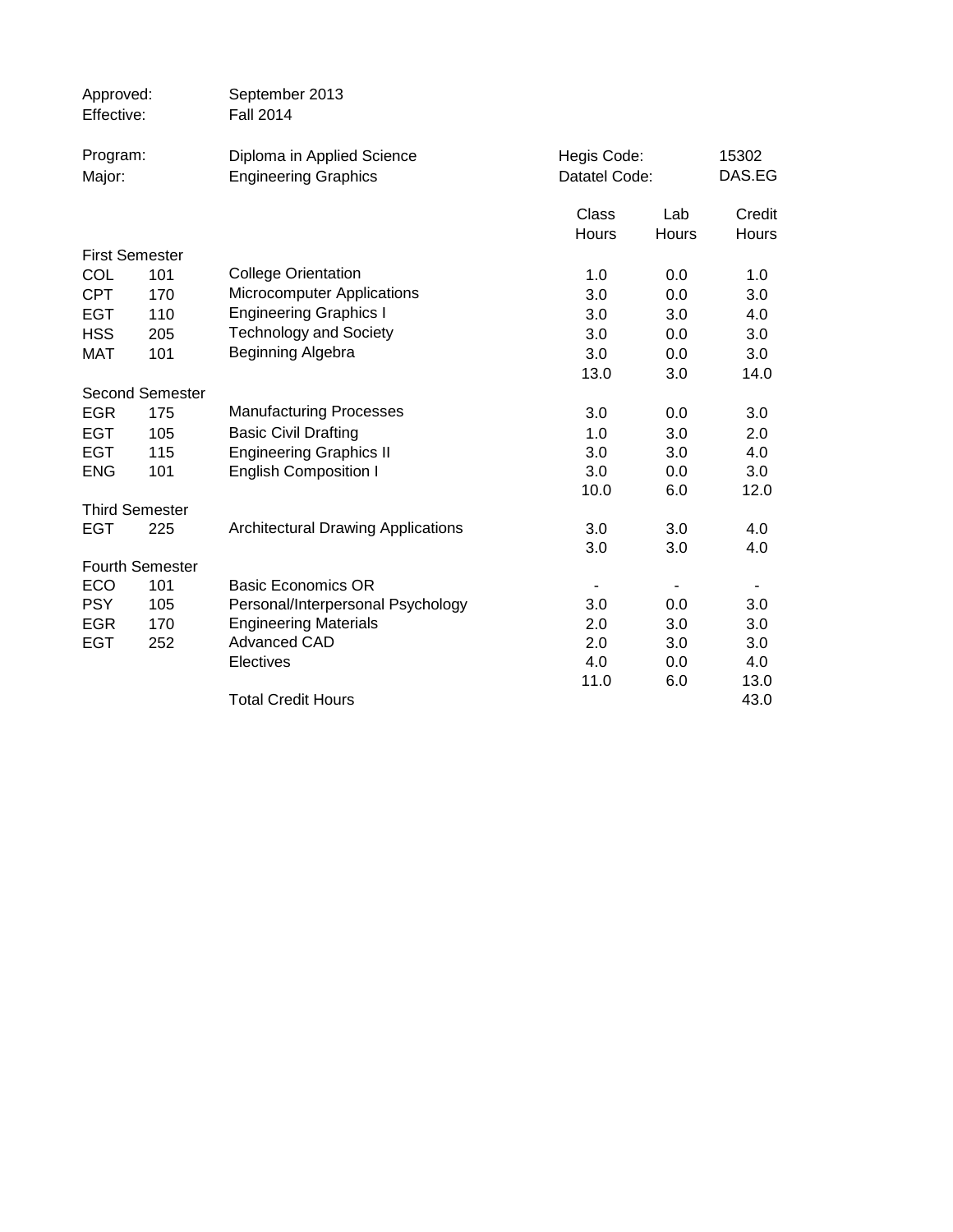| Approved:<br>Effective:  |                        | September 2013<br><b>Fall 2014</b>                  |               |              |            |
|--------------------------|------------------------|-----------------------------------------------------|---------------|--------------|------------|
| Program:                 |                        | Diploma in Applied Science                          | Hegis Code:   |              | 15302      |
| Major:                   |                        | <b>Engineering Graphics</b>                         | Datatel Code: |              | DAS.EG     |
|                          |                        |                                                     | Class         | Lab          | Credit     |
|                          |                        |                                                     | Hours         | <b>Hours</b> | Hours      |
|                          | <b>First Semester</b>  |                                                     |               |              |            |
| COL                      | 101                    | <b>College Orientation</b>                          | 1.0           | 0.0          | 1.0        |
| <b>CPT</b>               | 170                    | <b>Microcomputer Applications</b>                   | 3.0           | 0.0          | 3.0        |
| <b>EGT</b>               | 110                    | <b>Engineering Graphics I</b>                       | 3.0           | 3.0          | 4.0        |
| <b>HSS</b>               | 205                    | <b>Technology and Society</b>                       | 3.0           | 0.0          | 3.0        |
| <b>MAT</b>               | 101                    | Beginning Algebra                                   | 3.0           | 0.0          | 3.0        |
|                          |                        |                                                     | 13.0          | 3.0          | 14.0       |
|                          | <b>Second Semester</b> |                                                     |               |              |            |
| <b>EGR</b>               | 175                    | <b>Manufacturing Processes</b>                      | 3.0           | 0.0          | 3.0        |
| <b>EGT</b>               | 105                    | <b>Basic Civil Drafting</b>                         | 1.0           | 3.0          | 2.0        |
| <b>EGT</b>               | 115                    | <b>Engineering Graphics II</b>                      | 3.0           | 3.0          | 4.0        |
| <b>ENG</b>               | 101                    | <b>English Composition I</b>                        | 3.0           | 0.0          | 3.0        |
|                          |                        |                                                     | 10.0          | 6.0          | 12.0       |
|                          | <b>Third Semester</b>  |                                                     |               |              |            |
| <b>EGT</b>               | 225                    | <b>Architectural Drawing Applications</b>           | 3.0           | 3.0          | 4.0        |
|                          |                        |                                                     | 3.0           | 3.0          | 4.0        |
|                          | Fourth Semester        |                                                     |               |              |            |
| ECO                      | 101                    | <b>Basic Economics OR</b>                           |               |              |            |
| <b>PSY</b>               | 105                    | Personal/Interpersonal Psychology                   | 3.0           | 0.0          | 3.0        |
| <b>EGR</b><br><b>EGT</b> | 170<br>252             | <b>Engineering Materials</b><br><b>Advanced CAD</b> | 2.0<br>2.0    | 3.0<br>3.0   | 3.0<br>3.0 |
|                          |                        | Electives                                           | 4.0           | 0.0          | 4.0        |
|                          |                        |                                                     | 11.0          | 6.0          | 13.0       |
|                          |                        | <b>Total Credit Hours</b>                           |               |              | 43.0       |
|                          |                        |                                                     |               |              |            |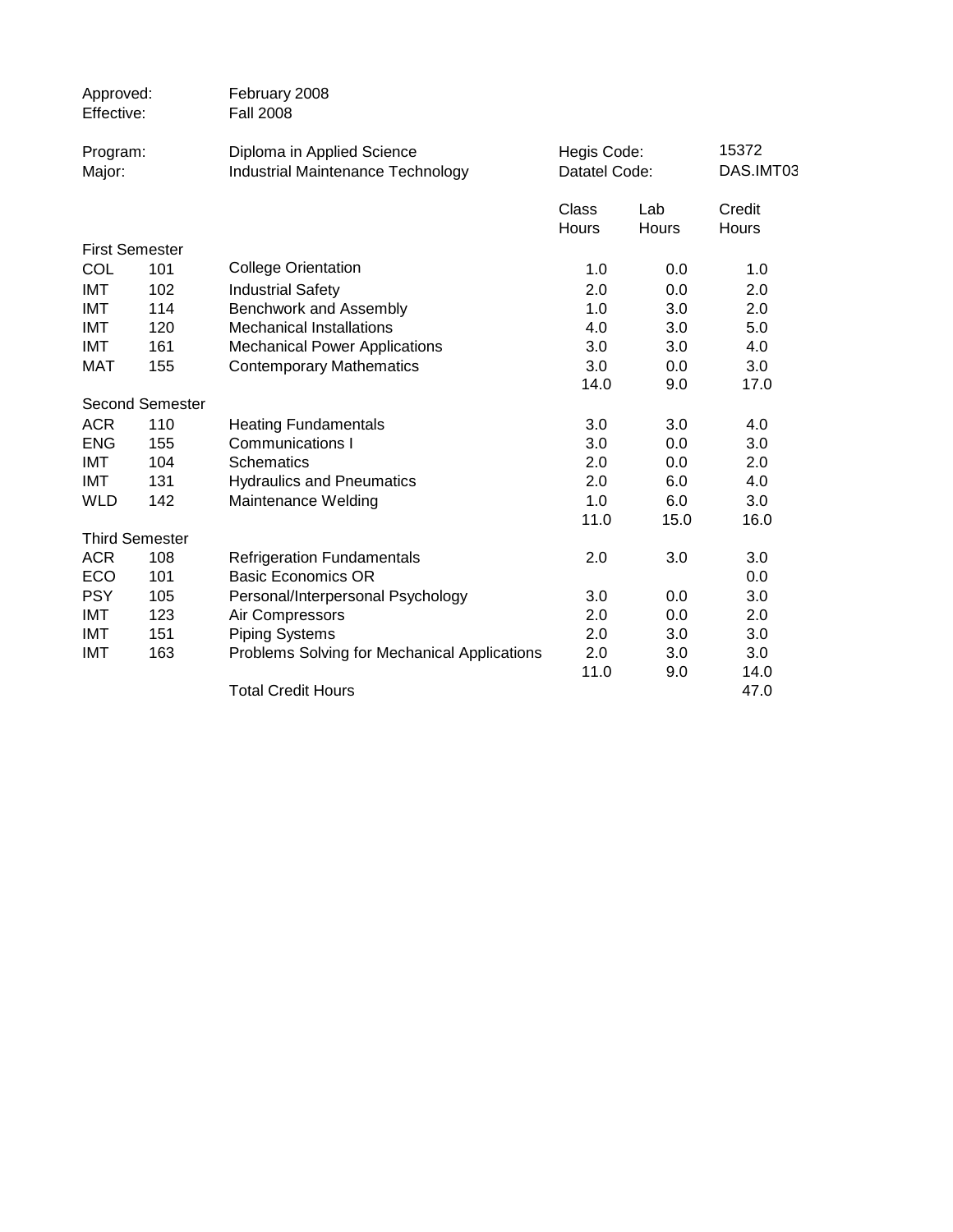| Approved:<br>Effective: |                        | February 2008<br><b>Fall 2008</b>            |               |              |           |
|-------------------------|------------------------|----------------------------------------------|---------------|--------------|-----------|
| Program:                |                        | Diploma in Applied Science                   | Hegis Code:   |              | 15372     |
| Major:                  |                        | <b>Industrial Maintenance Technology</b>     | Datatel Code: |              | DAS.IMT03 |
|                         |                        |                                              | Class         | Lab          | Credit    |
|                         |                        |                                              | <b>Hours</b>  | <b>Hours</b> | Hours     |
|                         | <b>First Semester</b>  |                                              |               |              |           |
| COL                     | 101                    | <b>College Orientation</b>                   | 1.0           | 0.0          | 1.0       |
| <b>IMT</b>              | 102                    | <b>Industrial Safety</b>                     | 2.0           | 0.0          | 2.0       |
| <b>IMT</b>              | 114                    | Benchwork and Assembly                       | 1.0           | 3.0          | 2.0       |
| <b>IMT</b>              | 120                    | <b>Mechanical Installations</b>              | 4.0           | 3.0          | 5.0       |
| IMT                     | 161                    | <b>Mechanical Power Applications</b>         | 3.0           | 3.0          | 4.0       |
| <b>MAT</b>              | 155                    | <b>Contemporary Mathematics</b>              | 3.0           | 0.0          | 3.0       |
|                         |                        |                                              | 14.0          | 9.0          | 17.0      |
|                         | <b>Second Semester</b> |                                              |               |              |           |
| <b>ACR</b>              | 110                    | <b>Heating Fundamentals</b>                  | 3.0           | 3.0          | 4.0       |
| <b>ENG</b>              | 155                    | Communications I                             | 3.0           | 0.0          | 3.0       |
| <b>IMT</b>              | 104                    | <b>Schematics</b>                            | 2.0           | 0.0          | 2.0       |
| IMT                     | 131                    | <b>Hydraulics and Pneumatics</b>             | 2.0           | 6.0          | 4.0       |
| <b>WLD</b>              | 142                    | Maintenance Welding                          | 1.0           | 6.0          | 3.0       |
|                         |                        |                                              | 11.0          | 15.0         | 16.0      |
|                         | <b>Third Semester</b>  |                                              |               |              |           |
| <b>ACR</b>              | 108                    | <b>Refrigeration Fundamentals</b>            | 2.0           | 3.0          | 3.0       |
| ECO                     | 101                    | <b>Basic Economics OR</b>                    |               |              | 0.0       |
| <b>PSY</b>              | 105                    | Personal/Interpersonal Psychology            | 3.0           | 0.0          | 3.0       |
| IMT                     | 123                    | Air Compressors                              | 2.0           | 0.0          | 2.0       |
| <b>IMT</b>              | 151                    | <b>Piping Systems</b>                        | 2.0           | 3.0          | 3.0       |
| <b>IMT</b>              | 163                    | Problems Solving for Mechanical Applications | 2.0           | 3.0          | 3.0       |
|                         |                        |                                              | 11.0          | 9.0          | 14.0      |
|                         |                        | <b>Total Credit Hours</b>                    |               |              | 47.0      |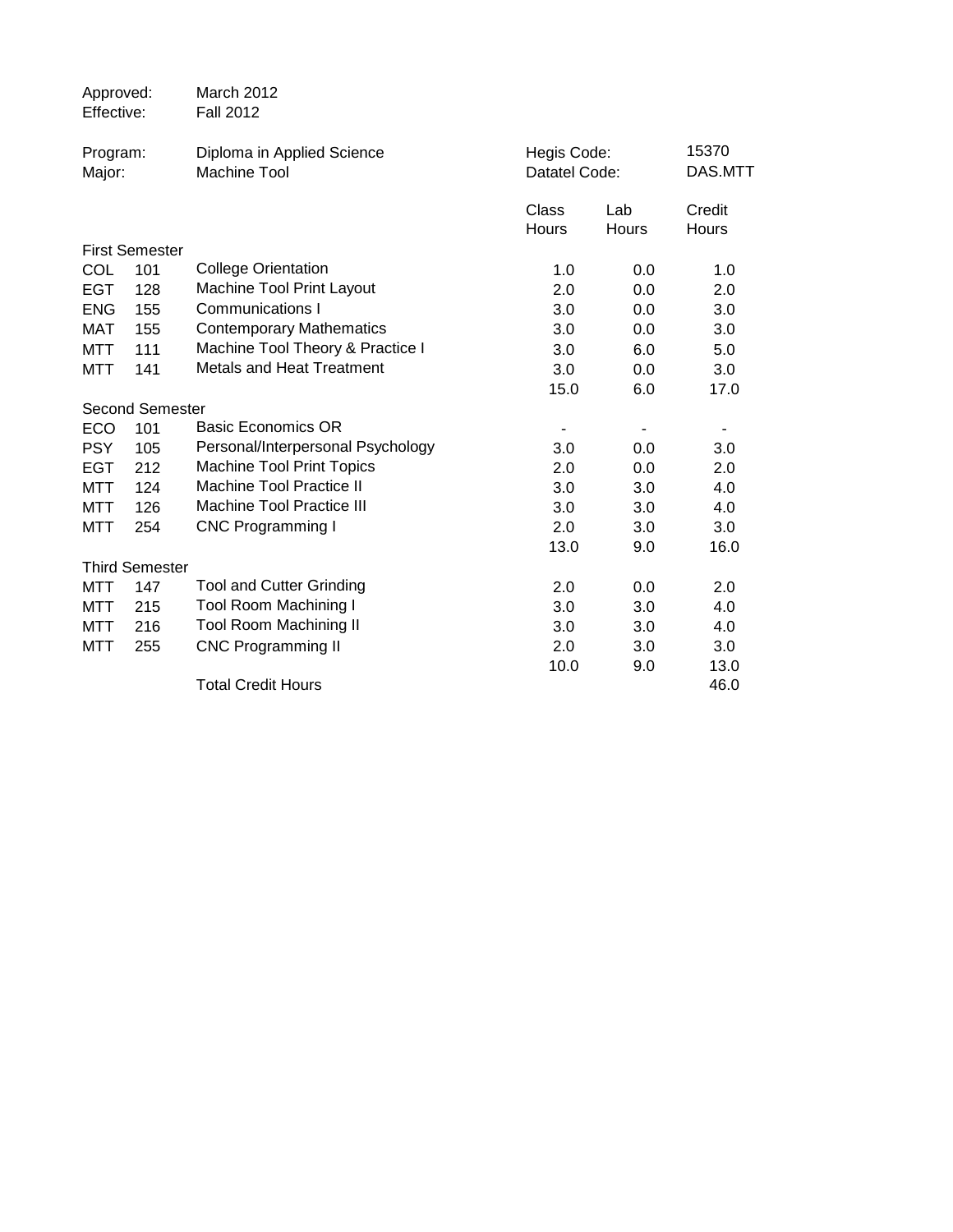| Approved:<br>Effective: |                        | March 2012<br><b>Fall 2012</b>                    |                |                              |                 |
|-------------------------|------------------------|---------------------------------------------------|----------------|------------------------------|-----------------|
| Program:<br>Major:      |                        | Diploma in Applied Science<br><b>Machine Tool</b> |                | Hegis Code:<br>Datatel Code: |                 |
|                         |                        |                                                   | Class<br>Hours | Lab<br>Hours                 | Credit<br>Hours |
|                         | <b>First Semester</b>  |                                                   |                |                              |                 |
| COL                     | 101                    | <b>College Orientation</b>                        | 1.0            | 0.0                          | 1.0             |
| <b>EGT</b>              | 128                    | <b>Machine Tool Print Layout</b>                  | 2.0            | 0.0                          | 2.0             |
| <b>ENG</b>              | 155                    | Communications I                                  | 3.0            | 0.0                          | 3.0             |
| <b>MAT</b>              | 155                    | <b>Contemporary Mathematics</b>                   | 3.0            | 0.0                          | 3.0             |
| <b>MTT</b>              | 111                    | Machine Tool Theory & Practice I                  | 3.0            | 6.0                          | 5.0             |
| <b>MTT</b>              | 141                    | <b>Metals and Heat Treatment</b>                  | 3.0            | 0.0                          | 3.0             |
|                         |                        |                                                   | 15.0           | 6.0                          | 17.0            |
|                         | <b>Second Semester</b> |                                                   |                |                              |                 |
| ECO                     | 101                    | <b>Basic Economics OR</b>                         | ۰              |                              |                 |
| <b>PSY</b>              | 105                    | Personal/Interpersonal Psychology                 | 3.0            | 0.0                          | 3.0             |
| <b>EGT</b>              | 212                    | <b>Machine Tool Print Topics</b>                  | 2.0            | 0.0                          | 2.0             |
| <b>MTT</b>              | 124                    | <b>Machine Tool Practice II</b>                   | 3.0            | 3.0                          | 4.0             |
| <b>MTT</b>              | 126                    | <b>Machine Tool Practice III</b>                  | 3.0            | 3.0                          | 4.0             |
| <b>MTT</b>              | 254                    | <b>CNC Programming I</b>                          | 2.0            | 3.0                          | 3.0             |
|                         |                        |                                                   | 13.0           | 9.0                          | 16.0            |
|                         | <b>Third Semester</b>  |                                                   |                |                              |                 |
| MTT                     | 147                    | <b>Tool and Cutter Grinding</b>                   | 2.0            | 0.0                          | 2.0             |
| MTT                     | 215                    | <b>Tool Room Machining I</b>                      | 3.0            | 3.0                          | 4.0             |
| MTT                     | 216                    | <b>Tool Room Machining II</b>                     | 3.0            | 3.0                          | 4.0             |
| MTT                     | 255                    | <b>CNC Programming II</b>                         | 2.0            | 3.0                          | 3.0             |
|                         |                        |                                                   | 10.0           | 9.0                          | 13.0            |
|                         |                        | <b>Total Credit Hours</b>                         |                |                              | 46.0            |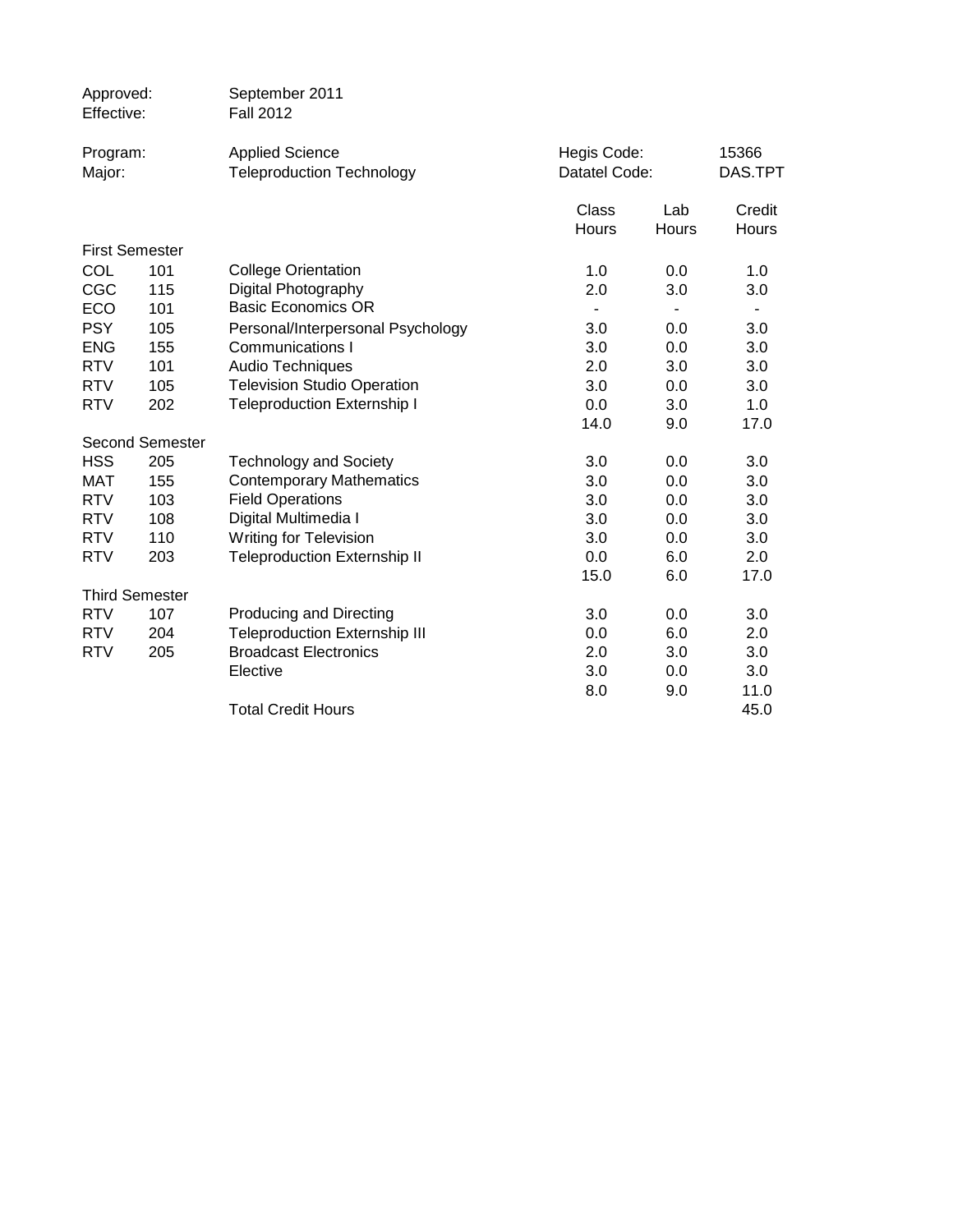| Approved:<br>Effective: |                        | September 2011<br><b>Fall 2012</b>                         |                              |                          |                  |
|-------------------------|------------------------|------------------------------------------------------------|------------------------------|--------------------------|------------------|
| Program:<br>Major:      |                        | <b>Applied Science</b><br><b>Teleproduction Technology</b> | Hegis Code:<br>Datatel Code: |                          | 15366<br>DAS.TPT |
|                         |                        |                                                            | Class<br>Hours               | Lab<br>Hours             | Credit<br>Hours  |
|                         | <b>First Semester</b>  |                                                            |                              |                          |                  |
| COL                     | 101                    | <b>College Orientation</b>                                 | 1.0                          | 0.0                      | 1.0              |
| CGC                     | 115                    | Digital Photography                                        | 2.0                          | 3.0                      | 3.0              |
| ECO                     | 101                    | <b>Basic Economics OR</b>                                  |                              | $\overline{\phantom{0}}$ |                  |
| <b>PSY</b>              | 105                    | Personal/Interpersonal Psychology                          | 3.0                          | 0.0                      | 3.0              |
| <b>ENG</b>              | 155                    | <b>Communications I</b>                                    | 3.0                          | 0.0                      | 3.0              |
| <b>RTV</b>              | 101                    | <b>Audio Techniques</b>                                    | 2.0                          | 3.0                      | 3.0              |
| <b>RTV</b>              | 105                    | <b>Television Studio Operation</b>                         | 3.0                          | 0.0                      | 3.0              |
| <b>RTV</b>              | 202                    | <b>Teleproduction Externship I</b>                         | 0.0                          | 3.0                      | 1.0              |
|                         |                        |                                                            | 14.0                         | 9.0                      | 17.0             |
|                         | <b>Second Semester</b> |                                                            |                              |                          |                  |
| <b>HSS</b>              | 205                    | <b>Technology and Society</b>                              | 3.0                          | 0.0                      | 3.0              |
| <b>MAT</b>              | 155                    | <b>Contemporary Mathematics</b>                            | 3.0                          | 0.0                      | 3.0              |
| <b>RTV</b>              | 103                    | <b>Field Operations</b>                                    | 3.0                          | 0.0                      | 3.0              |
| <b>RTV</b>              | 108                    | Digital Multimedia I                                       | 3.0                          | 0.0                      | 3.0              |
| <b>RTV</b>              | 110                    | <b>Writing for Television</b>                              | 3.0                          | 0.0                      | 3.0              |
| <b>RTV</b>              | 203                    | <b>Teleproduction Externship II</b>                        | 0.0                          | 6.0                      | 2.0              |
|                         |                        |                                                            | 15.0                         | 6.0                      | 17.0             |
|                         | <b>Third Semester</b>  |                                                            |                              |                          |                  |
| <b>RTV</b>              | 107                    | <b>Producing and Directing</b>                             | 3.0                          | 0.0                      | 3.0              |
| <b>RTV</b>              | 204                    | <b>Teleproduction Externship III</b>                       | 0.0                          | 6.0                      | 2.0              |
| <b>RTV</b>              | 205                    | <b>Broadcast Electronics</b>                               | 2.0                          | 3.0                      | 3.0              |
|                         |                        | Elective                                                   | 3.0                          | 0.0                      | 3.0              |
|                         |                        | <b>Total Credit Hours</b>                                  | 8.0                          | 9.0                      | 11.0<br>45.0     |
|                         |                        |                                                            |                              |                          |                  |